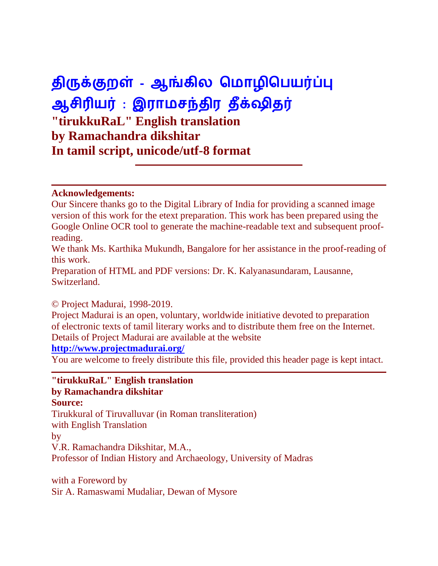# **திருக்குறள் - ஆங்கில ம ொழிமெயர்ப்பு ஆசிரியர் : இரொ சந்திர தீக்ஷிதர் "tirukkuRaL" English translation by Ramachandra dikshitar In tamil script, unicode/utf-8 format**

#### **Acknowledgements:**

Our Sincere thanks go to the Digital Library of India for providing a scanned image version of this work for the etext preparation. This work has been prepared using the Google Online OCR tool to generate the machine-readable text and subsequent proofreading.

We thank Ms. Karthika Mukundh, Bangalore for her assistance in the proof-reading of this work.

Preparation of HTML and PDF versions: Dr. K. Kalyanasundaram, Lausanne, Switzerland.

#### © Project Madurai, 1998-2019.

Project Madurai is an open, voluntary, worldwide initiative devoted to preparation of electronic texts of tamil literary works and to distribute them free on the Internet. Details of Project Madurai are available at the website

#### **<http://www.projectmadurai.org/>**

You are welcome to freely distribute this file, provided this header page is kept intact.

# **"tirukkuRaL" English translation by Ramachandra dikshitar**

**Source:** Tirukkural of Tiruvalluvar (in Roman transliteration) with English Translation by V.R. Ramachandra Dikshitar, M.A., Professor of Indian History and Archaeology, University of Madras

with a Foreword by Sir A. Ramaswami Mudaliar, Dewan of Mysore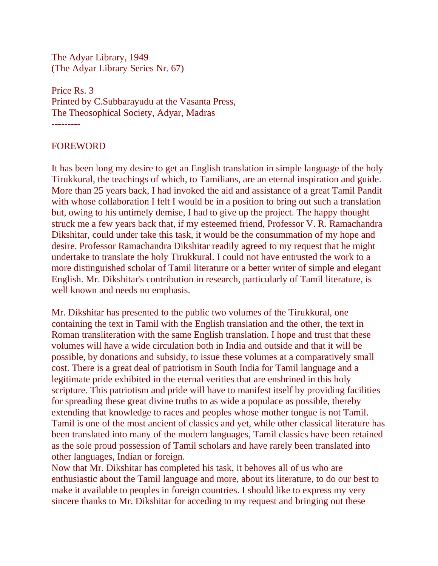The Adyar Library, 1949 (The Adyar Library Series Nr. 67)

Price Rs. 3 Printed by C.Subbarayudu at the Vasanta Press, The Theosophical Society, Adyar, Madras ---------

FOREWORD

It has been long my desire to get an English translation in simple language of the holy Tirukkural, the teachings of which, to Tamilians, are an eternal inspiration and guide. More than 25 years back, I had invoked the aid and assistance of a great Tamil Pandit with whose collaboration I felt I would be in a position to bring out such a translation but, owing to his untimely demise, I had to give up the project. The happy thought struck me a few years back that, if my esteemed friend, Professor V. R. Ramachandra Dikshitar, could under take this task, it would be the consummation of my hope and desire. Professor Ramachandra Dikshitar readily agreed to my request that he might undertake to translate the holy Tirukkural. I could not have entrusted the work to a more distinguished scholar of Tamil literature or a better writer of simple and elegant English. Mr. Dikshitar's contribution in research, particularly of Tamil literature, is well known and needs no emphasis.

Mr. Dikshitar has presented to the public two volumes of the Tirukkural, one containing the text in Tamil with the English translation and the other, the text in Roman transliteration with the same English translation. I hope and trust that these volumes will have a wide circulation both in India and outside and that it will be possible, by donations and subsidy, to issue these volumes at a comparatively small cost. There is a great deal of patriotism in South India for Tamil language and a legitimate pride exhibited in the eternal verities that are enshrined in this holy scripture. This patriotism and pride will have to manifest itself by providing facilities for spreading these great divine truths to as wide a populace as possible, thereby extending that knowledge to races and peoples whose mother tongue is not Tamil. Tamil is one of the most ancient of classics and yet, while other classical literature has been translated into many of the modern languages, Tamil classics have been retained as the sole proud possession of Tamil scholars and have rarely been translated into other languages, Indian or foreign.

Now that Mr. Dikshitar has completed his task, it behoves all of us who are enthusiastic about the Tamil language and more, about its literature, to do our best to make it available to peoples in foreign countries. I should like to express my very sincere thanks to Mr. Dikshitar for acceding to my request and bringing out these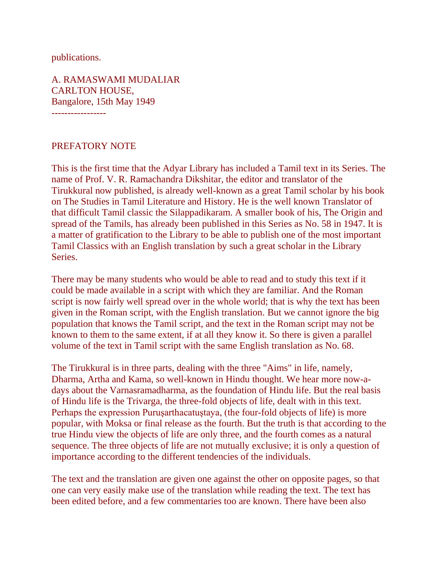publications.

A. RAMASWAMI MUDALIAR CARLTON HOUSE, Bangalore, 15th May 1949 -----------------

#### PREFATORY NOTE

This is the first time that the Adyar Library has included a Tamil text in its Series. The name of Prof. V. R. Ramachandra Dikshitar, the editor and translator of the Tirukkural now published, is already well-known as a great Tamil scholar by his book on The Studies in Tamil Literature and History. He is the well known Translator of that difficult Tamil classic the Silappadikaram. A smaller book of his, The Origin and spread of the Tamils, has already been published in this Series as No. 58 in 1947. It is a matter of gratification to the Library to be able to publish one of the most important Tamil Classics with an English translation by such a great scholar in the Library Series.

There may be many students who would be able to read and to study this text if it could be made available in a script with which they are familiar. And the Roman script is now fairly well spread over in the whole world; that is why the text has been given in the Roman script, with the English translation. But we cannot ignore the big population that knows the Tamil script, and the text in the Roman script may not be known to them to the same extent, if at all they know it. So there is given a parallel volume of the text in Tamil script with the same English translation as No. 68.

The Tirukkural is in three parts, dealing with the three "Aims" in life, namely, Dharma, Artha and Kama, so well-known in Hindu thought. We hear more now-adays about the Varnasramadharma, as the foundation of Hindu life. But the real basis of Hindu life is the Trivarga, the three-fold objects of life, dealt with in this text. Perhaps the expression Puruşarthacatuştaya, (the four-fold objects of life) is more popular, with Moksa or final release as the fourth. But the truth is that according to the true Hindu view the objects of life are only three, and the fourth comes as a natural sequence. The three objects of life are not mutually exclusive; it is only a question of importance according to the different tendencies of the individuals.

The text and the translation are given one against the other on opposite pages, so that one can very easily make use of the translation while reading the text. The text has been edited before, and a few commentaries too are known. There have been also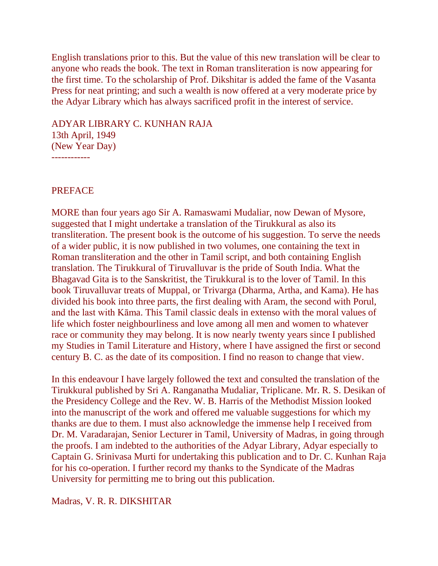English translations prior to this. But the value of this new translation will be clear to anyone who reads the book. The text in Roman transliteration is now appearing for the first time. To the scholarship of Prof. Dikshitar is added the fame of the Vasanta Press for neat printing; and such a wealth is now offered at a very moderate price by the Adyar Library which has always sacrificed profit in the interest of service.

ADYAR LIBRARY C. KUNHAN RAJA

13th April, 1949 (New Year Day)

------------

#### PREFACE

MORE than four years ago Sir A. Ramaswami Mudaliar, now Dewan of Mysore, suggested that I might undertake a translation of the Tirukkural as also its transliteration. The present book is the outcome of his suggestion. To serve the needs of a wider public, it is now published in two volumes, one containing the text in Roman transliteration and the other in Tamil script, and both containing English translation. The Tirukkural of Tiruvalluvar is the pride of South India. What the Bhagavad Gita is to the Sanskritist, the Tirukkural is to the lover of Tamil. In this book Tiruvalluvar treats of Muppal, or Trivarga (Dharma, Artha, and Kama). He has divided his book into three parts, the first dealing with Aram, the second with Porul, and the last with Kāma. This Tamil classic deals in extenso with the moral values of life which foster neighbourliness and love among all men and women to whatever race or community they may belong. It is now nearly twenty years since I published my Studies in Tamil Literature and History, where I have assigned the first or second century B. C. as the date of its composition. I find no reason to change that view.

In this endeavour I have largely followed the text and consulted the translation of the Tirukkural published by Sri A. Ranganatha Mudaliar, Triplicane. Mr. R. S. Desikan of the Presidency College and the Rev. W. B. Harris of the Methodist Mission looked into the manuscript of the work and offered me valuable suggestions for which my thanks are due to them. I must also acknowledge the immense help I received from Dr. M. Varadarajan, Senior Lecturer in Tamil, University of Madras, in going through the proofs. I am indebted to the authorities of the Adyar Library, Adyar especially to Captain G. Srinivasa Murti for undertaking this publication and to Dr. C. Kunhan Raja for his co-operation. I further record my thanks to the Syndicate of the Madras University for permitting me to bring out this publication.

Madras, V. R. R. DIKSHITAR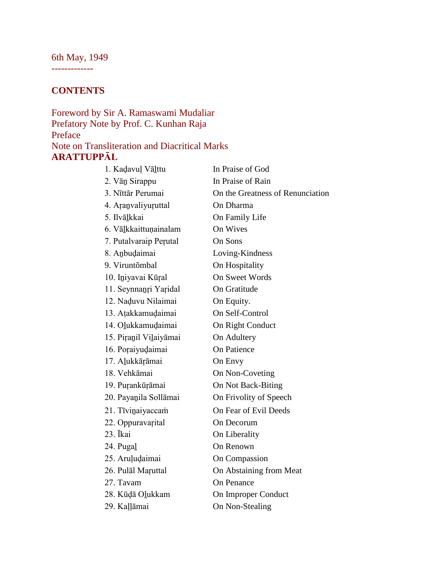# 6th May, 1949

-------------

# **CONTENTS**

#### Foreword by Sir A. Ramaswami Mudaliar Prefatory Note by Prof. C. Kunhan Raja Preface Note on Transliteration and Diacritical Marks **ARATTUPPĀL**

| 1. Kadavuļ Vāļttu      | In Praise of God                 |
|------------------------|----------------------------------|
| 2. Vān Sirappu         | In Praise of Rain                |
| 3. Nīttār Perumai      | On the Greatness of Renunciation |
| 4. Aranvaliyuruttal    | On Dharma                        |
| 5. Ilvālkkai           | On Family Life                   |
| 6. Vālkkaittunainalam  | On Wives                         |
| 7. Putalvaraip Perutal | On Sons                          |
| 8. Anbudaimai          | Loving-Kindness                  |
| 9. Viruntõmbal         | On Hospitality                   |
| 10. Iniyavai Kūral     | <b>On Sweet Words</b>            |
| 11. Seynnanri Yaridal  | On Gratitude                     |
| 12. Naduvu Nilaimai    | On Equity.                       |
| 13. Atakkamudaimai     | On Self-Control                  |
| 14. Olukkamudaimai     | On Right Conduct                 |
| 15. Piranil Vilaiyāmai | On Adultery                      |
| 16. Poraiyudaimai      | On Patience                      |
| 17. Alukkārāmai        | On Envy                          |
| 18. Vehkāmai           | On Non-Coveting                  |
| 19. Purankūrāmai       | On Not Back-Biting               |
| 20. Payanila Sollāmai  | On Frivolity of Speech           |
| 21. Tīvinaiyaccam      | On Fear of Evil Deeds            |
| 22. Oppuravarital      | On Decorum                       |
| 23. Īkai               | On Liberality                    |
| 24. Pugal              | On Renown                        |
| 25. Aruļudaimai        | <b>On Compassion</b>             |
| 26. Pulāl Maruttal     | On Abstaining from Meat          |
| 27. Tavam              | <b>On Penance</b>                |
| 28. Kūḍā Oļukkam       | On Improper Conduct              |
| 29. Kallāmai           | On Non-Stealing                  |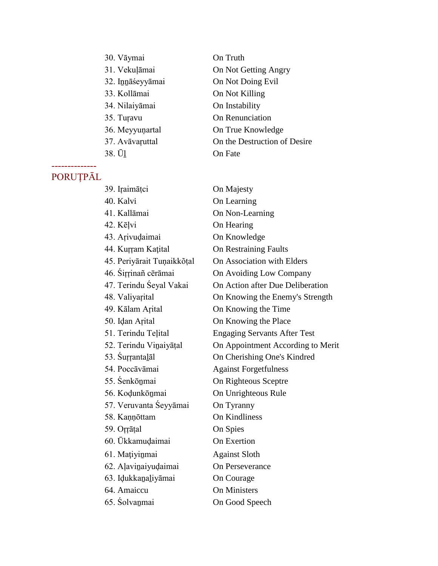| 30. Vāymai       | On Truth                     |
|------------------|------------------------------|
| 31. Vekuļāmai    | On Not Getting Angry         |
| 32. Innāśeyyāmai | On Not Doing Evil            |
| 33. Kollāmai     | On Not Killing               |
| 34. Nilaiyāmai   | On Instability               |
| 35. Turavu       | On Renunciation              |
| 36. Meyyunartal  | On True Knowledge            |
| 37. Avāvaruttal  | On the Destruction of Desire |
| 38. Ū1           | <b>On Fate</b>               |

#### -------------- PORUȚPĀL

| 39. Iraimāței              | On Majesty                          |
|----------------------------|-------------------------------------|
| 40. Kalvi                  | On Learning                         |
| 41. Kallāmai               | On Non-Learning                     |
| 42. Kēļvi                  | On Hearing                          |
| 43. Arivudaimai            | On Knowledge                        |
| 44. Kurram Kațital         | <b>On Restraining Faults</b>        |
| 45. Periyārait Tuņaikkõțal | On Association with Elders          |
| 46. Šiŗŗinañ cērāmai       | On Avoiding Low Company             |
| 47. Terindu Śeyal Vakai    | On Action after Due Deliberation    |
| 48. Valiyarital            | On Knowing the Enemy's Strength     |
| 49. Kālam Arital           | On Knowing the Time                 |
| 50. Idan Arital            | On Knowing the Place                |
| 51. Terindu Teļital        | <b>Engaging Servants After Test</b> |
| 52. Terindu Vinaiyāțal     | On Appointment According to Merit   |
| 53. Surŗanta <u>l</u> āl   | On Cherishing One's Kindred         |
| 54. Poccāvāmai             | <b>Against Forgetfulness</b>        |
| 55. Senkōnmai              | On Righteous Sceptre                |
| 56. Kodunkōnmai            | On Unrighteous Rule                 |
| 57. Veruvanta Seyyāmai     | On Tyranny                          |
| 58. Kannōttam              | On Kindliness                       |
| 59. Orrāțal                | On Spies                            |
| 60. Ūkkamuḍaimai           | On Exertion                         |
| 61. Mațiyinmai             | <b>Against Sloth</b>                |
| 62. Aļavinai yudaimai      | On Perseverance                     |
| 63. Idukkanaliyāmai        | On Courage                          |
| 64. Amaiccu                | <b>On Ministers</b>                 |
| 65. Śolvanmai              | On Good Speech                      |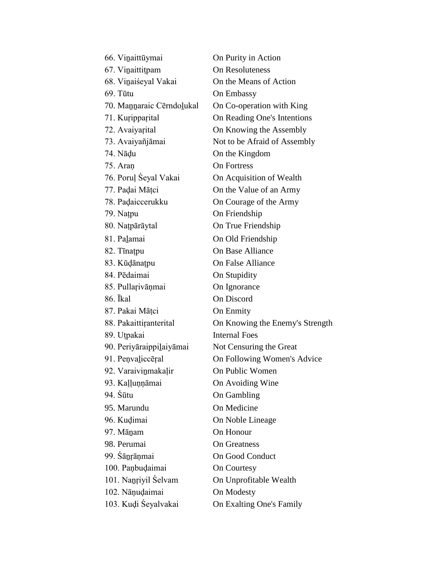| 66. Vinaittūymai          | On Purity in Action             |
|---------------------------|---------------------------------|
| 67. Vinaittitpam          | On Resoluteness                 |
| 68. Vinaiśeyal Vakai      | On the Means of Action          |
| $69.$ Tūtu                | <b>On Embassy</b>               |
| 70. Mannaraic Cērndoļukal | On Co-operation with King       |
| 71. Kuripparital          | On Reading One's Intentions     |
| 72. Avaiyarital           | On Knowing the Assembly         |
| 73. Avaiyañjāmai          | Not to be Afraid of Assembly    |
| 74. Nādu                  | On the Kingdom                  |
| 75. Aran                  | <b>On Fortress</b>              |
| 76. Poruļ Seyal Vakai     | On Acquisition of Wealth        |
| 77. Padai Māțci           | On the Value of an Army         |
| 78. Padaiccerukku         | On Courage of the Army          |
| 79. Natpu                 | On Friendship                   |
| 80. Națpārāytal           | On True Friendship              |
| 81. Palamai               | On Old Friendship               |
| 82. Tīnatpu               | <b>On Base Alliance</b>         |
| 83. Kūdānatpu             | <b>On False Alliance</b>        |
| 84. Pēdaimai              | On Stupidity                    |
| 85. Pullarivāņmai         | On Ignorance                    |
| 86. <i>Ikal</i>           | On Discord                      |
| 87. Pakai Māțci           | <b>On Enmity</b>                |
| 88. Pakaittiranterital    | On Knowing the Enemy's Strength |
| 89. Utpakai               | <b>Internal Foes</b>            |
| 90. Periyāraippilaiyāmai  | Not Censuring the Great         |
| 91. Penvaliccēral         | On Following Women's Advice     |
| 92. Varaivinmakalir       | On Public Women                 |
| 93. Kaļļuņņāmai           | On Avoiding Wine                |
| 94. Śūtu                  | On Gambling                     |
| 95. Marundu               | On Medicine                     |
| 96. Kudimai               | On Noble Lineage                |
| 97. Mānam                 | On Honour                       |
| 98. Perumai               | <b>On Greatness</b>             |
| 99. Sānrāņmai             | On Good Conduct                 |
| 100. Paņbudaimai          | <b>On Courtesy</b>              |
| 101. Nanriyil Selvam      | On Unprofitable Wealth          |
| 102. Nāņudaimai           | On Modesty                      |
| 103. Kudi Seyalvakai      | On Exalting One's Family        |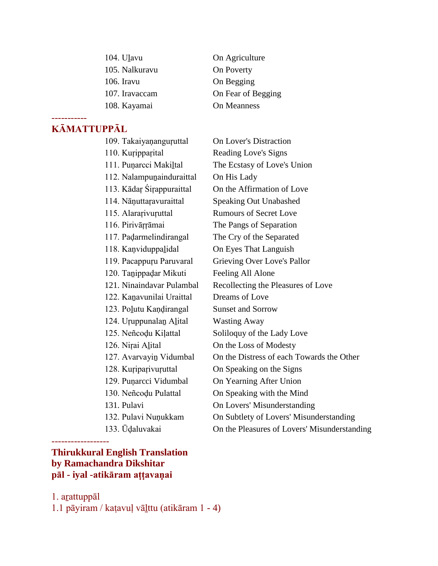| 104. Ulavu     | On Agriculture     |
|----------------|--------------------|
| 105. Nalkuravu | On Poverty         |
| 106. Iravu     | On Begging         |
| 107. Iravaccam | On Fear of Begging |
| 108. Kayamai   | On Meanness        |

# **KĀMATTUPPĀL**

-----------

| 109. Takaiyananguruttal   | <b>On Lover's Distraction</b>                |
|---------------------------|----------------------------------------------|
| 110. Kuripparital         | Reading Love's Signs                         |
| 111. Puņarcci Makiltal    | The Ecstasy of Love's Union                  |
| 112. Nalampunainduraittal | On His Lady                                  |
| 113. Kādar Śirappuraittal | On the Affirmation of Love                   |
| 114. Nāņuttaravuraittal   | <b>Speaking Out Unabashed</b>                |
| 115. Alararivuruttal      | <b>Rumours of Secret Love</b>                |
| 116. Pirivāŗŗāmai         | The Pangs of Separation                      |
| 117. Padarmelindirangal   | The Cry of the Separated                     |
| 118. Kanviduppalidal      | On Eyes That Languish                        |
| 119. Pacappuru Paruvaral  | Grieving Over Love's Pallor                  |
| 120. Tanippadar Mikuti    | Feeling All Alone                            |
| 121. Ninaindavar Pulambal | Recollecting the Pleasures of Love           |
| 122. Kanavunilai Uraittal | Dreams of Love                               |
| 123. Polutu Kaņdirangal   | <b>Sunset and Sorrow</b>                     |
| 124. Uruppunalan Alital   | <b>Wasting Away</b>                          |
| 125. Neñcodu Kilattal     | Soliloquy of the Lady Love                   |
| 126. Nițai Alital         | On the Loss of Modesty                       |
| 127. Avarvayin Vidumbal   | On the Distress of each Towards the Other    |
| 128. Kuriparivuruttal     | On Speaking on the Signs                     |
| 129. Puņarcci Vidumbal    | On Yearning After Union                      |
| 130. Neñcodu Pulattal     | On Speaking with the Mind                    |
| 131. Pulavi               | On Lovers' Misunderstanding                  |
| 132. Pulavi Nuņukkam      | On Subtlety of Lovers' Misunderstanding      |
| 133. Ūdaluvakai           | On the Pleasures of Lovers' Misunderstanding |

#### **Thirukkural English Translation by Ramachandra Dikshitar pāl - iyal -atikāram aṭṭavaṇai**

1. aṟattuppāl

------------------

1.1 pāyiram / kaṭavuḷ vāḻttu (atikāram 1 - 4)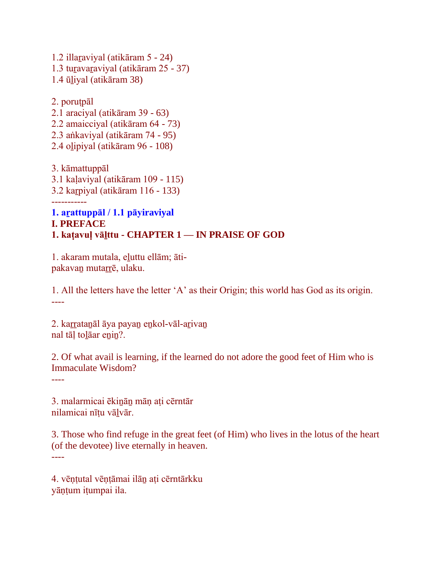1.2 illaṟaviyal (atikāram 5 - 24) 1.3 tuṟavaṟaviyal (atikāram 25 - 37) 1.4 ūḻiyal (atikāram 38)

2. poruṭpāl 2.1 araciyal (atikāram 39 - 63) 2.2 amaicciyal (atikāram 64 - 73) 2.3 aṅkaviyal (atikāram 74 - 95) 2.4 oḻipiyal (atikāram 96 - 108)

3. kāmattuppāl 3.1 kaḷaviyal (atikāram 109 - 115) 3.2 kaṟpiyal (atikāram 116 - 133) -----------

**1. aṟattuppāl / 1.1 pāyiraviyal I. PREFACE 1. kaṭavuḷ vāḻttu - CHAPTER 1 — IN PRAISE OF GOD**

1. akaram mutala, eḻuttu ellām; ātipakavaṉ mutaṟṟē, ulaku.

1. All the letters have the letter 'A' as their Origin; this world has God as its origin. ----

2. karrataṇāl āya payaṇ enkol-vāl-arivan nal tāḷ toḻāar eṉiṉ?.

2. Of what avail is learning, if the learned do not adore the good feet of Him who is Immaculate Wisdom?

----

3. malarmicai ēkiṉāṉ māṇ aṭi cērntār nilamicai nīṭu vāḻvār.

3. Those who find refuge in the great feet (of Him) who lives in the lotus of the heart (of the devotee) live eternally in heaven. ----

4. vēṇṭutal vēṇṭāmai ilāṉ aṭi cērntārkku yāṇṭum iṭumpai ila.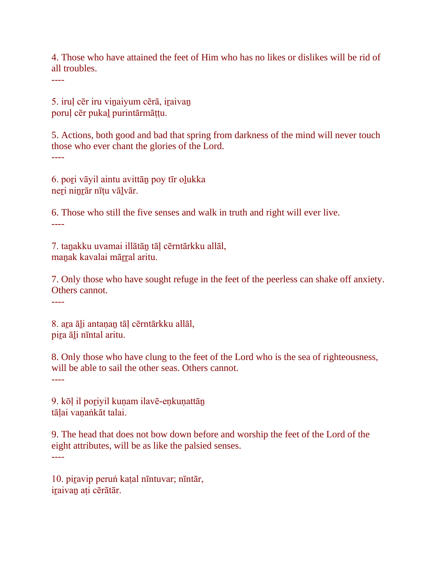4. Those who have attained the feet of Him who has no likes or dislikes will be rid of all troubles.

----

5. iruḷ cēr iru viṉaiyum cērā, iṟaivaṉ poruḷ cēr pukaḻ purintārmāṭṭu.

5. Actions, both good and bad that spring from darkness of the mind will never touch those who ever chant the glories of the Lord. ----

6. poṟi vāyil aintu avittāṉ poy tīr oḻukka neri ninrār nīțu vālvār.

6. Those who still the five senses and walk in truth and right will ever live. ----

7. taṉakku uvamai illātāṉ tāḷ cērntārkku allāl, manak kavalai mārral aritu.

7. Only those who have sought refuge in the feet of the peerless can shake off anxiety. Others cannot.

----

8. aṟa āḻi antaṇaṉ tāḷ cērntārkku allāl, pira āli nīntal aritu.

8. Only those who have clung to the feet of the Lord who is the sea of righteousness, will be able to sail the other seas. Others cannot.

----

9. kōl il poriyil kunam ilavē-enkunattān tālai vanankāt talai.

9. The head that does not bow down before and worship the feet of the Lord of the eight attributes, will be as like the palsied senses. ----

10. piravip peruṅ kaṭal nīntuvar; nīntār, iraivan ati cērātār.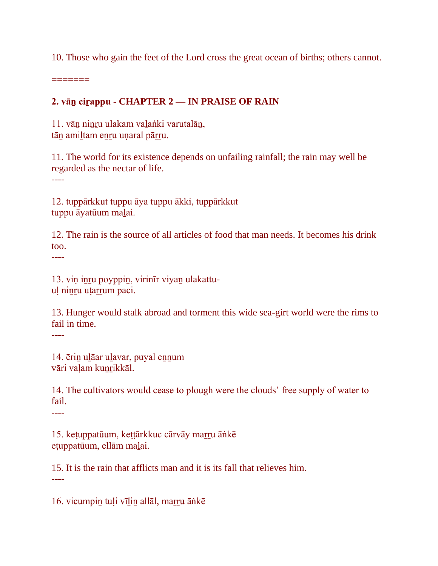10. Those who gain the feet of the Lord cross the great ocean of births; others cannot.

=======

#### **2. vāṉ ciṟappu - CHAPTER 2 — IN PRAISE OF RAIN**

11. vāṉ niṉṟu ulakam vaḻaṅki varutalāṉ, tān amiltam enru unaral pārru.

11. The world for its existence depends on unfailing rainfall; the rain may well be regarded as the nectar of life. ----

12. tuppārkkut tuppu āya tuppu ākki, tuppārkkut tuppu āyatūum maḻai.

12. The rain is the source of all articles of food that man needs. It becomes his drink too.

----

13. viṇ iṉṟu poyppiṉ, virinīr viyaṉ ulakattuul ninru utarrum paci.

13. Hunger would stalk abroad and torment this wide sea-girt world were the rims to fail in time. ----

14. ēriṉ uḻāar uḻavar, puyal eṉṉum vāri valam kunrikkāl.

14. The cultivators would cease to plough were the clouds' free supply of water to fail.

----

15. keṭuppatūum, keṭṭārkkuc cārvāy maṟṟu āṅkē eṭuppatūum, ellām maḻai.

15. It is the rain that afflicts man and it is its fall that relieves him. ----

16. vicumpin tuļi vīlin allāl, marru ānkē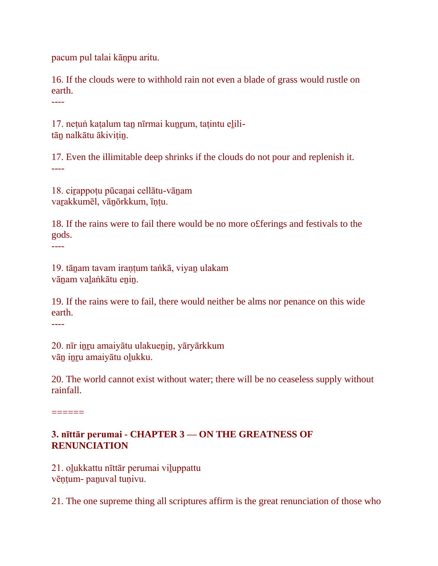pacum pul talai kāṇpu aritu.

16. If the clouds were to withhold rain not even a blade of grass would rustle on earth.

----

17. netuṅ katalum tan nīrmai kunrum, tatintu elilitān nalkātu ākivitin.

17. Even the illimitable deep shrinks if the clouds do not pour and replenish it. ----

18. ciṟappoṭu pūcaṉai cellātu-vāṉam vaṟakkumēl, vāṉōrkkum, īṇṭu.

18. If the rains were to fail there would be no more o£ferings and festivals to the gods.

19. tāṉam tavam iraṇṭum taṅkā, viyaṉ ulakam vānam valankātu enin.

19. If the rains were to fail, there would neither be alms nor penance on this wide earth.

----

----

20. nīr inru amaiyātu ulakuenin, yāryārkkum vāṉ iṉṟu amaiyātu oḻukku.

20. The world cannot exist without water; there will be no ceaseless supply without rainfall.

 $=$ 

#### **3. nīttār perumai - CHAPTER 3 — ON THE GREATNESS OF RENUNCIATION**

21. oḻukkattu nīttār perumai viḻuppattu vēņtum- panuval tuņivu.

21. The one supreme thing all scriptures affirm is the great renunciation of those who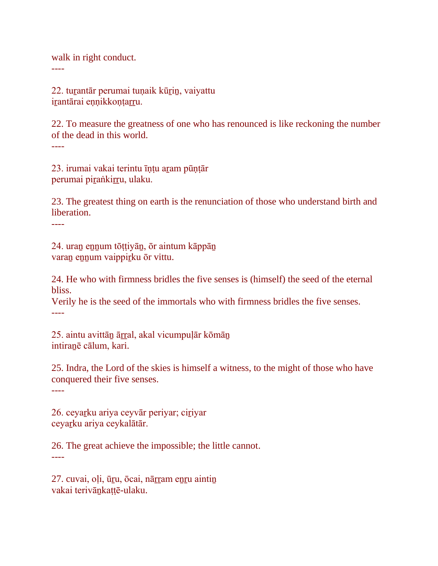walk in right conduct. ----

22. turantār perumai tunaik kūrin, vaiyattu irantārai eņņikkoņțarru.

22. To measure the greatness of one who has renounced is like reckoning the number of the dead in this world. ----

23. irumai vakai terintu īṇṭu aṟam pūṇṭār perumai piṟaṅkiṟṟu, ulaku.

23. The greatest thing on earth is the renunciation of those who understand birth and liberation.

----

24. uraṉ eṉṉum tōṭṭiyāṉ, ōr aintum kāppāṉ varan ennum vaippirku ōr vittu.

24. He who with firmness bridles the five senses is (himself) the seed of the eternal bliss.

Verily he is the seed of the immortals who with firmness bridles the five senses. ----

25. aintu avittān ārral, akal vicumpulār kōmān intiraṉē cālum, kari.

25. Indra, the Lord of the skies is himself a witness, to the might of those who have conquered their five senses.

----

26. ceyarku ariya ceyvār periyar; ciriyar ceyaṟku ariya ceykalātār.

26. The great achieve the impossible; the little cannot. ----

27. cuvai, oļi, ūru, ōcai, nārram enru aintin vakai terivāṉkaṭṭē-ulaku.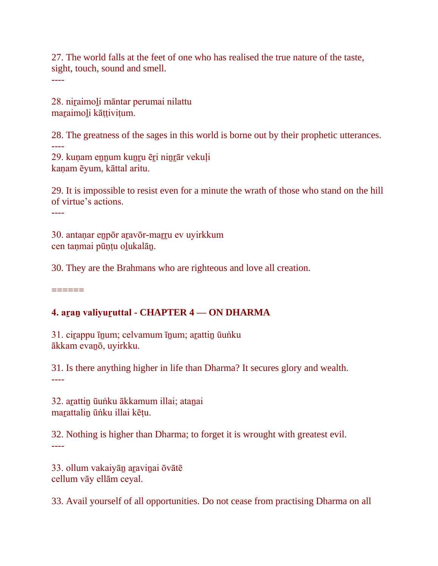27. The world falls at the feet of one who has realised the true nature of the taste, sight, touch, sound and smell. ----

28. niṟaimoḻi māntar perumai nilattu maraimoli kāttivitum.

28. The greatness of the sages in this world is borne out by their prophetic utterances.

---- 29. kunam ennum kunru ēri ninrār vekuli kaṇam ēyum, kāttal aritu.

29. It is impossible to resist even for a minute the wrath of those who stand on the hill of virtue's actions.

----

30. antaṇar eṉpōr aṟavōr-maṟṟu ev uyirkkum cen taṇmai pūṇṭu oḻukalāṉ.

30. They are the Brahmans who are righteous and love all creation.

======

#### **4. aṟaṉ valiyuṟuttal - CHAPTER 4 — ON DHARMA**

31. cirappu īnum; celvamum īnum; arattin ūuṅku ākkam evaṉō, uyirkku.

31. Is there anything higher in life than Dharma? It secures glory and wealth. ----

32. arattin ūuṅku ākkamum illai; atanai marattalin ūṅku illai kētu.

32. Nothing is higher than Dharma; to forget it is wrought with greatest evil. ----

33. ollum vakaiyāṉ aṟaviṉai ōvātē cellum vāy ellām ceyal.

33. Avail yourself of all opportunities. Do not cease from practising Dharma on all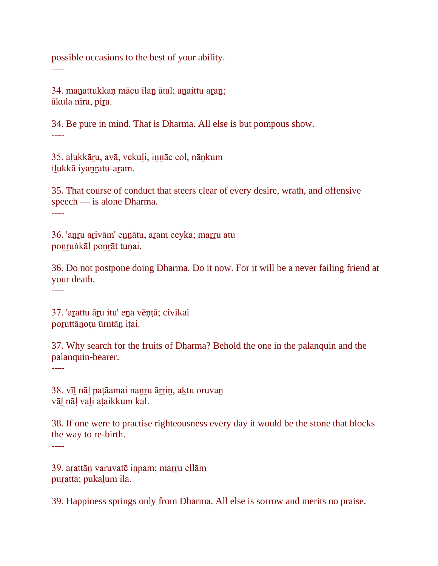possible occasions to the best of your ability. ----

34. manattukkan mācu ilan ātal; anaittu aran; ākula nīra, piṟa.

34. Be pure in mind. That is Dharma. All else is but pompous show. ----

35. alukkāru, avā, vekuli, innāc col, nānkum iḻukkā iyaṉṟatu-aṟam.

35. That course of conduct that steers clear of every desire, wrath, and offensive speech — is alone Dharma. ----

36. 'aṉṟu aṟivām' eṉṉātu, aṟam ceyka; maṟṟu atu poṉṟuṅkāl poṉṟāt tuṇai.

36. Do not postpone doing Dharma. Do it now. For it will be a never failing friend at your death.

----

37. 'aṟattu āṟu itu' eṉa vēṇṭā; civikai poruttānotu ūrntān itai.

37. Why search for the fruits of Dharma? Behold the one in the palanquin and the palanquin-bearer.

----

38. vīl nāļ paṭāamai nanru ārrin, aķtu oruvan vāḻ nāḷ vaḻi aṭaikkum kal.

38. If one were to practise righteousness every day it would be the stone that blocks the way to re-birth.

----

39. arattān varuvatē inpam; marru ellām puratta; pukalum ila.

39. Happiness springs only from Dharma. All else is sorrow and merits no praise.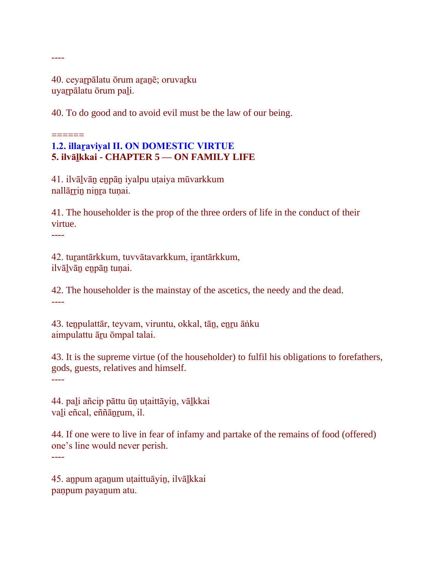40. ceyarpālatu ōrum aranē; oruvarku uyarpālatu ōrum pali.

40. To do good and to avoid evil must be the law of our being.

#### $=$ **1.2. illaraviyal II. ON DOMESTIC VIRTUE 5. ilvāḻkkai - CHAPTER 5 — ON FAMILY LIFE**

41. ilvāḻvāṉ eṉpāṉ iyalpu uṭaiya mūvarkkum nallārrin ninra tunai.

41. The householder is the prop of the three orders of life in the conduct of their virtue.

----

----

42. turantārkkum, tuvvātavarkkum, irantārkkum, ilvāḻvāṉ eṉpāṉ tuṇai.

42. The householder is the mainstay of the ascetics, the needy and the dead. ----

43. teṉpulattār, teyvam, viruntu, okkal, tāṉ, eṉṟu āṅku aimpulattu āru ōmpal talai.

43. It is the supreme virtue (of the householder) to fulfil his obligations to forefathers, gods, guests, relatives and himself.

----

44. paḻi añcip pāttu ūṇ uṭaittāyiṉ, vāḻkkai vaḻi eñcal, eññāṉṟum, il.

44. If one were to live in fear of infamy and partake of the remains of food (offered) one's line would never perish.

----

45. aṉpum aṟaṉum uṭaittuāyiṉ, ilvāḻkkai paṇpum payaṉum atu.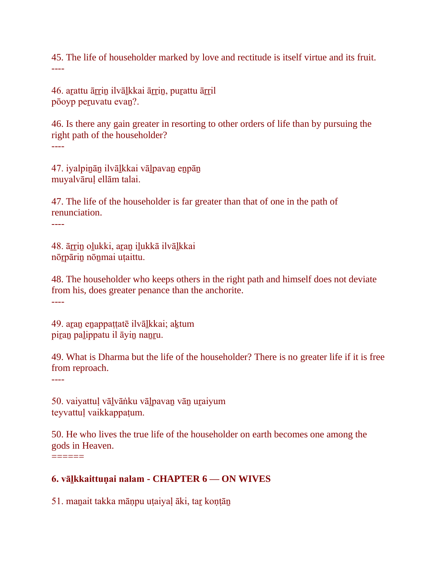45. The life of householder marked by love and rectitude is itself virtue and its fruit. ----

46. arattu ārrin ilvālkkai ārrin, purattu ārril pōoyp peṟuvatu evaṉ?.

46. Is there any gain greater in resorting to other orders of life than by pursuing the right path of the householder? ----

47. iyalpiṉāṉ ilvāḻkkai vāḻpavaṉ eṉpāṉ muyalvāruḷ ellām talai.

47. The life of the householder is far greater than that of one in the path of renunciation.

----

48. ārrin oļukki, aran iļukkā ilvāļkkai nōṟpāriṉ nōṉmai uṭaittu.

48. The householder who keeps others in the right path and himself does not deviate from his, does greater penance than the anchorite. ----

49. aran enappattatē ilvālkkai; aktum piran palippatu il āyin nanru.

49. What is Dharma but the life of the householder? There is no greater life if it is free from reproach.

----

50. vaiyattuḷ vāḻvāṅku vāḻpavaṉ vāṉ uṟaiyum teyvattuḷ vaikkappaṭum.

50. He who lives the true life of the householder on earth becomes one among the gods in Heaven.  $=$ 

# **6. vāḻkkaittuṇai nalam - CHAPTER 6 — ON WIVES**

51. maṉait takka māṇpu uṭaiyaḷ āki, taṟ koṇṭāṉ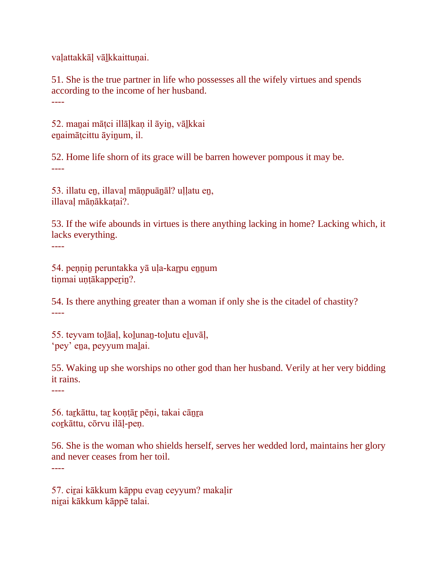vaḷattakkāḷ vāḻkkaittuṇai.

51. She is the true partner in life who possesses all the wifely virtues and spends according to the income of her husband. ----

52. maṉai māṭci illāḷkaṇ il āyiṉ, vāḻkkai enaimātcittu āyinum, il.

52. Home life shorn of its grace will be barren however pompous it may be. ----

53. illatu eṉ, illavaḷ māṇpuāṉāl? uḷḷatu eṉ, illavaḷ māṇākkaṭai?.

53. If the wife abounds in virtues is there anything lacking in home? Lacking which, it lacks everything.

54. peṇṇiṉ peruntakka yā uḷa-kaṟpu eṉṉum tiņmai uņṭākapperin?.

54. Is there anything greater than a woman if only she is the citadel of chastity? ----

55. teyvam toḻāaḷ, koḻunaṉ-toḻutu eḻuvāḷ, 'pey' eṉa, peyyum maḻai.

55. Waking up she worships no other god than her husband. Verily at her very bidding it rains.

----

----

----

56. tarkāttu, tar kontār pēņi, takai cānra corkāttu, cōrvu ilāļ-peņ.

56. She is the woman who shields herself, serves her wedded lord, maintains her glory and never ceases from her toil.

57. ciṟai kākkum kāppu evaṉ ceyyum? makaḷir niṟai kākkum kāppē talai.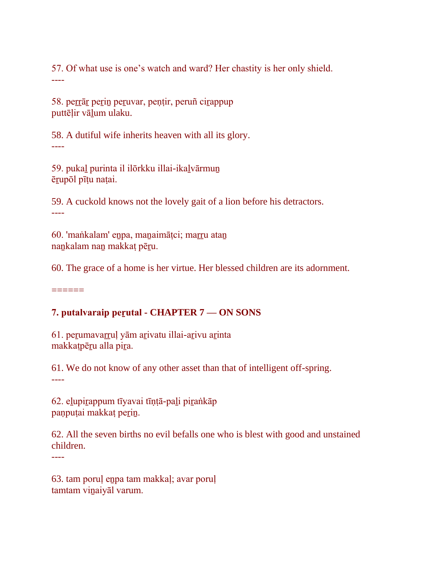57. Of what use is one's watch and ward? Her chastity is her only shield. ----

58. peṟṟāṟ peṟiṉ peṟuvar, peṇṭir, peruñ ciṟappup puttēļir vāļum ulaku.

58. A dutiful wife inherits heaven with all its glory. ----

59. pukaḻ purinta il ilōrkku illai-ikaḻvārmuṉ ēṟupōl pīṭu naṭai.

59. A cuckold knows not the lovely gait of a lion before his detractors. ----

60. 'maṅkalam' eṉpa, maṉaimāṭci; maṟṟu ataṉ nankalam nan makkat pēru.

60. The grace of a home is her virtue. Her blessed children are its adornment.

======

# **7. putalvaraip peṟutal - CHAPTER 7 — ON SONS**

61. perumavarruļ yām arivatu illai-arivu arinta makkatpēru alla pira.

61. We do not know of any other asset than that of intelligent off-spring. ----

62. elupirappum tīyavai tīņțā-pali piraṅkāp panpuṭai makkaṭ perin.

62. All the seven births no evil befalls one who is blest with good and unstained children.

----

63. tam poruḷ eṉpa tam makkaḷ; avar poruḷ tamtam viṉaiyāl varum.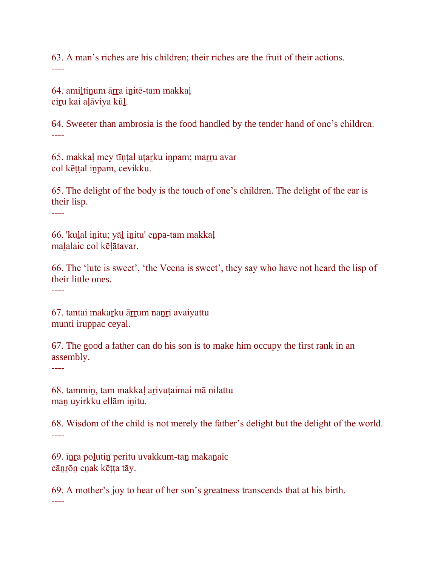63. A man's riches are his children; their riches are the fruit of their actions. ----

64. amiltinum ārra initē-tam makkal ciṟu kai aḷāviya kūḻ.

64. Sweeter than ambrosia is the food handled by the tender hand of one's children. ----

65. makkaḷ mey tīṇṭal uṭaṟku iṉpam; maṟṟu avar col kēṭṭal iṉpam, cevikku.

65. The delight of the body is the touch of one's children. The delight of the ear is their lisp.

----

66. 'kuḻal iṉitu; yāḻ iṉitu' eṉpa-tam makkaḷ maḻalaic col kēḷātavar.

66. The 'lute is sweet', 'the Veena is sweet', they say who have not heard the lisp of their little ones.

----

67. tantai makaṟku āṟṟum naṉṟi avaiyattu munti iruppac ceyal.

67. The good a father can do his son is to make him occupy the first rank in an assembly.

----

68. tammiṉ, tam makkaḷ aṟivuṭaimai mā nilattu maṉ uyirkku ellām iṉitu.

68. Wisdom of the child is not merely the father's delight but the delight of the world. ----

69. īṉṟa poḻutiṉ peritu uvakkum-taṉ makaṉaic cāṉṟōṉ eṉak kēṭṭa tāy.

69. A mother's joy to hear of her son's greatness transcends that at his birth. ----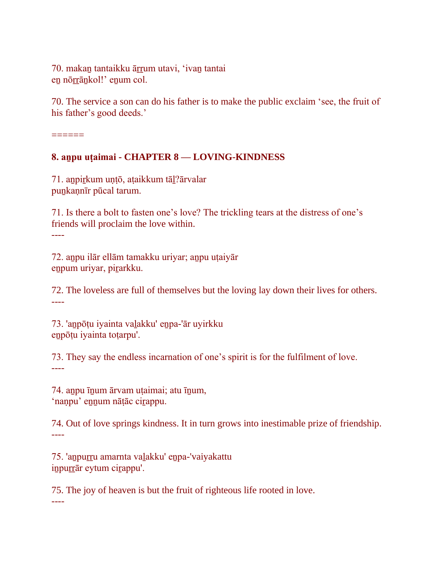70. makan tantaikku ārrum utavi, 'ivan tantai en nōrrānkol!' enum col.

70. The service a son can do his father is to make the public exclaim 'see, the fruit of his father's good deeds.'

======

----

#### **8. aṉpu uṭaimai - CHAPTER 8 — LOVING-KINDNESS**

71. aṉpiṟkum uṇṭō, aṭaikkum tāḻ?ārvalar puṉkaṇnīr pūcal tarum.

71. Is there a bolt to fasten one's love? The trickling tears at the distress of one's friends will proclaim the love within. ----

72. aṉpu ilār ellām tamakku uriyar; aṉpu uṭaiyār eṉpum uriyar, piṟarkku.

72. The loveless are full of themselves but the loving lay down their lives for others. ----

73. 'aṉpōṭu iyainta vaḻakku' eṉpa-'ār uyirkku eṉpōṭu iyainta toṭarpu'.

73. They say the endless incarnation of one's spirit is for the fulfilment of love. ----

74. anpu īnum ārvam utaimai; atu īnum, 'nanpu' ennum nātāc cirappu.

74. Out of love springs kindness. It in turn grows into inestimable prize of friendship. ----

75. 'aṉpuṟṟu amarnta vaḻakku' eṉpa-'vaiyakattu inpurrār eytum cirappu'.

75. The joy of heaven is but the fruit of righteous life rooted in love.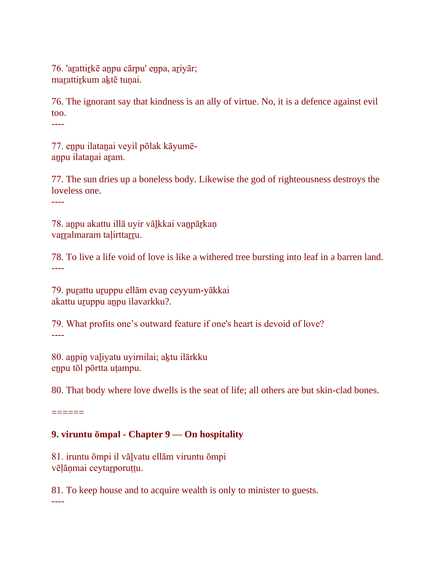76. 'arattirkē anpu cārpu' enpa, ariyār; marattirkum aktē tunai.

76. The ignorant say that kindness is an ally of virtue. No, it is a defence against evil too.

----

77. eṉpu ilataṉai veyil pōlak kāyumēanpu ilatanai aram.

77. The sun dries up a boneless body. Likewise the god of righteousness destroys the loveless one.

----

78. anpu akattu illā uyir vālkkai vanpārkaņ varralmaram talirttarru.

78. To live a life void of love is like a withered tree bursting into leaf in a barren land. ----

79. puṟattu uṟuppu ellām evaṉ ceyyum-yākkai akattu uruppu anpu ilavarkku?.

79. What profits one's outward feature if one's heart is devoid of love? ----

80. aṉpiṉ vaḻiyatu uyirnilai; aḵtu ilārkku eṉpu tōl pōrtta uṭampu.

80. That body where love dwells is the seat of life; all others are but skin-clad bones.

 $=$ 

# **9. viruntu ōmpal - Chapter 9 — On hospitality**

81. iruntu ōmpi il vāḻvatu ellām viruntu ōmpi vēļāņmai ceytarporuțțu.

81. To keep house and to acquire wealth is only to minister to guests.

----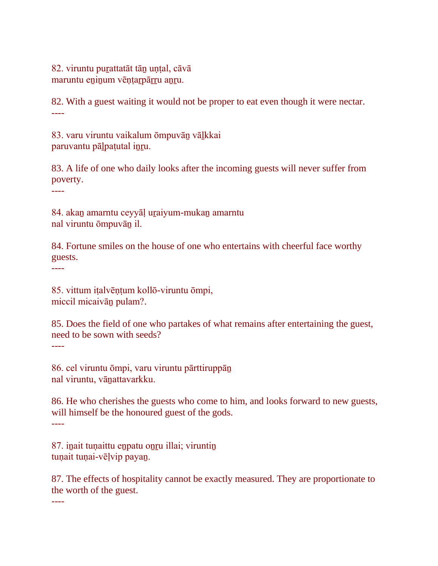82. viruntu purattatāt tān unțal, cāvā maruntu eninum vēntarpārru anru.

82. With a guest waiting it would not be proper to eat even though it were nectar. ----

83. varu viruntu vaikalum ōmpuvāṉ vāḻkkai paruvantu pāļpaṭutal inru.

83. A life of one who daily looks after the incoming guests will never suffer from poverty.

----

84. akaṉ amarntu ceyyāḷ uṟaiyum-mukaṉ amarntu nal viruntu ōmpuvāṉ il.

84. Fortune smiles on the house of one who entertains with cheerful face worthy guests.

----

85. vittum iṭalvēṇṭum kollō-viruntu ōmpi, miccil micaivāṉ pulam?.

85. Does the field of one who partakes of what remains after entertaining the guest, need to be sown with seeds?

----

86. cel viruntu ōmpi, varu viruntu pārttiruppāṉ nal viruntu, vāṉattavarkku.

86. He who cherishes the guests who come to him, and looks forward to new guests, will himself be the honoured guest of the gods. ----

87. inait tunaittu enpatu onru illai; viruntin tunait tunai-vēlvip payan.

87. The effects of hospitality cannot be exactly measured. They are proportionate to the worth of the guest.

----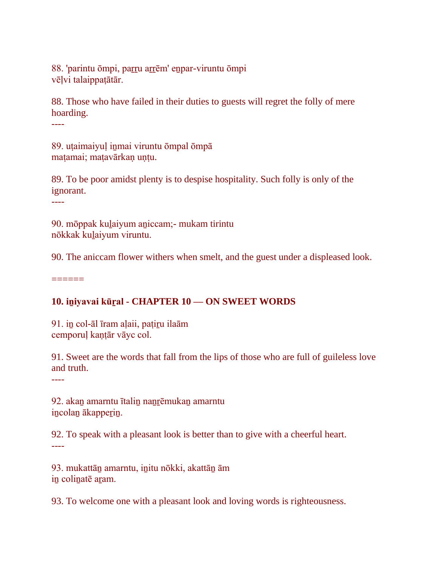88. 'parintu ōmpi, parru arrēm' enpar-viruntu ōmpi vēḷvi talaippaṭātār.

88. Those who have failed in their duties to guests will regret the folly of mere hoarding.

----

89. utaimaiyul inmai viruntu ōmpal ōmpā matamai; matavārkan untu.

89. To be poor amidst plenty is to despise hospitality. Such folly is only of the ignorant.

----

90. mōppak kuḻaiyum aṉiccam;- mukam tirintu nōkkak kuḻaiyum viruntu.

90. The aniccam flower withers when smelt, and the guest under a displeased look.

 $=$ 

# **10. iṉiyavai kūṟal - CHAPTER 10 — ON SWEET WORDS**

91. iṉ col-āl īram aḷaii, paṭiṟu ilaām cemporul kantār vāyc col.

91. Sweet are the words that fall from the lips of those who are full of guileless love and truth.

----

92. akan amarntu ītalin nanrēmukan amarntu incolan ākapperin.

92. To speak with a pleasant look is better than to give with a cheerful heart. ----

93. mukattāṉ amarntu, iṉitu nōkki, akattāṉ ām in colinatē aram.

93. To welcome one with a pleasant look and loving words is righteousness.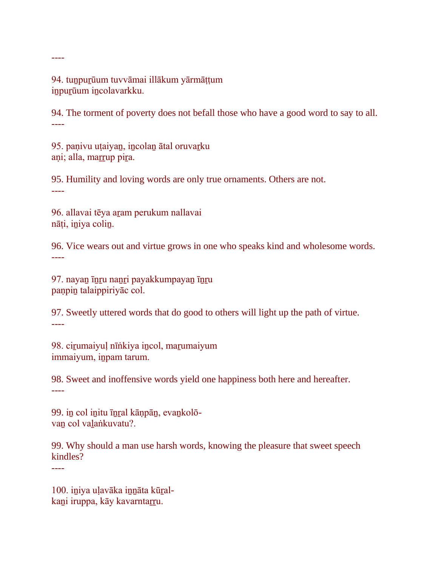94. tuṉpuṟūum tuvvāmai illākum yārmāṭṭum iṉpuṟūum iṉcolavarkku.

94. The torment of poverty does not befall those who have a good word to say to all. ----

95. paṇivu uṭaiyan, incolan ātal oruvarku aṇi; alla, marrup pira.

95. Humility and loving words are only true ornaments. Others are not. ----

96. allavai tēya aṟam perukum nallavai nāṭi, iṉiya coliṉ.

96. Vice wears out and virtue grows in one who speaks kind and wholesome words. ----

97. nayaṉ īṉṟu naṉṟi payakkumpayaṉ īṉṟu paṇpiṉ talaippiriyāc col.

97. Sweetly uttered words that do good to others will light up the path of virtue. ----

98. cirumaiyul nīṅkiya incol, marumaiyum immaiyum, iṉpam tarum.

98. Sweet and inoffensive words yield one happiness both here and hereafter. ----

99. in col initu īnral kānpān, evankolōvaṉ col vaḻaṅkuvatu?.

99. Why should a man use harsh words, knowing the pleasure that sweet speech kindles?

----

----

100. iṉiya uḷavāka iṉṉāta kūṟalkani iruppa, kāy kavarntarru.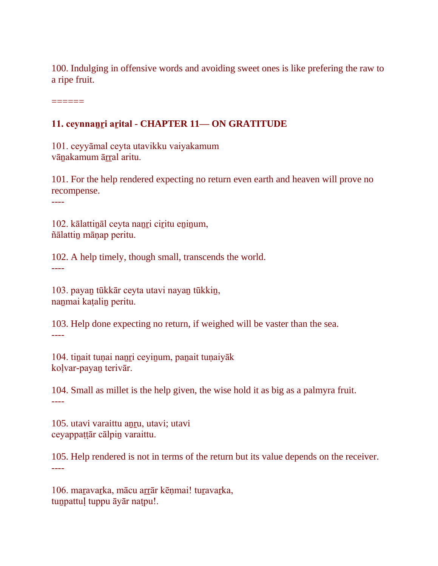100. Indulging in offensive words and avoiding sweet ones is like prefering the raw to a ripe fruit.

======

#### **11. ceynnaṉṟi aṟital - CHAPTER 11— ON GRATITUDE**

101. ceyyāmal ceyta utavikku vaiyakamum vānakamum ārral aritu.

101. For the help rendered expecting no return even earth and heaven will prove no recompense.

----

102. kālattināl ceyta nanri ciritu eninum, ñālattiṉ māṇap peritu.

102. A help timely, though small, transcends the world. ----

103. payaṉ tūkkār ceyta utavi nayaṉ tūkkiṉ, naṉmai kaṭaliṉ peritu.

103. Help done expecting no return, if weighed will be vaster than the sea. ----

104. tiṉait tuṇai naṉṟi ceyiṉum, paṉait tuṇaiyāk koḷvar-payaṉ terivār.

104. Small as millet is the help given, the wise hold it as big as a palmyra fruit. ----

105. utavi varaittu anru, utavi; utavi ceyappaṭṭār cālpiṉ varaittu.

105. Help rendered is not in terms of the return but its value depends on the receiver. ----

106. maravarka, mācu arrār kēņmai! turavarka, tunpattul tuppu āyār natpu!.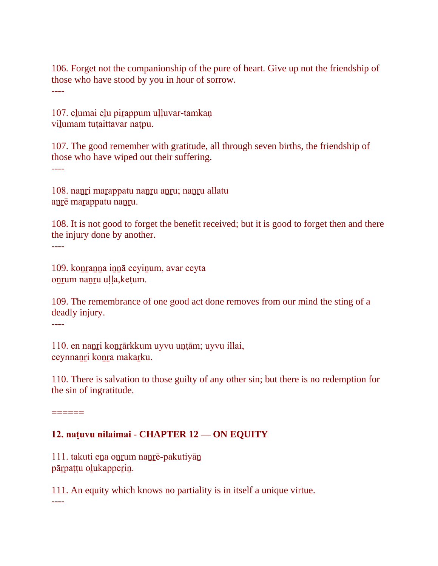106. Forget not the companionship of the pure of heart. Give up not the friendship of those who have stood by you in hour of sorrow. ----

107. elumai elu pirappum uļļuvar-tamkaņ vilumam tutaittavar natpu.

107. The good remember with gratitude, all through seven births, the friendship of those who have wiped out their suffering. ----

108. naṉṟi maṟappatu naṉṟu aṉṟu; naṉṟu allatu anrē marappatu nanru.

108. It is not good to forget the benefit received; but it is good to forget then and there the injury done by another. ----

109. koṉṟaṉṉa iṉṉā ceyiṉum, avar ceyta onrum nanru ulla, ketum.

109. The remembrance of one good act done removes from our mind the sting of a deadly injury.

----

110. en nanri konrārkkum uyvu untām; uyvu illai, ceynnaṉṟi koṉṟa makaṟku.

110. There is salvation to those guilty of any other sin; but there is no redemption for the sin of ingratitude.

 $=$ 

#### **12. naṭuvu nilaimai - CHAPTER 12 — ON EQUITY**

111. takuti eṉa oṉṟum naṉṟē-pakutiyāṉ pārpaṭṭu olukapperin.

111. An equity which knows no partiality is in itself a unique virtue.

----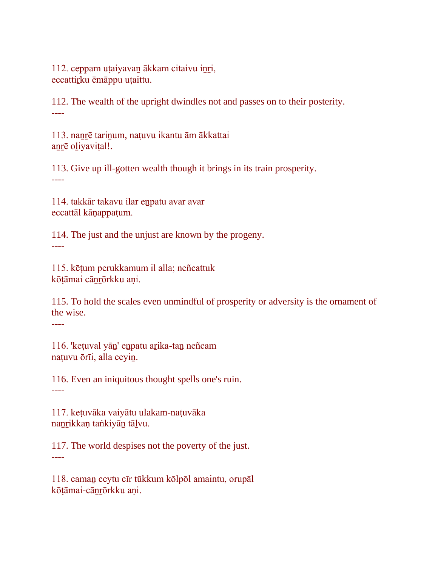112. ceppam uṭaiyavaṉ ākkam citaivu iṉṟi, eccattirku ēmāppu utaittu.

112. The wealth of the upright dwindles not and passes on to their posterity. ----

113. naṉṟē tariṉum, naṭuvu ikantu ām ākkattai anrē oliyavital!.

113. Give up ill-gotten wealth though it brings in its train prosperity. ----

114. takkār takavu ilar eṉpatu avar avar eccattāl kāṇappaṭum.

114. The just and the unjust are known by the progeny. ----

115. kēṭum perukkamum il alla; neñcattuk kōtāmai cānrōrkku ani.

115. To hold the scales even unmindful of prosperity or adversity is the ornament of the wise.

----

116. 'keṭuval yāṉ' eṉpatu aṟika-taṉ neñcam naṭuvu ōrīi, alla ceyiṉ.

116. Even an iniquitous thought spells one's ruin. ----

117. keṭuvāka vaiyātu ulakam-naṭuvāka naṉṟikkaṇ taṅkiyāṉ tāḻvu.

117. The world despises not the poverty of the just. ----

118. camaṉ ceytu cīr tūkkum kōlpōl amaintu, orupāl kōṭāmai-cāṉṟōrkku aṇi.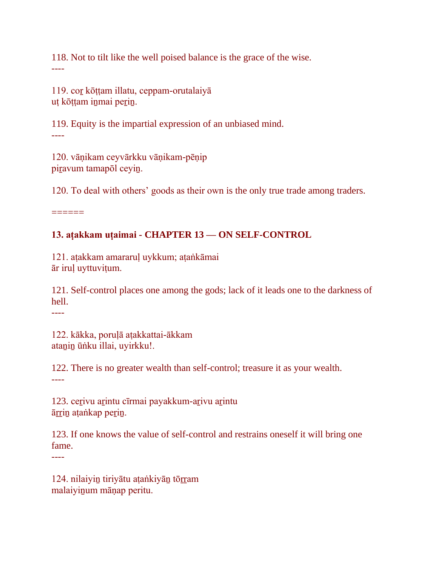118. Not to tilt like the well poised balance is the grace of the wise. ----

119. coṟ kōṭṭam illatu, ceppam-orutalaiyā uṭ kōṭṭam iṉmai peṟiṉ.

119. Equity is the impartial expression of an unbiased mind. ----

120. vāṇikam ceyvārkku vāṇikam-pēṇip piravum tamapōl ceyin.

120. To deal with others' goods as their own is the only true trade among traders.

======

# **13. aṭakkam uṭaimai - CHAPTER 13 — ON SELF-CONTROL**

121. aṭakkam amararuḷ uykkum; aṭaṅkāmai ār iruḷ uyttuviṭum.

121. Self-control places one among the gods; lack of it leads one to the darkness of hell.

----

122. kākka, poruḷā aṭakkattai-ākkam atanin ūṅku illai, uyirkku!.

122. There is no greater wealth than self-control; treasure it as your wealth. ----

123. cerivu arintu cīrmai payakkum-arivu arintu ārrin aṭaṅkap perin.

123. If one knows the value of self-control and restrains oneself it will bring one fame.

----

124. nilaiyin tiriyātu aṭaṅkiyān tōrram malaiyiṉum māṇap peritu.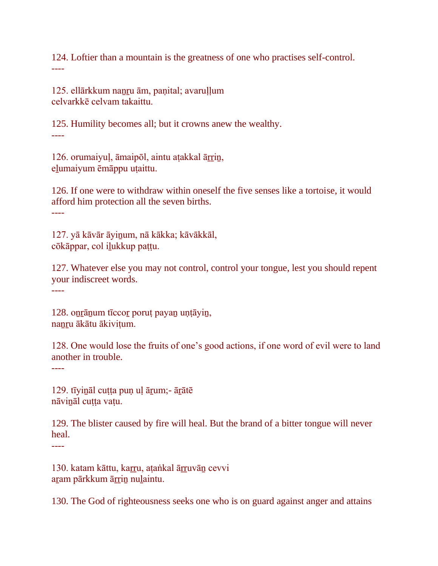124. Loftier than a mountain is the greatness of one who practises self-control. ----

125. ellārkkum nanru ām, panital; avarullum celvarkkē celvam takaittu.

125. Humility becomes all; but it crowns anew the wealthy. ----

126. orumaiyul, āmaipōl, aintu atakkal ārrin, eḻumaiyum ēmāppu uṭaittu.

126. If one were to withdraw within oneself the five senses like a tortoise, it would afford him protection all the seven births. ----

127. yā kāvār āyiṉum, nā kākka; kāvākkāl, cōkāppar, col iḻukkup paṭṭu.

127. Whatever else you may not control, control your tongue, lest you should repent your indiscreet words.

----

128. oṉṟāṉum tīccoṟ poruṭ payaṉ uṇṭāyiṉ, nanru ākātu ākivițum.

128. One would lose the fruits of one's good actions, if one word of evil were to land another in trouble.

----

129. tīyināl cutta pun ul ārum;- ārātē nāvināl cutta vatu.

129. The blister caused by fire will heal. But the brand of a bitter tongue will never heal.

----

130. katam kāttu, karru, aṭaṅkal ārruvān cevvi aram pārkkum ārrin nulaintu.

130. The God of righteousness seeks one who is on guard against anger and attains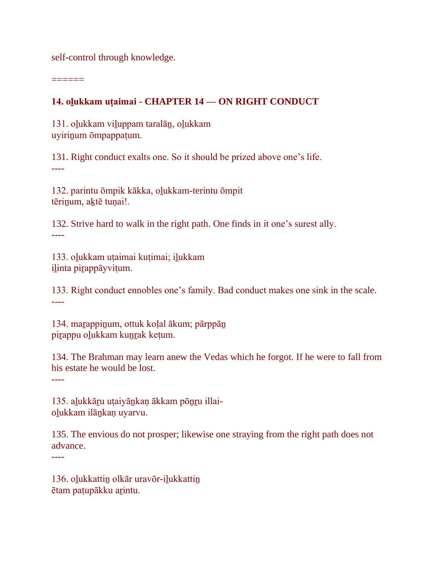self-control through knowledge.

======

#### **14. oḻukkam uṭaimai - CHAPTER 14 — ON RIGHT CONDUCT**

131. oḻukkam viḻuppam taralāṉ, oḻukkam uyiriṉum ōmpappaṭum.

131. Right conduct exalts one. So it should be prized above one's life. ----

132. parintu ōmpik kākka, oḻukkam-terintu ōmpit tērinum, aktē tunai!.

132. Strive hard to walk in the right path. One finds in it one's surest ally. ----

133. oḻukkam uṭaimai kuṭimai; iḻukkam iḻinta piṟappāyviṭum.

133. Right conduct ennobles one's family. Bad conduct makes one sink in the scale. ----

134. maṟappiṉum, ottuk koḷal ākum; pārppāṉ pirappu olukkam kunrak ketum.

134. The Brahman may learn anew the Vedas which he forgot. If he were to fall from his estate he would be lost.

----

135. aḻukkāṟu uṭaiyāṉkaṇ ākkam pōṉṟu illaioḻukkam ilāṉkaṇ uyarvu.

135. The envious do not prosper; likewise one straying from the right path does not advance.

----

136. oḻukkattiṉ olkār uravōr-iḻukkattiṉ ētam paṭupākku aṟintu.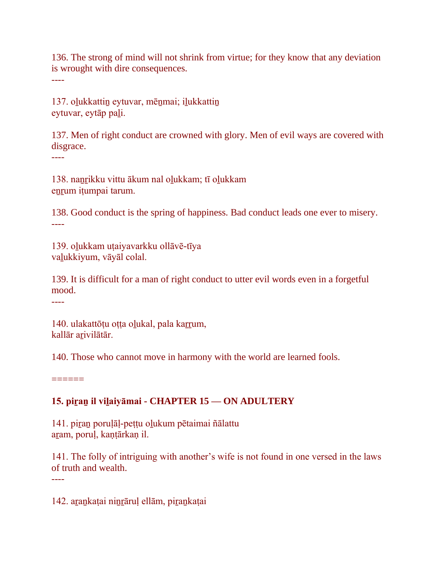136. The strong of mind will not shrink from virtue; for they know that any deviation is wrought with dire consequences. ----

137. oḻukkattiṉ eytuvar, mēṉmai; iḻukkattiṉ eytuvar, eytāp paḻi.

137. Men of right conduct are crowned with glory. Men of evil ways are covered with disgrace.

----

138. naṉṟikku vittu ākum nal oḻukkam; tī oḻukkam enrum itumpai tarum.

138. Good conduct is the spring of happiness. Bad conduct leads one ever to misery. ----

139. oḻukkam uṭaiyavarkku ollāvē-tīya vaḻukkiyum, vāyāl colal.

139. It is difficult for a man of right conduct to utter evil words even in a forgetful mood.

----

140. ulakattōṭu oṭṭa olukal, pala karrum, kallār aṟivilātār.

140. Those who cannot move in harmony with the world are learned fools.

 $=$ 

# **15. piṟaṉ il viḻaiyāmai - CHAPTER 15 — ON ADULTERY**

141. piṟaṉ poruḷāḷ-peṭṭu oḻukum pētaimai ñālattu aṟam, poruḷ, kaṇṭārkaṇ il.

141. The folly of intriguing with another's wife is not found in one versed in the laws of truth and wealth. ----

142. aṟaṉkaṭai niṉṟāruḷ ellām, piṟaṉkaṭai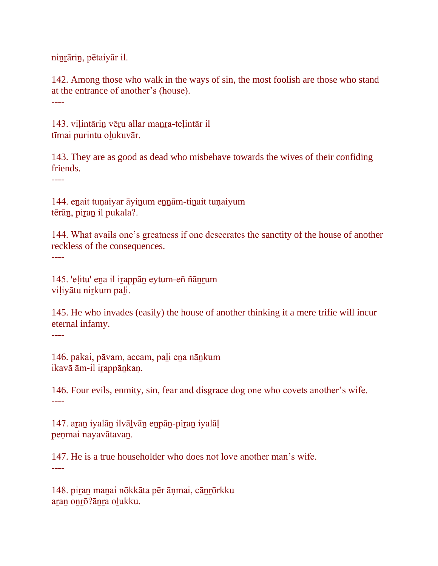niṉṟāriṉ, pētaiyār il.

142. Among those who walk in the ways of sin, the most foolish are those who stand at the entrance of another's (house). ----

143. vilintārin vēru allar manra-telintār il tīmai purintu oḻukuvār.

143. They are as good as dead who misbehave towards the wives of their confiding friends.

----

144. eṉait tuṇaiyar āyiṉum eṉṉām-tiṉait tuṇaiyum tērān, piran il pukala?.

144. What avails one's greatness if one desecrates the sanctity of the house of another reckless of the consequences.

----

145. 'eḷitu' eṉa il iṟappāṉ eytum-eñ ñāṉṟum viļiyātu nirkum pali.

145. He who invades (easily) the house of another thinking it a mere trifie will incur eternal infamy. ----

146. pakai, pāvam, accam, paḻi eṉa nāṉkum ikavā ām-il irappānkaņ.

146. Four evils, enmity, sin, fear and disgrace dog one who covets another's wife. ----

147. aṟaṉ iyalāṉ ilvāḻvāṉ eṉpāṉ-piṟaṉ iyalāḷ peṇmai nayavātavaṉ.

147. He is a true householder who does not love another man's wife. ----

148. piṟaṉ maṉai nōkkāta pēr āṇmai, cāṉṟōrkku aran onrō?ānra olukku.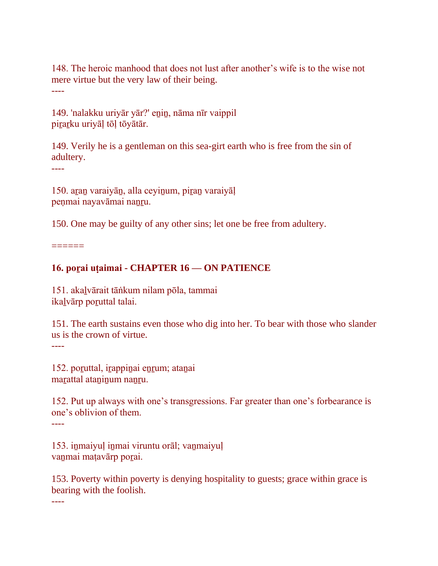148. The heroic manhood that does not lust after another's wife is to the wise not mere virtue but the very law of their being. ----

149. 'nalakku uriyār yār?' eṉiṉ, nāma nīr vaippil pirarku uriyāļ tōļ tōyātār.

149. Verily he is a gentleman on this sea-girt earth who is free from the sin of adultery.

----

150. aṟaṉ varaiyāṉ, alla ceyiṉum, piṟaṉ varaiyāḷ peṇmai nayavāmai naṉṟu.

150. One may be guilty of any other sins; let one be free from adultery.

 $=$ 

#### **16. poṟai uṭaimai - CHAPTER 16 — ON PATIENCE**

151. akaḻvārait tāṅkum nilam pōla, tammai ikalvārp poruttal talai.

151. The earth sustains even those who dig into her. To bear with those who slander us is the crown of virtue.

----

152. poruttal, irappinai enrum; atanai maṟattal ataṉiṉum naṉṟu.

152. Put up always with one's transgressions. Far greater than one's forbearance is one's oblivion of them.

----

153. inmaiyul inmai viruntu orāl; vanmaiyuļ vanmai matavārp porai.

153. Poverty within poverty is denying hospitality to guests; grace within grace is bearing with the foolish.

----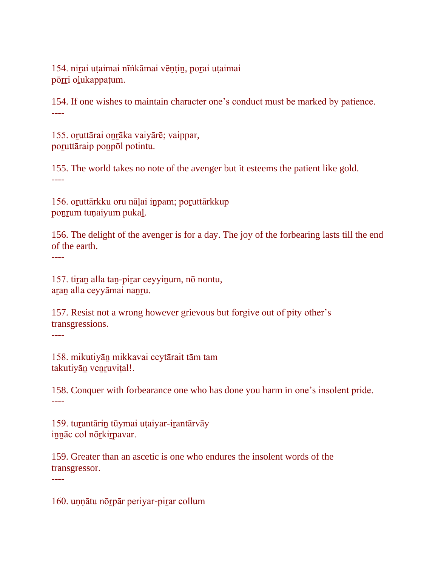154. niṟai uṭaimai nīṅkāmai vēṇṭiṉ, poṟai uṭaimai pōrri olukappaṭum.

154. If one wishes to maintain character one's conduct must be marked by patience. ----

155. oruttārai onrāka vaiyārē; vaippar, poruttāraip ponpōl potintu.

155. The world takes no note of the avenger but it esteems the patient like gold. ----

156. oṟuttārkku oru nāḷai iṉpam; poṟuttārkkup ponrum tunaiyum pukal.

156. The delight of the avenger is for a day. The joy of the forbearing lasts till the end of the earth.

----

----

157. tiṟaṉ alla taṉ-piṟar ceyyiṉum, nō nontu, aṟaṉ alla ceyyāmai naṉṟu.

157. Resist not a wrong however grievous but forgive out of pity other's transgressions. ----

158. mikutiyāṉ mikkavai ceytārait tām tam takutiyān venruvițal!.

158. Conquer with forbearance one who has done you harm in one's insolent pride. ----

159. tuṟantāriṉ tūymai uṭaiyar-iṟantārvāy iṉṉāc col nōṟkiṟpavar.

159. Greater than an ascetic is one who endures the insolent words of the transgressor.

160. uṇṇātu nōṟpār periyar-piṟar collum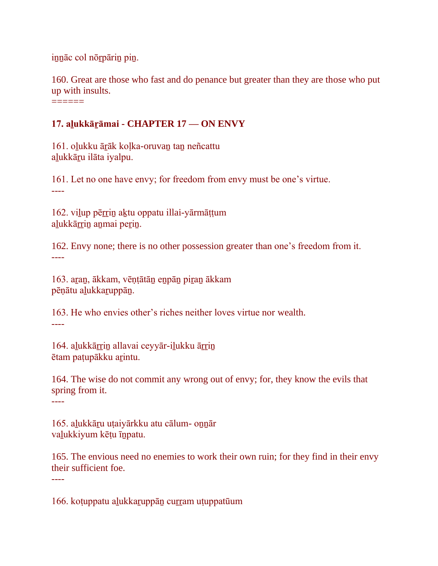iṉṉāc col nōṟpāriṉ piṉ.

160. Great are those who fast and do penance but greater than they are those who put up with insults. ======

# **17. aḻukkāṟāmai - CHAPTER 17 — ON ENVY**

161. oḻukku āṟāk koḷka-oruvaṉ taṉ neñcattu alukkāru ilāta iyalpu.

161. Let no one have envy; for freedom from envy must be one's virtue. ----

162. viļup pērrin aktu oppatu illai-yārmāttum alukkārrin anmai perin.

162. Envy none; there is no other possession greater than one's freedom from it. ----

163. aṟaṉ, ākkam, vēṇṭātāṉ eṉpāṉ piṟaṉ ākkam pēṇātu aḻukkaṟuppāṉ.

163. He who envies other's riches neither loves virtue nor wealth. ----

164. alukkārrin allavai ceyyār-ilukku ārrin ētam paṭupākku aṟintu.

164. The wise do not commit any wrong out of envy; for, they know the evils that spring from it.

----

----

165. aḻukkāṟu uṭaiyārkku atu cālum- oṉṉār vaḻukkiyum kēṭu īṉpatu.

165. The envious need no enemies to work their own ruin; for they find in their envy their sufficient foe.

166. koṭuppatu aḻukkaṟuppāṉ cuṟṟam uṭuppatūum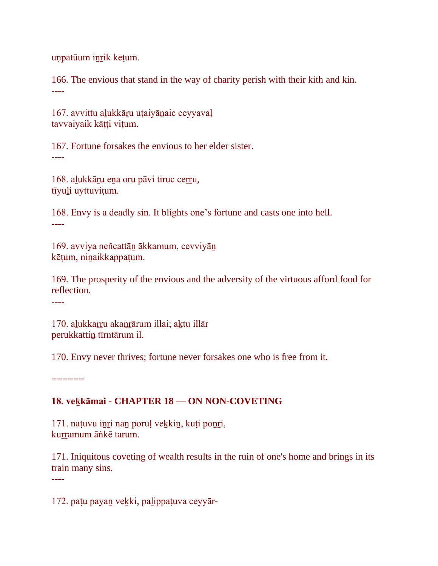uṇpatūum iṉṟik keṭum.

166. The envious that stand in the way of charity perish with their kith and kin. ----

167. avvittu aḻukkāṟu uṭaiyāṉaic ceyyavaḷ tavvaiyaik kātti vitum.

167. Fortune forsakes the envious to her elder sister. ----

168. aḻukkāṟu eṉa oru pāvi tiruc ceṟṟu, tīyuḻi uyttuviṭum.

168. Envy is a deadly sin. It blights one's fortune and casts one into hell. ----

169. avviya neñcattāṉ ākkamum, cevviyāṉ kēṭum, niṉaikkappaṭum.

169. The prosperity of the envious and the adversity of the virtuous afford food for reflection.

----

170. alukkarru akanrārum illai; aktu illār perukkattiṉ tīrntārum il.

170. Envy never thrives; fortune never forsakes one who is free from it.

======

## **18. veḵkāmai - CHAPTER 18 — ON NON-COVETING**

171. naṭuvu iṉṟi naṉ poruḷ veḵkiṉ, kuṭi poṉṟi, kurramum āṅkē tarum.

171. Iniquitous coveting of wealth results in the ruin of one's home and brings in its train many sins. ----

172. paṭu payaṉ veḵki, paḻippaṭuva ceyyār-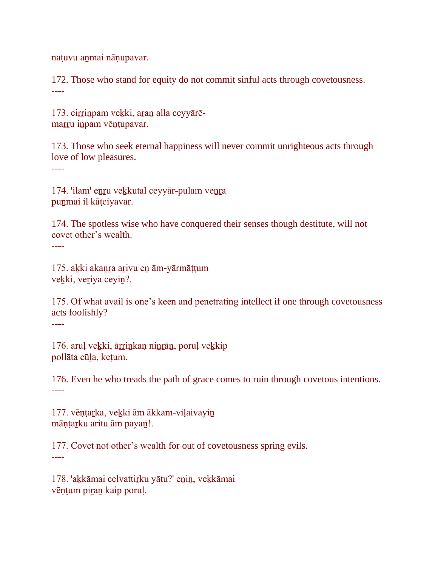naṭuvu aṉmai nāṇupavar.

172. Those who stand for equity do not commit sinful acts through covetousness. ----

173. cirrinpam vekki, aran alla ceyyārēmarru inpam vēņtupavar.

173. Those who seek eternal happiness will never commit unrighteous acts through love of low pleasures.

----

174. 'ilam' eṉṟu veḵkutal ceyyār-pulam veṉṟa puṉmai il kāṭciyavar.

174. The spotless wise who have conquered their senses though destitute, will not covet other's wealth. ----

175. aḵki akaṉṟa aṟivu eṉ ām-yārmāṭṭum vekki, veriya ceyin?.

175. Of what avail is one's keen and penetrating intellect if one through covetousness acts foolishly?

----

176. arul vekki, ārrinkan ninrān, porul vekkip pollāta cūḻa, keṭum.

176. Even he who treads the path of grace comes to ruin through covetous intentions. ----

177. vēntarka, vekki ām ākkam-viļaivayin māṇṭaṟku aritu ām payaṉ!.

177. Covet not other's wealth for out of covetousness spring evils. ----

178. 'akkāmai celvattirku yātu?' enin, vekkāmai vēṇṭum piṟaṉ kaip poruḷ.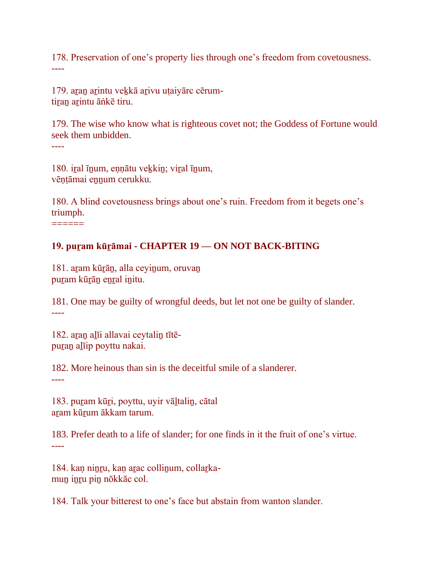178. Preservation of one's property lies through one's freedom from covetousness. ----

179. aran arintu vekkā arivu utaiyārc cērumtiran arintu āṅkē tiru.

179. The wise who know what is righteous covet not; the Goddess of Fortune would seek them unbidden. ----

180. iṟal īṉum, eṇṇātu veḵkiṉ; viṟal īṉum, vēṇṭāmai eṉṉum cerukku.

180. A blind covetousness brings about one's ruin. Freedom from it begets one's triumph.

======

#### **19. puṟam kūṟāmai - CHAPTER 19 — ON NOT BACK-BITING**

181. aram kūrān, alla ceyinum, oruvan puram kūrān enral initu.

181. One may be guilty of wrongful deeds, but let not one be guilty of slander. ----

182. aran alīi allavai ceytalin tītēpuran alīip poyttu nakai.

182. More heinous than sin is the deceitful smile of a slanderer.

----

183. puram kūri, poyttu, uyir vāltalin, cātal aram kūrum ākkam tarum.

183. Prefer death to a life of slander; for one finds in it the fruit of one's virtue. ----

184. kan ninru, kan arac collinum, collarkamun inru pin nōkkāc col.

184. Talk your bitterest to one's face but abstain from wanton slander.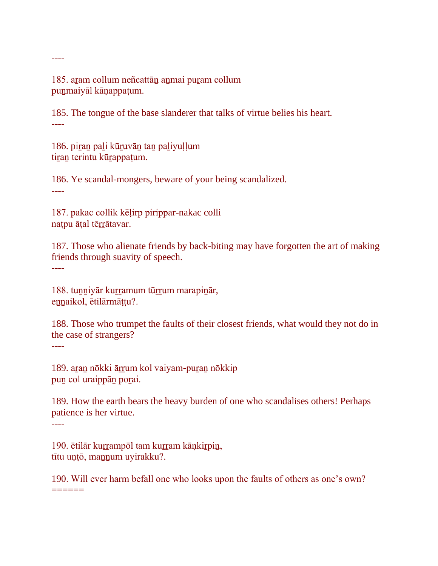185. aram collum neñcattān anmai puram collum puṉmaiyāl kāṇappaṭum.

185. The tongue of the base slanderer that talks of virtue belies his heart. ----

186. piran pali kūruvān tan paliyuļļum tiran terintu kūrappatum.

186. Ye scandal-mongers, beware of your being scandalized. ----

187. pakac collik kēḷirp pirippar-nakac colli natpu āṭal tērrātavar.

187. Those who alienate friends by back-biting may have forgotten the art of making friends through suavity of speech. ----

188. tunniyār kurramum tūrrum marapinār, ennaikol, ētilārmāṭṭu?.

188. Those who trumpet the faults of their closest friends, what would they not do in the case of strangers?

----

189. aran nōkki ārrum kol vaiyam-puran nōkkip puṉ col uraippāṉ poṟai.

189. How the earth bears the heavy burden of one who scandalises others! Perhaps patience is her virtue.

----

190. ētilār kurrampōl tam kurram kāņkirpiņ, tītu uṇṭō, maṉṉum uyirakku?.

190. Will ever harm befall one who looks upon the faults of others as one's own?  $=$ 

----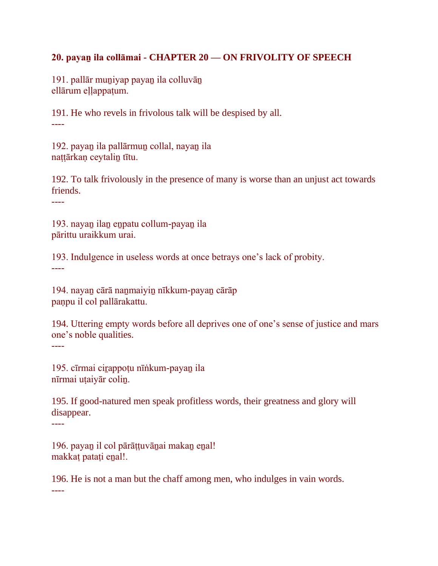#### **20. payaṉ ila collāmai - CHAPTER 20 — ON FRIVOLITY OF SPEECH**

191. pallār muṉiyap payaṉ ila colluvāṉ ellārum ellappatum.

191. He who revels in frivolous talk will be despised by all. ----

192. payaṉ ila pallārmuṉ collal, nayaṉ ila nattārkan ceytalin tītu.

192. To talk frivolously in the presence of many is worse than an unjust act towards friends.

----

193. nayaṉ ilaṉ eṉpatu collum-payaṉ ila pārittu uraikkum urai.

193. Indulgence in useless words at once betrays one's lack of probity. ----

194. nayaṉ cārā naṉmaiyiṉ nīkkum-payaṉ cārāp paṇpu il col pallārakattu.

194. Uttering empty words before all deprives one of one's sense of justice and mars one's noble qualities.

----

195. cīrmai cirappotu nīṅkum-payan ila nīrmai uṭaiyār coliṉ.

195. If good-natured men speak profitless words, their greatness and glory will disappear.

----

196. payan il col pārāṭṭuvānai makan enal! makkaṭ pataṭi eṉal!.

196. He is not a man but the chaff among men, who indulges in vain words. ----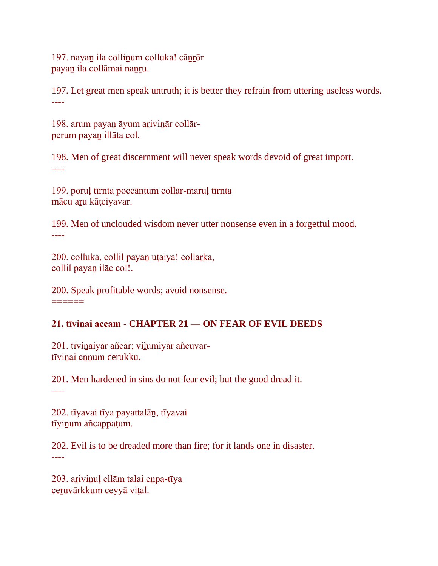197. nayaṉ ila colliṉum colluka! cāṉṟōr payan ila collāmai nanru.

197. Let great men speak untruth; it is better they refrain from uttering useless words. ----

198. arum payan āyum arivinār collārperum payaṉ illāta col.

198. Men of great discernment will never speak words devoid of great import. ----

199. poruḷ tīrnta poccāntum collār-maruḷ tīrnta mācu aṟu kāṭciyavar.

199. Men of unclouded wisdom never utter nonsense even in a forgetful mood. ----

200. colluka, collil payaṉ uṭaiya! collaṟka, collil payaṉ ilāc col!.

200. Speak profitable words; avoid nonsense.  $=$ 

# **21. tīviṉai accam - CHAPTER 21 — ON FEAR OF EVIL DEEDS**

201. tīvinaiyār añcār; vilumiyār añcuvartīviṉai eṉṉum cerukku.

201. Men hardened in sins do not fear evil; but the good dread it. ----

202. tīyavai tīya payattalāṉ, tīyavai tīyiṉum añcappaṭum.

202. Evil is to be dreaded more than fire; for it lands one in disaster. ----

203. arivinuļ ellām talai enpa-tīya ceṟuvārkkum ceyyā viṭal.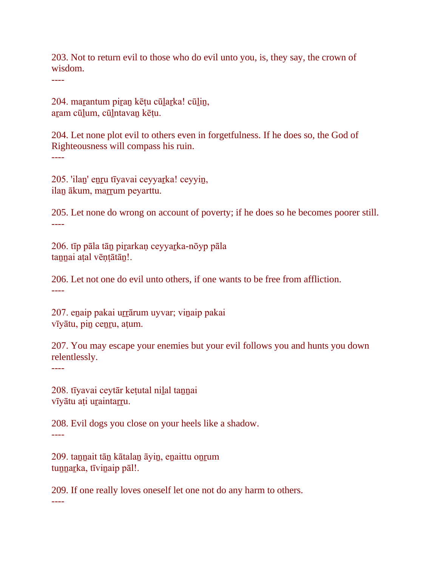203. Not to return evil to those who do evil unto you, is, they say, the crown of wisdom.

----

204. maṟantum piṟaṉ kēṭu cūḻaṟka! cūḻiṉ, aṟam cūḻum, cūḻntavaṉ kēṭu.

204. Let none plot evil to others even in forgetfulness. If he does so, the God of Righteousness will compass his ruin. ----

205. 'ilaṉ' eṉṟu tīyavai ceyyaṟka! ceyyiṉ, ilan ākum, marrum peyarttu.

205. Let none do wrong on account of poverty; if he does so he becomes poorer still. ----

206. tīp pāla tāṉ piṟarkaṇ ceyyaṟka-nōyp pāla tannai aṭal vēṇṭātān!.

206. Let not one do evil unto others, if one wants to be free from affliction. ----

207. eṉaip pakai uṟṟārum uyvar; viṉaip pakai vīyātu, piṉ ceṉṟu, aṭum.

207. You may escape your enemies but your evil follows you and hunts you down relentlessly.

----

208. tīyavai ceytār ketutal nilal tannai vīyātu ati uraintarru.

208. Evil dogs you close on your heels like a shadow. ----

209. taṉṉait tāṉ kātalaṉ āyiṉ, eṉaittu oṉṟum tunnarka, tīvinaip pāl!.

209. If one really loves oneself let one not do any harm to others.

----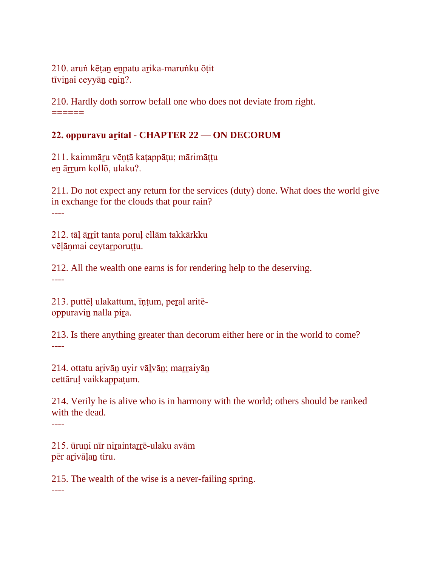210. aruṅ kēṭaṉ eṉpatu aṟika-maruṅku ōṭit tīvinai ceyyān enin?.

210. Hardly doth sorrow befall one who does not deviate from right. ======

## **22. oppuravu aṟital - CHAPTER 22 — ON DECORUM**

211. kaimmāṟu vēṇṭā kaṭappāṭu; mārimāṭṭu en ārrum kollō, ulaku?.

211. Do not expect any return for the services (duty) done. What does the world give in exchange for the clouds that pour rain? ----

212. tāḷ āṟṟit tanta poruḷ ellām takkārkku vēḷāṇmai ceytaṟporuṭṭu.

212. All the wealth one earns is for rendering help to the deserving. ----

213. puttēḷ ulakattum, īṇṭum, peṟal aritēoppuraviṉ nalla piṟa.

213. Is there anything greater than decorum either here or in the world to come? ----

214. ottatu arivān uyir vālvān; marraiyān cettāruḷ vaikkappaṭum.

214. Verily he is alive who is in harmony with the world; others should be ranked with the dead.

----

215. ūruṇi nīr niṟaintaṟṟē-ulaku avām pēr aṟivāḷaṉ tiru.

215. The wealth of the wise is a never-failing spring. ----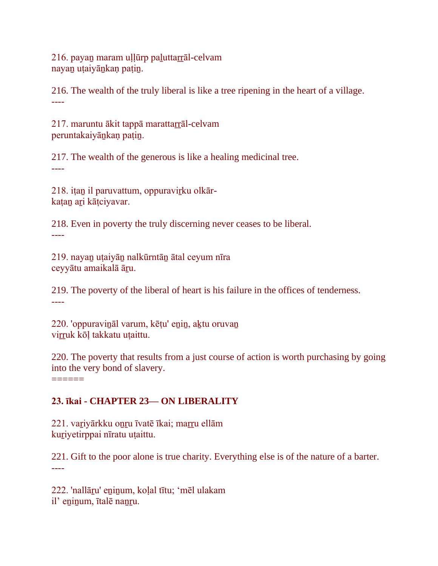216. payan maram uḷḷūrp paluttarrāl-celvam nayan utaiyānkan patin.

216. The wealth of the truly liberal is like a tree ripening in the heart of a village. ----

217. maruntu ākit tappā marattarrāl-celvam peruntakaiyāṉkaṇ paṭiṉ.

217. The wealth of the generous is like a healing medicinal tree. ----

218. iṭan il paruvattum, oppuravirku olkārkatan ari kātciyavar.

218. Even in poverty the truly discerning never ceases to be liberal. ----

219. nayaṉ uṭaiyāṉ nalkūrntāṉ ātal ceyum nīra ceyyātu amaikalā āṟu.

219. The poverty of the liberal of heart is his failure in the offices of tenderness. ----

220. 'oppuraviṉāl varum, kēṭu' eṉiṉ, aḵtu oruvaṉ virruk kōl takkatu utaittu.

220. The poverty that results from a just course of action is worth purchasing by going into the very bond of slavery.

## **23. īkai - CHAPTER 23— ON LIBERALITY**

221. vaṟiyārkku oṉṟu īvatē īkai; maṟṟu ellām kuṟiyetirppai nīratu uṭaittu.

 $=$ 

221. Gift to the poor alone is true charity. Everything else is of the nature of a barter. ----

222. 'nallāṟu' eṉiṉum, koḷal tītu; 'mēl ulakam il' eninum, ītalē nanru.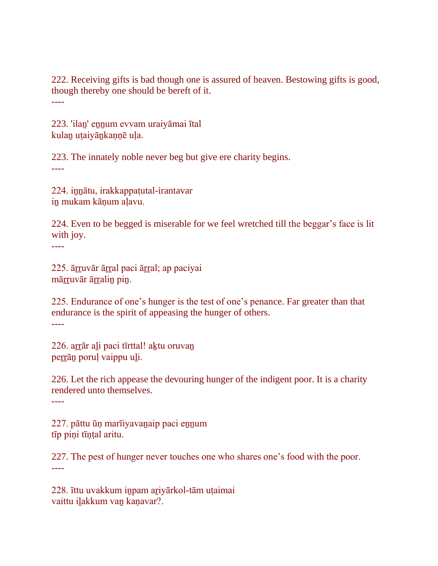222. Receiving gifts is bad though one is assured of heaven. Bestowing gifts is good, though thereby one should be bereft of it. ----

223. 'ilaṉ' eṉṉum evvam uraiyāmai ītal kulan utaiyānkannē ula.

223. The innately noble never beg but give ere charity begins. ----

224. iṉṉātu, irakkappaṭutal-irantavar iṉ mukam kāṇum aḷavu.

224. Even to be begged is miserable for we feel wretched till the beggar's face is lit with joy. ----

225. āṟṟuvār āṟṟal paci āṟṟal; ap paciyai mārruvār ārralin pin.

225. Endurance of one's hunger is the test of one's penance. Far greater than that endurance is the spirit of appeasing the hunger of others. ----

226. arrār ali paci tīrttal! aktu oruvan perrān poruļ vaippu uli.

226. Let the rich appease the devouring hunger of the indigent poor. It is a charity rendered unto themselves. ----

227. pāttu ūṇ marīiyavaṉaip paci eṉṉum tīp piṇi tīṇṭal aritu.

227. The pest of hunger never touches one who shares one's food with the poor. ----

228. īttu uvakkum iṉpam aṟiyārkol-tām uṭaimai vaittu ilakkum van kanavar?.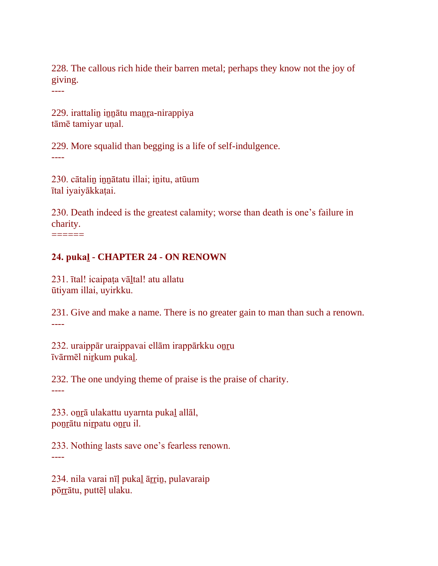228. The callous rich hide their barren metal; perhaps they know not the joy of giving.

----

229. irattalin innātu manra-nirappiya tāmē tamiyar unal.

229. More squalid than begging is a life of self-indulgence. ----

230. cātaliṉ iṉṉātatu illai; iṉitu, atūum ītal iyaiyākkaṭai.

230. Death indeed is the greatest calamity; worse than death is one's failure in charity.

 $=$ 

### **24. pukaḻ - CHAPTER 24 - ON RENOWN**

231. ītal! icaipaṭa vāḻtal! atu allatu ūtiyam illai, uyirkku.

231. Give and make a name. There is no greater gain to man than such a renown. ----

232. uraippār uraippavai ellām irappārkku oṉṟu īvārmēl niṟkum pukaḻ.

232. The one undying theme of praise is the praise of charity. ----

233. oṉṟā ulakattu uyarnta pukaḻ allāl, poṉṟātu niṟpatu oṉṟu il.

233. Nothing lasts save one's fearless renown. ----

234. nila varai nīļ pukaļ ārrin, pulavaraip pōṟṟātu, puttēḷ ulaku.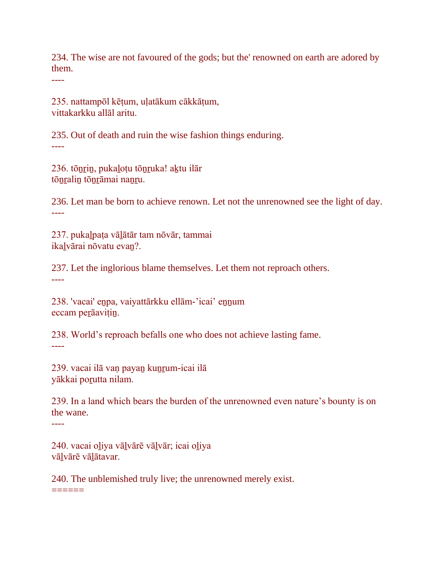234. The wise are not favoured of the gods; but the' renowned on earth are adored by them.

----

235. nattampōl kēṭum, uḷatākum cākkāṭum, vittakarkku allāl aritu.

235. Out of death and ruin the wise fashion things enduring. ----

236. tōṉṟiṉ, pukaḻoṭu tōṉṟuka! aḵtu ilār tōṉṟaliṉ tōṉṟāmai naṉṟu.

236. Let man be born to achieve renown. Let not the unrenowned see the light of day. ----

237. pukaḻpaṭa vāḻātār tam nōvār, tammai ikaḻvārai nōvatu evaṉ?.

237. Let the inglorious blame themselves. Let them not reproach others. ----

238. 'vacai' enpa, vaiyattārkku ellām-'icai' ennum eccam peṟāaviṭiṉ.

238. World's reproach befalls one who does not achieve lasting fame. ----

239. vacai ilā van payan kunrum-icai ilā yākkai poṟutta nilam.

239. In a land which bears the burden of the unrenowned even nature's bounty is on the wane.

----

240. vacai oḻiya vāḻvārē vāḻvār; icai oḻiya vālvārē vālātavar.

240. The unblemished truly live; the unrenowned merely exist.  $=$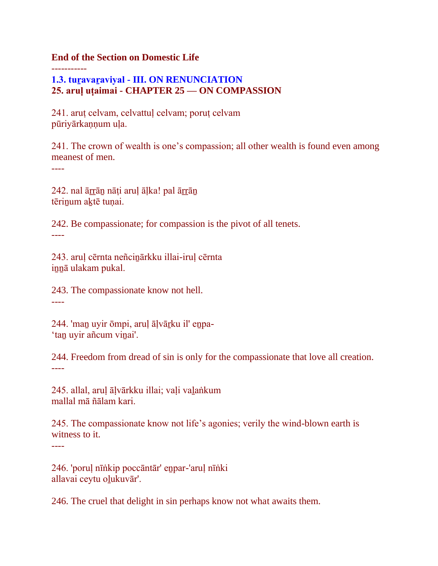**End of the Section on Domestic Life**

## **1.3. tuṟavaṟaviyal - III. ON RENUNCIATION 25. aruḷ uṭaimai - CHAPTER 25 — ON COMPASSION**

241. aruṭ celvam, celvattuḷ celvam; poruṭ celvam pūriyārkannum ula.

241. The crown of wealth is one's compassion; all other wealth is found even among meanest of men.

----

-----------

242. nal ārrāṇ nāṭi aruļ āļka! pal ārrāṇ tērinum aktē tunai.

242. Be compassionate; for compassion is the pivot of all tenets. ----

243. aruḷ cērnta neñciṉārkku illai-iruḷ cērnta iṉṉā ulakam pukal.

243. The compassionate know not hell. ----

244. 'maṉ uyir ōmpi, aruḷ āḷvāṟku il' eṉpa- 'tan uyir añcum vinai'.

244. Freedom from dread of sin is only for the compassionate that love all creation. ----

245. allal, aruḷ āḷvārkku illai; vaḷi vaḻaṅkum mallal mā ñālam kari.

245. The compassionate know not life's agonies; verily the wind-blown earth is witness to it.

----

246. 'poruḷ nīṅkip poccāntār' eṉpar-'aruḷ nīṅki allavai ceytu oḻukuvār'.

246. The cruel that delight in sin perhaps know not what awaits them.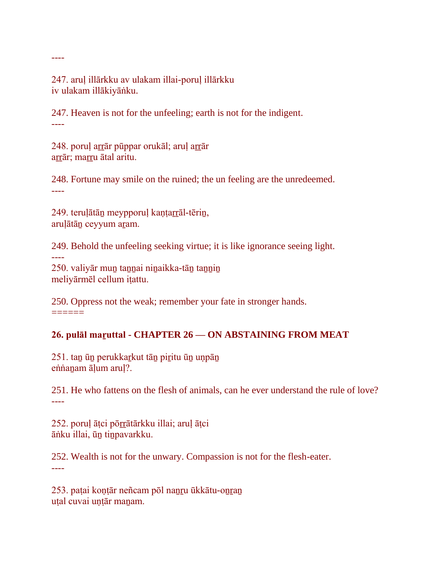247. aruḷ illārkku av ulakam illai-poruḷ illārkku iv ulakam illākiyāṅku.

----

----

247. Heaven is not for the unfeeling; earth is not for the indigent. ----

248. poruļ arrār pūppar orukāl; aruļ arrār arrār; marru ātal aritu.

248. Fortune may smile on the ruined; the un feeling are the unredeemed. ----

249. teruļātān meypporuļ kantarrāl-tērin, aruḷātāṉ ceyyum aṟam.

249. Behold the unfeeling seeking virtue; it is like ignorance seeing light.

250. valiyār muṉ taṉṉai niṉaikka-tāṉ taṉṉiṉ meliyārmēl cellum iṭattu.

250. Oppress not the weak; remember your fate in stronger hands.  $=$ 

## **26. pulāl maṟuttal - CHAPTER 26 — ON ABSTAINING FROM MEAT**

251. taṉ ūṉ perukkaṟkut tāṉ piṟitu ūṉ uṇpāṉ eṅnanam āḷum aruļ?.

251. He who fattens on the flesh of animals, can he ever understand the rule of love? ----

252. poruḷ āṭci pōṟṟātārkku illai; aruḷ āṭci āṅku illai, ūṉ tiṉpavarkku.

252. Wealth is not for the unwary. Compassion is not for the flesh-eater. ----

253. paṭai koṇṭār neñcam pōl naṉṟu ūkkātu-oṉṟaṉ utal cuvai untār manam.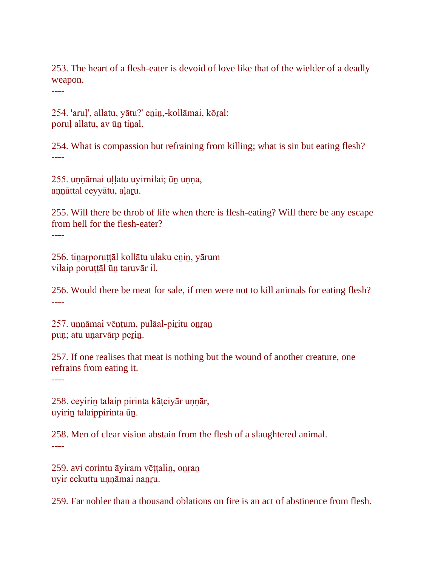253. The heart of a flesh-eater is devoid of love like that of the wielder of a deadly weapon.

----

254. 'aruḷ', allatu, yātu?' eṉiṉ,-kollāmai, kōṟal: poruḷ allatu, av ūṉ tiṉal.

254. What is compassion but refraining from killing; what is sin but eating flesh? ----

255. uṇṇāmai uḷḷatu uyirnilai; ūṉ uṇṇa, aṇṇāttal ceyyātu, aḷaṟu.

255. Will there be throb of life when there is flesh-eating? Will there be any escape from hell for the flesh-eater?

----

256. tiṉaṟporuṭṭāl kollātu ulaku eṉiṉ, yārum vilaip poruṭṭāl ūṉ taruvār il.

256. Would there be meat for sale, if men were not to kill animals for eating flesh? ----

257. uṇṇāmai vēṇṭum, pulāal-piṟitu oṉṟaṉ pun; atu unarvārp perin.

257. If one realises that meat is nothing but the wound of another creature, one refrains from eating it.

----

258. ceyiriṉ talaip pirinta kāṭciyār uṇṇār, uyiriṉ talaippirinta ūṉ.

258. Men of clear vision abstain from the flesh of a slaughtered animal. ----

259. avi corintu āyiram vēttalin, onran uyir cekuttu unnāmai nanru.

259. Far nobler than a thousand oblations on fire is an act of abstinence from flesh.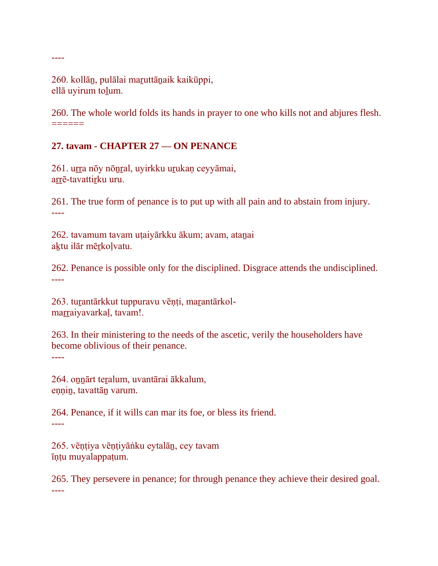260. kollān, pulālai maruttānaik kaikūppi, ellā uyirum toḻum.

----

260. The whole world folds its hands in prayer to one who kills not and abjures flesh.  $=$ 

### **27. tavam - CHAPTER 27 — ON PENANCE**

261. urra nōy nōnral, uyirkku urukaņ ceyyāmai, arrē-tavattirku uru.

261. The true form of penance is to put up with all pain and to abstain from injury. ----

262. tavamum tavam uṭaiyārkku ākum; avam, ataṉai aktu ilār mērkoļvatu.

262. Penance is possible only for the disciplined. Disgrace attends the undisciplined. ----

263. turantārkkut tuppuravu vēņți, marantārkolmarraiyavarkaļ, tavam!.

263. In their ministering to the needs of the ascetic, verily the householders have become oblivious of their penance. ----

264. oṉṉārt teṟalum, uvantārai ākkalum, eṇṇiṉ, tavattāṉ varum.

264. Penance, if it wills can mar its foe, or bless its friend. ----

265. vēṇṭiya vēṇṭiyāṅku eytalāṉ, cey tavam īṇṭu muyalappaṭum.

265. They persevere in penance; for through penance they achieve their desired goal. ----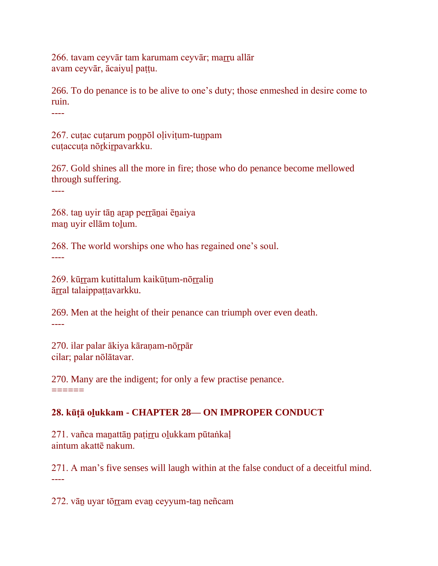266. tavam ceyvār tam karumam ceyvār; marru allār avam ceyvār, ācaiyuḷ paṭṭu.

266. To do penance is to be alive to one's duty; those enmeshed in desire come to ruin.

----

267. cuṭac cuṭarum poṉpōl oḷiviṭum-tuṉpam cutaccuta nōrkirpavarkku.

267. Gold shines all the more in fire; those who do penance become mellowed through suffering.

----

268. tan uyir tān arap perrānai ēnaiya maṉ uyir ellām toḻum.

268. The world worships one who has regained one's soul. ----

269. kūrram kutittalum kaikūtum-nōrralin āṟṟal talaippaṭṭavarkku.

269. Men at the height of their penance can triumph over even death. ----

270. ilar palar ākiya kāraṇam-nōṟpār cilar; palar nōlātavar.

270. Many are the indigent; for only a few practise penance. ======

## **28. kūṭā oḻukkam - CHAPTER 28— ON IMPROPER CONDUCT**

271. vañca maṉattāṉ paṭiṟṟu oḻukkam pūtaṅkaḷ aintum akattē nakum.

271. A man's five senses will laugh within at the false conduct of a deceitful mind. ----

272. vān uyar tōrram evan ceyyum-tan neñcam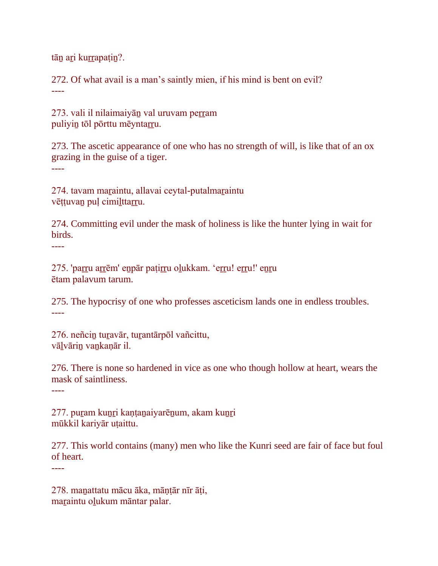tān ari kurrapațin?.

272. Of what avail is a man's saintly mien, if his mind is bent on evil? ----

273. vali il nilaimaiyān val uruvam perram puliyin tōl pōrttu mēyntarru.

273. The ascetic appearance of one who has no strength of will, is like that of an ox grazing in the guise of a tiger. ----

274. tavam maṟaintu, allavai ceytal-putalmaṟaintu vēṭṭuvan puļ cimilttarru.

274. Committing evil under the mask of holiness is like the hunter lying in wait for birds.

----

275. 'paṟṟu aṟṟēm' eṉpār paṭiṟṟu oḻukkam. 'eṟṟu! eṟṟu!' eṉṟu ētam palavum tarum.

275. The hypocrisy of one who professes asceticism lands one in endless troubles. ----

276. neñcin turavār, turantārpōl vañcittu, vālvārin vankanār il.

276. There is none so hardened in vice as one who though hollow at heart, wears the mask of saintliness.

----

277. puram kunri kantanaiyarēnum, akam kunri mūkkil kariyār uṭaittu.

277. This world contains (many) men who like the Kunri seed are fair of face but foul of heart.

----

278. maṉattatu mācu āka, māṇṭār nīr āṭi, maraintu olukum māntar palar.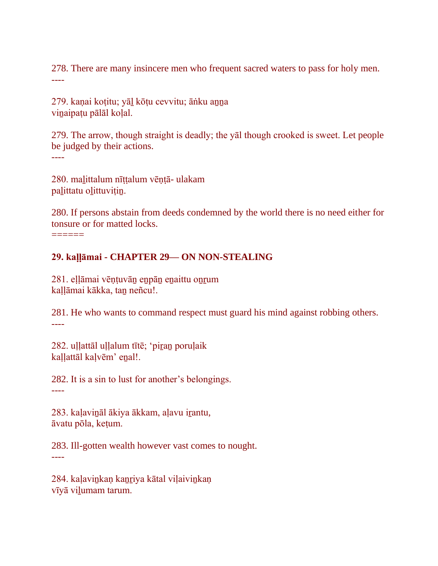278. There are many insincere men who frequent sacred waters to pass for holy men. ----

279. kaṇai koṭitu; yāḻ kōṭu cevvitu; āṅku aṉṉa vinaipatu pālāl koļal.

279. The arrow, though straight is deadly; the yāl though crooked is sweet. Let people be judged by their actions.

----

280. maḻittalum nīṭṭalum vēṇṭā- ulakam palittatu olittuvițin.

280. If persons abstain from deeds condemned by the world there is no need either for tonsure or for matted locks.

======

### **29. kaḷḷāmai - CHAPTER 29— ON NON-STEALING**

281. eḷḷāmai vēṇṭuvāṉ eṉpāṉ eṉaittu oṉṟum kaḷḷāmai kākka, taṉ neñcu!.

281. He who wants to command respect must guard his mind against robbing others. ----

282. uḷḷattāl uḷḷalum tītē; 'piṟaṉ poruḷaik kaḷḷattāl kaḷvēm' eṉal!.

282. It is a sin to lust for another's belongings. ----

283. kaḷaviṉāl ākiya ākkam, aḷavu iṟantu, āvatu pōla, keṭum.

283. Ill-gotten wealth however vast comes to nought. ----

284. kaļavinkaņ kanriya kātal viļaivinkaņ vīyā vilumam tarum.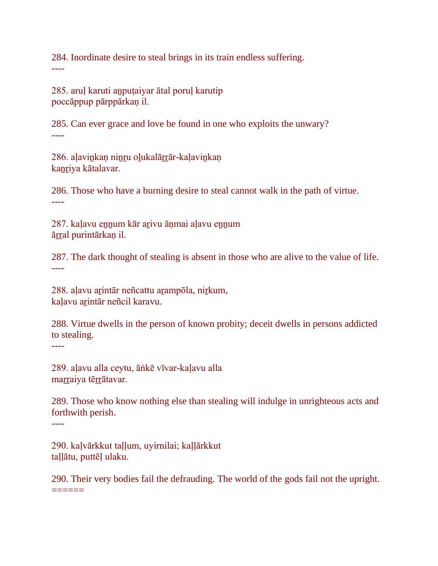284. Inordinate desire to steal brings in its train endless suffering. ----

285. aruḷ karuti aṉpuṭaiyar ātal poruḷ karutip poccāppup pārppārkaṇ il.

285. Can ever grace and love be found in one who exploits the unwary? ----

286. aḷaviṉkaṇ niṉṟu oḻukalāṟṟār-kaḷaviṉkaṇ kanriya kātalavar.

286. Those who have a burning desire to steal cannot walk in the path of virtue. ----

287. kaļavu ennum kār arivu āņmai aļavu ennum āṟṟal purintārkaṇ il.

287. The dark thought of stealing is absent in those who are alive to the value of life. ----

288. aḷavu aṟintār neñcattu aṟampōla, niṟkum, kaḷavu aṟintār neñcil karavu.

288. Virtue dwells in the person of known probity; deceit dwells in persons addicted to stealing.

----

289. aḷavu alla ceytu, āṅkē vīvar-kaḷavu alla marraiya tērrātavar.

289. Those who know nothing else than stealing will indulge in unrighteous acts and forthwith perish.

----

290. kaḷvārkkut taḷḷum, uyirnilai; kaḷḷārkkut taḷḷātu, puttēḷ ulaku.

290. Their very bodies fail the defrauding. The world of the gods fail not the upright.  $=$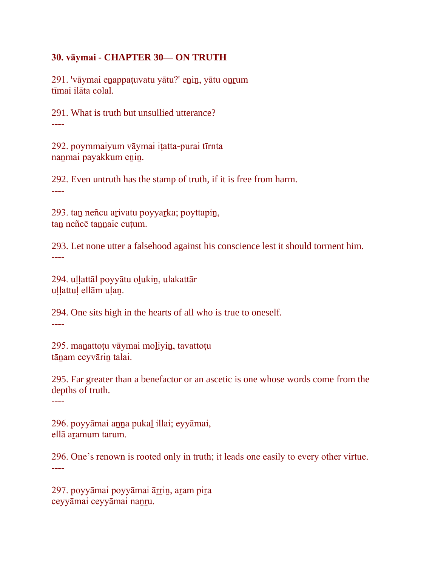#### **30. vāymai - CHAPTER 30— ON TRUTH**

291. 'vāymai enappaṭuvatu yātu?' enin, yātu onrum tīmai ilāta colal.

291. What is truth but unsullied utterance? ----

292. poymmaiyum vāymai iṭatta-purai tīrnta nanmai payakkum enin.

292. Even untruth has the stamp of truth, if it is free from harm. ----

293. taṉ neñcu aṟivatu poyyaṟka; poyttapiṉ, tan neñcē tannaic cuțum.

293. Let none utter a falsehood against his conscience lest it should torment him. ----

294. uḷḷattāl poyyātu oḻukiṉ, ulakattār uḷḷattuḷ ellām uḷaṉ.

294. One sits high in the hearts of all who is true to oneself. ----

295. maṉattoṭu vāymai moḻiyiṉ, tavattoṭu tāṉam ceyvāriṉ talai.

295. Far greater than a benefactor or an ascetic is one whose words come from the depths of truth.

----

296. poyyāmai aṉṉa pukaḻ illai; eyyāmai, ellā aramum tarum.

296. One's renown is rooted only in truth; it leads one easily to every other virtue. ----

297. poyyāmai poyyāmai āṟṟiṉ, aṟam piṟa ceyyāmai ceyyāmai nanru.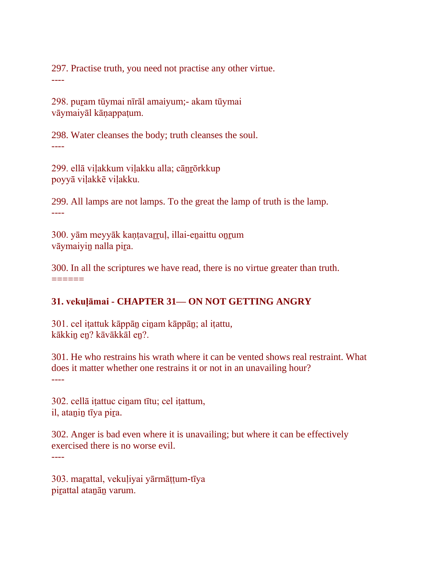297. Practise truth, you need not practise any other virtue. ----

298. puṟam tūymai nīrāl amaiyum;- akam tūymai vāymaiyāl kāṇappaṭum.

298. Water cleanses the body; truth cleanses the soul. ----

299. ellā viḷakkum viḷakku alla; cāṉṟōrkkup poyyā viḷakkē viḷakku.

299. All lamps are not lamps. To the great the lamp of truth is the lamp. ----

300. yām meyyāk kaṇṭavaṟṟuḷ, illai-eṉaittu oṉṟum vāymaiyiṉ nalla piṟa.

300. In all the scriptures we have read, there is no virtue greater than truth. ======

## **31. vekuḷāmai - CHAPTER 31— ON NOT GETTING ANGRY**

301. cel iṭattuk kāppāṉ ciṉam kāppāṉ; al iṭattu, kākkin en? kāvākkāl en?.

301. He who restrains his wrath where it can be vented shows real restraint. What does it matter whether one restrains it or not in an unavailing hour? ----

302. cellā iṭattuc ciṉam tītu; cel iṭattum, il, atanin tīya pira.

302. Anger is bad even where it is unavailing; but where it can be effectively exercised there is no worse evil.

----

303. maṟattal, vekuḷiyai yārmāṭṭum-tīya pirattal atanān varum.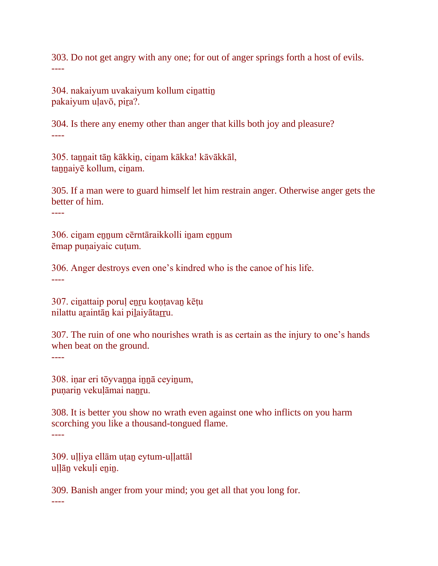303. Do not get angry with any one; for out of anger springs forth a host of evils. ----

304. nakaiyum uvakaiyum kollum cinattin pakaiyum uḷavō, piṟa?.

304. Is there any enemy other than anger that kills both joy and pleasure? ----

305. tannait tān kākkin, cinam kākka! kāvākkāl, taṉṉaiyē kollum, ciṉam.

305. If a man were to guard himself let him restrain anger. Otherwise anger gets the better of him.

----

306. ciṉam eṉṉum cērntāraikkolli iṉam eṉṉum ēmap puṇaiyaic cuṭum.

306. Anger destroys even one's kindred who is the canoe of his life. ----

307. ciṉattaip poruḷ eṉṟu koṇṭavaṉ kēṭu nilattu araintān kai pilaiyātarru.

307. The ruin of one who nourishes wrath is as certain as the injury to one's hands when beat on the ground.

----

----

308. iṇar eri tōyvaṉṉa iṉṉā ceyiṉum, puṇariṉ vekuḷāmai naṉṟu.

308. It is better you show no wrath even against one who inflicts on you harm scorching you like a thousand-tongued flame. ----

309. ulliya ellām utan eytum-ullattāl uļļān vekuļi enin.

309. Banish anger from your mind; you get all that you long for.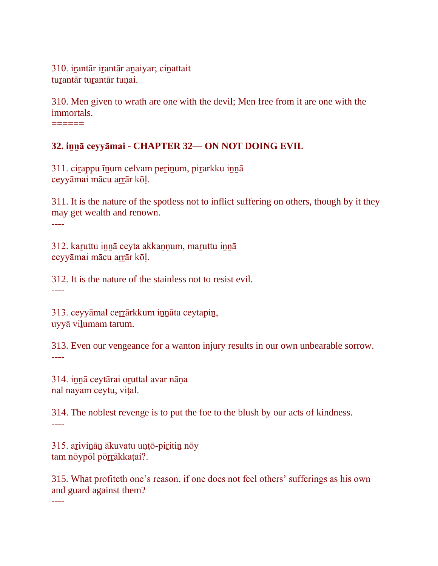310. irantār irantār anaiyar; cinattait turantār turantār tunai.

310. Men given to wrath are one with the devil; Men free from it are one with the immortals.

======

## **32. iṉṉā ceyyāmai - CHAPTER 32— ON NOT DOING EVIL**

311. ciṟappu īṉum celvam peṟiṉum, piṟarkku iṉṉā ceyyāmai mācu aṟṟār kōḷ.

311. It is the nature of the spotless not to inflict suffering on others, though by it they may get wealth and renown. ----

312. kaṟuttu iṉṉā ceyta akkaṇṇum, maṟuttu iṉṉā ceyyāmai mācu arrār kōļ.

312. It is the nature of the stainless not to resist evil. ----

313. ceyyāmal ceṟṟārkkum iṉṉāta ceytapiṉ, uyyā viḻumam tarum.

313. Even our vengeance for a wanton injury results in our own unbearable sorrow. ----

314. iṉṉā ceytārai oṟuttal avar nāṇa nal nayam ceytu, viṭal.

314. The noblest revenge is to put the foe to the blush by our acts of kindness. ----

315. arivinān ākuvatu untō-piritin nōy tam nōypōl pōrrākkatai?.

315. What profiteth one's reason, if one does not feel others' sufferings as his own and guard against them?

----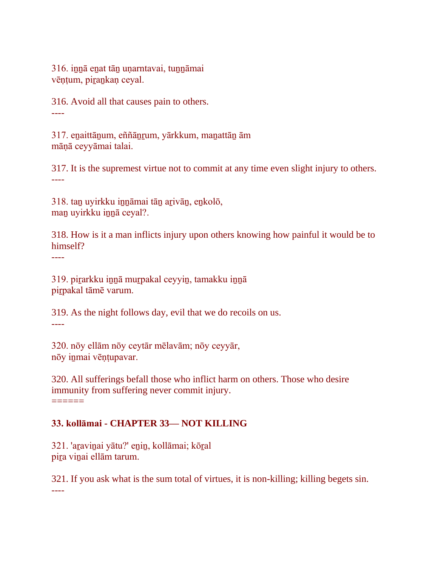316. innā enat tān unarntavai, tunnāmai vēntum, pirankaņ ceyal.

316. Avoid all that causes pain to others. ----

317. eṉaittāṉum, eññāṉṟum, yārkkum, maṉattāṉ ām māṇā ceyyāmai talai.

317. It is the supremest virtue not to commit at any time even slight injury to others. ----

318. taṉ uyirkku iṉṉāmai tāṉ aṟivāṉ, eṉkolō, man uyirkku innā ceyal?.

318. How is it a man inflicts injury upon others knowing how painful it would be to himself?

----

319. piṟarkku iṉṉā muṟpakal ceyyiṉ, tamakku iṉṉā piṟpakal tāmē varum.

319. As the night follows day, evil that we do recoils on us. ----

320. nōy ellām nōy ceytār mēlavām; nōy ceyyār, nōy iṉmai vēṇṭupavar.

320. All sufferings befall those who inflict harm on others. Those who desire immunity from suffering never commit injury. ======

## **33. kollāmai - CHAPTER 33— NOT KILLING**

321. 'aṟaviṉai yātu?' eṉiṉ, kollāmai; kōṟal pira vinai ellām tarum.

321. If you ask what is the sum total of virtues, it is non-killing; killing begets sin. ----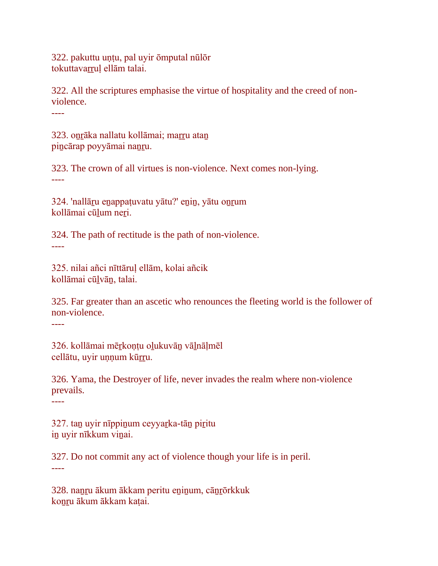322. pakuttu uṇṭu, pal uyir ōmputal nūlōr tokuttavarrul ellām talai.

322. All the scriptures emphasise the virtue of hospitality and the creed of nonviolence.

----

323. onrāka nallatu kollāmai; marru atan pincārap poyyāmai nanru.

323. The crown of all virtues is non-violence. Next comes non-lying. ----

324. 'nallāṟu eṉappaṭuvatu yātu?' eṉiṉ, yātu oṉṟum kollāmai cūļum neri.

324. The path of rectitude is the path of non-violence. ----

325. nilai añci nīttāruḷ ellām, kolai añcik kollāmai cūḻvāṉ, talai.

325. Far greater than an ascetic who renounces the fleeting world is the follower of non-violence.

----

326. kollāmai mēṟkoṇṭu oḻukuvāṉ vāḻnāḷmēl cellātu, uyir unnum kūrru.

326. Yama, the Destroyer of life, never invades the realm where non-violence prevails.

----

327. taṉ uyir nīppiṉum ceyyaṟka-tāṉ piṟitu iṉ uyir nīkkum viṉai.

327. Do not commit any act of violence though your life is in peril. ----

328. naṉṟu ākum ākkam peritu eṉiṉum, cāṉṟōrkkuk konru ākum ākkam katai.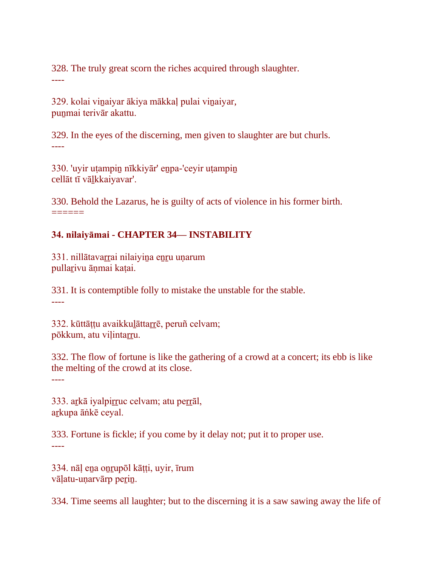328. The truly great scorn the riches acquired through slaughter. ----

329. kolai viṉaiyar ākiya mākkaḷ pulai viṉaiyar, punmai terivār akattu.

329. In the eyes of the discerning, men given to slaughter are but churls. ----

330. 'uyir uṭampiṉ nīkkiyār' eṉpa-'ceyir uṭampiṉ cellāt tī vāḻkkaiyavar'.

330. Behold the Lazarus, he is guilty of acts of violence in his former birth.  $=$ 

## **34. nilaiyāmai - CHAPTER 34— INSTABILITY**

331. nillātavarrai nilaiyina enru unarum pullaṟivu āṇmai kaṭai.

331. It is contemptible folly to mistake the unstable for the stable. ----

332. kūttāṭṭu avaikkuḻāttaṟṟē, peruñ celvam; pōkkum, atu vilintarru.

332. The flow of fortune is like the gathering of a crowd at a concert; its ebb is like the melting of the crowd at its close.

----

333. arkā iyalpirruc celvam; atu perrāl, arkupa āṅkē ceyal.

333. Fortune is fickle; if you come by it delay not; put it to proper use. ----

334. nāḷ eṉa oṉṟupōl kāṭṭi, uyir, īrum vāļatu-uṇarvārp perin.

334. Time seems all laughter; but to the discerning it is a saw sawing away the life of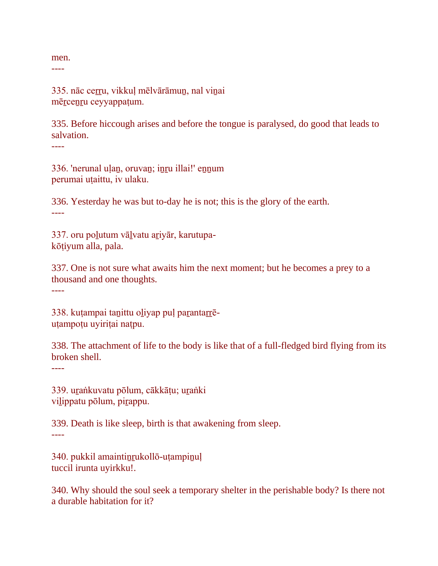men.

----

335. nāc ceṟṟu, vikkuḷ mēlvārāmuṉ, nal viṉai mēṟceṉṟu ceyyappaṭum.

335. Before hiccough arises and before the tongue is paralysed, do good that leads to salvation. ----

336. 'nerunal uḷaṉ, oruvaṉ; iṉṟu illai!' eṉṉum perumai uṭaittu, iv ulaku.

336. Yesterday he was but to-day he is not; this is the glory of the earth. ----

337. oru poḻutum vāḻvatu aṟiyār, karutupakōṭiyum alla, pala.

337. One is not sure what awaits him the next moment; but he becomes a prey to a thousand and one thoughts.

----

338. kuṭampai taṉittu oḻiyap puḷ paṟantaṟṟēuṭampoṭu uyiriṭai naṭpu.

338. The attachment of life to the body is like that of a full-fledged bird flying from its broken shell.

----

----

339. uṟaṅkuvatu pōlum, cākkāṭu; uṟaṅki vilippatu pōlum, pirappu.

339. Death is like sleep, birth is that awakening from sleep.

340. pukkil amaintiṉṟukollō-uṭampiṉuḷ tuccil irunta uyirkku!.

340. Why should the soul seek a temporary shelter in the perishable body? Is there not a durable habitation for it?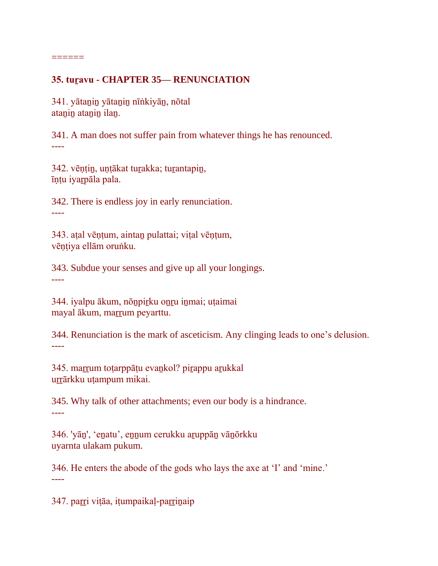### **35. tuṟavu - CHAPTER 35— RENUNCIATION**

341. yātaṉiṉ yātaṉiṉ nīṅkiyāṉ, nōtal atanin atanin ilan.

======

341. A man does not suffer pain from whatever things he has renounced. ----

342. vēṇṭiṉ, uṇṭākat tuṟakka; tuṟantapiṉ, īṇṭu iyaṟpāla pala.

342. There is endless joy in early renunciation. ----

343. aṭal vēṇṭum, aintaṉ pulattai; viṭal vēṇṭum, vēṇṭiya ellām oruṅku.

343. Subdue your senses and give up all your longings. ----

344. iyalpu ākum, noz irku onru inmai; uṭaimai mayal ākum, marrum peyarttu.

344. Renunciation is the mark of asceticism. Any clinging leads to one's delusion. ----

345. marrum toṭarppāṭu evankol? pirappu arukkal urrārkku utampum mikai.

345. Why talk of other attachments; even our body is a hindrance. ----

346. 'yāṉ', 'eṉatu', eṉṉum cerukku aṟuppāṉ vāṉōrkku uyarnta ulakam pukum.

346. He enters the abode of the gods who lays the axe at 'I' and 'mine.' ----

347. parri vițāa, ițumpaikaļ-parrinaip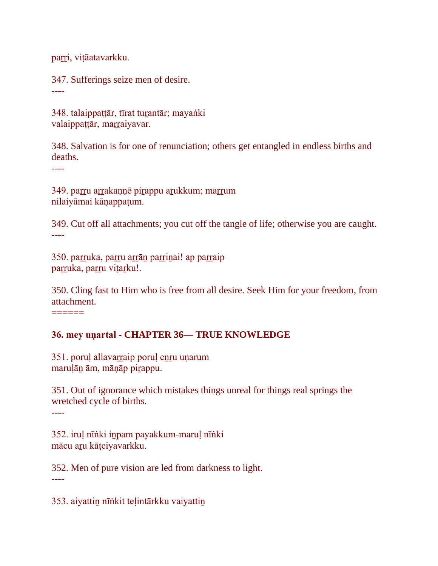parri, vițāatavarkku.

347. Sufferings seize men of desire.

----

348. talaippaṭṭār, tīrat turantār; mayaṅki valaippattār, marraiyavar.

348. Salvation is for one of renunciation; others get entangled in endless births and deaths.

----

349. parru arrakaņņē pirappu arukkum; marrum nilaiyāmai kāṇappaṭum.

349. Cut off all attachments; you cut off the tangle of life; otherwise you are caught. ----

350. parruka, parru arrān parrinai! ap parraip parruka, parru vițarku!.

350. Cling fast to Him who is free from all desire. Seek Him for your freedom, from attachment.

======

#### **36. mey uṇartal - CHAPTER 36— TRUE KNOWLEDGE**

351. poruḷ allavaṟṟaip poruḷ eṉṟu uṇarum maruḷāṉ ām, māṇāp piṟappu.

351. Out of ignorance which mistakes things unreal for things real springs the wretched cycle of births.

----

352. iruḷ nīṅki iṉpam payakkum-maruḷ nīṅki mācu aṟu kāṭciyavarkku.

352. Men of pure vision are led from darkness to light. ----

353. aiyattiṉ nīṅkit teḷintārkku vaiyattiṉ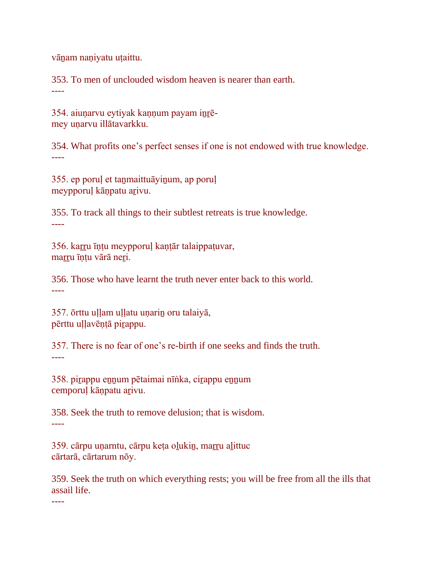vāṉam naṇiyatu uṭaittu.

353. To men of unclouded wisdom heaven is nearer than earth. ----

354. aiunarvu eytiyak kannum payam inrēmey uṇarvu illātavarkku.

354. What profits one's perfect senses if one is not endowed with true knowledge. ----

355. ep poruḷ et taṉmaittuāyiṉum, ap poruḷ meypporuḷ kāṇpatu aṟivu.

355. To track all things to their subtlest retreats is true knowledge. ----

356. kaṟṟu īṇṭu meypporuḷ kaṇṭār talaippaṭuvar, marru īntu vārā neri.

356. Those who have learnt the truth never enter back to this world. ----

357. ōrttu uḷḷam uḷḷatu uṇariṉ oru talaiyā, pērttu uḷḷavēṇṭā piṟappu.

357. There is no fear of one's re-birth if one seeks and finds the truth. ----

358. piṟappu eṉṉum pētaimai nīṅka, ciṟappu eṉṉum cemporuḷ kāṇpatu aṟivu.

358. Seek the truth to remove delusion; that is wisdom. ----

359. cārpu uṇarntu, cārpu keṭa oḻukiṉ, maṟṟu aḻittuc cārtarā, cārtarum nōy.

359. Seek the truth on which everything rests; you will be free from all the ills that assail life.

----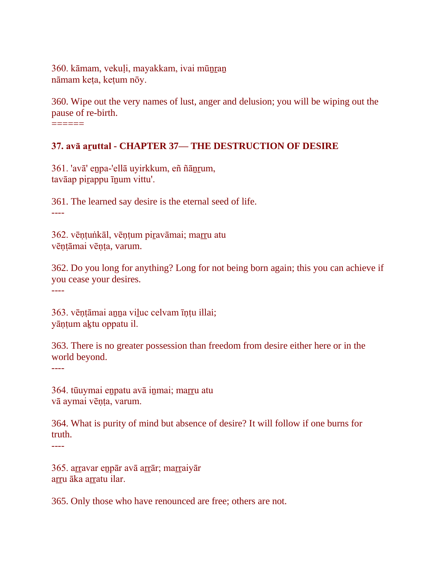360. kāmam, vekuļi, mayakkam, ivai mūnran nāmam keṭa, keṭum nōy.

360. Wipe out the very names of lust, anger and delusion; you will be wiping out the pause of re-birth.

======

#### **37. avā aṟuttal - CHAPTER 37— THE DESTRUCTION OF DESIRE**

361. 'avā' eṉpa-'ellā uyirkkum, eñ ñāṉṟum, tavāap piṟappu īṉum vittu'.

361. The learned say desire is the eternal seed of life.

----

362. vēṇṭuṅkāl, vēṇṭum piṟavāmai; maṟṟu atu vēṇṭāmai vēṇṭa, varum.

362. Do you long for anything? Long for not being born again; this you can achieve if you cease your desires. ----

363. vēṇṭāmai aṉṉa viḻuc celvam īṇṭu illai; yāṇṭum aḵtu oppatu il.

363. There is no greater possession than freedom from desire either here or in the world beyond.

----

364. tūuymai eṉpatu avā iṉmai; maṟṟu atu vā aymai vēnta, varum.

364. What is purity of mind but absence of desire? It will follow if one burns for truth.

----

365. arravar enpār avā arrār; marraiyār arru āka arratu ilar.

365. Only those who have renounced are free; others are not.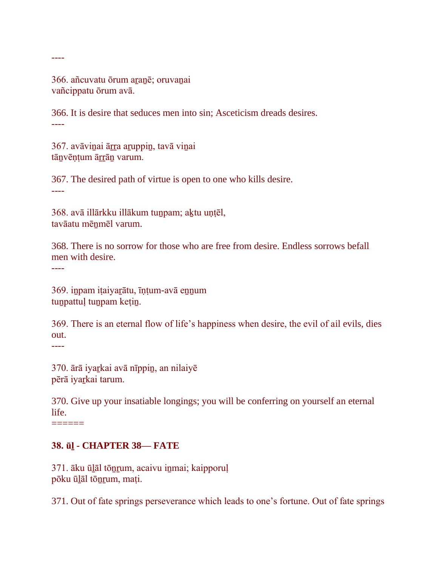366. añcuvatu ōrum aranē; oruvanai vañcippatu ōrum avā.

366. It is desire that seduces men into sin; Asceticism dreads desires. ----

367. avāviņai ārra aruppin, tavā viņai tānvēntum ārrān varum.

367. The desired path of virtue is open to one who kills desire. ----

368. avā illārkku illākum tuṉpam; aḵtu uṇṭēl, tavāatu mēnmēl varum.

368. There is no sorrow for those who are free from desire. Endless sorrows befall men with desire.

----

----

369. iṉpam iṭaiyaṟātu, īṇṭum-avā eṉṉum tunpattuļ tunpam kețin.

369. There is an eternal flow of life's happiness when desire, the evil of ail evils, dies out.

----

370. ārā iyaṟkai avā nīppiṉ, an nilaiyē pērā iyaṟkai tarum.

370. Give up your insatiable longings; you will be conferring on yourself an eternal life.

 $=$ 

#### **38. ūḻ - CHAPTER 38— FATE**

371. āku ūḻāl tōṉṟum, acaivu iṉmai; kaipporuḷ pōku ūḻāl tōṉṟum, maṭi.

371. Out of fate springs perseverance which leads to one's fortune. Out of fate springs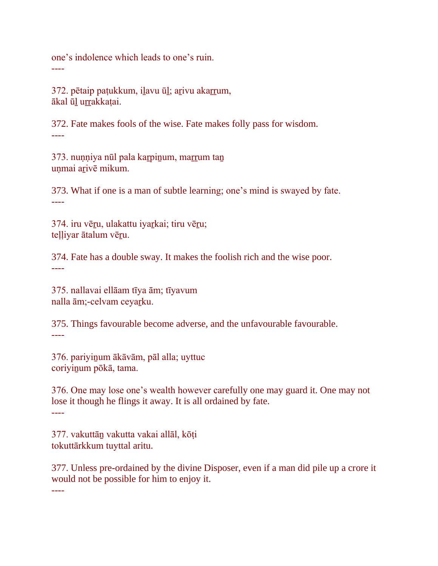one's indolence which leads to one's ruin. ----

372. pētaip paṭukkum, ilavu ūl; arivu akarrum, ākal ūḻ uṟṟakkaṭai.

372. Fate makes fools of the wise. Fate makes folly pass for wisdom. ----

373. nuṇṇiya nūl pala kar pinum, marrum tan uṇmai aṟivē mikum.

373. What if one is a man of subtle learning; one's mind is swayed by fate. ----

374. iru vēru, ulakattu iyarkai; tiru vēru; teḷḷiyar ātalum vēṟu.

374. Fate has a double sway. It makes the foolish rich and the wise poor. ----

375. nallavai ellāam tīya ām; tīyavum nalla ām;-celvam ceyarku.

375. Things favourable become adverse, and the unfavourable favourable. ----

376. pariyiṉum ākāvām, pāl alla; uyttuc coriyiṉum pōkā, tama.

376. One may lose one's wealth however carefully one may guard it. One may not lose it though he flings it away. It is all ordained by fate. ----

377. vakuttāṉ vakutta vakai allāl, kōṭi tokuttārkkum tuyttal aritu.

377. Unless pre-ordained by the divine Disposer, even if a man did pile up a crore it would not be possible for him to enjoy it.

----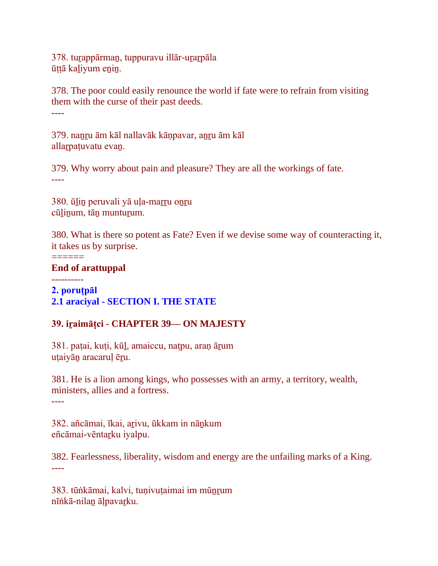378. turappārman, tuppuravu illār-urarpāla ūṭṭā kaḻiyum eṉiṉ.

378. The poor could easily renounce the world if fate were to refrain from visiting them with the curse of their past deeds. ----

379. nanru ām kāl nallavāk kānpavar, anru ām kāl allarpatuvatu evan.

379. Why worry about pain and pleasure? They are all the workings of fate. ----

380. ūḻiṉ peruvali yā uḷa-maṟṟu oṉṟu cūlinum, tān munturum.

380. What is there so potent as Fate? Even if we devise some way of counteracting it, it takes us by surprise.

### **End of arattuppal**

 $=$ 

----------

**2. poruṭpāl 2.1 araciyal - SECTION I. THE STATE**

## **39. iṟaimāṭci - CHAPTER 39— ON MAJESTY**

381. paṭai, kuṭi, kūḻ, amaiccu, naṭpu, araṇ āṟum uṭaiyāṉ aracaruḷ ēṟu.

381. He is a lion among kings, who possesses with an army, a territory, wealth, ministers, allies and a fortress. ----

382. añcāmai, īkai, aṟivu, ūkkam in nāṉkum eñcāmai-vēntaṟku iyalpu.

382. Fearlessness, liberality, wisdom and energy are the unfailing marks of a King. ----

383. tūṅkāmai, kalvi, tuṇivuṭaimai im mūṉṟum nīṅkā-nilaṉ āḷpavaṟku.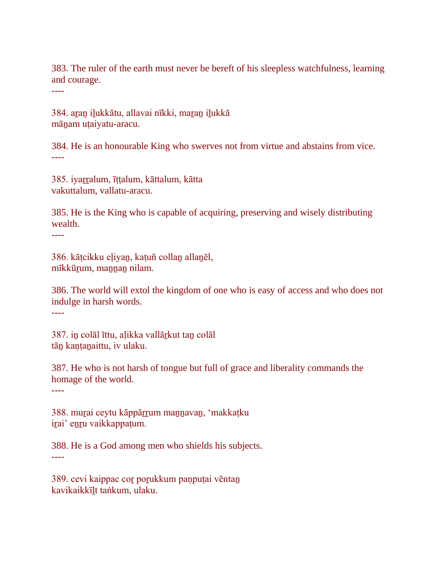383. The ruler of the earth must never be bereft of his sleepless watchfulness, learning and courage.

----

384. aran ilukkātu, allavai nīkki, maran ilukkā mānam utaiyatu-aracu.

384. He is an honourable King who swerves not from virtue and abstains from vice. ----

385. iyaṟṟalum, īṭṭalum, kāttalum, kātta vakuttalum, vallatu-aracu.

385. He is the King who is capable of acquiring, preserving and wisely distributing wealth.

----

386. kāṭcikku eḷiyaṉ, kaṭuñ collaṉ allaṉēl, mīkkūṟum, maṉṉaṉ nilam.

386. The world will extol the kingdom of one who is easy of access and who does not indulge in harsh words.

----

387. in colāl īttu, alikka vallārkut tan colāl tān kantanaittu, iv ulaku.

387. He who is not harsh of tongue but full of grace and liberality commands the homage of the world.

----

388. murai ceytu kāppārrum mannavan, 'makkatku irai' enru vaikkappaṭum.

388. He is a God among men who shields his subjects. ----

389. cevi kaippac coṟ poṟukkum paṇpuṭai vēntaṉ kavikaikkīḻt taṅkum, ulaku.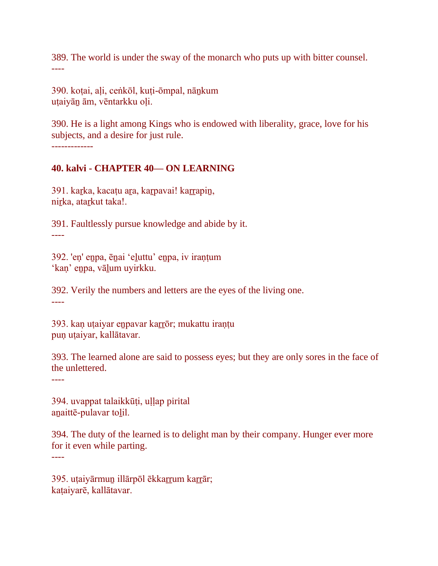389. The world is under the sway of the monarch who puts up with bitter counsel. ----

390. koṭai, aḷi, ceṅkōl, kuṭi-ōmpal, nāṉkum uṭaiyāṉ ām, vēntarkku oḷi.

390. He is a light among Kings who is endowed with liberality, grace, love for his subjects, and a desire for just rule. -------------

#### **40. kalvi - CHAPTER 40— ON LEARNING**

391. karka, kacaṭu ara, karpavai! karrapin, nirka, atarkut taka!.

391. Faultlessly pursue knowledge and abide by it. ----

392. 'eṇ' eṉpa, ēṉai 'eḻuttu' eṉpa, iv iraṇṭum 'kaṇ' eṉpa, vāḻum uyirkku.

392. Verily the numbers and letters are the eyes of the living one. ----

393. kaṇ uṭaiyar eṉpavar kaṟṟōr; mukattu iraṇṭu pun utaiyar, kallātavar.

393. The learned alone are said to possess eyes; but they are only sores in the face of the unlettered.

----

394. uvappat talaikkūṭi, uḷḷap pirital anaittē-pulavar tolil.

394. The duty of the learned is to delight man by their company. Hunger ever more for it even while parting.

----

395. uṭaiyārmun illārpōl ēkkarrum karrār; kaṭaiyarē, kallātavar.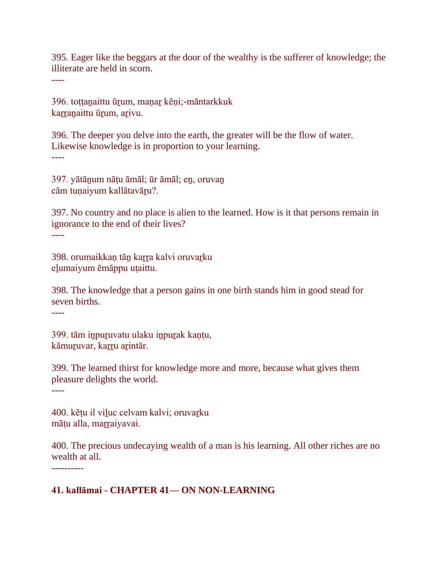395. Eager like the beggars at the door of the wealthy is the sufferer of knowledge; the illiterate are held in scorn.

----

396. toṭṭaṉaittu ūṟum, maṇaṟ kēṇi;-māntarkkuk karranaittu ūrum, arivu.

396. The deeper you delve into the earth, the greater will be the flow of water. Likewise knowledge is in proportion to your learning. ----

397. yātāṉum nāṭu āmāl; ūr āmāl; eṉ, oruvaṉ cām tuṇaiyum kallātavāṟu?.

397. No country and no place is alien to the learned. How is it that persons remain in ignorance to the end of their lives? ----

398. orumaikkan tān karra kalvi oruvarku eḻumaiyum ēmāppu uṭaittu.

398. The knowledge that a person gains in one birth stands him in good stead for seven births.

----

399. tām inpuruvatu ulaku inpurak kantu, kāmuruvar, karru arintār.

399. The learned thirst for knowledge more and more, because what gives them pleasure delights the world.

----

400. kētu il viluc celvam kalvi; oruvarku māțu alla, marraiyavai.

400. The precious undecaying wealth of a man is his learning. All other riches are no wealth at all.

----------

## **41. kallāmai - CHAPTER 41— ON NON-LEARNING**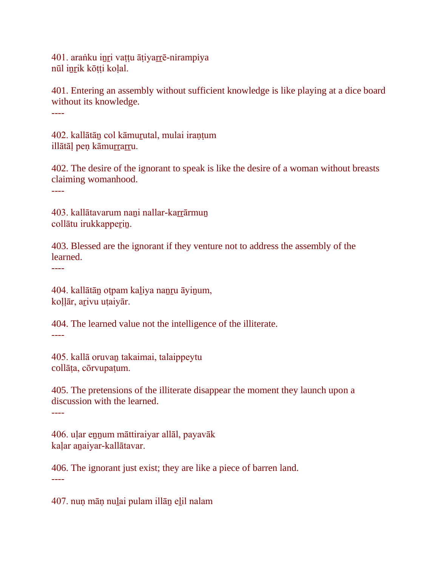401. araṅku iṉṟi vaṭṭu āṭiyaṟṟē-nirampiya nūl inrik kōtti kolal.

401. Entering an assembly without sufficient knowledge is like playing at a dice board without its knowledge. ----

402. kallātāṉ col kāmuṟutal, mulai iraṇṭum illātāl pen kāmurrarru.

402. The desire of the ignorant to speak is like the desire of a woman without breasts claiming womanhood.

----

403. kallātavarum nani nallar-karrārmun collātu irukkapperin.

403. Blessed are the ignorant if they venture not to address the assembly of the learned.

----

404. kallātāṉ oṭpam kaḻiya naṉṟu āyiṉum, koḷḷār, aṟivu uṭaiyār.

404. The learned value not the intelligence of the illiterate. ----

405. kallā oruvaṉ takaimai, talaippeytu collāṭa, cōrvupaṭum.

405. The pretensions of the illiterate disappear the moment they launch upon a discussion with the learned.

----

406. uḷar eṉṉum māttiraiyar allāl, payavāk kaḷar aṉaiyar-kallātavar.

406. The ignorant just exist; they are like a piece of barren land. ----

407. nuṇ māṇ nuḻai pulam illāṉ eḻil nalam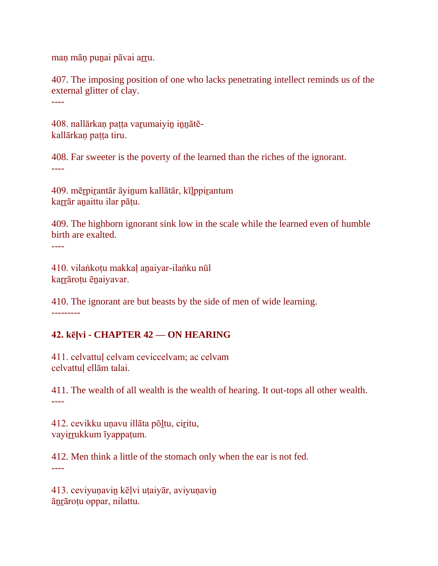maņ māņ punai pāvai arru.

407. The imposing position of one who lacks penetrating intellect reminds us of the external glitter of clay. ----

408. nallārkan patta varumaiyin innātēkallārkan patta tiru.

408. Far sweeter is the poverty of the learned than the riches of the ignorant. ----

409. mēṟpiṟantār āyiṉum kallātār, kīḻppiṟantum karrār anaittu ilar pātu.

409. The highborn ignorant sink low in the scale while the learned even of humble birth are exalted.

410. vilaṅkoṭu makkaḷ aṉaiyar-ilaṅku nūl karrārotu ēnaiyavar.

----

410. The ignorant are but beasts by the side of men of wide learning. ---------

## **42. kēḷvi - CHAPTER 42 — ON HEARING**

411. celvattuḷ celvam ceviccelvam; ac celvam celvattuḷ ellām talai.

411. The wealth of all wealth is the wealth of hearing. It out-tops all other wealth. ----

412. cevikku uṇavu illāta pōḻtu, ciṟitu, vayirrukkum īyappaṭum.

412. Men think a little of the stomach only when the ear is not fed. ----

413. ceviyuṇaviṉ kēḷvi uṭaiyār, aviyuṇaviṉ āṉṟāroṭu oppar, nilattu.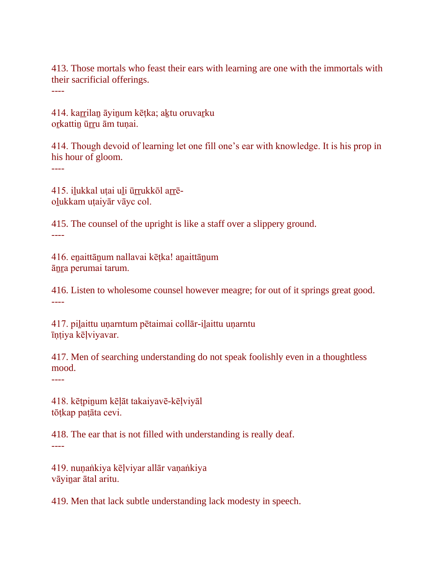413. Those mortals who feast their ears with learning are one with the immortals with their sacrificial offerings.

----

414. karrilan āyinum kētka; aktu oruvarku orkattin ūrru ām tunai.

414. Though devoid of learning let one fill one's ear with knowledge. It is his prop in his hour of gloom.

----

415. ilukkal uțai uli ūrrukkōl arrēoḻukkam uṭaiyār vāyc col.

415. The counsel of the upright is like a staff over a slippery ground. ----

416. eṉaittāṉum nallavai kēṭka! aṉaittāṉum āṉṟa perumai tarum.

416. Listen to wholesome counsel however meagre; for out of it springs great good. ----

417. piḻaittu uṇarntum pētaimai collār-iḻaittu uṇarntu īṇṭiya kēḷviyavar.

417. Men of searching understanding do not speak foolishly even in a thoughtless mood.

----

418. kēṭpiṉum kēḷāt takaiyavē-kēḷviyāl tōṭkap paṭāta cevi.

418. The ear that is not filled with understanding is really deaf. ----

419. nuṇaṅkiya kēḷviyar allār vaṇaṅkiya vāyiṉar ātal aritu.

419. Men that lack subtle understanding lack modesty in speech.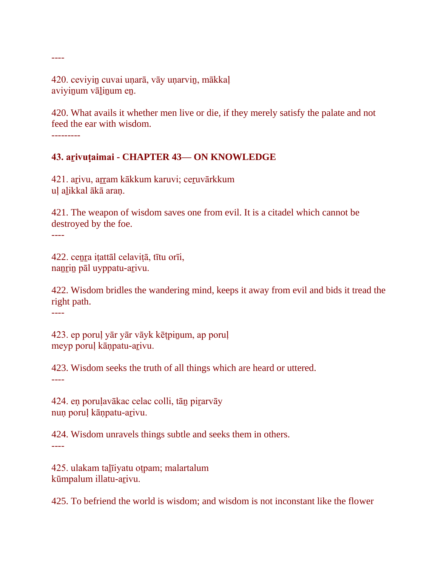420. ceviyin cuvai unarā, vāy unarvin, mākkaļ aviyinum vālinum en.

420. What avails it whether men live or die, if they merely satisfy the palate and not feed the ear with wisdom.

---------

----

## **43. aṟivuṭaimai - CHAPTER 43— ON KNOWLEDGE**

421. arīvu, arram kākkum karuvi; ceruvārkkum uḷ aḻikkal ākā araṇ.

421. The weapon of wisdom saves one from evil. It is a citadel which cannot be destroyed by the foe.

----

422. ceṉṟa iṭattāl celaviṭā, tītu orīi, nanrin pāl uyppatu-arivu.

422. Wisdom bridles the wandering mind, keeps it away from evil and bids it tread the right path.

----

423. ep porul yār yār vāyk kētpinum, ap porul meyp poruḷ kāṇpatu-aṟivu.

423. Wisdom seeks the truth of all things which are heard or uttered.

----

424. en porulavākac celac colli, tān pirarvāy nuṇ poruḷ kāṇpatu-aṟivu.

424. Wisdom unravels things subtle and seeks them in others. ----

425. ulakam taḻīiyatu oṭpam; malartalum kūmpalum illatu-arivu.

425. To befriend the world is wisdom; and wisdom is not inconstant like the flower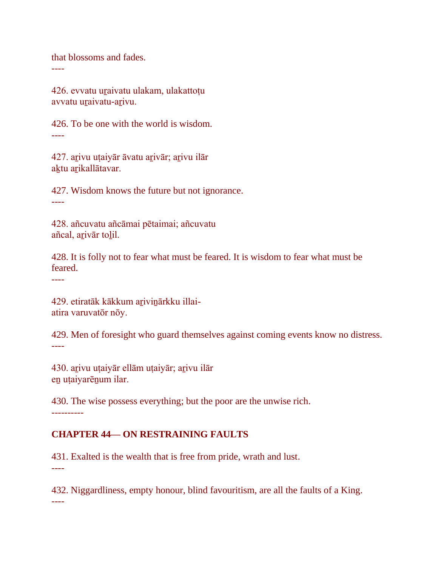that blossoms and fades.

----

426. evvatu uraivatu ulakam, ulakattotu avvatu uṟaivatu-aṟivu.

426. To be one with the world is wisdom. ----

427. aṟivu uṭaiyār āvatu aṟivār; aṟivu ilār aktu arikallātavar.

427. Wisdom knows the future but not ignorance. ----

428. añcuvatu añcāmai pētaimai; añcuvatu añcal, aṟivār toḻil.

428. It is folly not to fear what must be feared. It is wisdom to fear what must be feared.

----

429. etiratāk kākkum arivinārkku illaiatira varuvatōr nōy.

429. Men of foresight who guard themselves against coming events know no distress. ----

430. arivu utaiyār ellām utaiyār; arivu ilār eṉ uṭaiyarēṉum ilar.

430. The wise possess everything; but the poor are the unwise rich. ----------

## **CHAPTER 44— ON RESTRAINING FAULTS**

431. Exalted is the wealth that is free from pride, wrath and lust. ----

432. Niggardliness, empty honour, blind favouritism, are all the faults of a King. ----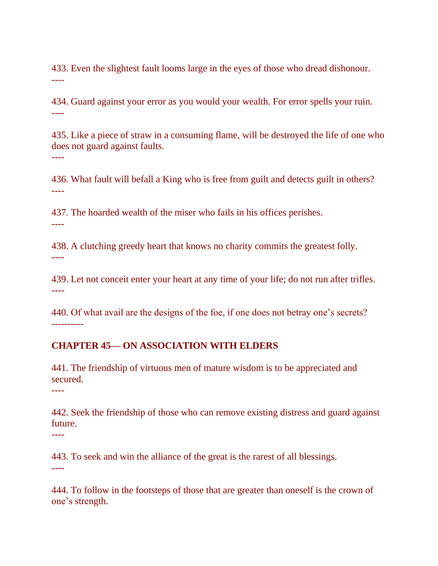433. Even the slightest fault looms large in the eyes of those who dread dishonour. ----

434. Guard against your error as you would your wealth. For error spells your ruin. ----

435. Like a piece of straw in a consuming flame, will be destroyed the life of one who does not guard against faults. ----

436. What fault will befall a King who is free from guilt and detects guilt in others? ----

437. The hoarded wealth of the miser who fails in his offices perishes. ----

438. A clutching greedy heart that knows no charity commits the greatest folly. ----

439. Let not conceit enter your heart at any time of your life; do not run after trifles. ----

440. Of what avail are the designs of the foe, if one does not betray one's secrets? ----------

#### **CHAPTER 45— ON ASSOCIATION WITH ELDERS**

441. The friendship of virtuous men of mature wisdom is to be appreciated and secured.

----

----

442. Seek the friendship of those who can remove existing distress and guard against future.

443. To seek and win the alliance of the great is the rarest of all blessings. ----

444. To follow in the footsteps of those that are greater than oneself is the crown of one's strength.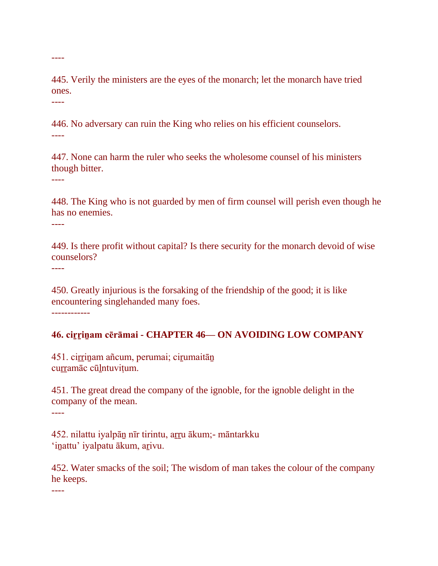445. Verily the ministers are the eyes of the monarch; let the monarch have tried ones.

----

----

446. No adversary can ruin the King who relies on his efficient counselors. ----

447. None can harm the ruler who seeks the wholesome counsel of his ministers though bitter.

----

448. The King who is not guarded by men of firm counsel will perish even though he has no enemies.

----

449. Is there profit without capital? Is there security for the monarch devoid of wise counselors?

----

450. Greatly injurious is the forsaking of the friendship of the good; it is like encountering singlehanded many foes.

------------

#### **46. ciṟṟiṉam cērāmai - CHAPTER 46— ON AVOIDING LOW COMPANY**

451. cirrinam añcum, perumai; cirumaitān curramāc cūlntuvitum.

451. The great dread the company of the ignoble, for the ignoble delight in the company of the mean.

----

452. nilattu iyalpāṉ nīr tirintu, aṟṟu ākum;- māntarkku 'inattu' iyalpatu ākum, arivu.

452. Water smacks of the soil; The wisdom of man takes the colour of the company he keeps.

----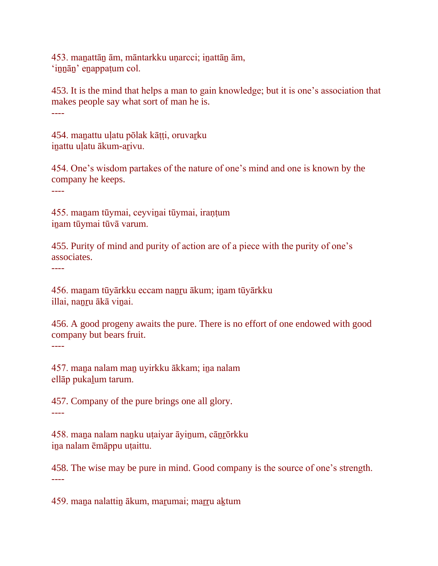453. maṉattāṉ ām, māntarkku uṇarcci; iṉattāṉ ām, 'innān' enappaṭum col.

453. It is the mind that helps a man to gain knowledge; but it is one's association that makes people say what sort of man he is. ----

454. manattu ulatu pōlak kātti, oruvarku inattu ulatu ākum-arivu.

454. One's wisdom partakes of the nature of one's mind and one is known by the company he keeps.

----

455. maṉam tūymai, ceyviṉai tūymai, iraṇṭum inam tūymai tūvā varum.

455. Purity of mind and purity of action are of a piece with the purity of one's associates.

----

456. maṉam tūyārkku eccam naṉṟu ākum; iṉam tūyārkku illai, nanru ākā vinai.

456. A good progeny awaits the pure. There is no effort of one endowed with good company but bears fruit.

----

457. mana nalam man uyirkku ākkam; ina nalam ellāp pukaḻum tarum.

457. Company of the pure brings one all glory. ----

458. maṉa nalam naṉku uṭaiyar āyiṉum, cāṉṟōrkku iṉa nalam ēmāppu uṭaittu.

458. The wise may be pure in mind. Good company is the source of one's strength. ----

459. mana nalattin ākum, marumai; marru aktum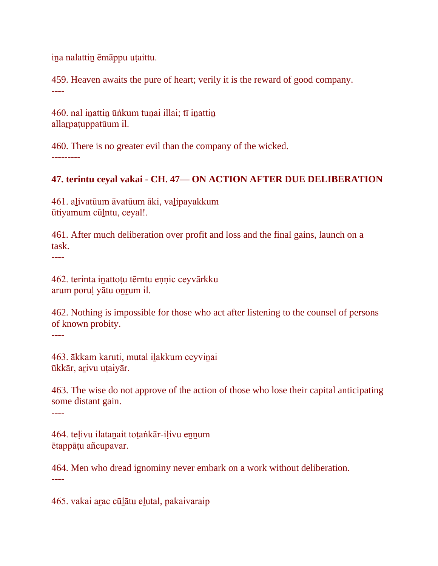iṉa nalattiṉ ēmāppu uṭaittu.

459. Heaven awaits the pure of heart; verily it is the reward of good company. ----

460. nal inattin ūṅkum tuṇai illai; tī inattin allaṟpaṭuppatūum il.

460. There is no greater evil than the company of the wicked. ---------

## **47. terintu ceyal vakai - CH. 47— ON ACTION AFTER DUE DELIBERATION**

461. aḻivatūum āvatūum āki, vaḻipayakkum ūtiyamum cūḻntu, ceyal!.

461. After much deliberation over profit and loss and the final gains, launch on a task.

----

462. terinta iṉattoṭu tērntu eṇṇic ceyvārkku arum poruḷ yātu oṉṟum il.

462. Nothing is impossible for those who act after listening to the counsel of persons of known probity.

----

463. ākkam karuti, mutal iḻakkum ceyviṉai ūkkār, aṟivu uṭaiyār.

463. The wise do not approve of the action of those who lose their capital anticipating some distant gain.

----

464. teḷivu ilataṉait toṭaṅkār-iḷivu eṉṉum ētappāṭu añcupavar.

464. Men who dread ignominy never embark on a work without deliberation. ----

465. vakai aṟac cūḻātu eḻutal, pakaivaraip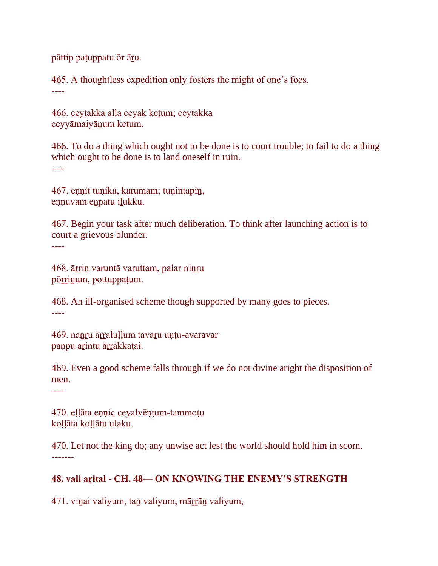pāttip paṭuppatu ōr āṟu.

465. A thoughtless expedition only fosters the might of one's foes. ----

466. ceytakka alla ceyak keṭum; ceytakka ceyyāmaiyāṉum keṭum.

466. To do a thing which ought not to be done is to court trouble; to fail to do a thing which ought to be done is to land oneself in ruin. ----

467. eṇṇit tuṇika, karumam; tuṇintapiṉ, ennuvam enpatu ilukku.

467. Begin your task after much deliberation. To think after launching action is to court a grievous blunder. ----

468. ārrin varuntā varuttam, palar ninru pōrrinum, pottuppaṭum.

468. An ill-organised scheme though supported by many goes to pieces. ----

469. nanru ārralullum tavaru untu-avaravar panpu arintu ārrākkatai.

469. Even a good scheme falls through if we do not divine aright the disposition of men.

----

470. eḷḷāta eṇṇic ceyalvēṇṭum-tammoṭu koḷḷāta koḷḷātu ulaku.

470. Let not the king do; any unwise act lest the world should hold him in scorn. -------

## **48. vali aṟital - CH. 48— ON KNOWING THE ENEMY'S STRENGTH**

471. viṉai valiyum, taṉ valiyum, māṟṟāṉ valiyum,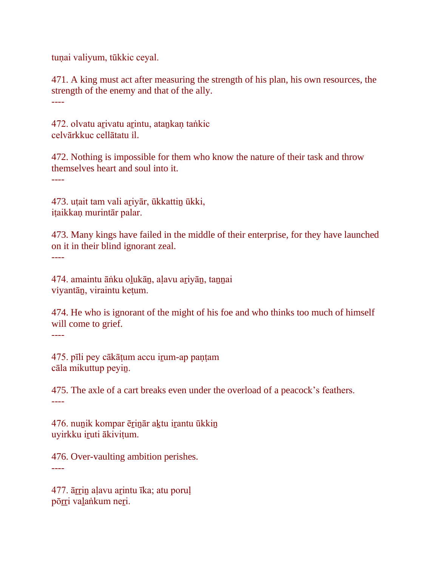tuṇai valiyum, tūkkic ceyal.

471. A king must act after measuring the strength of his plan, his own resources, the strength of the enemy and that of the ally. ----

472. olvatu arivatu arintu, atankan taṅkic celvārkkuc cellātatu il.

472. Nothing is impossible for them who know the nature of their task and throw themselves heart and soul into it. ----

473. uṭait tam vali ariyār, ūkkattin ūkki, iṭaikkaṇ murintār palar.

473. Many kings have failed in the middle of their enterprise, for they have launched on it in their blind ignorant zeal. ----

474. amaintu āṅku oḻukāṉ, aḷavu aṟiyāṉ, taṉṉai viyantāṉ, viraintu keṭum.

474. He who is ignorant of the might of his foe and who thinks too much of himself will come to grief. ----

475. pīli pey cākāṭum accu iṟum-ap paṇṭam cāla mikuttup peyiṉ.

475. The axle of a cart breaks even under the overload of a peacock's feathers. ----

476. nuṉik kompar ēṟiṉār aḵtu iṟantu ūkkiṉ uyirkku iṟuti ākiviṭum.

476. Over-vaulting ambition perishes. ----

477. ārrin aļavu arintu īka; atu poruļ pōrri valankum neri.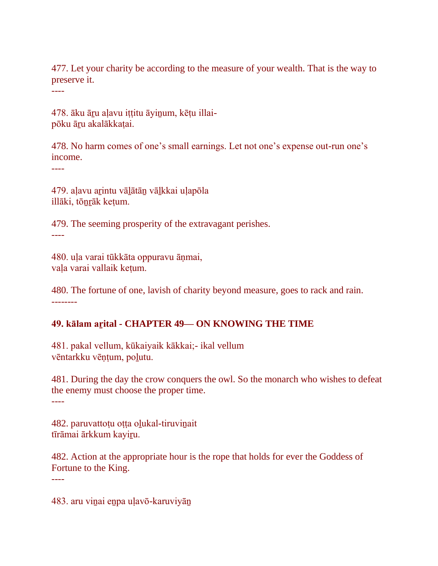477. Let your charity be according to the measure of your wealth. That is the way to preserve it.

----

478. āku āru aļavu ittitu āyinum, kētu illaipōku āru akalākkatai.

478. No harm comes of one's small earnings. Let not one's expense out-run one's income.

----

479. aḷavu aṟintu vāḻātāṉ vāḻkkai uḷapōla illāki, tōṉṟāk keṭum.

479. The seeming prosperity of the extravagant perishes. ----

480. uḷa varai tūkkāta oppuravu āṇmai, vaḷa varai vallaik keṭum.

480. The fortune of one, lavish of charity beyond measure, goes to rack and rain. --------

## **49. kālam aṟital - CHAPTER 49— ON KNOWING THE TIME**

481. pakal vellum, kūkaiyaik kākkai;- ikal vellum vēntarkku vēṇṭum, poḻutu.

481. During the day the crow conquers the owl. So the monarch who wishes to defeat the enemy must choose the proper time. ----

482. paruvattoṭu oṭṭa oḻukal-tiruviṉait tīrāmai ārkkum kayiṟu.

482. Action at the appropriate hour is the rope that holds for ever the Goddess of Fortune to the King. ----

483. aru viṉai eṉpa uḷavō-karuviyāṉ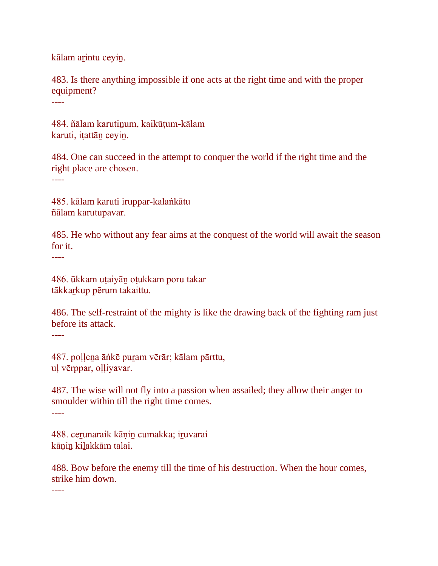kālam arintu ceyin.

483. Is there anything impossible if one acts at the right time and with the proper equipment?

----

484. ñālam karutinum, kaikūtum-kālam karuti, iṭattāṉ ceyiṉ.

484. One can succeed in the attempt to conquer the world if the right time and the right place are chosen. ----

485. kālam karuti iruppar-kalaṅkātu ñālam karutupavar.

485. He who without any fear aims at the conquest of the world will await the season for it.

----

486. ūkkam uṭaiyāṉ oṭukkam poru takar tākkarī kup pērum takaittu.

486. The self-restraint of the mighty is like the drawing back of the fighting ram just before its attack. ----

487. poḷḷeṉa āṅkē puṟam vērār; kālam pārttu, uḷ vērppar, oḷḷiyavar.

487. The wise will not fly into a passion when assailed; they allow their anger to smoulder within till the right time comes. ----

488. ceṟunaraik kāṇiṉ cumakka; iṟuvarai kāṇiṉ kiḻakkām talai.

488. Bow before the enemy till the time of his destruction. When the hour comes, strike him down.

----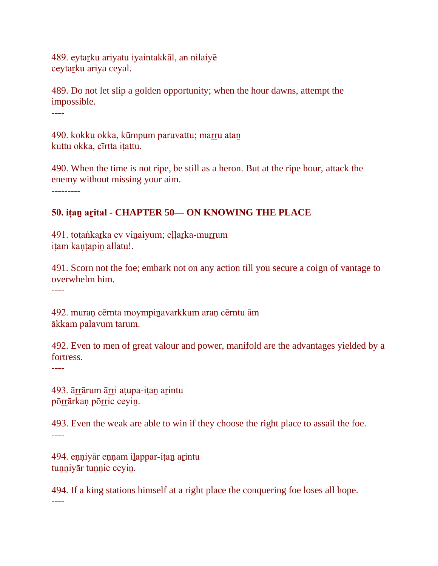489. eytaṟku ariyatu iyaintakkāl, an nilaiyē ceytarku ariya ceyal.

489. Do not let slip a golden opportunity; when the hour dawns, attempt the impossible. ----

490. kokku okka, kūmpum paruvattu; marru atan kuttu okka, cīrtta iṭattu.

490. When the time is not ripe, be still as a heron. But at the ripe hour, attack the enemy without missing your aim. ---------

# **50. iṭaṉ aṟital - CHAPTER 50— ON KNOWING THE PLACE**

491. toṭaṅkarুka ev vinaiyum; eḷḷarুka-murrum iṭam kaṇṭapiṉ allatu!.

491. Scorn not the foe; embark not on any action till you secure a coign of vantage to overwhelm him.

----

492. muraṇ cērnta moympiṉavarkkum araṇ cērntu ām ākkam palavum tarum.

492. Even to men of great valour and power, manifold are the advantages yielded by a fortress.

----

493. ārrārum ārri atupa-itan arintu pōrrārkan pōrric ceyin.

493. Even the weak are able to win if they choose the right place to assail the foe. ----

494. eṇṇiyār eṇṇam iḻappar-iṭaṉ aṟintu tunniyār tunnic ceyin.

494. If a king stations himself at a right place the conquering foe loses all hope. ----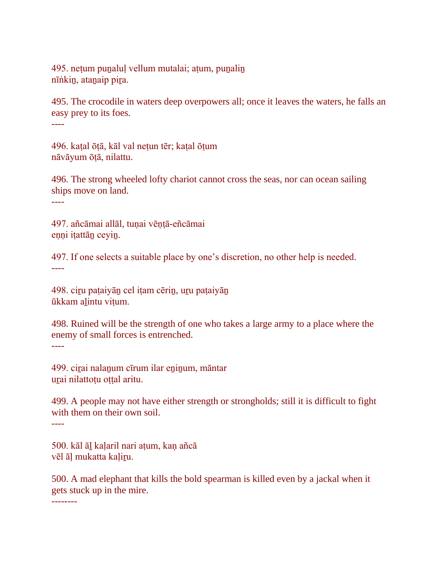495. netum punaluļ vellum mutalai; atum, punalin nīṅkin, atanaip pira.

495. The crocodile in waters deep overpowers all; once it leaves the waters, he falls an easy prey to its foes.

----

496. kaṭal ōṭā, kāl val neṭun tēr; kaṭal ōṭum nāvāyum ōṭā, nilattu.

496. The strong wheeled lofty chariot cannot cross the seas, nor can ocean sailing ships move on land.

----

497. añcāmai allāl, tuṇai vēṇṭā-eñcāmai eṇṇi iṭattāṉ ceyiṉ.

497. If one selects a suitable place by one's discretion, no other help is needed. ----

498. ciṟu paṭaiyāṉ cel iṭam cēriṉ, uṟu paṭaiyāṉ ūkkam aḻintu viṭum.

498. Ruined will be the strength of one who takes a large army to a place where the enemy of small forces is entrenched. ----

499. cirai nalanum cīrum ilar eninum, māntar uṟai nilattoṭu oṭṭal aritu.

499. A people may not have either strength or strongholds; still it is difficult to fight with them on their own soil.

----

500. kāl āḻ kaḷaril nari aṭum, kaṇ añcā vēl āḷ mukatta kaḷiṟu.

500. A mad elephant that kills the bold spearman is killed even by a jackal when it gets stuck up in the mire.

--------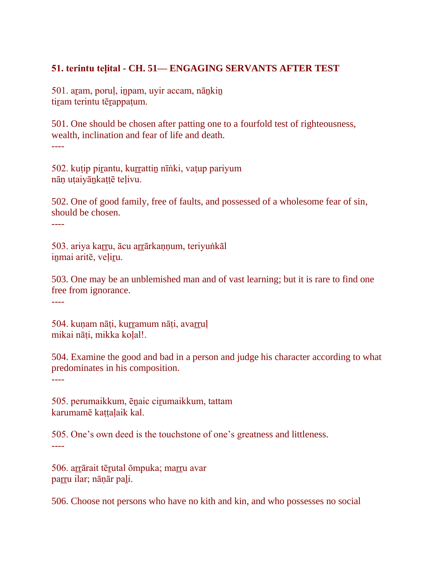## **51. terintu teḷital - CH. 51— ENGAGING SERVANTS AFTER TEST**

501. aram, porul, inpam, uyir accam, nānkin tiram terintu tērappaṭum.

501. One should be chosen after patting one to a fourfold test of righteousness, wealth, inclination and fear of life and death. ----

502. kuṭip piṟantu, kuṟṟattiṉ nīṅki, vaṭup pariyum nāṇ uṭaiyāṉkaṭṭē teḷivu.

502. One of good family, free of faults, and possessed of a wholesome fear of sin, should be chosen. ----

503. ariya kaṟṟu, ācu aṟṟārkaṇṇum, teriyuṅkāl inmai aritē, veļiru.

503. One may be an unblemished man and of vast learning; but it is rare to find one free from ignorance.

----

504. kuṇam nāṭi, kurramum nāṭi, avarruļ mikai nāti, mikka kolal!.

504. Examine the good and bad in a person and judge his character according to what predominates in his composition.

----

505. perumaikkum, ēṉaic ciṟumaikkum, tattam karumamē kattalaik kal.

505. One's own deed is the touchstone of one's greatness and littleness. ----

506. arrārait tērutal ōmpuka; marru avar parru ilar; nāṇār pali.

506. Choose not persons who have no kith and kin, and who possesses no social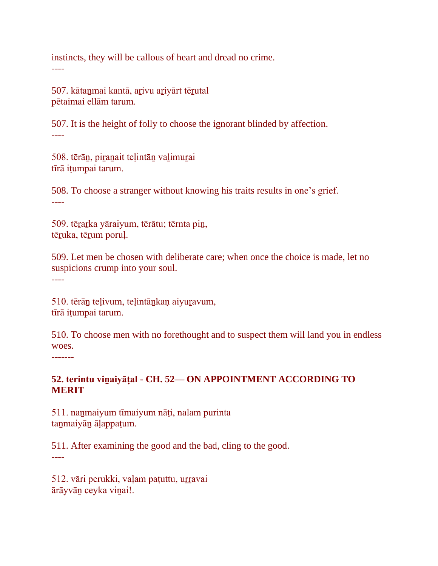instincts, they will be callous of heart and dread no crime. ----

507. kātaṉmai kantā, aṟivu aṟiyārt tēṟutal pētaimai ellām tarum.

507. It is the height of folly to choose the ignorant blinded by affection. ----

508. tērāṉ, piṟaṉait teḷintāṉ vaḻimuṟai tīrā iṭumpai tarum.

508. To choose a stranger without knowing his traits results in one's grief. ----

509. tērarka yāraiyum, tērātu; tērnta pin, tēruka, tērum poruļ.

509. Let men be chosen with deliberate care; when once the choice is made, let no suspicions crump into your soul. ----

510. tērāṉ teḷivum, teḷintāṉkaṇ aiyuṟavum, tīrā iṭumpai tarum.

510. To choose men with no forethought and to suspect them will land you in endless woes.

-------

## **52. terintu viṉaiyāṭal - CH. 52— ON APPOINTMENT ACCORDING TO MERIT**

511. naṉmaiyum tīmaiyum nāṭi, nalam purinta taṉmaiyāṉ āḷappaṭum.

511. After examining the good and the bad, cling to the good. ----

512. vāri perukki, vaļam patuttu, urravai ārāyvāṉ ceyka viṉai!.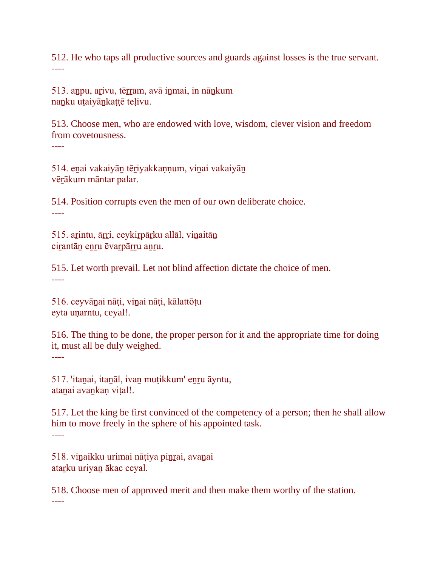512. He who taps all productive sources and guards against losses is the true servant. ----

513. aṉpu, aṟivu, tēṟṟam, avā iṉmai, in nāṉkum naṉku uṭaiyāṉkaṭṭē teḷivu.

513. Choose men, who are endowed with love, wisdom, clever vision and freedom from covetousness. ----

514. eṉai vakaiyāṉ tēṟiyakkaṇṇum, viṉai vakaiyāṉ vēṟākum māntar palar.

514. Position corrupts even the men of our own deliberate choice. ----

515. aṟintu, āṟṟi, ceykiṟpāṟku allāl, viṉaitāṉ cirantāṇ enru ēvarpārru anru.

515. Let worth prevail. Let not blind affection dictate the choice of men. ----

516. ceyvāṉai nāṭi, viṉai nāṭi, kālattōṭu eyta uṇarntu, ceyal!.

516. The thing to be done, the proper person for it and the appropriate time for doing it, must all be duly weighed. ----

517. 'itaṉai, itaṉāl, ivaṉ muṭikkum' eṉṟu āyntu, atanai avankan vital!.

517. Let the king be first convinced of the competency of a person; then he shall allow him to move freely in the sphere of his appointed task. ----

518. viṉaikku urimai nāṭiya piṉṟai, avaṉai atarku uriyan ākac ceyal.

518. Choose men of approved merit and then make them worthy of the station. ----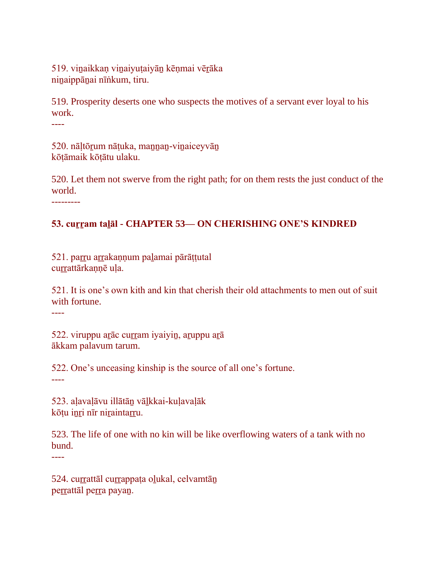519. vinaikkan vinaiyuṭaiyān kēṇmai vērāka ninaippānai nīṅkum, tiru.

519. Prosperity deserts one who suspects the motives of a servant ever loyal to his work.

----

520. nāltōrum nātuka, mannan-vinaiceyvān kōṭāmaik kōṭātu ulaku.

520. Let them not swerve from the right path; for on them rests the just conduct of the world.

---------

# **53. cuṟṟam taḻāl - CHAPTER 53— ON CHERISHING ONE'S KINDRED**

521. parru arrakaņņum paļamai pārāttutal currattārkannē ula.

521. It is one's own kith and kin that cherish their old attachments to men out of suit with fortune.

----

522. viruppu arāc curram iyaiyin, aruppu arā ākkam palavum tarum.

522. One's unceasing kinship is the source of all one's fortune.

----

523. aḷavaḷāvu illātāṉ vāḻkkai-kuḷavaḷāk kōṭu inri nīr niraintarru.

523. The life of one with no kin will be like overflowing waters of a tank with no bund.

----

524. currattāl currappaṭa oḷukal, celvamtān perrattāl perra payan.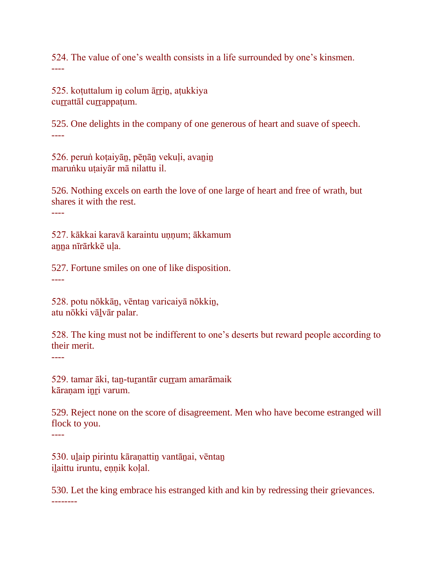524. The value of one's wealth consists in a life surrounded by one's kinsmen. ----

525. kotuttalum in colum ārrin, atukkiya currattāl currappaṭum.

525. One delights in the company of one generous of heart and suave of speech. ----

526. perun kotaiyān, pēnān vekuli, avanin maruṅku uṭaiyār mā nilattu il.

526. Nothing excels on earth the love of one large of heart and free of wrath, but shares it with the rest.

----

527. kākkai karavā karaintu unnum; ākkamum anna nīrārkkē uļa.

527. Fortune smiles on one of like disposition. ----

528. potu nōkkāṉ, vēntaṉ varicaiyā nōkkiṉ, atu nōkki vāḻvār palar.

528. The king must not be indifferent to one's deserts but reward people according to their merit.

----

----

529. tamar āki, tan-turantār curram amarāmaik kāraṇam iṉṟi varum.

529. Reject none on the score of disagreement. Men who have become estranged will flock to you.

530. uḻaip pirintu kāraṇattiṉ vantāṉai, vēntaṉ ilaittu iruntu, ennik koļal.

530. Let the king embrace his estranged kith and kin by redressing their grievances. --------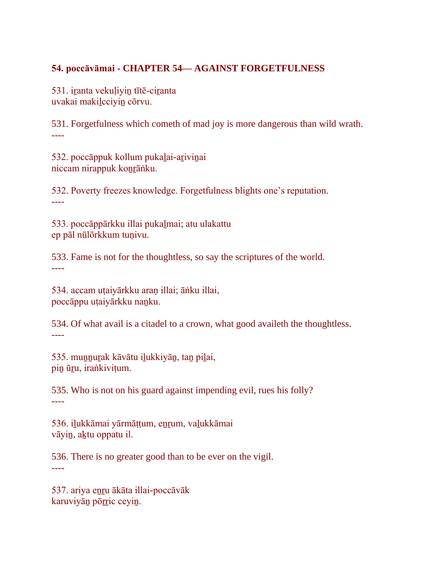## **54. poccāvāmai - CHAPTER 54— AGAINST FORGETFULNESS**

531. iranta vekuliyin tītē-ciranta uvakai makiḻcciyiṉ cōrvu.

531. Forgetfulness which cometh of mad joy is more dangerous than wild wrath. ----

532. poccāppuk kollum pukaḻai-aṟiviṉai niccam nirappuk koṉṟāṅku.

532. Poverty freezes knowledge. Forgetfulness blights one's reputation. ----

533. poccāppārkku illai pukaḻmai; atu ulakattu ep pāl nūlōrkkum tuṇivu.

533. Fame is not for the thoughtless, so say the scriptures of the world. ----

534. accam uṭaiyārkku araṇ illai; āṅku illai, poccāppu uṭaiyārkku naṉku.

534. Of what avail is a citadel to a crown, what good availeth the thoughtless. ----

535. muṉṉuṟak kāvātu iḻukkiyāṉ, taṉ piḻai, pin ūru, iraṅkiviṭum.

535. Who is not on his guard against impending evil, rues his folly? ----

536. iḻukkāmai yārmāṭṭum, eṉṟum, vaḻukkāmai vāyiṉ, aḵtu oppatu il.

536. There is no greater good than to be ever on the vigil. ----

537. ariya eṉṟu ākāta illai-poccāvāk karuviyān pōrric ceyin.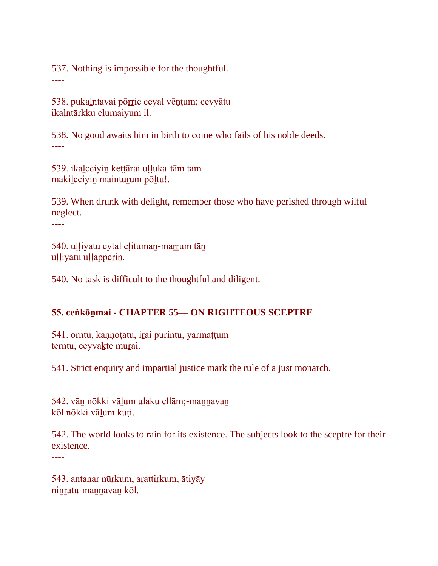537. Nothing is impossible for the thoughtful.

538. pukaḻntavai pōṟṟic ceyal vēṇṭum; ceyyātu ikaḻntārkku eḻumaiyum il.

538. No good awaits him in birth to come who fails of his noble deeds. ----

539. ikaḻcciyiṉ keṭṭārai uḷḷuka-tām tam makiḻcciyiṉ maintuṟum pōḻtu!.

539. When drunk with delight, remember those who have perished through wilful neglect.

----

----

540. uḷḷiyatu eytal eḷitumaṉ-maṟṟum tāṉ uḷḷiyatu uḷḷapperin.

540. No task is difficult to the thoughtful and diligent. -------

## **55. ceṅkōṉmai - CHAPTER 55— ON RIGHTEOUS SCEPTRE**

541. ōrntu, kaṇṇōṭātu, iṟai purintu, yārmāṭṭum tērntu, ceyvaktē murai.

541. Strict enquiry and impartial justice mark the rule of a just monarch. ----

542. vān nōkki vālum ulaku ellām;-mannavan kōl nōkki vāḻum kuṭi.

542. The world looks to rain for its existence. The subjects look to the sceptre for their existence.

----

543. antaṇar nūrkum, arattirkum, ātiyāy ninratu-mannavan kōl.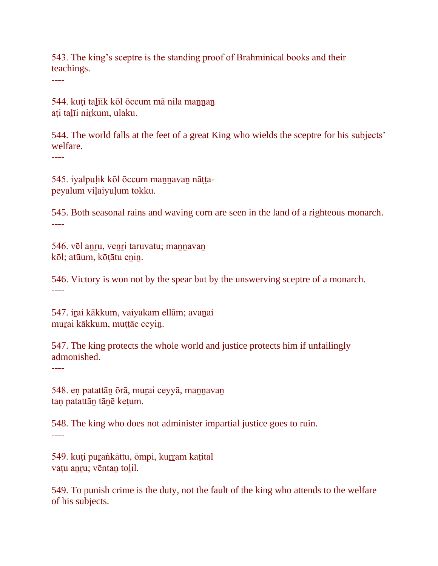543. The king's sceptre is the standing proof of Brahminical books and their teachings.

----

544. kuti talīik kōl ōccum mā nila mannan aṭi taḻīi niṟkum, ulaku.

544. The world falls at the feet of a great King who wields the sceptre for his subjects' welfare.

----

545. iyalpuḷik kōl ōccum maṉṉavaṉ nāṭṭapeyalum viḷaiyuḷum tokku.

545. Both seasonal rains and waving corn are seen in the land of a righteous monarch. ----

546. vēl aṉṟu, veṉṟi taruvatu; maṉṉavaṉ kōl; atūum, kōṭātu enin.

546. Victory is won not by the spear but by the unswerving sceptre of a monarch. ----

547. irai kākkum, vaiyakam ellām; avanai murai kākkum, muṭṭāc ceyin.

547. The king protects the whole world and justice protects him if unfailingly admonished.

----

548. eṇ patattāṉ ōrā, muṟai ceyyā, maṉṉavaṉ tan patattān tānē ketum.

548. The king who does not administer impartial justice goes to ruin. ----

549. kuṭi puṟaṅkāttu, ōmpi, kuṟṟam kaṭital vațu anru; vēntan tolil.

549. To punish crime is the duty, not the fault of the king who attends to the welfare of his subjects.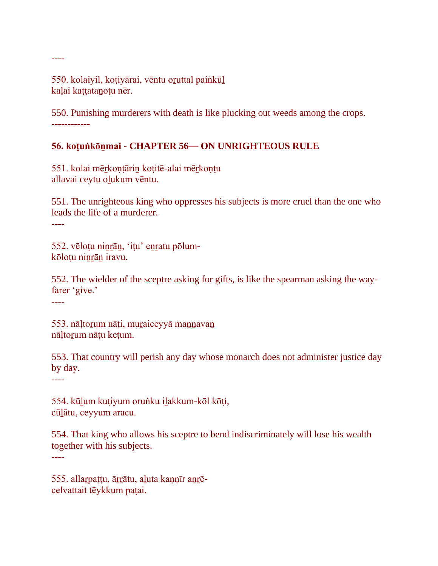550. kolaiyil, koțiyārai, vēntu oruttal painkūl kalai kattatanotu nēr.

550. Punishing murderers with death is like plucking out weeds among the crops. ------------

# **56. koṭuṅkōṉmai - CHAPTER 56— ON UNRIGHTEOUS RULE**

551. kolai mēṟkoṇṭāriṉ koṭitē-alai mēṟkoṇṭu allavai ceytu oļukum vēntu.

551. The unrighteous king who oppresses his subjects is more cruel than the one who leads the life of a murderer. ----

552. vēloṭu niṉṟāṉ, 'iṭu' eṉṟatu pōlum-

kōloțu ninrān iravu.

552. The wielder of the sceptre asking for gifts, is like the spearman asking the wayfarer 'give.'

----

----

553. nāḷtoṟum nāṭi, muṟaiceyyā maṉṉavaṉ nāltorum nātu ketum.

553. That country will perish any day whose monarch does not administer justice day by day.

----

554. kūḻum kuṭiyum oruṅku iḻakkum-kōl kōṭi, cūḻātu, ceyyum aracu.

554. That king who allows his sceptre to bend indiscriminately will lose his wealth together with his subjects.

----

555. allarpațțu, ārrātu, aluta kannīr anrēcelvattait tēykkum paṭai.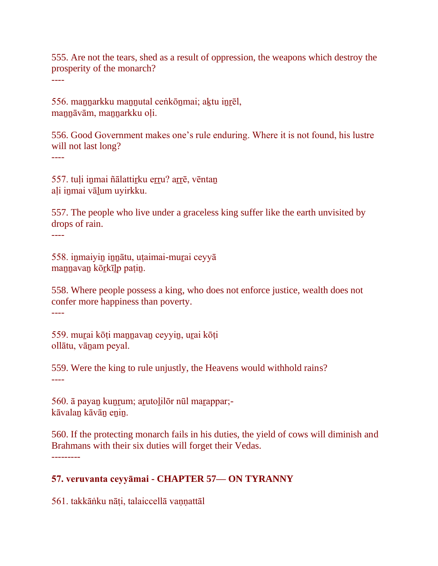555. Are not the tears, shed as a result of oppression, the weapons which destroy the prosperity of the monarch?

----

556. maṉṉarkku maṉṉutal ceṅkōṉmai; aḵtu iṉṟēl, mannāvām, mannarkku oli.

556. Good Government makes one's rule enduring. Where it is not found, his lustre will not last long?

----

557. tuļi inmai ñālattirku erru? arrē, vēntaņ aḷi iṉmai vāḻum uyirkku.

557. The people who live under a graceless king suffer like the earth unvisited by drops of rain.

----

558. iṉmaiyiṉ iṉṉātu, uṭaimai-muṟai ceyyā maṉṉavaṉ kōṟkīḻp paṭiṉ.

558. Where people possess a king, who does not enforce justice, wealth does not confer more happiness than poverty.

----

559. murai kōti mannavan ceyyin, urai kōti ollātu, vānam peyal.

559. Were the king to rule unjustly, the Heavens would withhold rains? ----

560. ā payan kunrum; arutolilōr nūl marappar;kāvalaṉ kāvāṉ eṉiṉ.

560. If the protecting monarch fails in his duties, the yield of cows will diminish and Brahmans with their six duties will forget their Vedas. ---------

## **57. veruvanta ceyyāmai - CHAPTER 57— ON TYRANNY**

561. takkāṅku nāti, talaiccellā vannattāl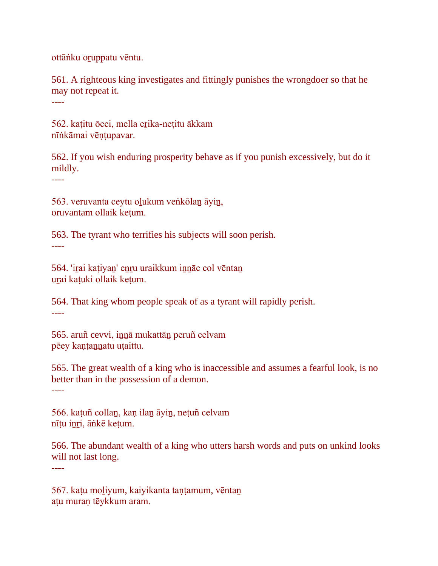ottāṅku oṟuppatu vēntu.

561. A righteous king investigates and fittingly punishes the wrongdoer so that he may not repeat it. ----

562. katitu ōcci, mella erika-netitu ākkam nīṅkāmai vēṇṭupavar.

562. If you wish enduring prosperity behave as if you punish excessively, but do it mildly.

----

----

563. veruvanta ceytu oḻukum veṅkōlaṉ āyiṉ, oruvantam ollaik keṭum.

563. The tyrant who terrifies his subjects will soon perish. ----

564. 'iṟai kaṭiyaṉ' eṉṟu uraikkum iṉṉāc col vēntaṉ urai katuki ollaik ketum.

564. That king whom people speak of as a tyrant will rapidly perish. ----

565. aruñ cevvi, iṉṉā mukattāṉ peruñ celvam pēey kantannatu utaittu.

565. The great wealth of a king who is inaccessible and assumes a fearful look, is no better than in the possession of a demon. ----

566. kaṭuñ collaṉ, kaṇ ilaṉ āyiṉ, neṭuñ celvam nīṭu iṉṟi, āṅkē keṭum.

566. The abundant wealth of a king who utters harsh words and puts on unkind looks will not last long.

567. kaṭu moḻiyum, kaiyikanta taṇṭamum, vēntaṉ aṭu muraṇ tēykkum aram.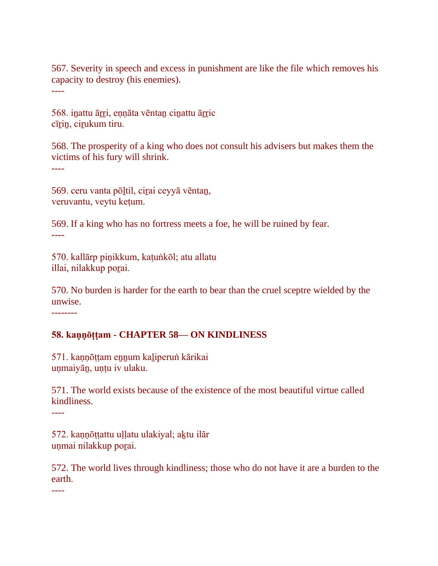567. Severity in speech and excess in punishment are like the file which removes his capacity to destroy (his enemies). ----

568. inattu ārri, ennāta vēntan cinattu ārric cīrin, cirukum tiru.

568. The prosperity of a king who does not consult his advisers but makes them the victims of his fury will shrink.

----

569. ceru vanta pōḻtil, ciṟai ceyyā vēntaṉ, veruvantu, veytu keṭum.

569. If a king who has no fortress meets a foe, he will be ruined by fear. ----

570. kallārp piṇikkum, kaṭuṅkōl; atu allatu illai, nilakkup poṟai.

570. No burden is harder for the earth to bear than the cruel sceptre wielded by the unwise.

--------

#### **58. kaṇṇōṭṭam - CHAPTER 58— ON KINDLINESS**

571. kaṇṇōṭṭam eṉṉum kaḻiperuṅ kārikai unmaiyān, untu iv ulaku.

571. The world exists because of the existence of the most beautiful virtue called kindliness.

----

572. kaṇṇōṭṭattu uḷḷatu ulakiyal; aḵtu ilār unmai nilakkup porai.

572. The world lives through kindliness; those who do not have it are a burden to the earth.

----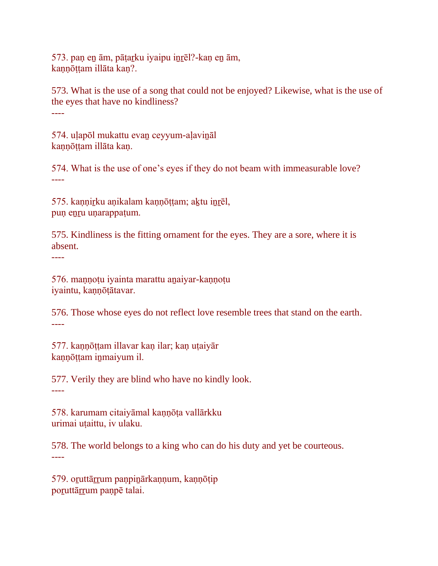573. paṇ eṉ ām, pāṭaṟku iyaipu iṉṟēl?-kaṇ eṉ ām, kannōttam illāta kan?.

573. What is the use of a song that could not be enjoyed? Likewise, what is the use of the eyes that have no kindliness? ----

574. uḷapōl mukattu evaṉ ceyyum-aḷaviṉāl kannōttam illāta kan.

574. What is the use of one's eyes if they do not beam with immeasurable love? ----

575. kaṇṇirku aṇikalam kaṇṇōṭṭam; aktu inrēl, pun enru unarappaṭum.

575. Kindliness is the fitting ornament for the eyes. They are a sore, where it is absent.

----

576. maṇṇoṭu iyainta marattu aṉaiyar-kaṇṇoṭu iyaintu, kaṇṇōṭātavar.

576. Those whose eyes do not reflect love resemble trees that stand on the earth. ----

577. kannōttam illavar kan ilar; kan utaiyār kaṇṇōṭṭam iṉmaiyum il.

577. Verily they are blind who have no kindly look. ----

578. karumam citaiyāmal kaṇṇōṭa vallārkku urimai uṭaittu, iv ulaku.

578. The world belongs to a king who can do his duty and yet be courteous. ----

579. oruttārrum panpinārkannum, kannōtip poruttārrum paṇpē talai.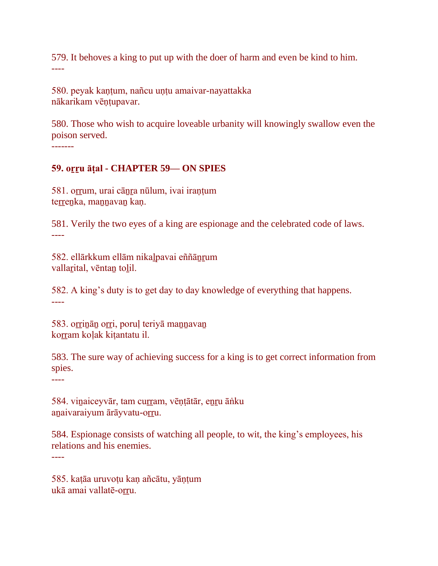579. It behoves a king to put up with the doer of harm and even be kind to him. ----

580. peyak kantum, nañcu untu amaivar-nayattakka nākarikam vēṇṭupavar.

580. Those who wish to acquire loveable urbanity will knowingly swallow even the poison served. -------

# **59. oṟṟu āṭal - CHAPTER 59— ON SPIES**

581. orrum, urai cānra nūlum, ivai iraņțum terrenka, mannavan kan.

581. Verily the two eyes of a king are espionage and the celebrated code of laws. ----

582. ellārkkum ellām nikaḻpavai eññāṉṟum vallarital, vēntan tolil.

582. A king's duty is to get day to day knowledge of everything that happens. ----

583. orrinān orri, poruļ teriyā manuavan korram kolak kitantatu il.

583. The sure way of achieving success for a king is to get correct information from spies.

----

584. vinaiceyvār, tam curram, vēntātār, enru āṅku anaivaraiyum ārāyvatu-orru.

584. Espionage consists of watching all people, to wit, the king's employees, his relations and his enemies.

----

585. kaṭāa uruvoṭu kaṇ añcātu, yāṇṭum ukā amai vallatē-orru.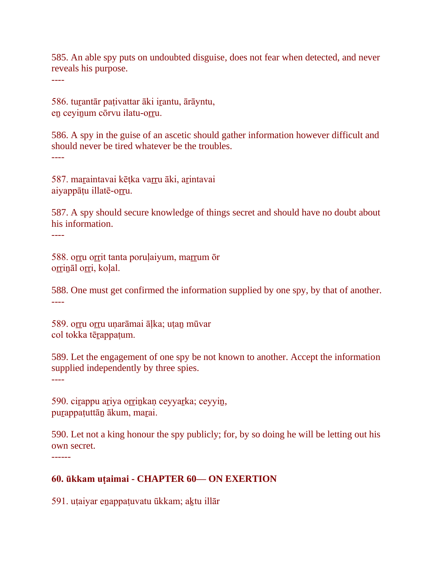585. An able spy puts on undoubted disguise, does not fear when detected, and never reveals his purpose.

----

586. tuṟantār paṭivattar āki iṟantu, ārāyntu, en ceyinum cōrvu ilatu-orru.

586. A spy in the guise of an ascetic should gather information however difficult and should never be tired whatever be the troubles. ----

587. maraintavai kētka varru āki, arintavai aiyappātu illatē-orru.

587. A spy should secure knowledge of things secret and should have no doubt about his information.

----

588. orru or rit tanta poruļaiyum, marrum ōr orrināl orri, kolal.

588. One must get confirmed the information supplied by one spy, by that of another. ----

589. orru orru unarāmai āļka; utan mūvar col tokka tērappatum.

589. Let the engagement of one spy be not known to another. Accept the information supplied independently by three spies.

----

590. cirappu ariya orrinkan ceyyarka; ceyyin, purappaṭuttān ākum, marai.

590. Let not a king honour the spy publicly; for, by so doing he will be letting out his own secret.

------

## **60. ūkkam uṭaimai - CHAPTER 60— ON EXERTION**

591. utaiyar enappatuvatu ūkkam; aktu illār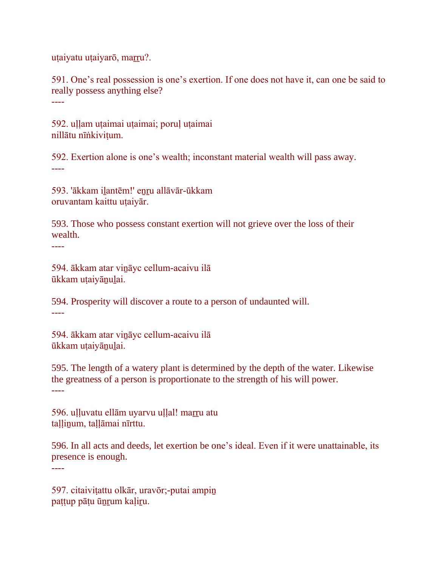uṭaiyatu uṭaiyarō, marru?.

591. One's real possession is one's exertion. If one does not have it, can one be said to really possess anything else? ----

592. uḷḷam uṭaimai uṭaimai; poruḷ uṭaimai nillātu nīṅkiviṭum.

592. Exertion alone is one's wealth; inconstant material wealth will pass away. ----

593. 'ākkam ilantēm!' enru allāvār-ūkkam oruvantam kaittu uṭaiyār.

593. Those who possess constant exertion will not grieve over the loss of their wealth.

594. ākkam atar viṉāyc cellum-acaivu ilā ūkkam uṭaiyāṉuḻai.

594. Prosperity will discover a route to a person of undaunted will. ----

594. ākkam atar viṉāyc cellum-acaivu ilā ūkkam uṭaiyāṉuḻai.

595. The length of a watery plant is determined by the depth of the water. Likewise the greatness of a person is proportionate to the strength of his will power. ----

596. ulluvatu ellām uyarvu uļļal! marru atu tallinum, tallāmai nīrttu.

596. In all acts and deeds, let exertion be one's ideal. Even if it were unattainable, its presence is enough.

----

----

597. citaiviṭattu olkār, uravōr;-putai ampiṉ paṭṭup pāṭu ūṉṟum kaḷiṟu.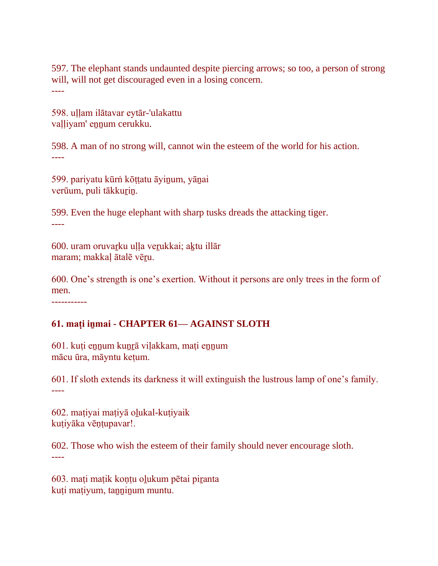597. The elephant stands undaunted despite piercing arrows; so too, a person of strong will, will not get discouraged even in a losing concern. ----

598. uḷḷam ilātavar eytār-'ulakattu valliyam' ennum cerukku.

598. A man of no strong will, cannot win the esteem of the world for his action. ----

599. pariyatu kūrṅ kōṭṭatu āyiṉum, yāṉai verūum, puli tākkurin.

599. Even the huge elephant with sharp tusks dreads the attacking tiger. ----

600. uram oruvaṟku uḷḷa veṟukkai; aḵtu illār maram; makkaḷ ātalē vēṟu.

600. One's strength is one's exertion. Without it persons are only trees in the form of men.

-----------

## **61. maṭi iṉmai - CHAPTER 61— AGAINST SLOTH**

601. kuti ennum kunrā vilakkam, mati ennum mācu ūra, māyntu keṭum.

601. If sloth extends its darkness it will extinguish the lustrous lamp of one's family. ----

602. maṭiyai maṭiyā oḻukal-kuṭiyaik kuṭiyāka vēṇṭupavar!.

602. Those who wish the esteem of their family should never encourage sloth. ----

603. maṭi maṭik koṇṭu oḻukum pētai piṟanta kuṭi maṭiyum, tanninum muntu.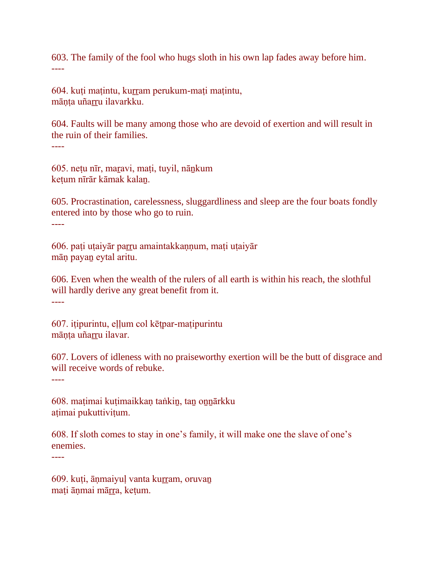603. The family of the fool who hugs sloth in his own lap fades away before him. ----

604. kuti matintu, kurram perukum-mati matintu, māṇṭa uñaṟṟu ilavarkku.

604. Faults will be many among those who are devoid of exertion and will result in the ruin of their families. ----

605. neṭu nīr, maṟavi, maṭi, tuyil, nāṉkum keṭum nīrār kāmak kalaṉ.

605. Procrastination, carelessness, sluggardliness and sleep are the four boats fondly entered into by those who go to ruin. ----

606. paṭi uṭaiyār paṟṟu amaintakkaṇṇum, maṭi uṭaiyār māṇ payaṉ eytal aritu.

606. Even when the wealth of the rulers of all earth is within his reach, the slothful will hardly derive any great benefit from it. ----

607. iṭipurintu, eḷḷum col kēṭpar-maṭipurintu mānta uñarru ilavar.

607. Lovers of idleness with no praiseworthy exertion will be the butt of disgrace and will receive words of rebuke.

----

608. maṭimai kuṭimaikkaṇ taṅkiṉ, taṉ oṉṉārkku aṭimai pukuttiviṭum.

608. If sloth comes to stay in one's family, it will make one the slave of one's enemies.

----

609. kuți, ānmaiyuļ vanta kurram, oruvan mati ānmai mārra, ketum.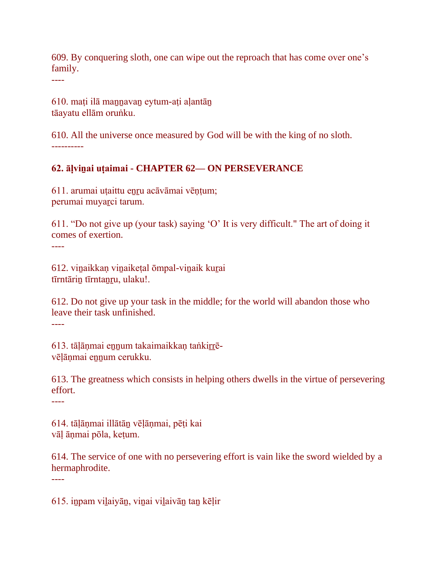609. By conquering sloth, one can wipe out the reproach that has come over one's family.

----

610. maṭi ilā maṉṉavaṉ eytum-aṭi aḷantāṉ tāayatu ellām oruṅku.

610. All the universe once measured by God will be with the king of no sloth. ----------

## **62. āḷviṉai uṭaimai - CHAPTER 62— ON PERSEVERANCE**

611. arumai uṭaittu eṉṟu acāvāmai vēṇṭum; perumai muyarci tarum.

611. "Do not give up (your task) saying 'O' It is very difficult." The art of doing it comes of exertion. ----

612. viṉaikkaṇ viṉaikeṭal ōmpal-viṉaik kuṟai tīrntārin tīrntanru, ulaku!.

612. Do not give up your task in the middle; for the world will abandon those who leave their task unfinished.

----

613. tālānmai ennum takaimaikkan taṅkirrēvēḷāṇmai eṉṉum cerukku.

613. The greatness which consists in helping others dwells in the virtue of persevering effort.

----

614. tāḷāṇmai illātāṉ vēḷāṇmai, pēṭi kai vāḷ āṇmai pōla, keṭum.

614. The service of one with no persevering effort is vain like the sword wielded by a hermaphrodite. ----

615. iṉpam viḻaiyāṉ, viṉai viḻaivāṉ taṉ kēḷir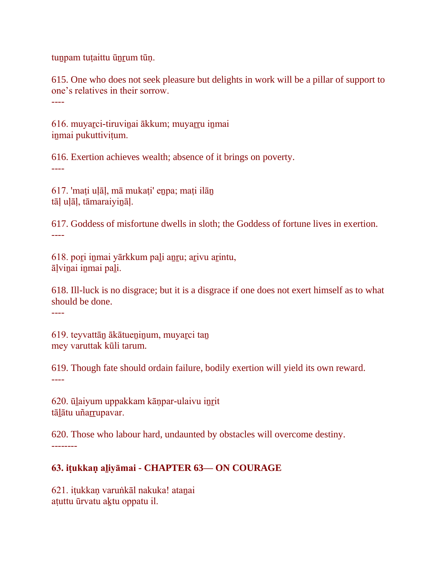tuṉpam tuṭaittu ūṉṟum tūṇ.

615. One who does not seek pleasure but delights in work will be a pillar of support to one's relatives in their sorrow. ----

616. muyaṟci-tiruviṉai ākkum; muyaṟṟu iṉmai iṉmai pukuttiviṭum.

616. Exertion achieves wealth; absence of it brings on poverty. ----

617. 'maṭi uḷāḷ, mā mukaṭi' eṉpa; maṭi ilāṉ tāḷ uḷāḷ, tāmaraiyiṉāḷ.

617. Goddess of misfortune dwells in sloth; the Goddess of fortune lives in exertion. ----

618. poṟi iṉmai yārkkum paḻi aṉṟu; aṟivu aṟintu, āḷviṉai iṉmai paḻi.

618. Ill-luck is no disgrace; but it is a disgrace if one does not exert himself as to what should be done.

----

619. teyvattān ākātueninum, muyarci tan mey varuttak kūli tarum.

619. Though fate should ordain failure, bodily exertion will yield its own reward. ----

620. ūlaiyum uppakkam kānpar-ulaivu inrit tāļātu uñarrupavar.

620. Those who labour hard, undaunted by obstacles will overcome destiny. --------

## **63. iṭukkaṇ aḻiyāmai - CHAPTER 63— ON COURAGE**

621. iṭukkaṇ varuṅkāl nakuka! ataṉai aṭuttu ūrvatu aḵtu oppatu il.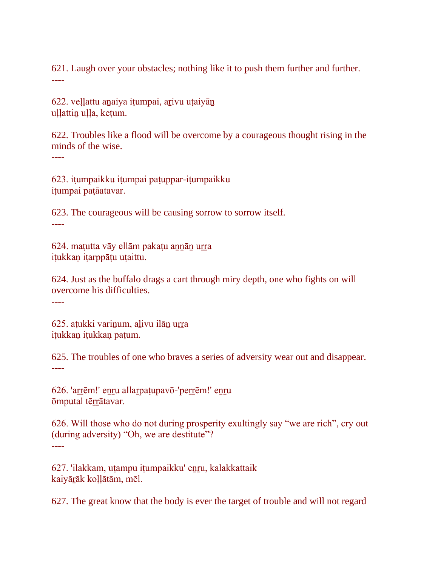621. Laugh over your obstacles; nothing like it to push them further and further. ----

622. veḷḷattu aṉaiya iṭumpai, aṟivu uṭaiyāṉ uḷḷattin uḷḷa, keṭum.

622. Troubles like a flood will be overcome by a courageous thought rising in the minds of the wise.

----

623. iṭumpaikku iṭumpai paṭuppar-iṭumpaikku iṭumpai paṭāatavar.

623. The courageous will be causing sorrow to sorrow itself. ----

624. maṭutta vāy ellām pakaṭu aṉṉāṉ uṟṟa iṭukkaṇ iṭarppāṭu uṭaittu.

624. Just as the buffalo drags a cart through miry depth, one who fights on will overcome his difficulties.

----

625. aṭukki variṉum, aḻivu ilāṉ uṟṟa itukkan itukkan patum.

625. The troubles of one who braves a series of adversity wear out and disappear. ----

626. 'arrēm!' enru allarpatupavō-'perrēm!' enru ōmputal tēṟṟātavar.

626. Will those who do not during prosperity exultingly say "we are rich", cry out (during adversity) "Oh, we are destitute"? ----

627. 'ilakkam, utampu iṭumpaikku' enru, kalakkattaik kaiyāṟāk koḷḷātām, mēl.

627. The great know that the body is ever the target of trouble and will not regard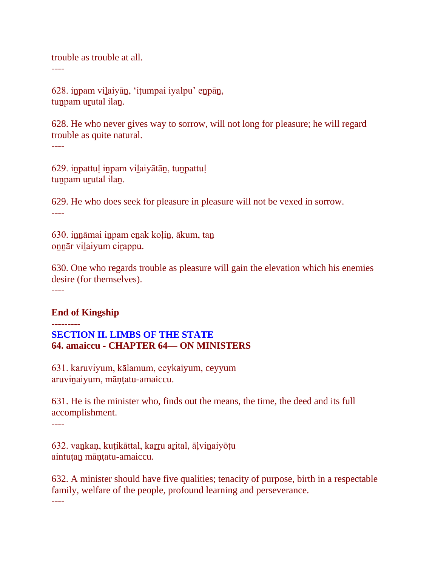trouble as trouble at all.

----

628. iṉpam viḻaiyāṉ, 'iṭumpai iyalpu' eṉpāṉ, tun pam urutal ilan.

628. He who never gives way to sorrow, will not long for pleasure; he will regard trouble as quite natural. ----

629. iṉpattuḷ iṉpam viḻaiyātāṉ, tuṉpattuḷ tunpam urutal ilan.

629. He who does seek for pleasure in pleasure will not be vexed in sorrow. ----

630. iṉṉāmai iṉpam eṉak koḷiṉ, ākum, taṉ oṉṉār viḻaiyum ciṟappu.

630. One who regards trouble as pleasure will gain the elevation which his enemies desire (for themselves).

----

---------

### **End of Kingship**

**SECTION II. LIMBS OF THE STATE 64. amaiccu - CHAPTER 64— ON MINISTERS**

631. karuviyum, kālamum, ceykaiyum, ceyyum aruviṉaiyum, māṇṭatu-amaiccu.

631. He is the minister who, finds out the means, the time, the deed and its full accomplishment.

----

632. vankaņ, kuṭikāttal, karru arital, āḷvinaiyōṭu aintutan māntatu-amaiccu.

632. A minister should have five qualities; tenacity of purpose, birth in a respectable family, welfare of the people, profound learning and perseverance.

----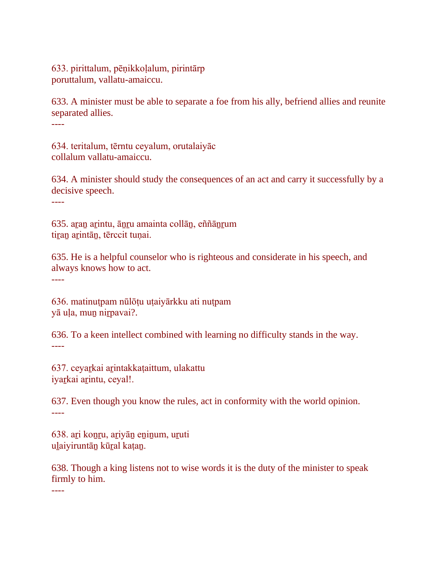633. pirittalum, pēṇikkoḷalum, pirintārp poruttalum, vallatu-amaiccu.

633. A minister must be able to separate a foe from his ally, befriend allies and reunite separated allies.

----

634. teritalum, tērntu ceyalum, orutalaiyāc collalum vallatu-amaiccu.

634. A minister should study the consequences of an act and carry it successfully by a decisive speech.

----

635. aṟaṉ aṟintu, āṉṟu amainta collāṉ, eññāṉṟum tiran arintān, tērccit tuņai.

635. He is a helpful counselor who is righteous and considerate in his speech, and always knows how to act.

----

636. matinuṭpam nūlōṭu uṭaiyārkku ati nuṭpam yā ula, mun nirpavai?.

636. To a keen intellect combined with learning no difficulty stands in the way. ----

637. ceyaṟkai aṟintakkaṭaittum, ulakattu iyarkai arintu, ceyal!.

637. Even though you know the rules, act in conformity with the world opinion. ----

638. aṟi koṉṟu, aṟiyāṉ eṉiṉum, uṟuti uḻaiyiruntāṉ kūṟal kaṭaṉ.

638. Though a king listens not to wise words it is the duty of the minister to speak firmly to him.

----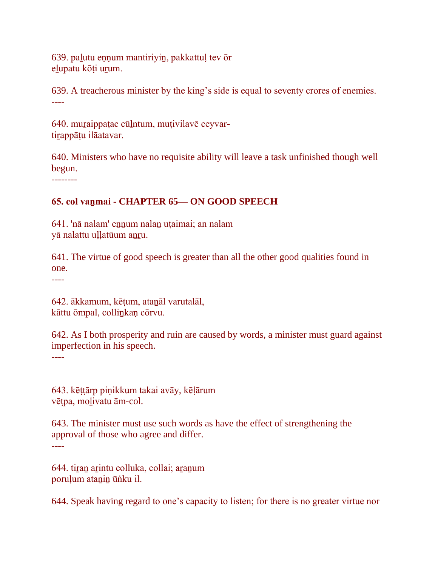639. paḻutu eṇṇum mantiriyiṉ, pakkattuḷ tev ōr elupatu kōṭi urum.

639. A treacherous minister by the king's side is equal to seventy crores of enemies. ----

640. muraippatac cūlntum, mutivilavē ceyvartirappātu ilāatavar.

640. Ministers who have no requisite ability will leave a task unfinished though well begun.

--------

### **65. col vaṉmai - CHAPTER 65— ON GOOD SPEECH**

641. 'nā nalam' ennum nalan uṭaimai; an nalam yā nalattu uḷḷatūum aṉṟu.

641. The virtue of good speech is greater than all the other good qualities found in one.

----

642. ākkamum, kēṭum, ataṉāl varutalāl, kāttu ōmpal, colliṉkaṇ cōrvu.

642. As I both prosperity and ruin are caused by words, a minister must guard against imperfection in his speech.

----

643. kēṭṭārp piṇikkum takai avāy, kēḷārum vēṭpa, moḻivatu ām-col.

643. The minister must use such words as have the effect of strengthening the approval of those who agree and differ. ----

644. tiran arintu colluka, collai; aranum poruļum atanin ūnku il.

644. Speak having regard to one's capacity to listen; for there is no greater virtue nor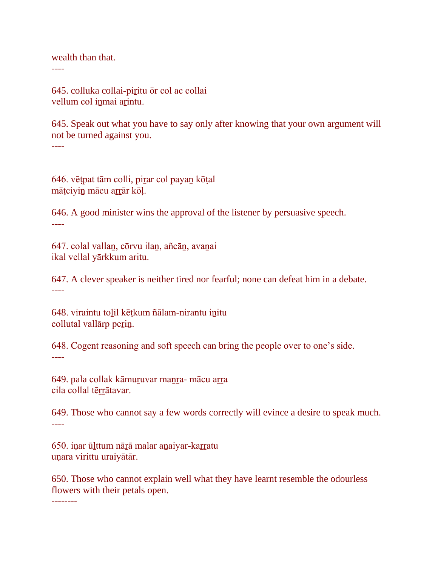wealth than that.

----

645. colluka collai-piṟitu ōr col ac collai vellum col inmai arintu.

645. Speak out what you have to say only after knowing that your own argument will not be turned against you. ----

646. vēṭpat tām colli, piṟar col payaṉ kōṭal māṭciyin mācu arrār kōļ.

646. A good minister wins the approval of the listener by persuasive speech. ----

647. colal vallaṉ, cōrvu ilaṉ, añcāṉ, avaṉai ikal vellal yārkkum aritu.

647. A clever speaker is neither tired nor fearful; none can defeat him in a debate. ----

648. viraintu toḻil kēṭkum ñālam-nirantu iṉitu collutal vallarp perin.

648. Cogent reasoning and soft speech can bring the people over to one's side. ----

649. pala collak kāmuṟuvar maṉṟa- mācu aṟṟa cila collal tērrātavar.

649. Those who cannot say a few words correctly will evince a desire to speak much. ----

650. iṇar ūḻttum nāṟā malar aṉaiyar-kaṟṟatu uṇara virittu uraiyātār.

650. Those who cannot explain well what they have learnt resemble the odourless flowers with their petals open.

--------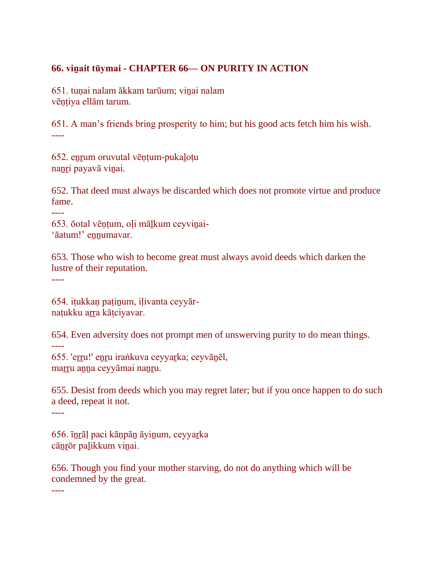## **66. viṉait tūymai - CHAPTER 66— ON PURITY IN ACTION**

651. tuṇai nalam ākkam tarūum; viṉai nalam vēṇṭiya ellām tarum.

651. A man's friends bring prosperity to him; but his good acts fetch him his wish. ----

652. eṉṟum oruvutal vēṇṭum-pukaḻoṭu nanri payavā viņai.

652. That deed must always be discarded which does not promote virtue and produce fame.

653. ōotal vēņtum, oļi mālkum ceyvinai-'āatum!' ennumavar.

653. Those who wish to become great must always avoid deeds which darken the lustre of their reputation.

----

654. iṭukkaṇ paṭiṉum, iḷivanta ceyyārnatukku arra kātciyavar.

654. Even adversity does not prompt men of unswerving purity to do mean things. ----

655. 'eṟṟu!' eṉṟu iraṅkuva ceyyaṟka; ceyvāṉēl, marru anna ceyyāmai nanru.

655. Desist from deeds which you may regret later; but if you once happen to do such a deed, repeat it not.

----

656. īṉṟāḷ paci kāṇpāṉ āyiṉum, ceyyaṟka cānrōr palikkum vinai.

656. Though you find your mother starving, do not do anything which will be condemned by the great.

----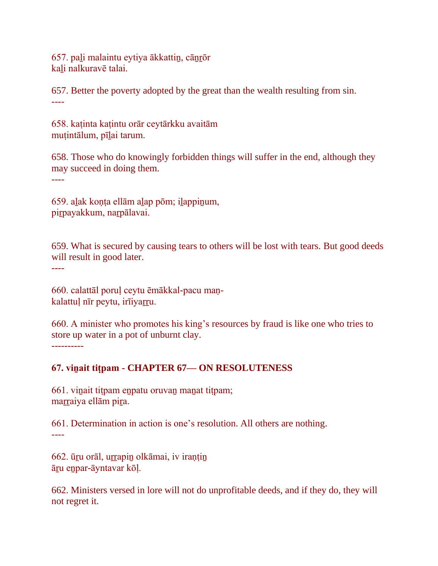657. paḻi malaintu eytiya ākkattiṉ, cāṉṟōr kaḻi nalkuravē talai.

657. Better the poverty adopted by the great than the wealth resulting from sin. ----

658. kaṭinta kaṭintu orār ceytārkku avaitām mutintālum, pīlai tarum.

658. Those who do knowingly forbidden things will suffer in the end, although they may succeed in doing them.

----

659. aḻak koṇṭa ellām aḻap pōm; iḻappiṉum, pirpayakkum, narpālavai.

659. What is secured by causing tears to others will be lost with tears. But good deeds will result in good later.

----

660. calattāl poruḷ ceytu ēmākkal-pacu maṇkalattuļ nīr peytu, irīiyarru.

660. A minister who promotes his king's resources by fraud is like one who tries to store up water in a pot of unburnt clay. ----------

### **67. viṉait tiṭpam - CHAPTER 67— ON RESOLUTENESS**

661. viṉait tiṭpam eṉpatu oruvaṉ maṉat tiṭpam; marraiya ellām pira.

661. Determination in action is one's resolution. All others are nothing. ----

662. ūṟu orāl, uṟṟapiṉ olkāmai, iv iraṇṭiṉ āṟu eṉpar-āyntavar kōḷ.

662. Ministers versed in lore will not do unprofitable deeds, and if they do, they will not regret it.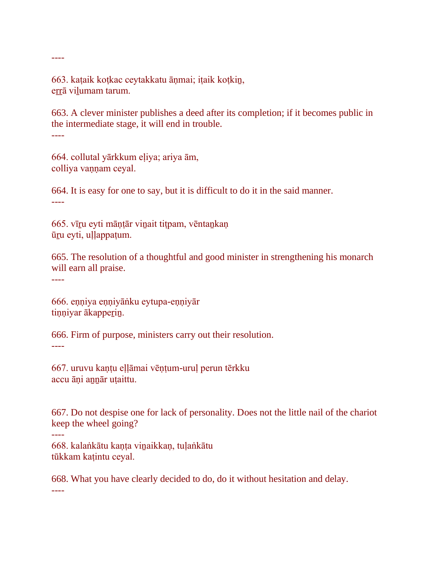663. kaṭaik koṭkac ceytakkatu āṇmai; iṭaik koṭkiṉ, errā viļumam tarum.

663. A clever minister publishes a deed after its completion; if it becomes public in the intermediate stage, it will end in trouble. ----

664. collutal yārkkum eḷiya; ariya ām, colliya vaṇṇam ceyal.

664. It is easy for one to say, but it is difficult to do it in the said manner. ----

665. vīru eyti māntār vinait titpam, vēntankaņ ūṟu eyti, uḷḷappaṭum.

665. The resolution of a thoughtful and good minister in strengthening his monarch will earn all praise.

----

----

----

666. eṇṇiya eṇṇiyāṅku eytupa-eṇṇiyār tiņņiyar ākapperin.

666. Firm of purpose, ministers carry out their resolution. ----

667. uruvu kaṇṭu eḷḷāmai vēṇṭum-uruḷ perun tērkku accu āni annār utaittu.

667. Do not despise one for lack of personality. Does not the little nail of the chariot keep the wheel going?

668. kalaṅkātu kaṇṭa viṉaikkaṇ, tuḷaṅkātu tūkkam kaṭintu ceyal.

668. What you have clearly decided to do, do it without hesitation and delay. ----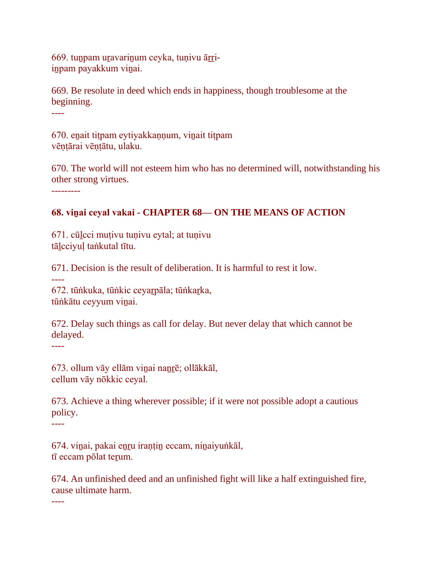669. tuṉpam uṟavariṉum ceyka, tuṇivu āṟṟiinpam payakkum vinai.

669. Be resolute in deed which ends in happiness, though troublesome at the beginning.

----

670. eṉait tiṭpam eytiyakkaṇṇum, viṉait tiṭpam vēntārai vēntātu, ulaku.

670. The world will not esteem him who has no determined will, notwithstanding his other strong virtues.

---------

## **68. viṉai ceyal vakai - CHAPTER 68— ON THE MEANS OF ACTION**

671. cūḻcci muṭivu tuṇivu eytal; at tuṇivu tāḻcciyuḷ taṅkutal tītu.

671. Decision is the result of deliberation. It is harmful to rest it low.

----

672. tūṅkuka, tūṅkic ceyaṟpāla; tūṅkaṟka, tūṅkātu ceyyum vinai.

672. Delay such things as call for delay. But never delay that which cannot be delayed.

----

673. ollum vāy ellām viṉai naṉṟē; ollākkāl, cellum vāy nōkkic ceyal.

673. Achieve a thing wherever possible; if it were not possible adopt a cautious policy.

----

674. vinai, pakai enru irantin eccam, ninaiyuṅkāl, tī eccam pōlat teṟum.

674. An unfinished deed and an unfinished fight will like a half extinguished fire, cause ultimate harm.

----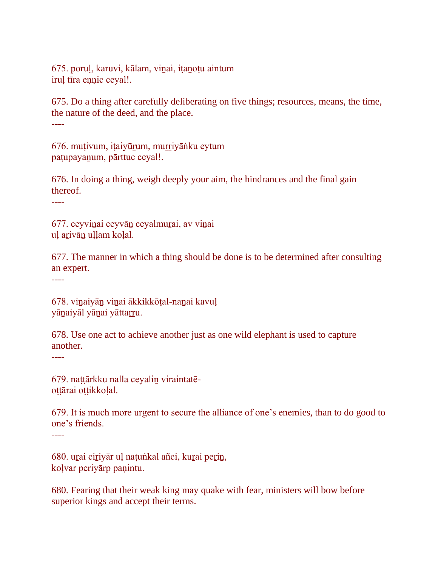675. poruḷ, karuvi, kālam, viṉai, iṭaṉoṭu aintum irul tīra ennic ceyal!.

675. Do a thing after carefully deliberating on five things; resources, means, the time, the nature of the deed, and the place.

----

676. muṭivum, iṭaiyūṟum, muṟṟiyāṅku eytum paṭupayaṉum, pārttuc ceyal!.

676. In doing a thing, weigh deeply your aim, the hindrances and the final gain thereof.

----

677. ceyviṉai ceyvāṉ ceyalmuṟai, av viṉai uḷ aṟivāṉ uḷḷam koḷal.

677. The manner in which a thing should be done is to be determined after consulting an expert.

----

678. viṉaiyāṉ viṉai ākkikkōṭal-naṉai kavuḷ yānaiyāl yāṇai yāttarru.

678. Use one act to achieve another just as one wild elephant is used to capture another.

----

----

679. naṭṭārkku nalla ceyaliṉ viraintatēottārai ottikkolal.

679. It is much more urgent to secure the alliance of one's enemies, than to do good to one's friends.

680. uṟai ciṟiyār uḷ naṭuṅkal añci, kuṟai peṟiṉ, koḷvar periyārp paṇintu.

680. Fearing that their weak king may quake with fear, ministers will bow before superior kings and accept their terms.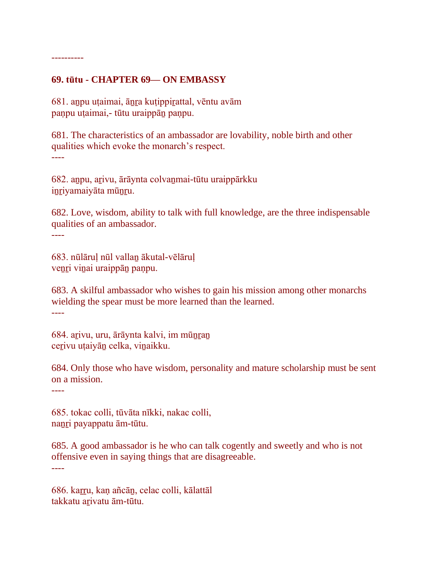#### ----------

#### **69. tūtu - CHAPTER 69— ON EMBASSY**

681. aṉpu uṭaimai, āṉṟa kuṭippiṟattal, vēntu avām paṇpu uṭaimai,- tūtu uraippāṉ paṇpu.

681. The characteristics of an ambassador are lovability, noble birth and other qualities which evoke the monarch's respect. ----

682. aṉpu, aṟivu, ārāynta colvaṉmai-tūtu uraippārkku iṉṟiyamaiyāta mūṉṟu.

682. Love, wisdom, ability to talk with full knowledge, are the three indispensable qualities of an ambassador.

----

683. nūlāruḷ nūl vallaṉ ākutal-vēlāruḷ venri vinai uraippān paṇpu.

683. A skilful ambassador who wishes to gain his mission among other monarchs wielding the spear must be more learned than the learned. ----

684. arivu, uru, ārāynta kalvi, im mūnran cerivu utaiyān celka, vinaikku.

684. Only those who have wisdom, personality and mature scholarship must be sent on a mission.

----

685. tokac colli, tūvāta nīkki, nakac colli, naṉṟi payappatu ām-tūtu.

685. A good ambassador is he who can talk cogently and sweetly and who is not offensive even in saying things that are disagreeable. ----

686. kaṟṟu, kaṇ añcāṉ, celac colli, kālattāl takkatu arivatu ām-tūtu.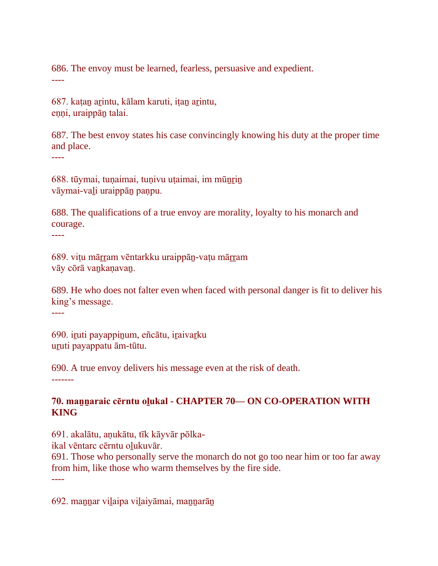686. The envoy must be learned, fearless, persuasive and expedient. ----

687. kaṭaṉ aṟintu, kālam karuti, iṭaṉ aṟintu, enni, uraippān talai.

687. The best envoy states his case convincingly knowing his duty at the proper time and place.

----

688. tūymai, tuṇaimai, tuṇivu uṭaimai, im mūṉṟiṉ vāymai-vaḻi uraippāṉ paṇpu.

688. The qualifications of a true envoy are morality, loyalty to his monarch and courage.

----

689. viṭu māṟṟam vēntarkku uraippāṉ-vaṭu māṟṟam vāy cōrā vaṉkaṇavaṉ.

689. He who does not falter even when faced with personal danger is fit to deliver his king's message.

----

690. iruti payappinum, eñcātu, iraivarku uruti payappatu ām-tūtu.

690. A true envoy delivers his message even at the risk of death.

-------

### **70. maṉṉaraic cērntu oḻukal - CHAPTER 70— ON CO-OPERATION WITH KING**

691. akalātu, aṇukātu, tīk kāyvār pōlka-

ikal vēntarc cērntu olukuvār.

691. Those who personally serve the monarch do not go too near him or too far away from him, like those who warm themselves by the fire side.

----

692. mannar vilaipa vilaiyāmai, mannarān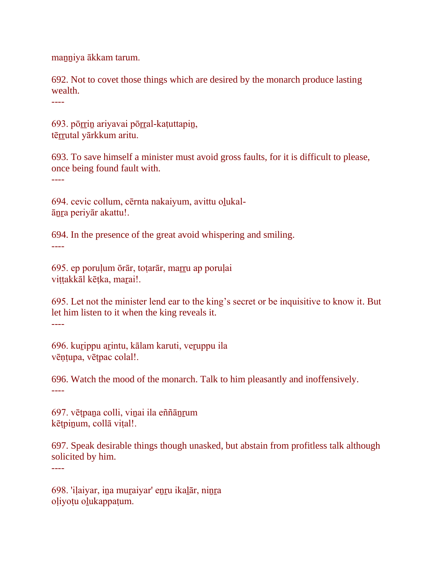maṉṉiya ākkam tarum.

692. Not to covet those things which are desired by the monarch produce lasting wealth.

----

----

693. pōṟṟiṉ ariyavai pōṟṟal-kaṭuttapiṉ, tērrutal yārkkum aritu.

693. To save himself a minister must avoid gross faults, for it is difficult to please, once being found fault with. ----

694. cevic collum, cērnta nakaiyum, avittu oḻukalāṉṟa periyār akattu!.

694. In the presence of the great avoid whispering and smiling. ----

695. ep poruḷum ōrār, toṭarār, maṟṟu ap poruḷai vittakkāl kētka, marai!.

695. Let not the minister lend ear to the king's secret or be inquisitive to know it. But let him listen to it when the king reveals it. ----

696. kurippu arintu, kālam karuti, veruppu ila vēṇṭupa, vēṭpac colal!.

696. Watch the mood of the monarch. Talk to him pleasantly and inoffensively. ----

697. vēṭpaṉa colli, viṉai ila eññāṉṟum kēṭpiṉum, collā viṭal!.

697. Speak desirable things though unasked, but abstain from profitless talk although solicited by him.

698. 'iḷaiyar, iṉa muṟaiyar' eṉṟu ikaḻār, niṉṟa oḷiyoṭu oḻukappaṭum.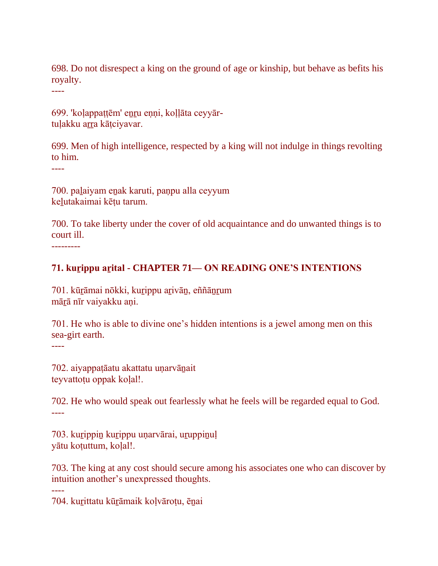698. Do not disrespect a king on the ground of age or kinship, but behave as befits his royalty.

----

699. 'koḷappaṭṭēm' eṉṟu eṇṇi, koḷḷāta ceyyārtulakku arra kātciyavar.

699. Men of high intelligence, respected by a king will not indulge in things revolting to him.

----

700. paḻaiyam eṉak karuti, paṇpu alla ceyyum keḻutakaimai kēṭu tarum.

700. To take liberty under the cover of old acquaintance and do unwanted things is to court ill.

---------

### **71. kuṟippu aṟital - CHAPTER 71— ON READING ONE'S INTENTIONS**

701. kūṟāmai nōkki, kuṟippu aṟivāṉ, eññāṉṟum mārā nīr vaiyakku ani.

701. He who is able to divine one's hidden intentions is a jewel among men on this sea-girt earth.

----

----

702. aiyappaṭāatu akattatu uṇarvāṉait teyvattotu oppak kolal!.

702. He who would speak out fearlessly what he feels will be regarded equal to God. ----

703. kuṟippiṉ kuṟippu uṇarvārai, uṟuppiṉuḷ yātu koṭuttum, koḷal!.

703. The king at any cost should secure among his associates one who can discover by intuition another's unexpressed thoughts.

704. kuṟittatu kūṟāmaik koḷvāroṭu, ēṉai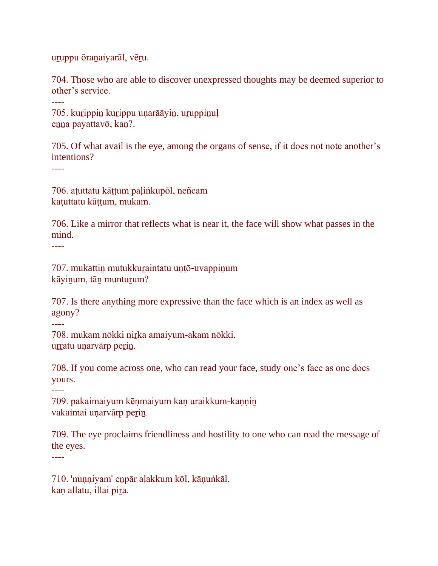uṟuppu ōraṉaiyarāl, vēṟu.

704. Those who are able to discover unexpressed thoughts may be deemed superior to other's service.

705. kurippin kurippu unarāāyin, uruppinuļ enna payattavō, kan?.

705. Of what avail is the eye, among the organs of sense, if it does not note another's intentions?

----

----

706. aṭuttatu kāṭṭum paḷiṅkupōl, neñcam kaṭuttatu kāṭṭum, mukam.

706. Like a mirror that reflects what is near it, the face will show what passes in the mind.

----

707. mukattiṉ mutukkuṟaintatu uṇṭō-uvappiṉum kāyinum, tān munturum?

707. Is there anything more expressive than the face which is an index as well as agony?

----

708. mukam nōkki niṟka amaiyum-akam nōkki, urratu unarvārp perin.

708. If you come across one, who can read your face, study one's face as one does yours.

----

709. pakaimaiyum kēṇmaiyum kaṇ uraikkum-kaṇṇin vakaimai unarvārp perin.

709. The eye proclaims friendliness and hostility to one who can read the message of the eyes.

----

710. 'nuṇṇiyam' eṉpār aḷakkum kōl, kāṇuṅkāl, kan allatu, illai pira.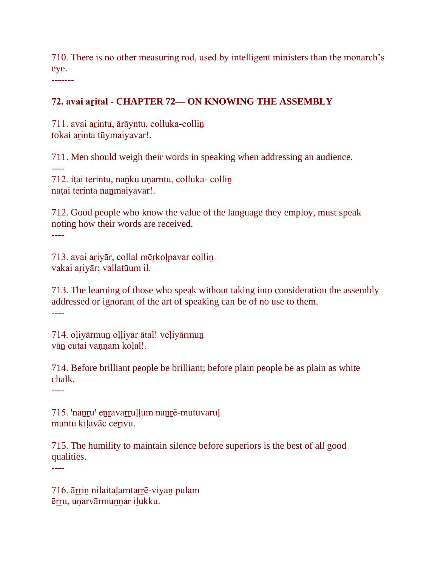710. There is no other measuring rod, used by intelligent ministers than the monarch's eye. -------

**72. avai aṟital - CHAPTER 72— ON KNOWING THE ASSEMBLY**

711. avai arintu, ārāyntu, colluka-collin tokai arinta tūymaiyavar!.

711. Men should weigh their words in speaking when addressing an audience. ----

712. iṭai terintu, naṉku uṇarntu, colluka- colliṉ naṭai terinta naṉmaiyavar!.

712. Good people who know the value of the language they employ, must speak noting how their words are received. ----

713. avai aṟiyār, collal mēṟkoḷpavar colliṉ vakai aṟiyār; vallatūum il.

713. The learning of those who speak without taking into consideration the assembly addressed or ignorant of the art of speaking can be of no use to them. ----

714. oḷiyārmuṉ oḷḷiyar ātal! veḷiyārmuṉ vān cutai vannam kolal!.

714. Before brilliant people be brilliant; before plain people be as plain as white chalk.

----

----

715. 'nanru' enravarruḷḷum nanrē-mutuvaruḷ muntu kilavāc cerivu.

715. The humility to maintain silence before superiors is the best of all good qualities.

716. ārrin nilaitaļarntarrē-viyan pulam ērru, unarvārmunnar ilukku.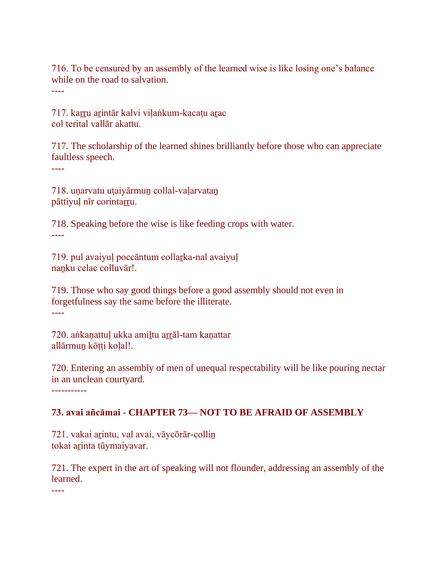716. To be censured by an assembly of the learned wise is like losing one's balance while on the road to salvation.

----

717. karru arintār kalvi viļaṅkum-kacaṭu arac col terital vallār akattu.

717. The scholarship of the learned shines brilliantly before those who can appreciate faultless speech.

----

718. uṇarvatu uṭaiyārmuṉ collal-vaḷarvataṉ pāttiyul nīr corintarru.

718. Speaking before the wise is like feeding crops with water. ----

719. pul avaiyuḷ poccāntum collaṟka-nal avaiyuḷ nanku celac colluvār!.

719. Those who say good things before a good assembly should not even in forgetfulness say the same before the illiterate. ----

720. aṅkanattul ukka amiltu arrāl-tam kanattar allārmun kōtti kolal!.

720. Entering an assembly of men of unequal respectability will be like pouring nectar in an unclean courtyard.

-----------

## **73. avai añcāmai - CHAPTER 73— NOT TO BE AFRAID OF ASSEMBLY**

721. vakai aṟintu, val avai, vāycōrār-colliṉ tokai arinta tūymaiyavar.

721. The expert in the art of speaking will not flounder, addressing an assembly of the learned.

----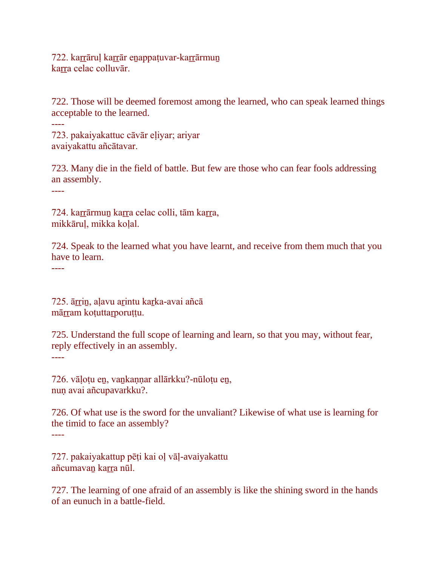722. karrāruļ karrār enappatuvar-karrārmun karra celac colluvār.

722. Those will be deemed foremost among the learned, who can speak learned things acceptable to the learned.

723. pakaiyakattuc cāvār eḷiyar; ariyar avaiyakattu añcātavar.

723. Many die in the field of battle. But few are those who can fear fools addressing an assembly.

----

----

724. karrārmun karra celac colli, tām karra, mikkāruḷ, mikka koḷal.

724. Speak to the learned what you have learnt, and receive from them much that you have to learn.

----

725. ārrin, aļavu arintu karka-avai añcā mārram koṭuttarporuṭṭu.

725. Understand the full scope of learning and learn, so that you may, without fear, reply effectively in an assembly. ----

726. vāḷoṭu eṉ, vaṉkaṇṇar allārkku?-nūloṭu eṉ, nun avai añcupavarkku?.

726. Of what use is the sword for the unvaliant? Likewise of what use is learning for the timid to face an assembly? ----

727. pakaiyakattup pēṭi kai oḷ vāḷ-avaiyakattu añcumavan karra nūl.

727. The learning of one afraid of an assembly is like the shining sword in the hands of an eunuch in a battle-field.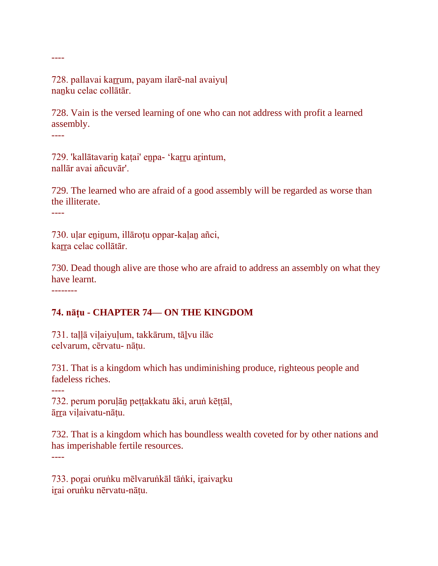728. pallavai karrum, payam ilarē-nal avaiyuļ nanku celac collātār.

728. Vain is the versed learning of one who can not address with profit a learned assembly.

----

----

729. 'kallātavariṉ kaṭai' eṉpa- 'kaṟṟu aṟintum, nallār avai añcuvār'.

729. The learned who are afraid of a good assembly will be regarded as worse than the illiterate.

----

730. uḷar eṉiṉum, illāroṭu oppar-kaḷaṉ añci, karra celac collātār.

730. Dead though alive are those who are afraid to address an assembly on what they have learnt.

--------

#### **74. nāṭu - CHAPTER 74— ON THE KINGDOM**

731. taḷḷā viḷaiyuḷum, takkārum, tāḻvu ilāc celvarum, cērvatu- nāṭu.

731. That is a kingdom which has undiminishing produce, righteous people and fadeless riches.

----

732. perum poruḷāṉ peṭṭakkatu āki, aruṅ kēṭṭāl, ārra viļaivatu-nāțu.

732. That is a kingdom which has boundless wealth coveted for by other nations and has imperishable fertile resources.

----

733. poṟai oruṅku mēlvaruṅkāl tāṅki, iṟaivaṟku iṟai oruṅku nērvatu-nāṭu.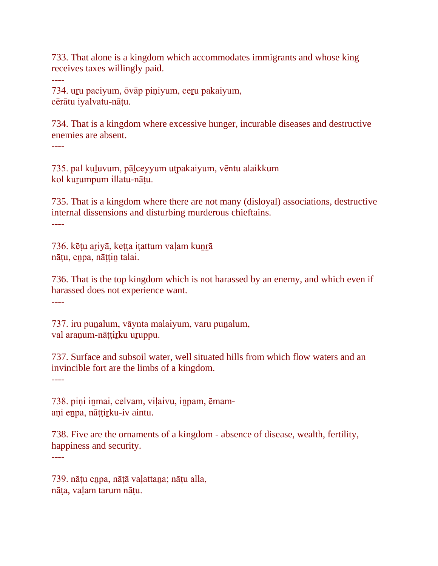733. That alone is a kingdom which accommodates immigrants and whose king receives taxes willingly paid.

734. uṟu paciyum, ōvāp piṇiyum, ceṟu pakaiyum, cērātu iyalvatu-nāṭu.

734. That is a kingdom where excessive hunger, incurable diseases and destructive enemies are absent. ----

735. pal kuḻuvum, pāḻceyyum uṭpakaiyum, vēntu alaikkum kol kuṟumpum illatu-nāṭu.

735. That is a kingdom where there are not many (disloyal) associations, destructive internal dissensions and disturbing murderous chieftains. ----

736. kēṭu aṟiyā, keṭṭa iṭattum vaḷam kuṉṟā nāṭu, eṉpa, nāṭṭiṉ talai.

736. That is the top kingdom which is not harassed by an enemy, and which even if harassed does not experience want. ----

737. iru puṉalum, vāynta malaiyum, varu puṉalum, val aranum-nāttirku uruppu.

737. Surface and subsoil water, well situated hills from which flow waters and an invincible fort are the limbs of a kingdom.

----

----

738. pini inmai, celvam, viļaivu, inpam, ēmamaṇi eṉpa, nāṭṭiṟku-iv aintu.

738. Five are the ornaments of a kingdom - absence of disease, wealth, fertility, happiness and security.

----

739. nāṭu eṉpa, nāṭā vaḷattaṉa; nāṭu alla, nāṭa, vaḷam tarum nāṭu.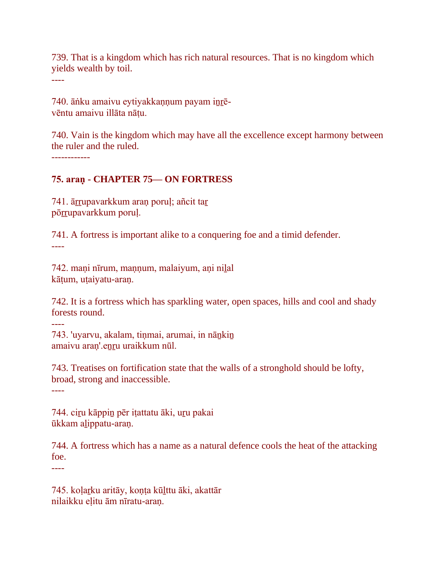739. That is a kingdom which has rich natural resources. That is no kingdom which yields wealth by toil.

----

740. āṅku amaivu eytiyakkaṇṇum payam iṉṟēvēntu amaivu illāta nāṭu.

740. Vain is the kingdom which may have all the excellence except harmony between the ruler and the ruled.

------------

### **75. araṇ - CHAPTER 75— ON FORTRESS**

741. ārrupavarkkum araņ poruļ; añcit tar pōrrupavarkkum poruļ.

741. A fortress is important alike to a conquering foe and a timid defender. ----

742. mani nīrum, mannum, malaiyum, ani nilal kātum, utaiyatu-aran.

742. It is a fortress which has sparkling water, open spaces, hills and cool and shady forests round.

----

743. 'uyarvu, akalam, tinmai, arumai, in nānkin amaivu araṇ'.eṉṟu uraikkum nūl.

743. Treatises on fortification state that the walls of a stronghold should be lofty, broad, strong and inaccessible.

----

744. ciṟu kāppiṉ pēr iṭattatu āki, uṟu pakai ūkkam aḻippatu-araṇ.

744. A fortress which has a name as a natural defence cools the heat of the attacking foe. ----

745. koḷaṟku aritāy, koṇṭa kūḻttu āki, akattār nilaikku eḷitu ām nīratu-araṇ.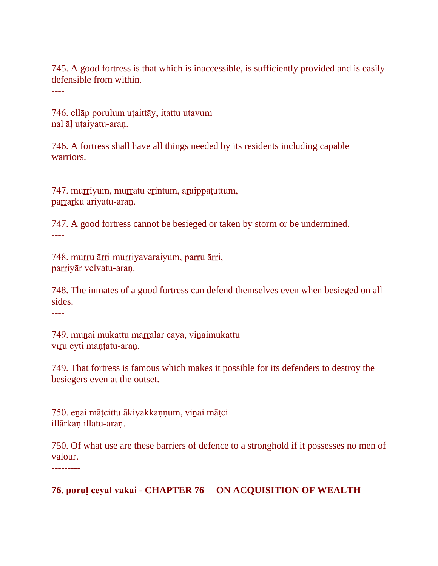745. A good fortress is that which is inaccessible, is sufficiently provided and is easily defensible from within.

----

746. ellāp poruḷum uṭaittāy, iṭattu utavum nal āḷ uṭaiyatu-araṇ.

746. A fortress shall have all things needed by its residents including capable warriors.

----

747. muṟṟiyum, muṟṟātu eṟintum, aṟaippaṭuttum, parrarku ariyatu-aran.

747. A good fortress cannot be besieged or taken by storm or be undermined. ----

748. muṟṟu āṟṟi muṟṟiyavaraiyum, paṟṟu āṟṟi, parriyār velvatu-araņ.

748. The inmates of a good fortress can defend themselves even when besieged on all sides.

----

749. munai mukattu mārralar cāya, vinaimukattu vīru eyti māntatu-aran.

749. That fortress is famous which makes it possible for its defenders to destroy the besiegers even at the outset.

----

750. eṉai māṭcittu ākiyakkaṇṇum, viṉai māṭci illārkan illatu-aran.

750. Of what use are these barriers of defence to a stronghold if it possesses no men of valour.

---------

## **76. poruḷ ceyal vakai - CHAPTER 76— ON ACQUISITION OF WEALTH**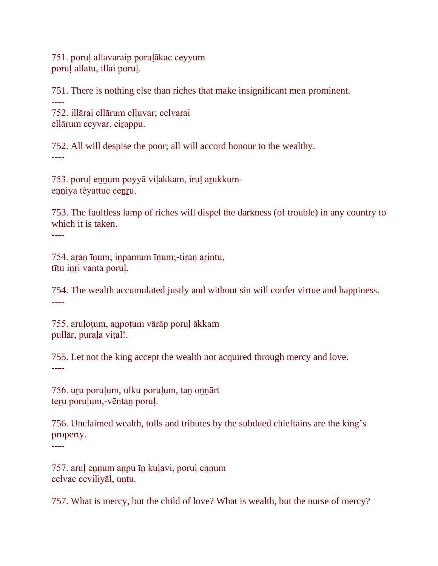751. poruḷ allavaraip poruḷākac ceyyum poruḷ allatu, illai poruḷ.

751. There is nothing else than riches that make insignificant men prominent. ---- 752. illārai ellārum eḷḷuvar; celvarai ellārum ceyvar, ciṟappu.

752. All will despise the poor; all will accord honour to the wealthy. ----

753. poruḷ eṉṉum poyyā viḷakkam, iruḷ aṟukkumeṇṇiya tēyattuc ceṉṟu.

753. The faultless lamp of riches will dispel the darkness (of trouble) in any country to which it is taken.

----

754. aṟaṉ īṉum; iṉpamum īṉum;-tiṟaṉ aṟintu, tītu iṉṟi vanta poruḷ.

754. The wealth accumulated justly and without sin will confer virtue and happiness. ----

755. aruḷoṭum, aṉpoṭum vārāp poruḷ ākkam pullār, purala vital!.

755. Let not the king accept the wealth not acquired through mercy and love. ----

756. uru porulum, ulku porulum, tan onnārt teru porulum,-vēntan porul.

756. Unclaimed wealth, tolls and tributes by the subdued chieftains are the king's property.

----

757. aruļ ennum anpu īn kulavi, poruļ ennum celvac ceviliyāl, uṇṭu.

757. What is mercy, but the child of love? What is wealth, but the nurse of mercy?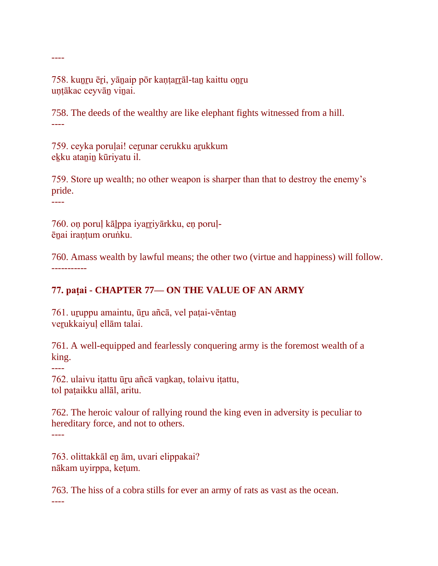758. kunru ēri, yānaip pōr kantarrāl-tan kaittu onru uṇṭākac ceyvāṉ viṉai.

758. The deeds of the wealthy are like elephant fights witnessed from a hill. ----

759. ceyka poruļai! cerunar cerukku arukkum ekku atanin kūriyatu il.

759. Store up wealth; no other weapon is sharper than that to destroy the enemy's pride.

----

----

760. on poruļ kālppa iyarriyārkku, en poruļēṉai iraṇṭum oruṅku.

760. Amass wealth by lawful means; the other two (virtue and happiness) will follow. -----------

# **77. paṭai - CHAPTER 77— ON THE VALUE OF AN ARMY**

761. uṟuppu amaintu, ūṟu añcā, vel paṭai-vēntaṉ verukkaiyuļ ellām talai.

761. A well-equipped and fearlessly conquering army is the foremost wealth of a king.

----

762. ulaivu iṭattu ūṟu añcā vaṉkaṇ, tolaivu iṭattu, tol paṭaikku allāl, aritu.

762. The heroic valour of rallying round the king even in adversity is peculiar to hereditary force, and not to others. ----

763. olittakkāl eṉ ām, uvari elippakai? nākam uyirppa, keṭum.

763. The hiss of a cobra stills for ever an army of rats as vast as the ocean.

----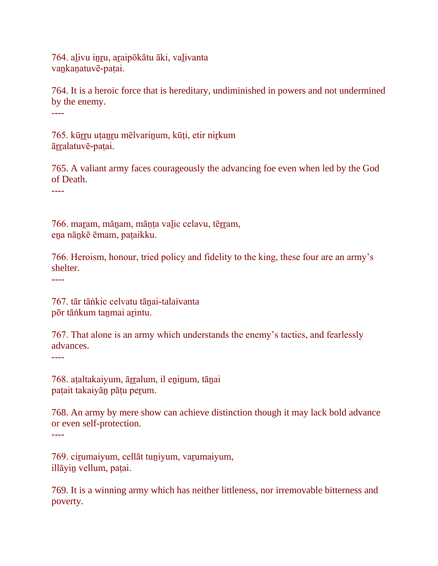764. aḻivu iṉṟu, aṟaipōkātu āki, vaḻivanta vankanatuvē-patai.

764. It is a heroic force that is hereditary, undiminished in powers and not undermined by the enemy. ----

765. kūrru utanru mēlvarinum, kūti, etir nirkum ārralatuvē-patai.

765. A valiant army faces courageously the advancing foe even when led by the God of Death.

----

766. maram, mānam, mānta valic celavu, tērram, eṉa nāṉkē ēmam, paṭaikku.

766. Heroism, honour, tried policy and fidelity to the king, these four are an army's shelter.

----

767. tār tāṅkic celvatu tāṉai-talaivanta pōr tāṅkum taṉmai aṟintu.

767. That alone is an army which understands the enemy's tactics, and fearlessly advances.

----

768. aṭaltakaiyum, ārralum, il eninum, tāṇai paṭait takaiyāṉ pāṭu peṟum.

768. An army by mere show can achieve distinction though it may lack bold advance or even self-protection. ----

769. cirumaiyum, cellāt tuniyum, varumaiyum, illāyiṉ vellum, paṭai.

769. It is a winning army which has neither littleness, nor irremovable bitterness and poverty.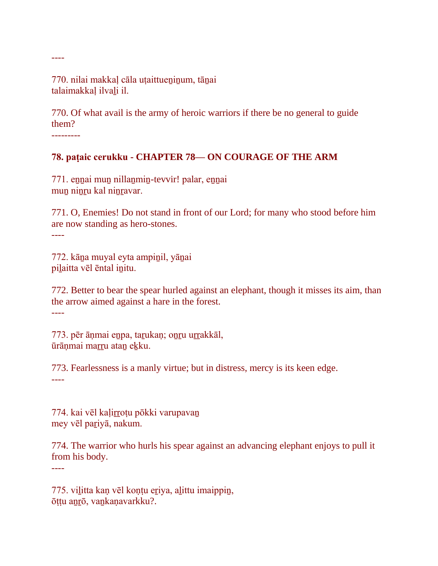770. nilai makkal cāla utaittueninum, tānai talaimakkaḷ ilvaḻi il.

770. Of what avail is the army of heroic warriors if there be no general to guide them?

---------

----

### **78. paṭaic cerukku - CHAPTER 78— ON COURAGE OF THE ARM**

771. eṉṉai muṉ nillaṉmiṉ-tevvir! palar, eṉṉai mun ninru kal ninravar.

771. O, Enemies! Do not stand in front of our Lord; for many who stood before him are now standing as hero-stones.

----

----

772. kāṉa muyal eyta ampiṉil, yāṉai piḻaitta vēl ēntal iṉitu.

772. Better to bear the spear hurled against an elephant, though it misses its aim, than the arrow aimed against a hare in the forest. ----

773. pēr ānmai enpa, tarukan; onru urrakkāl, ūrānmai marru atan ekku.

773. Fearlessness is a manly virtue; but in distress, mercy is its keen edge. ----

774. kai vēl kaļirrotu pōkki varupavan mey vēl paṟiyā, nakum.

774. The warrior who hurls his spear against an advancing elephant enjoys to pull it from his body.

775. viḻitta kaṇ vēl koṇṭu eṟiya, aḻittu imaippiṉ, ōṭṭu aṉṟō, vaṉkaṇavarkku?.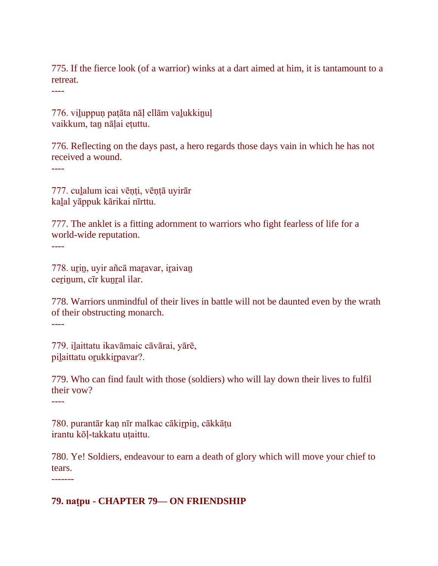775. If the fierce look (of a warrior) winks at a dart aimed at him, it is tantamount to a retreat.

----

776. viḻuppuṇ paṭāta nāḷ ellām vaḻukkiṉuḷ vaikkum, taṉ nāḷai eṭuttu.

776. Reflecting on the days past, a hero regards those days vain in which he has not received a wound.

----

777. cuḻalum icai vēṇṭi, vēṇṭā uyirār kaḻal yāppuk kārikai nīrttu.

777. The anklet is a fitting adornment to warriors who fight fearless of life for a world-wide reputation. ----

778. urin, uyir añcā maravar, iraivan cerinum, cīr kunral ilar.

778. Warriors unmindful of their lives in battle will not be daunted even by the wrath of their obstructing monarch.

----

779. iḻaittatu ikavāmaic cāvārai, yārē, pilaittatu orukkirpavar?.

779. Who can find fault with those (soldiers) who will lay down their lives to fulfil their vow?

----

780. purantār kaṇ nīr malkac cākiṟpiṉ, cākkāṭu irantu kōḷ-takkatu uṭaittu.

780. Ye! Soldiers, endeavour to earn a death of glory which will move your chief to tears.

-------

### **79. naṭpu - CHAPTER 79— ON FRIENDSHIP**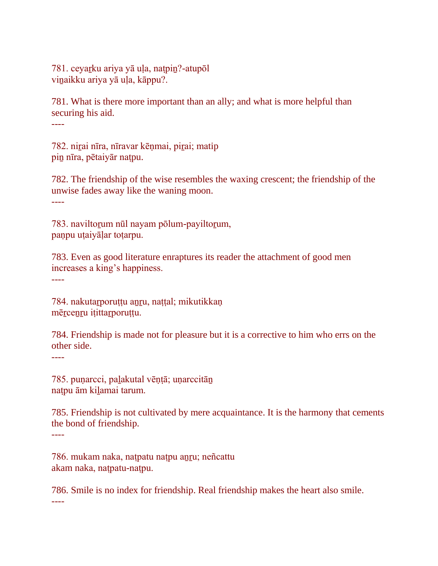781. ceyaṟku ariya yā uḷa, naṭpiṉ?-atupōl vinaikku ariya yā ula, kāppu?.

781. What is there more important than an ally; and what is more helpful than securing his aid.

----

782. nirai nīra, nīravar kēņmai, pirai; matip pin nīra, pētaiyār natpu.

782. The friendship of the wise resembles the waxing crescent; the friendship of the unwise fades away like the waning moon. ----

783. naviltorum nūl nayam pōlum-payiltorum, paṇpu uṭaiyāḷar toṭarpu.

783. Even as good literature enraptures its reader the attachment of good men increases a king's happiness.

----

784. nakutarporuṭṭu anru, naṭṭal; mikutikkaṇ mērcenru itittarporuttu.

784. Friendship is made not for pleasure but it is a corrective to him who errs on the other side.

----

785. puṇarcci, paḻakutal vēṇṭā; uṇarccitāṉ naṭpu ām kiḻamai tarum.

785. Friendship is not cultivated by mere acquaintance. It is the harmony that cements the bond of friendship. ----

786. mukam naka, naṭpatu naṭpu aṉṟu; neñcattu akam naka, naṭpatu-naṭpu.

786. Smile is no index for friendship. Real friendship makes the heart also smile. ----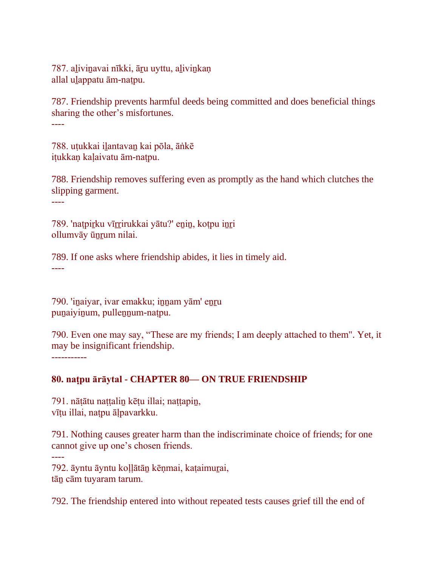787. alivinavai nīkki, āru uyttu, alivinkaņ allal ulappatu ām-natpu.

787. Friendship prevents harmful deeds being committed and does beneficial things sharing the other's misfortunes.

----

788. uṭukkai iḻantavaṉ kai pōla, āṅkē iṭukkaṇ kaḷaivatu ām-naṭpu.

788. Friendship removes suffering even as promptly as the hand which clutches the slipping garment.

----

789. 'natpirku vīrrirukkai yātu?' enin, kotpu inri ollumvāy ūnrum nilai.

789. If one asks where friendship abides, it lies in timely aid. ----

790. 'inaiyar, ivar emakku; innam yām' enru punaiyinum, pullennum-natpu.

790. Even one may say, "These are my friends; I am deeply attached to them". Yet, it may be insignificant friendship. -----------

# **80. naṭpu ārāytal - CHAPTER 80— ON TRUE FRIENDSHIP**

791. nātātu nattalin kētu illai; nattapin, vīṭu illai, naṭpu āḷpavarkku.

791. Nothing causes greater harm than the indiscriminate choice of friends; for one cannot give up one's chosen friends.

----

792. āyntu āyntu koḷḷātāṉ kēṇmai, kaṭaimuṟai, tāṉ cām tuyaram tarum.

792. The friendship entered into without repeated tests causes grief till the end of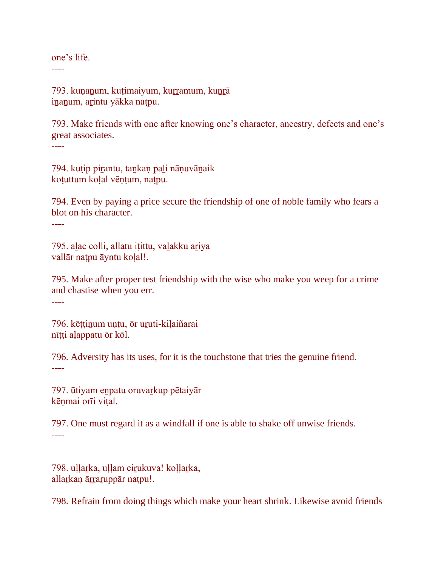one's life. ----

793. kunanum, kutimaiyum, kurramum, kunrā iṉaṉum, aṟintu yākka naṭpu.

793. Make friends with one after knowing one's character, ancestry, defects and one's great associates. ----

794. kuṭip piṟantu, taṉkaṇ paḻi nāṇuvāṉaik koṭuttum koḷal vēṇṭum, naṭpu.

794. Even by paying a price secure the friendship of one of noble family who fears a blot on his character.

----

795. aḻac colli, allatu iṭittu, vaḻakku aṟiya vallār naṭpu āyntu koḷal!.

795. Make after proper test friendship with the wise who make you weep for a crime and chastise when you err. ----

796. kēṭṭiṉum uṇṭu, ōr uṟuti-kiḷaiñarai nītti alappatu ōr kōl.

796. Adversity has its uses, for it is the touchstone that tries the genuine friend. ----

797. ūtiyam eṉpatu oruvaṟkup pētaiyār kēnmai orīi vital.

797. One must regard it as a windfall if one is able to shake off unwise friends. ----

798. ullarka, ullam cirukuva! kollarka, allarkaņ ārraruppār natpu!.

798. Refrain from doing things which make your heart shrink. Likewise avoid friends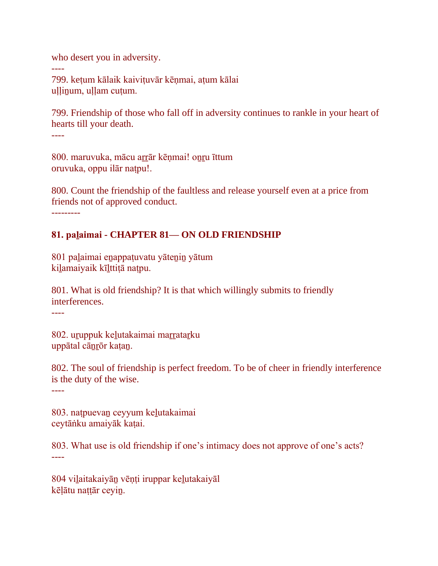who desert you in adversity.

799. keṭum kālaik kaiviṭuvār kēṇmai, aṭum kālai ullinum, ullam cutum.

799. Friendship of those who fall off in adversity continues to rankle in your heart of hearts till your death.

----

----

800. maruvuka, mācu arrār kēnmai! onru īttum oruvuka, oppu ilār naṭpu!.

800. Count the friendship of the faultless and release yourself even at a price from friends not of approved conduct.

---------

### **81. paḻaimai - CHAPTER 81— ON OLD FRIENDSHIP**

801 paḻaimai eṉappaṭuvatu yāteṉiṉ yātum kiḻamaiyaik kīḻttiṭā naṭpu.

801. What is old friendship? It is that which willingly submits to friendly interferences.

----

802. uruppuk kelutakaimai marratarku uppātal cāṉṟōr kaṭaṉ.

802. The soul of friendship is perfect freedom. To be of cheer in friendly interference is the duty of the wise.

----

803. naṭpuevaṉ ceyyum keḻutakaimai ceytāṅku amaiyāk kaṭai.

803. What use is old friendship if one's intimacy does not approve of one's acts? ----

804 viḻaitakaiyāṉ vēṇṭi iruppar keḻutakaiyāl kēḷātu naṭṭār ceyiṉ.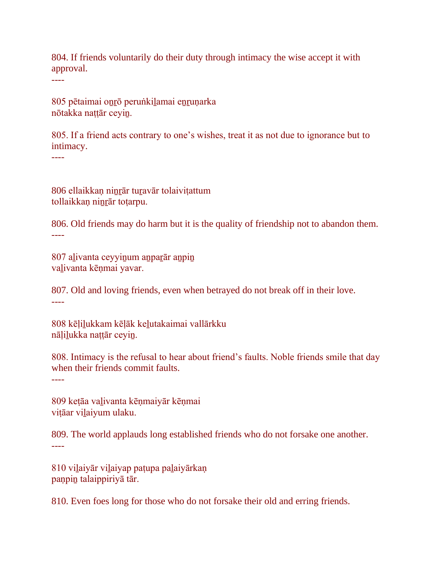804. If friends voluntarily do their duty through intimacy the wise accept it with approval.

----

805 pētaimai oṉṟō peruṅkiḻamai eṉṟuṇarka nōtakka naṭṭār ceyiṉ.

805. If a friend acts contrary to one's wishes, treat it as not due to ignorance but to intimacy.

----

806 ellaikkaṇ niṉṟār tuṟavār tolaiviṭattum tollaikkan ninrār totarpu.

806. Old friends may do harm but it is the quality of friendship not to abandon them. ----

807 aḻivanta ceyyiṉum aṉpaṟār aṉpiṉ vaḻivanta kēṇmai yavar.

807. Old and loving friends, even when betrayed do not break off in their love. ----

808 kēḷiḻukkam kēḷāk keḻutakaimai vallārkku nālilukka nattār ceyin.

808. Intimacy is the refusal to hear about friend's faults. Noble friends smile that day when their friends commit faults.

----

809 keṭāa vaḻivanta kēṇmaiyār kēṇmai vițāar vilaiyum ulaku.

809. The world applauds long established friends who do not forsake one another. ----

810 viḻaiyār viḻaiyap paṭupa paḻaiyārkaṇ paṇpiṉ talaippiriyā tār.

810. Even foes long for those who do not forsake their old and erring friends.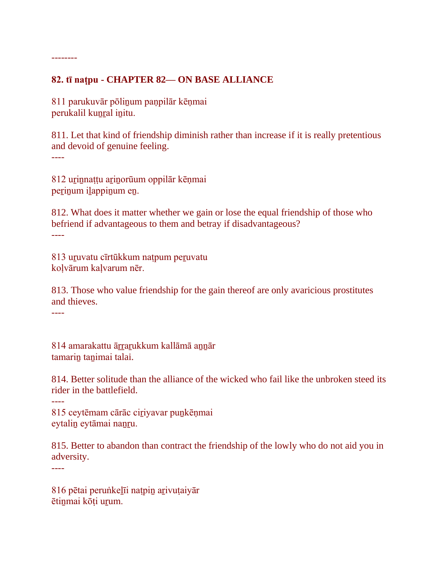## **82. tī naṭpu - CHAPTER 82— ON BASE ALLIANCE**

811 parukuvār pōliṉum paṇpilār kēṇmai perukalil kunral initu.

811. Let that kind of friendship diminish rather than increase if it is really pretentious and devoid of genuine feeling.

----

--------

812 uṟiṉnaṭṭu aṟiṉorūum oppilār kēṇmai perinum ilappinum en.

812. What does it matter whether we gain or lose the equal friendship of those who befriend if advantageous to them and betray if disadvantageous? ----

813 uruvatu cīrtūkkum natpum peruvatu koḷvārum kaḷvarum nēr.

813. Those who value friendship for the gain thereof are only avaricious prostitutes and thieves.

----

814 amarakattu ārrarukkum kallāmā annār tamarin tanimai talai.

814. Better solitude than the alliance of the wicked who fail like the unbroken steed its rider in the battlefield.

----

815 ceytēmam cārāc ciriyavar punkēņmai eytaliṉ eytāmai naṉṟu.

815. Better to abandon than contract the friendship of the lowly who do not aid you in adversity.

----

816 pētai peruṅkeḻīi naṭpiṉ aṟivuṭaiyār ētinmai kōti urum.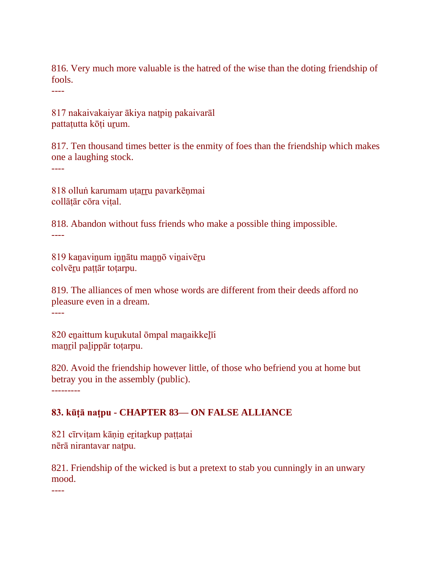816. Very much more valuable is the hatred of the wise than the doting friendship of fools.

----

817 nakaivakaiyar ākiya naṭpiṉ pakaivarāl pattatutta kōti urum.

817. Ten thousand times better is the enmity of foes than the friendship which makes one a laughing stock.

----

818 olluṅ karumam uṭaṟṟu pavarkēṇmai collātār cōra vital.

818. Abandon without fuss friends who make a possible thing impossible. ----

819 kanavinum innātu mannō vinaivēru colvēṟu paṭṭār toṭarpu.

819. The alliances of men whose words are different from their deeds afford no pleasure even in a dream.

----

820 enaittum kurukutal ōmpal manaikkelīi manril palippār totarpu.

820. Avoid the friendship however little, of those who befriend you at home but betray you in the assembly (public).

---------

## **83. kūṭā naṭpu - CHAPTER 83— ON FALSE ALLIANCE**

821 cīrviṭam kāṇiṉ eṟitaṟkup paṭṭaṭai nērā nirantavar naṭpu.

821. Friendship of the wicked is but a pretext to stab you cunningly in an unwary mood.

----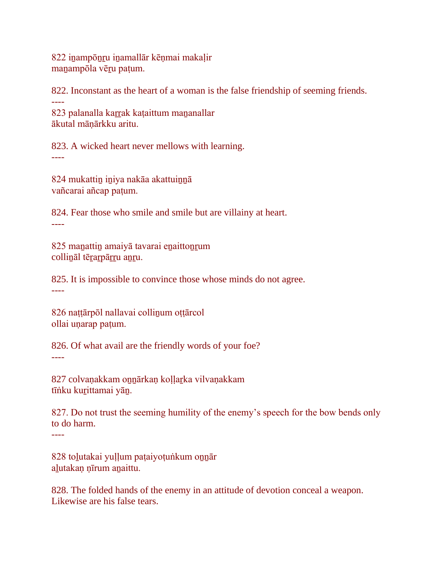822 iṉampōṉṟu iṉamallār kēṇmai makaḷir manampōla vēru paṭum.

822. Inconstant as the heart of a woman is the false friendship of seeming friends. ---- 823 palanalla karrak kaṭaittum mananallar

ākutal māṇārkku aritu.

823. A wicked heart never mellows with learning.

----

824 mukattiṉ iṉiya nakāa akattuiṉṉā vañcarai añcap paṭum.

824. Fear those who smile and smile but are villainy at heart. ----

825 maṉattiṉ amaiyā tavarai eṉaittoṉṟum collināl tērarpārru anru.

825. It is impossible to convince those whose minds do not agree. ----

826 naṭṭārpōl nallavai colliṉum oṭṭārcol ollai uṇarap paṭum.

826. Of what avail are the friendly words of your foe? ----

827 colvaṇakkam onnārkaṇ koḷḷarka vilvaṇakkam tīṅku kuṟittamai yāṉ.

827. Do not trust the seeming humility of the enemy's speech for the bow bends only to do harm. ----

828 toḻutakai yuḷḷum paṭaiyoṭuṅkum oṉṉār alutakan nīrum anaittu.

828. The folded hands of the enemy in an attitude of devotion conceal a weapon. Likewise are his false tears.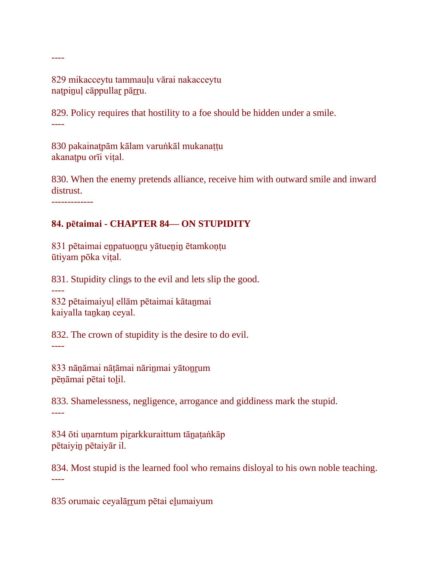829 mikacceytu tammauḷu vārai nakacceytu natpinuļ cāppullar pārru.

829. Policy requires that hostility to a foe should be hidden under a smile. ----

830 pakainaṭpām kālam varuṅkāl mukanaṭṭu akanaṭpu orīi viṭal.

830. When the enemy pretends alliance, receive him with outward smile and inward distrust.

-------------

----

----

# **84. pētaimai - CHAPTER 84— ON STUPIDITY**

831 pētaimai eṉpatuoṉṟu yātueṉiṉ ētamkoṇṭu ūtiyam pōka viṭal.

831. Stupidity clings to the evil and lets slip the good.

832 pētaimaiyuḷ ellām pētaimai kātaṉmai kaiyalla taṉkaṇ ceyal.

832. The crown of stupidity is the desire to do evil. ----

833 nāṇāmai nāṭāmai nārinmai yātonrum pēṇāmai pētai toḻil.

833. Shamelessness, negligence, arrogance and giddiness mark the stupid. ----

834 ōti uṇarntum piṟarkkuraittum tāṉaṭaṅkāp pētaiyiṉ pētaiyār il.

834. Most stupid is the learned fool who remains disloyal to his own noble teaching. ----

835 orumaic ceyalārrum pētai eļumaiyum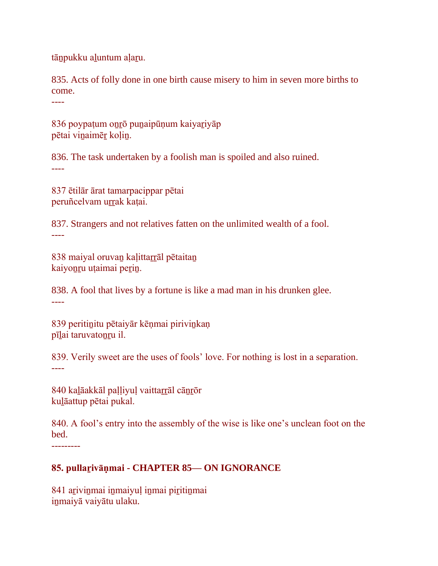tānpukku aļuntum aļaru.

----

835. Acts of folly done in one birth cause misery to him in seven more births to come.

836 poypaṭum oṉṟō puṉaipūṇum kaiyaṟiyāp pētai viṉaimēṟ koḷiṉ.

836. The task undertaken by a foolish man is spoiled and also ruined. ----

837 ētilār ārat tamarpacippar pētai peruñcelvam urrak katai.

837. Strangers and not relatives fatten on the unlimited wealth of a fool. ----

838 maiyal oruvan kaļittarrāl pētaitan kaiyonru uțaimai perin.

838. A fool that lives by a fortune is like a mad man in his drunken glee. ----

839 peritiṉitu pētaiyār kēṇmai piriviṉkaṇ pīlai taruvatonru il.

839. Verily sweet are the uses of fools' love. For nothing is lost in a separation. ----

840 kaļāakkāl paļļiyuļ vaittarrāl cānrōr kuḻāattup pētai pukal.

840. A fool's entry into the assembly of the wise is like one's unclean foot on the bed. ---------

# **85. pullaṟivāṇmai - CHAPTER 85— ON IGNORANCE**

841 arivinmai inmaiyuļ inmai piritinmai iṉmaiyā vaiyātu ulaku.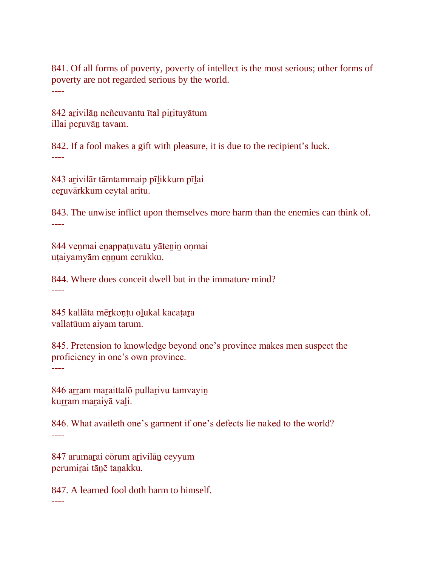841. Of all forms of poverty, poverty of intellect is the most serious; other forms of poverty are not regarded serious by the world. ----

842 arivilān neñcuvantu ītal pirituyātum illai peruvān tavam.

842. If a fool makes a gift with pleasure, it is due to the recipient's luck. ----

843 aṟivilār tāmtammaip pīḻikkum pīḻai ceṟuvārkkum ceytal aritu.

843. The unwise inflict upon themselves more harm than the enemies can think of. ----

844 veṇmai eṉappaṭuvatu yāteṉiṉ oṇmai uṭaiyamyām ennum cerukku.

844. Where does conceit dwell but in the immature mind? ----

845 kallāta mērkontu olukal kacatara vallatūum aiyam tarum.

845. Pretension to knowledge beyond one's province makes men suspect the proficiency in one's own province. ----

846 arram maraittalō pullarivu tamvayin kurram maraiyā vali.

846. What availeth one's garment if one's defects lie naked to the world? ----

847 arumaṟai cōrum aṟivilāṉ ceyyum perumirai tānē tanakku.

----

847. A learned fool doth harm to himself.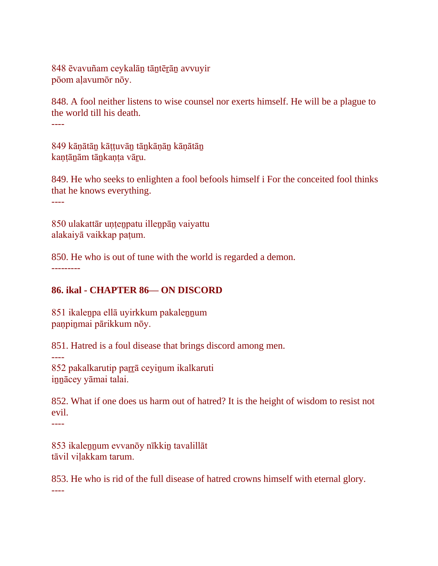848 ēvavuñam ceykalāṉ tāṉtēṟāṉ avvuyir pōom aḷavumōr nōy.

848. A fool neither listens to wise counsel nor exerts himself. He will be a plague to the world till his death.

----

849 kāṇātāṉ kāṭṭuvāṉ tāṉkāṇāṉ kāṇātāṉ kantānām tānkanta vāru.

849. He who seeks to enlighten a fool befools himself i For the conceited fool thinks that he knows everything.

----

850 ulakattār uṇṭeṉpatu illeṉpāṉ vaiyattu alakaiyā vaikkap paṭum.

850. He who is out of tune with the world is regarded a demon. ---------

# **86. ikal - CHAPTER 86— ON DISCORD**

851 ikaleṉpa ellā uyirkkum pakaleṉṉum paṇpiṉmai pārikkum nōy.

851. Hatred is a foul disease that brings discord among men.

----

852 pakalkarutip parrā ceyinum ikalkaruti iṉṉācey yāmai talai.

852. What if one does us harm out of hatred? It is the height of wisdom to resist not evil.

----

853 ikalennum evvanōy nīkkin tavalillāt tāvil viḷakkam tarum.

853. He who is rid of the full disease of hatred crowns himself with eternal glory. ----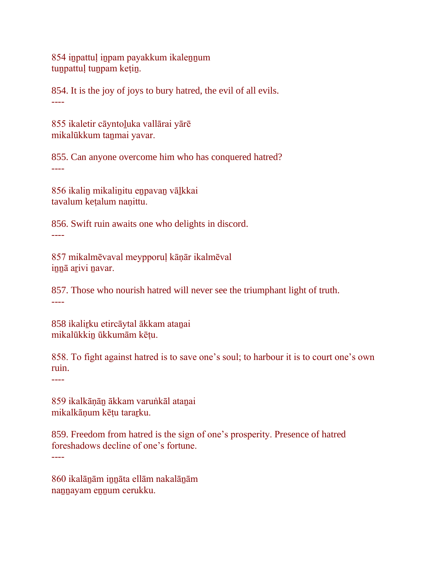854 iṉpattuḷ iṉpam payakkum ikaleṉṉum tunpattuļ tunpam kețin.

854. It is the joy of joys to bury hatred, the evil of all evils. ----

855 ikaletir cāyntoḻuka vallārai yārē mikalūkkum tanmai yavar.

855. Can anyone overcome him who has conquered hatred? ----

856 ikaliṉ mikaliṉitu eṉpavaṉ vāḻkkai tavalum keṭalum naṇittu.

856. Swift ruin awaits one who delights in discord. ----

857 mikalmēvaval meypporuḷ kāṇār ikalmēval innā arivi navar.

857. Those who nourish hatred will never see the triumphant light of truth. ----

858 ikalirku etircāytal ākkam atanai mikalūkkiṉ ūkkumām kēṭu.

858. To fight against hatred is to save one's soul; to harbour it is to court one's own ruin.

----

859 ikalkāṇāṉ ākkam varuṅkāl ataṉai mikalkāṇum kēṭu taraṟku.

859. Freedom from hatred is the sign of one's prosperity. Presence of hatred foreshadows decline of one's fortune.

----

860 ikalāṉām iṉṉāta ellām nakalāṉām nannayam ennum cerukku.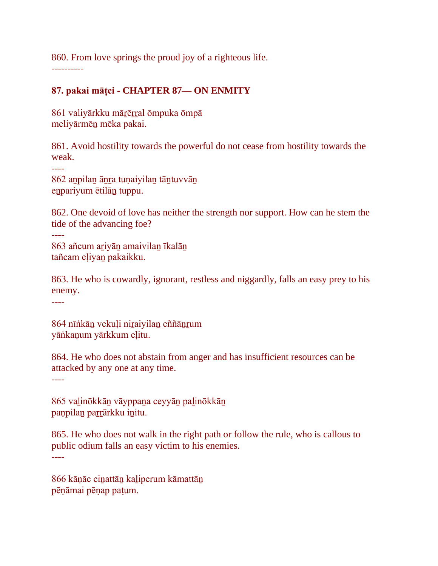860. From love springs the proud joy of a righteous life. ----------

# **87. pakai māṭci - CHAPTER 87— ON ENMITY**

861 valiyārkku mārērral ōmpuka ōmpā meliyārmēṉ mēka pakai.

861. Avoid hostility towards the powerful do not cease from hostility towards the weak.

----

862 aṉpilaṉ āṉṟa tuṇaiyilaṉ tāṉtuvvāṉ eṉpariyum ētilāṉ tuppu.

862. One devoid of love has neither the strength nor support. How can he stem the tide of the advancing foe?

---- 863 añcum aṟiyāṉ amaivilaṉ īkalāṉ tañcam eḷiyaṉ pakaikku.

863. He who is cowardly, ignorant, restless and niggardly, falls an easy prey to his enemy.

----

864 nīṅkāṉ vekuḷi niṟaiyilaṉ eññāṉṟum yāṅkaṇum yārkkum eḷitu.

864. He who does not abstain from anger and has insufficient resources can be attacked by any one at any time.

----

865 vaḻinōkkāṉ vāyppaṉa ceyyāṉ paḻinōkkāṉ panpilan parrārkku initu.

865. He who does not walk in the right path or follow the rule, who is callous to public odium falls an easy victim to his enemies.

----

866 kāṇāc ciṉattāṉ kaḻiperum kāmattāṉ pēṇāmai pēṇap paṭum.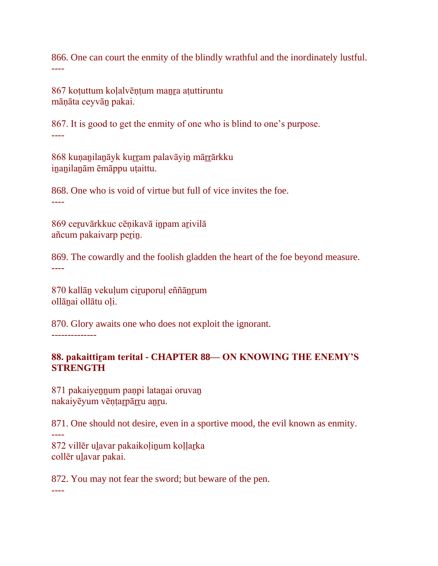866. One can court the enmity of the blindly wrathful and the inordinately lustful. ----

867 kotuttum kolalvēntum manra atuttiruntu māṇāta ceyvāṉ pakai.

867. It is good to get the enmity of one who is blind to one's purpose. ----

868 kunanilanāyk kurram palavāyin mārrārkku iṉaṉilaṉām ēmāppu uṭaittu.

868. One who is void of virtue but full of vice invites the foe. ----

869 ceruvārkkuc cēņikavā inpam arivilā añcum pakaivarp perin.

869. The cowardly and the foolish gladden the heart of the foe beyond measure. ----

870 kallāṉ vekuḷum ciṟuporuḷ eññāṉṟum ollānai ollātu oļi.

870. Glory awaits one who does not exploit the ignorant. --------------

### **88. pakaittiṟam terital - CHAPTER 88— ON KNOWING THE ENEMY'S STRENGTH**

871 pakaiyeṉṉum paṇpi lataṉai oruvaṉ nakaiyēyum vēntarpārru anru.

871. One should not desire, even in a sportive mood, the evil known as enmity.

---- 872 villēr ulavar pakaikoļinum koļļarka collēr ulavar pakai.

872. You may not fear the sword; but beware of the pen.

----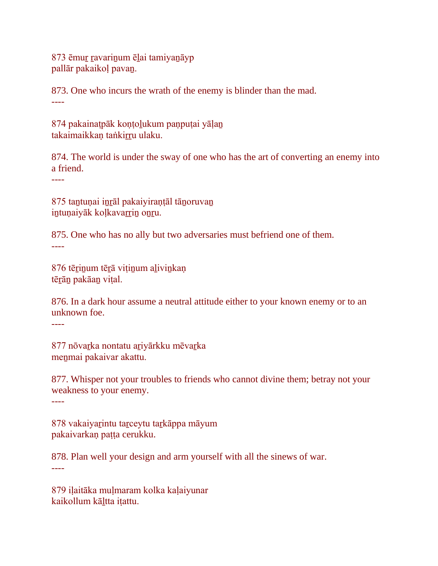873 ēmuṟ ṟavariṉum ēḻai tamiyaṉāyp pallār pakaikoḷ pavaṉ.

873. One who incurs the wrath of the enemy is blinder than the mad. ----

874 pakainaṭpāk koṇṭoḻukum paṇpuṭai yāḷaṉ takaimaikkan taṅkirru ulaku.

874. The world is under the sway of one who has the art of converting an enemy into a friend.

----

875 taṉtuṇai iṉṟāl pakaiyiraṇṭāl tāṉoruvaṉ intunaiyāk koļkavarrin onru.

875. One who has no ally but two adversaries must befriend one of them. ----

876 tērinum tērā vitinum alivinkan tēṟāṉ pakāaṉ viṭal.

876. In a dark hour assume a neutral attitude either to your known enemy or to an unknown foe.

----

877 nōvarka nontatu ariyārkku mēvarka meṉmai pakaivar akattu.

877. Whisper not your troubles to friends who cannot divine them; betray not your weakness to your enemy.

----

878 vakaiyaṟintu taṟceytu taṟkāppa māyum pakaivarkaṇ paṭṭa cerukku.

878. Plan well your design and arm yourself with all the sinews of war. ----

879 iḷaitāka muḷmaram kolka kaḷaiyunar kaikollum kāḻtta iṭattu.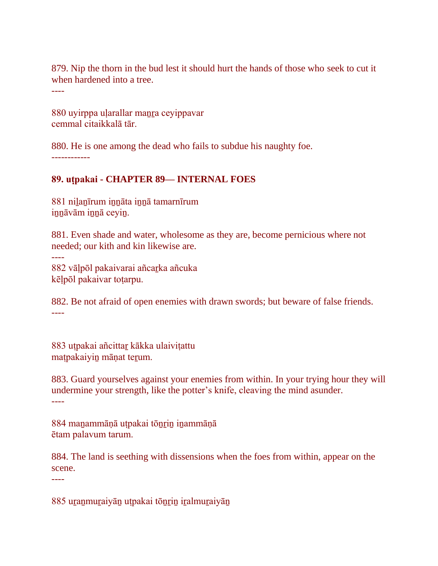879. Nip the thorn in the bud lest it should hurt the hands of those who seek to cut it when hardened into a tree.

----

----

880 uyirppa ularallar manra ceyippavar cemmal citaikkalā tār.

880. He is one among the dead who fails to subdue his naughty foe. ------------

# **89. uṭpakai - CHAPTER 89— INTERNAL FOES**

881 niḻaṉīrum iṉṉāta iṉṉā tamarnīrum iṉṉāvām iṉṉā ceyiṉ.

881. Even shade and water, wholesome as they are, become pernicious where not needed; our kith and kin likewise are.

882 vāḷpōl pakaivarai añcaṟka añcuka kēḷpōl pakaivar toṭarpu.

882. Be not afraid of open enemies with drawn swords; but beware of false friends. ----

883 utpakai añcittar kākka ulaivitattu maṭpakaiyiṉ māṇat teṟum.

883. Guard yourselves against your enemies from within. In your trying hour they will undermine your strength, like the potter's knife, cleaving the mind asunder. ----

884 maṉammāṇā uṭpakai tōṉṟiṉ iṉammāṇā ētam palavum tarum.

884. The land is seething with dissensions when the foes from within, appear on the scene.

----

885 uranmuraiyān utpakai tōnrin iralmuraiyān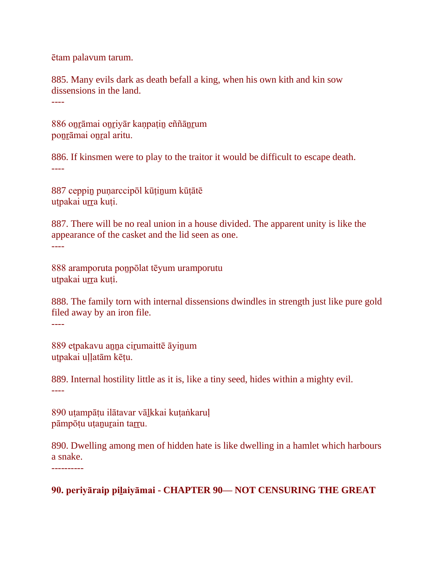ētam palavum tarum.

885. Many evils dark as death befall a king, when his own kith and kin sow dissensions in the land.

----

886 oṉṟāmai oṉṟiyār kaṇpaṭiṉ eññāṉṟum ponrāmai onral aritu.

886. If kinsmen were to play to the traitor it would be difficult to escape death. ----

887 ceppiṉ puṇarccipōl kūṭiṉum kūṭātē utpakai urra kuți.

887. There will be no real union in a house divided. The apparent unity is like the appearance of the casket and the lid seen as one. ----

888 aramporuta poṉpōlat tēyum uramporutu utpakai urra kuți.

888. The family torn with internal dissensions dwindles in strength just like pure gold filed away by an iron file.

----

889 etpakavu anna cirumaittē āyinum uṭpakai uḷḷatām kēṭu.

889. Internal hostility little as it is, like a tiny seed, hides within a mighty evil. ----

890 uṭampāṭu ilātavar vāḻkkai kuṭaṅkaruḷ pāmpōṭu uṭanurain tarru.

890. Dwelling among men of hidden hate is like dwelling in a hamlet which harbours a snake. ----------

**90. periyāraip piḻaiyāmai - CHAPTER 90— NOT CENSURING THE GREAT**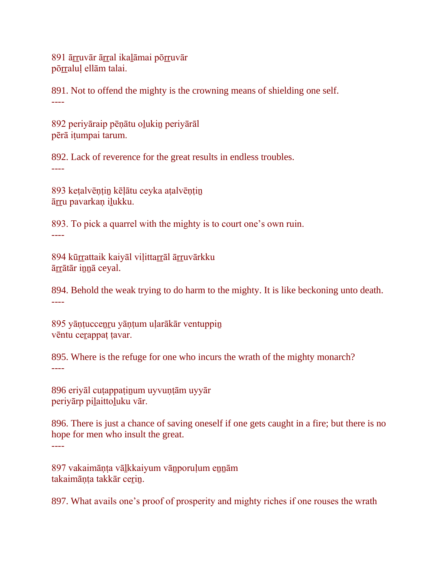891 ārruvār ārral ikaļāmai pōrruvār pōrralul ellām talai.

891. Not to offend the mighty is the crowning means of shielding one self. ----

892 periyāraip pēṇātu oḻukiṉ periyārāl pērā iṭumpai tarum.

892. Lack of reverence for the great results in endless troubles. ----

893 keṭalvēṇṭiṉ kēḷātu ceyka aṭalvēṇṭiṉ ārru pavarkan ilukku.

893. To pick a quarrel with the mighty is to court one's own ruin. ----

894 kūrrattaik kaiyāl viļittarrāl ārruvārkku āṟṟātār iṉṉā ceyal.

894. Behold the weak trying to do harm to the mighty. It is like beckoning unto death. ----

895 yāṇṭucceṉṟu yāṇṭum uḷarākār ventuppiṉ vēntu cerappat tavar.

895. Where is the refuge for one who incurs the wrath of the mighty monarch? ----

896 eriyāl cutappatinum uyvuntām uyyār periyārp pilaittoluku vār.

896. There is just a chance of saving oneself if one gets caught in a fire; but there is no hope for men who insult the great. ----

897 vakaimāņta vālkkaiyum vānporuļum ennām takaimāņța takkār cerin.

897. What avails one's proof of prosperity and mighty riches if one rouses the wrath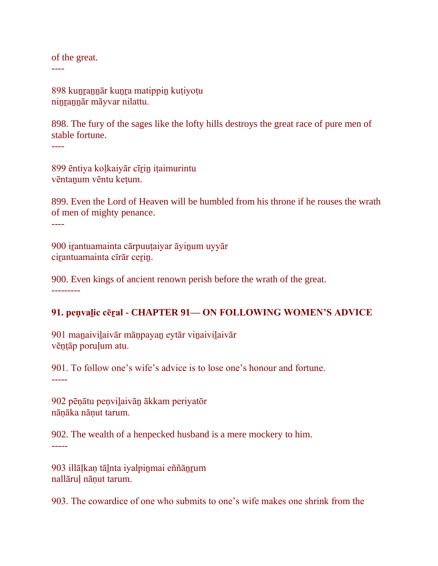of the great.

----

898 kunrannār kunra matippin kutiyotu niṉṟaṉṉār māyvar nilattu.

898. The fury of the sages like the lofty hills destroys the great race of pure men of stable fortune. ----

899 ēntiya koḷkaiyār cīṟiṉ iṭaimurintu vēntaṉum vēntu keṭum.

899. Even the Lord of Heaven will be humbled from his throne if he rouses the wrath of men of mighty penance. ----

900 iṟantuamainta cārpuuṭaiyar āyiṉum uyyār cirantuamainta cīrār cerin.

900. Even kings of ancient renown perish before the wrath of the great. ---------

# **91. peṇvaḻic cēṟal - CHAPTER 91— ON FOLLOWING WOMEN'S ADVICE**

901 manaivilaivār mānpayan eytār vinaivilaivār vēṇṭāp poruḷum atu.

901. To follow one's wife's advice is to lose one's honour and fortune. -----

902 pēṇātu peṇviḻaivāṉ ākkam periyatōr nāṇāka nāṇut tarum.

902. The wealth of a henpecked husband is a mere mockery to him. -----

903 illāḷkaṇ tāḻnta iyalpiṉmai eññāṉṟum nallāruḷ nāṇut tarum.

903. The cowardice of one who submits to one's wife makes one shrink from the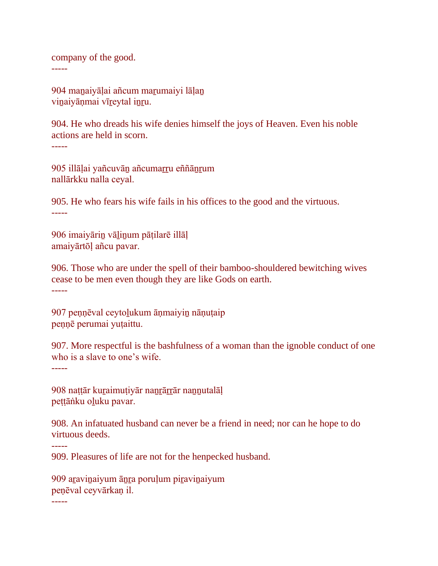company of the good. -----

904 manaiyālai añcum marumaiyi lālan viṉaiyāṇmai vīṟeytal iṉṟu.

904. He who dreads his wife denies himself the joys of Heaven. Even his noble actions are held in scorn. -----

905 illāḷai yañcuvāṉ añcumaṟṟu eññāṉṟum nallārkku nalla ceyal.

905. He who fears his wife fails in his offices to the good and the virtuous. -----

906 imaiyāriṉ vāḻiṉum pāṭilarē illāḷ amaiyārtōḷ añcu pavar.

906. Those who are under the spell of their bamboo-shouldered bewitching wives cease to be men even though they are like Gods on earth. -----

907 peṇṇēval ceytoḻukum āṇmaiyiṉ nāṇuṭaip peṇṇē perumai yuṭaittu.

907. More respectful is the bashfulness of a woman than the ignoble conduct of one who is a slave to one's wife. -----

908 naṭṭār kuṟaimuṭiyār naṉṟāṟṟār naṉṉutalāḷ pettāṅku oluku pavar.

908. An infatuated husband can never be a friend in need; nor can he hope to do virtuous deeds.

-----

909. Pleasures of life are not for the henpecked husband.

909 aravinaiyum ānra poruļum piravinaiyum peṇēval ceyvārkaṇ il.

-----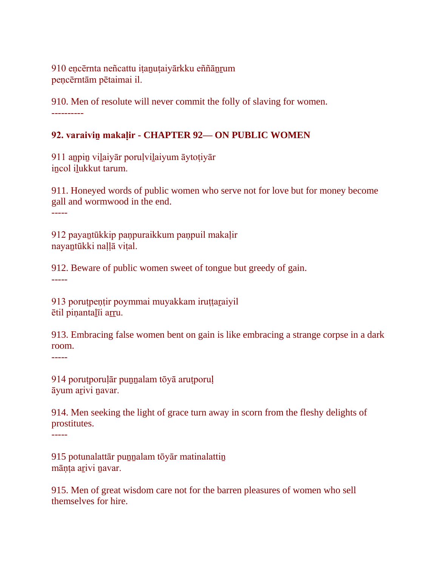910 encērnta neñcattu iṭanuṭaiyārkku eññānrum peṇcērntām pētaimai il.

910. Men of resolute will never commit the folly of slaving for women. ----------

# **92. varaiviṉ makaḷir - CHAPTER 92— ON PUBLIC WOMEN**

911 aṉpiṉ viḻaiyār poruḷviḻaiyum āytoṭiyār incol ilukkut tarum.

911. Honeyed words of public women who serve not for love but for money become gall and wormwood in the end. -----

912 payaṉtūkkip paṇpuraikkum paṇpuil makaḷir nayaṉtūkki naḷḷā viṭal.

912. Beware of public women sweet of tongue but greedy of gain. -----

913 porutpentir poymmai muyakkam iruttaraiyil ētil piṇantaḻīi aṟṟu.

913. Embracing false women bent on gain is like embracing a strange corpse in a dark room.

-----

914 poruṭporuḷār puṉṉalam tōyā aruṭporuḷ āyum aṟivi ṉavar.

914. Men seeking the light of grace turn away in scorn from the fleshy delights of prostitutes. -----

915 potunalattār punnalam tōyār matinalattin māņța arivi navar.

915. Men of great wisdom care not for the barren pleasures of women who sell themselves for hire.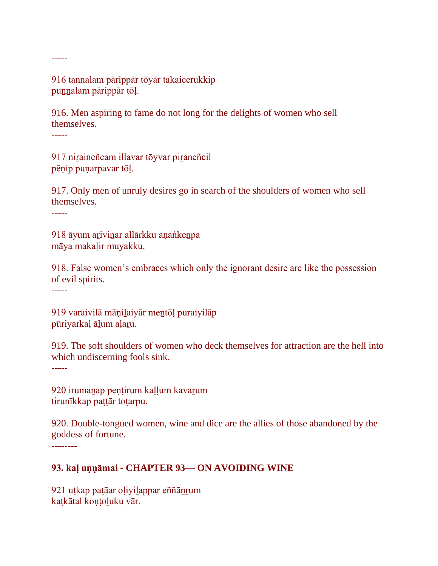916 tannalam pārippār tōyār takaicerukkip puṉṉalam pārippār tōḷ.

916. Men aspiring to fame do not long for the delights of women who sell themselves.

-----

-----

917 niṟaineñcam illavar tōyvar piṟaneñcil pēṇip puṇarpavar tōḷ.

917. Only men of unruly desires go in search of the shoulders of women who sell themselves.

-----

918 āyum aṟiviṉar allārkku aṇaṅkeṉpa māya makaḷir muyakku.

918. False women's embraces which only the ignorant desire are like the possession of evil spirits.

-----

919 varaivilā māṇiḻaiyār meṉtōḷ puraiyilāp pūriyarkaḷ āḻum aḷaṟu.

919. The soft shoulders of women who deck themselves for attraction are the hell into which undiscerning fools sink. -----

920 irumaṉap peṇṭirum kaḷḷum kavaṟum tirunīkkap paṭṭār toṭarpu.

920. Double-tongued women, wine and dice are the allies of those abandoned by the goddess of fortune. --------

# **93. kaḷ uṇṇāmai - CHAPTER 93— ON AVOIDING WINE**

921 uṭkap paṭāar oḷiyiḻappar eññāṉṟum katkātal kontoluku vār.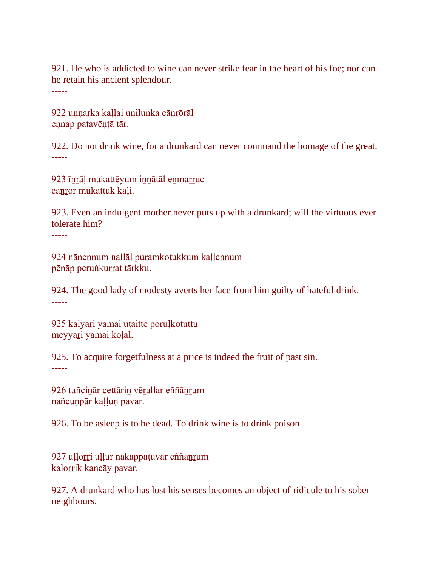921. He who is addicted to wine can never strike fear in the heart of his foe; nor can he retain his ancient splendour. -----

922 unnarka kaḷḷai unilunka cānrōrāl ennap patavēntā tār.

922. Do not drink wine, for a drunkard can never command the homage of the great. -----

923 īṉṟāḷ mukattēyum iṉṉātāl eṉmaṟṟuc cāṉṟōr mukattuk kaḷi.

923. Even an indulgent mother never puts up with a drunkard; will the virtuous ever tolerate him?

-----

924 nāṇeṉṉum nallāḷ puṟamkoṭukkum kaḷḷeṉṉum pēņāp peruṅkurrat tārkku.

924. The good lady of modesty averts her face from him guilty of hateful drink. -----

925 kaiyaṟi yāmai uṭaittē poruḷkoṭuttu meyyari yāmai kolal.

925. To acquire forgetfulness at a price is indeed the fruit of past sin. -----

926 tuñciṉār cettāriṉ vēṟallar eññāṉṟum nañcuṇpār kaḷḷuṇ pavar.

926. To be asleep is to be dead. To drink wine is to drink poison. -----

927 uḷḷoṟṟi uḷḷūr nakappaṭuvar eññāṉṟum kaļorrik kancāy pavar.

927. A drunkard who has lost his senses becomes an object of ridicule to his sober neighbours.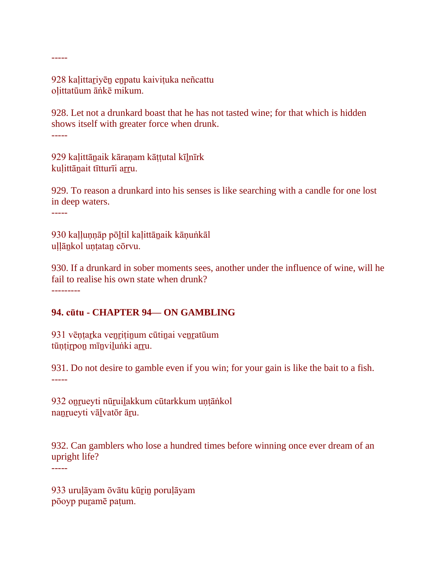928 kaḷittaṟiyēṉ eṉpatu kaiviṭuka neñcattu oḷittatūum āṅkē mikum.

928. Let not a drunkard boast that he has not tasted wine; for that which is hidden shows itself with greater force when drunk. -----

929 kaḷittāṉaik kāraṇam kāṭṭutal kīḻnīrk kuļittānait tītturīi arru.

929. To reason a drunkard into his senses is like searching with a candle for one lost in deep waters.

-----

-----

930 kaḷḷuṇṇāp pōḻtil kaḷittāṉaik kāṇuṅkāl uļļānkol untatan cōrvu.

930. If a drunkard in sober moments sees, another under the influence of wine, will he fail to realise his own state when drunk? ---------

### **94. cūtu - CHAPTER 94— ON GAMBLING**

931 vēntarka venritinum cūtinai venratūum tūņțirpon mīnvilunki arru.

931. Do not desire to gamble even if you win; for your gain is like the bait to a fish. -----

932 onrueyti nūruilakkum cūtarkkum untāṅkol nanrueyti vālvatōr āru.

932. Can gamblers who lose a hundred times before winning once ever dream of an upright life?

-----

933 uruḷāyam ōvātu kūṟiṉ poruḷāyam pōoyp puṟamē paṭum.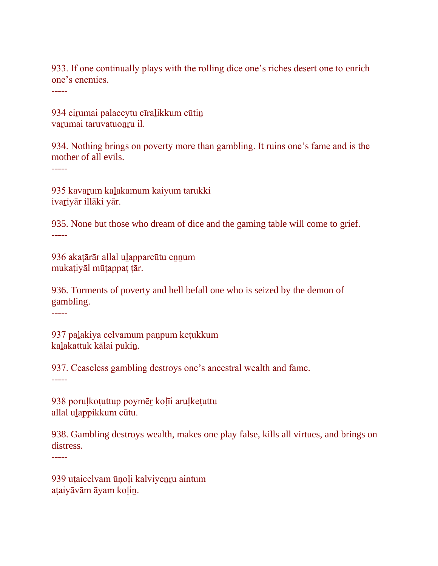933. If one continually plays with the rolling dice one's riches desert one to enrich one's enemies.

-----

934 cirumai palaceytu cīralikkum cūtin varumai taruvatuonru il.

934. Nothing brings on poverty more than gambling. It ruins one's fame and is the mother of all evils.

-----

935 kavaṟum kaḻakamum kaiyum tarukki ivaṟiyār illāki yār.

935. None but those who dream of dice and the gaming table will come to grief. -----

936 akaṭārār allal ulapparcūtu ennum mukaṭiyāl mūṭappaṭ ṭār.

936. Torments of poverty and hell befall one who is seized by the demon of gambling.

-----

937 paḻakiya celvamum paṇpum keṭukkum kaḻakattuk kālai pukiṉ.

937. Ceaseless gambling destroys one's ancestral wealth and fame.

-----

938 poruḷkoṭuttup poymēṟ koḷīi aruḷkeṭuttu allal uḻappikkum cūtu.

938. Gambling destroys wealth, makes one play false, kills all virtues, and brings on distress.

-----

939 utaicelvam ūnoļi kalviyenru aintum aṭaiyāvām āyam koḷiṉ.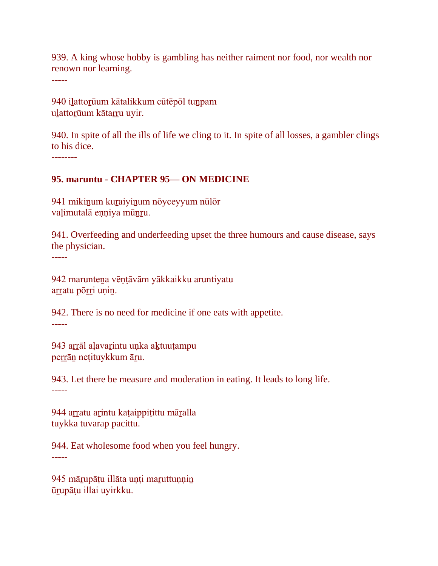939. A king whose hobby is gambling has neither raiment nor food, nor wealth nor renown nor learning.

-----

940 iḻattoṟūum kātalikkum cūtēpōl tuṉpam ulattorūum kātarru uyir.

940. In spite of all the ills of life we cling to it. In spite of all losses, a gambler clings to his dice.

--------

#### **95. maruntu - CHAPTER 95— ON MEDICINE**

941 mikiṉum kuṟaiyiṉum nōyceyyum nūlōr valimutalā enniya mūnru.

941. Overfeeding and underfeeding upset the three humours and cause disease, says the physician.

-----

942 marunteṉa vēṇṭāvām yākkaikku aruntiyatu arratu pōrri unin.

942. There is no need for medicine if one eats with appetite. -----

943 arrāl alavarintu unka aktuutampu perrān nețituykkum āru.

943. Let there be measure and moderation in eating. It leads to long life. -----

944 arratu arintu kaṭaippiṭittu māralla tuykka tuvarap pacittu.

944. Eat wholesome food when you feel hungry. -----

945 mārupāṭu illāta unṭi maruttunnin ūṟupāṭu illai uyirkku.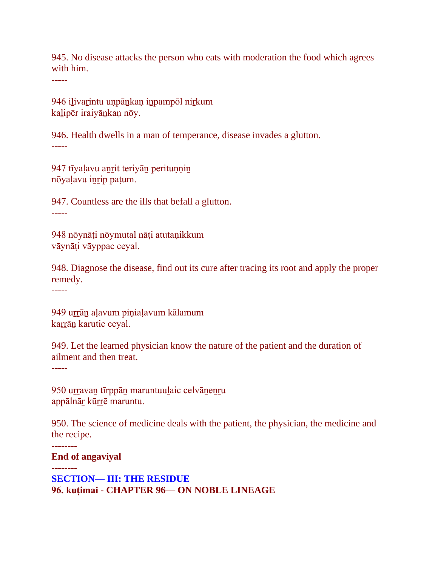945. No disease attacks the person who eats with moderation the food which agrees with him.

-----

946 iḻivaṟintu uṇpāṉkaṇ iṉpampōl niṟkum kalipēr iraiyānkan nōy.

946. Health dwells in a man of temperance, disease invades a glutton. -----

947 tīyaļavu anrit teriyān perituņņin nōyaḷavu iṉṟip paṭum.

947. Countless are the ills that befall a glutton.

-----

948 nōynāṭi nōymutal nāṭi atutaṇikkum vāynāṭi vāyppac ceyal.

948. Diagnose the disease, find out its cure after tracing its root and apply the proper remedy.

-----

949 urrān aļavum piņiaļavum kālamum karrān karutic ceyal.

949. Let the learned physician know the nature of the patient and the duration of ailment and then treat. -----

950 urravan tīrppān maruntuulaic celvānenru appālnār kūrrē maruntu.

950. The science of medicine deals with the patient, the physician, the medicine and the recipe.

**End of angaviyal**

--------

-------- **SECTION— III: THE RESIDUE 96. kuṭimai - CHAPTER 96— ON NOBLE LINEAGE**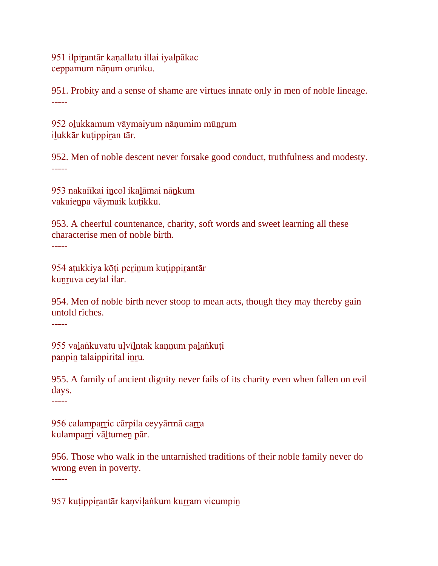951 ilpirantār kanallatu illai iyalpākac ceppamum nāṇum oruṅku.

951. Probity and a sense of shame are virtues innate only in men of noble lineage. -----

952 olukkamum vāymaiyum nānumim mūnrum ilukkār kutippiran tār.

952. Men of noble descent never forsake good conduct, truthfulness and modesty. -----

953 nakaiīkai incol ikalāmai nānkum vakaieṉpa vāymaik kuṭikku.

953. A cheerful countenance, charity, soft words and sweet learning all these characterise men of noble birth. -----

954 aṭukkiya kōṭi peṟiṉum kuṭippiṟantār kunruva ceytal ilar.

954. Men of noble birth never stoop to mean acts, though they may thereby gain untold riches.

-----

955 valaṅkuvatu ulvīlntak kannum palaṅkuti paṇpin talaippirital inru.

955. A family of ancient dignity never fails of its charity even when fallen on evil days.

-----

956 calamparric cārpila ceyyārmā carra kulamparri vāltumen pār.

956. Those who walk in the untarnished traditions of their noble family never do wrong even in poverty. -----

957 kutippirantār kaṇviḷaṅkum kurram vicumpin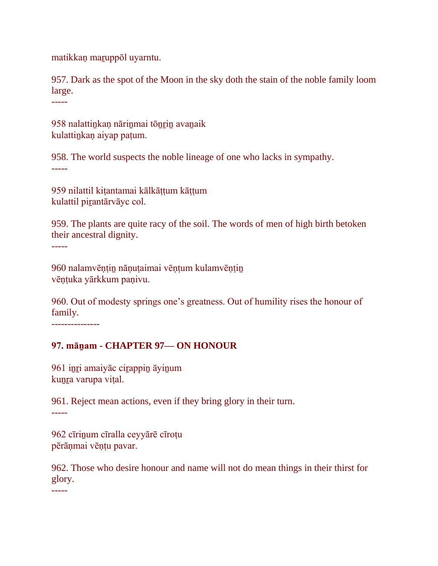matikkaṇ maṟuppōl uyarntu.

957. Dark as the spot of the Moon in the sky doth the stain of the noble family loom large.

-----

958 nalattinkan nārinmai tōnrin avanaik kulattiṉkaṇ aiyap paṭum.

958. The world suspects the noble lineage of one who lacks in sympathy. -----

959 nilattil kitantamai kālkāttum kāttum kulattil piṟantārvāyc col.

959. The plants are quite racy of the soil. The words of men of high birth betoken their ancestral dignity. -----

960 nalamvēṇṭiṉ nāṇuṭaimai vēṇṭum kulamvēṇṭiṉ vēṇṭuka yārkkum paṇivu.

960. Out of modesty springs one's greatness. Out of humility rises the honour of family.

---------------

### **97. māṉam - CHAPTER 97— ON HONOUR**

961 inri amaiyāc cirappin āyinum kuṉṟa varupa viṭal.

961. Reject mean actions, even if they bring glory in their turn. -----

962 cīriṉum cīralla ceyyārē cīroṭu pērāṇmai vēṇṭu pavar.

962. Those who desire honour and name will not do mean things in their thirst for glory.

-----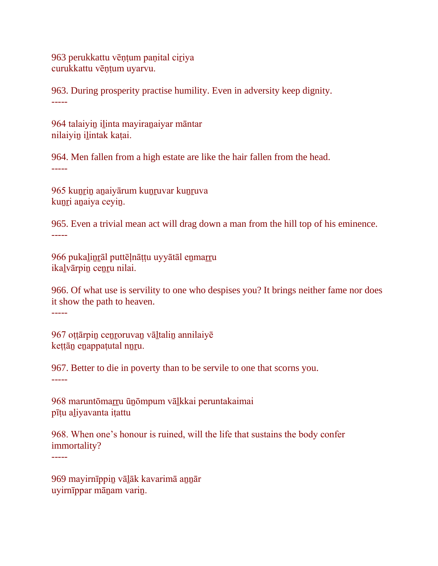963 perukkattu vēṇṭum paṇital ciṟiya curukkattu vēṇṭum uyarvu.

963. During prosperity practise humility. Even in adversity keep dignity. -----

964 talaiyiṉ iḻinta mayiraṉaiyar māntar nilaiyiṉ iḻintak kaṭai.

964. Men fallen from a high estate are like the hair fallen from the head. -----

965 kunrin anaiyārum kunruvar kunruva kunri anaiya ceyin.

965. Even a trivial mean act will drag down a man from the hill top of his eminence. -----

966 pukaḻiṉṟāl puttēḷnāṭṭu uyyātāl eṉmaṟṟu ikaḻvārpiṉ ceṉṟu nilai.

966. Of what use is servility to one who despises you? It brings neither fame nor does it show the path to heaven.

-----

967 ottārpin cenroruvan vāltalin annilaiyē kettān enappatutal nnru.

967. Better to die in poverty than to be servile to one that scorns you. -----

968 maruntōmarru ūnōmpum vālkkai peruntakaimai pīṭu aḻiyavanta iṭattu

968. When one's honour is ruined, will the life that sustains the body confer immortality?

-----

969 mayirnīppin vālāk kavarimā annār uyirnīppar māṉam variṉ.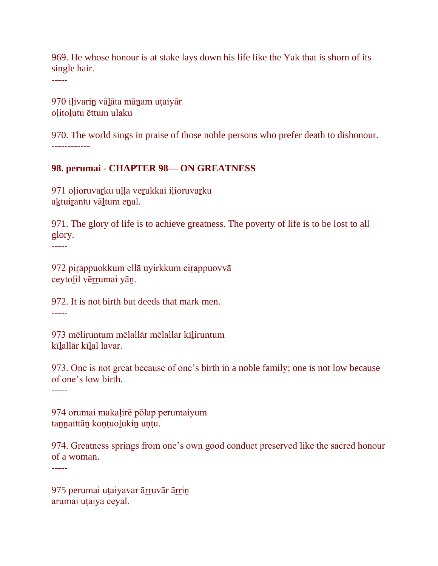969. He whose honour is at stake lays down his life like the Yak that is shorn of its single hair.

-----

970 iḷivariṉ vāḻāta māṉam uṭaiyār oḷitoḻutu ēttum ulaku

970. The world sings in praise of those noble persons who prefer death to dishonour. ------------

### **98. perumai - CHAPTER 98— ON GREATNESS**

971 olioruvarku ulla verukkai ilioruvarku aktuirantu vāltum enal.

971. The glory of life is to achieve greatness. The poverty of life is to be lost to all glory.

972 piṟappuokkum ellā uyirkkum ciṟappuovvā ceytolil vērrumai yān.

972. It is not birth but deeds that mark men. -----

973 mēliruntum mēlallār mēlallar kīliruntum kīlallār kīlal lavar.

973. One is not great because of one's birth in a noble family; one is not low because of one's low birth.

-----

-----

-----

974 orumai makaḷirē pōlap perumaiyum taṉṉaittāṉ koṇṭuoḻukiṉ uṇṭu.

974. Greatness springs from one's own good conduct preserved like the sacred honour of a woman.

975 perumai uṭaiyavar ārruvār ārrin arumai uṭaiya ceyal.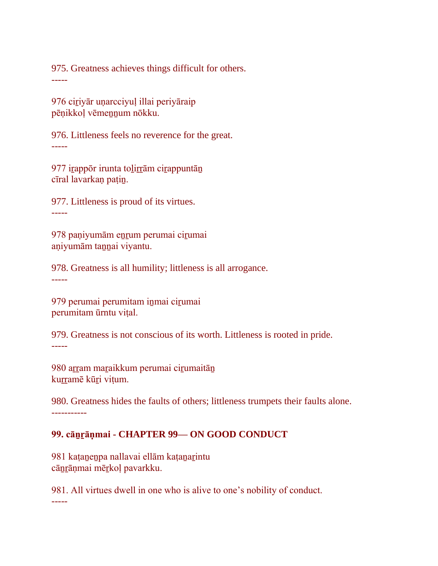975. Greatness achieves things difficult for others. -----

976 ciṟiyār uṇarcciyuḷ illai periyāraip pēņikkoļ vēmennum nōkku.

976. Littleness feels no reverence for the great. -----

977 irappōr irunta tolirrām cirappuntān cīral lavarkaṇ paṭiṉ.

977. Littleness is proud of its virtues. -----

978 paṇiyumām eṉṟum perumai ciṟumai aṇiyumām taṉṉai viyantu.

978. Greatness is all humility; littleness is all arrogance. -----

979 perumai perumitam inmai cirumai perumitam ūrntu viṭal.

979. Greatness is not conscious of its worth. Littleness is rooted in pride. -----

980 arram maraikkum perumai cirumaitān kurramē kūri vitum.

980. Greatness hides the faults of others; littleness trumpets their faults alone. -----------

### **99. cāṉṟāṇmai - CHAPTER 99— ON GOOD CONDUCT**

981 kaṭaṉeṉpa nallavai ellām kaṭaṉaṟintu cāṉṟāṇmai mēṟkoḷ pavarkku.

981. All virtues dwell in one who is alive to one's nobility of conduct. -----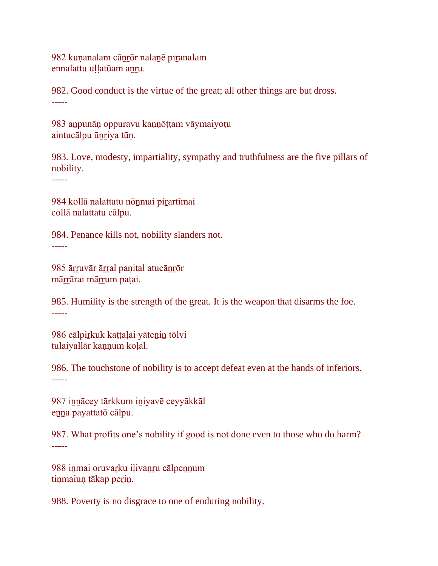982 kuṇanalam cāṉṟōr nalaṉē piṟanalam ennalattu ullatūam anru.

982. Good conduct is the virtue of the great; all other things are but dross. -----

983 aṉpunāṇ oppuravu kaṇṇōṭṭam vāymaiyoṭu aintucālpu ūnriya tūn.

983. Love, modesty, impartiality, sympathy and truthfulness are the five pillars of nobility.

-----

984 kollā nalattatu nōṉmai piṟartīmai collā nalattatu cālpu.

984. Penance kills not, nobility slanders not. -----

985 ārruvār ārral panital atucānrōr mārrārai mārrum paṭai.

985. Humility is the strength of the great. It is the weapon that disarms the foe. -----

986 cālpirkuk kattalai yātenin tōlvi tulaiyallār kannum kolal.

986. The touchstone of nobility is to accept defeat even at the hands of inferiors. -----

987 innācey tārkkum iniyavē ceyyākkāl enna payattatō cālpu.

987. What profits one's nobility if good is not done even to those who do harm? -----

988 inmai oruvarku ilivanru cālpennum tinmaiun tākap perin.

988. Poverty is no disgrace to one of enduring nobility.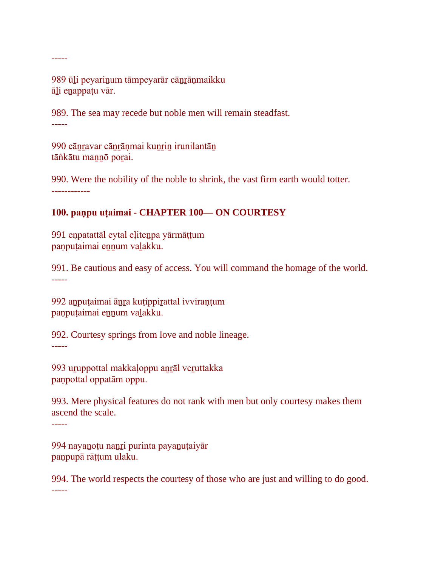-----

989 ūli peyarinum tāmpeyarār cānrānmaikku āḻi eṉappaṭu vār.

989. The sea may recede but noble men will remain steadfast. -----

990 cānravar cānrānmai kunrin irunilantān tāṅkātu mannō porai.

990. Were the nobility of the noble to shrink, the vast firm earth would totter. ------------

# **100. paṇpu uṭaimai - CHAPTER 100— ON COURTESY**

991 eṇpatattāl eytal eḷiteṉpa yārmāṭṭum paṇpuṭaimai eṉṉum vaḻakku.

991. Be cautious and easy of access. You will command the homage of the world. -----

992 aṉpuṭaimai āṉṟa kuṭippiṟattal ivviraṇṭum paṇpuṭaimai eṉṉum vaḻakku.

992. Courtesy springs from love and noble lineage. -----

993 uruppottal makkaloppu anrāl veruttakka paṇpottal oppatām oppu.

993. Mere physical features do not rank with men but only courtesy makes them ascend the scale.

-----

994 nayanotu nanri purinta payanutaiyār paṇpupā rāṭṭum ulaku.

994. The world respects the courtesy of those who are just and willing to do good. -----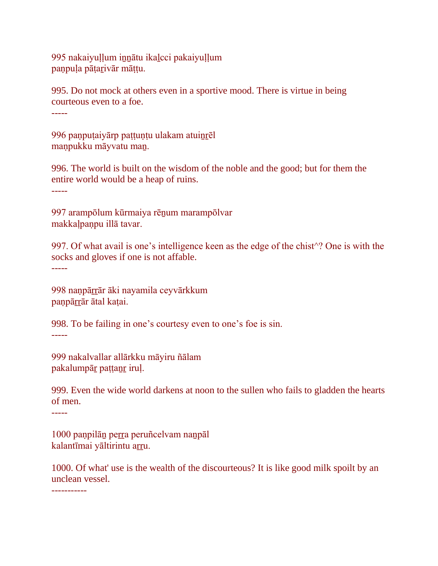995 nakaiyuḷḷum iṉṉātu ikaḻcci pakaiyuḷḷum paṇpuḷa pāṭaṟivār māṭṭu.

995. Do not mock at others even in a sportive mood. There is virtue in being courteous even to a foe. -----

996 paṇpuṭaiyārp paṭṭuṇṭu ulakam atuiṉṟēl maṇpukku māyvatu maṉ.

996. The world is built on the wisdom of the noble and the good; but for them the entire world would be a heap of ruins. -----

997 arampōlum kūrmaiya rēnum marampōlvar makkaḷpaṇpu illā tavar.

997. Of what avail is one's intelligence keen as the edge of the chist^? One is with the socks and gloves if one is not affable. -----

998 nanpārrār āki nayamila ceyvārkkum panpārrār ātal kaṭai.

998. To be failing in one's courtesy even to one's foe is sin. -----

999 nakalvallar allārkku māyiru ñālam pakalumpāṟ paṭṭaṉṟ iruḷ.

999. Even the wide world darkens at noon to the sullen who fails to gladden the hearts of men.

-----

1000 paṇpilāṉ peṟṟa peruñcelvam naṉpāl kalantīmai yāltirintu arru.

1000. Of what' use is the wealth of the discourteous? It is like good milk spoilt by an unclean vessel.

-----------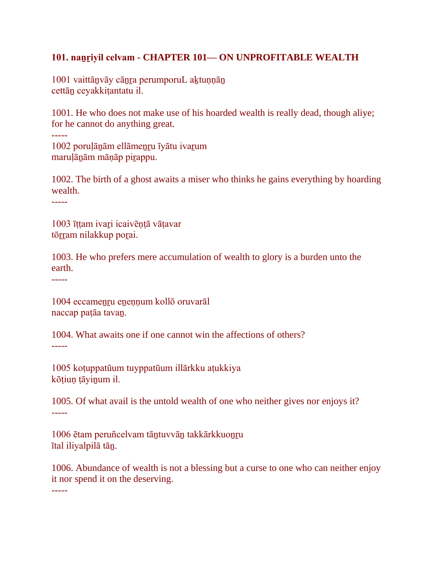### **101. naṉṟiyil celvam - CHAPTER 101— ON UNPROFITABLE WEALTH**

1001 vaittānvāy cānra perumporuL aktunnān cettāṉ ceyakkiṭantatu il.

1001. He who does not make use of his hoarded wealth is really dead, though aliye; for he cannot do anything great.

1002 porulānām ellāmenru īyātu ivarum maruḷāṉām māṇāp piṟappu.

1002. The birth of a ghost awaits a miser who thinks he gains everything by hoarding wealth.

-----

-----

1003 īṭṭam ivaṟi icaivēṇṭā vāṭavar tōrram nilakkup porai.

1003. He who prefers mere accumulation of wealth to glory is a burden unto the earth.

-----

1004 eccamenru enennum kollō oruvarāl naccap paṭāa tavaṉ.

1004. What awaits one if one cannot win the affections of others? -----

1005 koṭuppatūum tuyppatūum illārkku aṭukkiya kōṭiuṇ ṭāyiṉum il.

1005. Of what avail is the untold wealth of one who neither gives nor enjoys it? -----

1006 ētam peruñcelvam tāṉtuvvāṉ takkārkkuoṉṟu ītal iliyalpilā tāṉ.

1006. Abundance of wealth is not a blessing but a curse to one who can neither enjoy it nor spend it on the deserving.

-----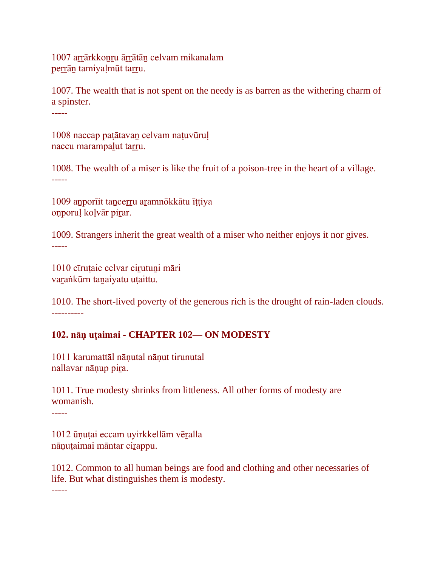1007 arrārkkonru ārrātān celvam mikanalam perrān tamiyaļmūt tarru.

1007. The wealth that is not spent on the needy is as barren as the withering charm of a spinster. -----

1008 naccap paṭātavaṉ celvam naṭuvūruḷ naccu marampalut tarru.

1008. The wealth of a miser is like the fruit of a poison-tree in the heart of a village. -----

1009 aṉporīit taṉceṟṟu aṟamnōkkātu īṭṭiya onporuļ koļvār pirar.

1009. Strangers inherit the great wealth of a miser who neither enjoys it nor gives. -----

1010 cīrutaic celvar cirutuni māri vaṟaṅkūrn taṉaiyatu uṭaittu.

1010. The short-lived poverty of the generous rich is the drought of rain-laden clouds. ----------

### **102. nāṇ uṭaimai - CHAPTER 102— ON MODESTY**

1011 karumattāl nāṇutal nāṇut tirunutal nallavar nānup pira.

1011. True modesty shrinks from littleness. All other forms of modesty are womanish.

-----

1012 ūṇuṭai eccam uyirkkellām vēṟalla nāṇuṭaimai māntar ciṟappu.

1012. Common to all human beings are food and clothing and other necessaries of life. But what distinguishes them is modesty. -----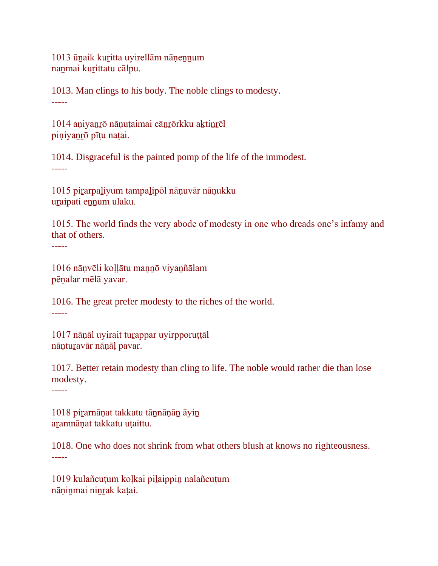1013 ūṉaik kuṟitta uyirellām nāṇeṉṉum nanmai kurittatu cālpu.

1013. Man clings to his body. The noble clings to modesty. -----

1014 aṇiyaṉṟō nāṇuṭaimai cāṉṟōrkku aḵtiṉṟēl piṇiyaṉṟō pīṭu naṭai.

1014. Disgraceful is the painted pomp of the life of the immodest. -----

1015 piṟarpaḻiyum tampaḻipōl nāṇuvār nāṇukku uṟaipati eṉṉum ulaku.

1015. The world finds the very abode of modesty in one who dreads one's infamy and that of others.

1016 nāṇvēli koḷḷātu maṉṉō viyaṉñālam pēṇalar mēlā yavar.

1016. The great prefer modesty to the riches of the world. -----

1017 nāṇāl uyirait turappar uyirpporuttāl nānturavār nānāl pavar.

1017. Better retain modesty than cling to life. The noble would rather die than lose modesty.

-----

-----

1018 pirarnāṇat takkatu tānnāṇān āyin aṟamnāṇat takkatu uṭaittu.

1018. One who does not shrink from what others blush at knows no righteousness. -----

1019 kulañcuṭum koḷkai piḻaippiṉ nalañcuṭum nāṇiṉmai niṉṟak kaṭai.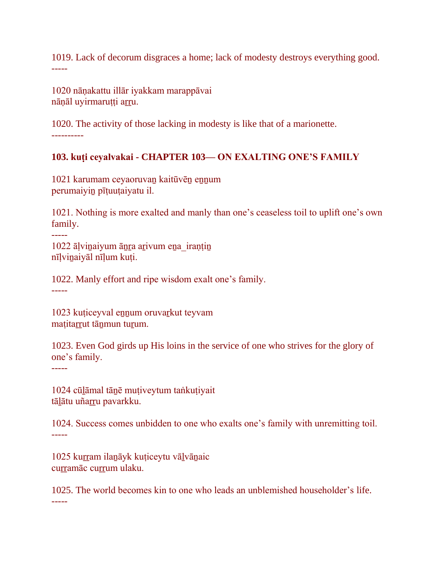1019. Lack of decorum disgraces a home; lack of modesty destroys everything good. -----

1020 nāṇakattu illār iyakkam marappāvai nāņāl uyirmaruṭṭi arru.

1020. The activity of those lacking in modesty is like that of a marionette. ----------

### **103. kuṭi ceyalvakai - CHAPTER 103— ON EXALTING ONE'S FAMILY**

1021 karumam ceyaoruvaṉ kaitūvēṉ eṉṉum perumaiyiṉ pīṭuuṭaiyatu il.

1021. Nothing is more exalted and manly than one's ceaseless toil to uplift one's own family.

----- 1022 āḷviṉaiyum āṉṟa aṟivum eṉa\_iraṇṭiṉ nīḷviṉaiyāl nīḷum kuṭi.

1022. Manly effort and ripe wisdom exalt one's family. -----

1023 kuṭiceyval eṉṉum oruvaṟkut teyvam maṭitarrut tānmun turum.

1023. Even God girds up His loins in the service of one who strives for the glory of one's family.

-----

1024 cūḻāmal tāṉē muṭiveytum taṅkuṭiyait tālātu uñarru pavarkku.

1024. Success comes unbidden to one who exalts one's family with unremitting toil. -----

1025 kurram ilanāyk kuțiceytu vālvānaic curramāc currum ulaku.

1025. The world becomes kin to one who leads an unblemished householder's life. -----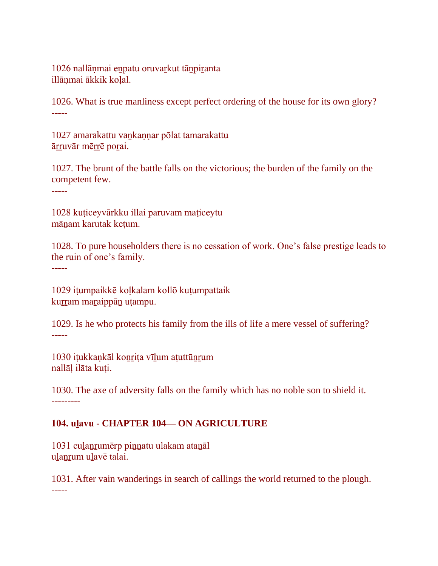1026 nallāņmai enpatu oruvarkut tānpiranta illānmai ākkik kolal.

1026. What is true manliness except perfect ordering of the house for its own glory? -----

1027 amarakattu vaṉkaṇṇar pōlat tamarakattu āṟṟuvār mēṟṟē poṟai.

1027. The brunt of the battle falls on the victorious; the burden of the family on the competent few.

-----

1028 kuṭiceyvārkku illai paruvam maṭiceytu māṉam karutak keṭum.

1028. To pure householders there is no cessation of work. One's false prestige leads to the ruin of one's family.

-----

1029 iṭumpaikkē koḷkalam kollō kuṭumpattaik kurram maraippān utampu.

1029. Is he who protects his family from the ills of life a mere vessel of suffering? -----

1030 iṭukkaṇkāl koṉṟiṭa vīḻum aṭuttūṉṟum nallāḷ ilāta kuṭi.

1030. The axe of adversity falls on the family which has no noble son to shield it. ---------

# **104. uḻavu - CHAPTER 104— ON AGRICULTURE**

1031 culanrumērp pinnatu ulakam atanāl ulanrum ulavē talai.

1031. After vain wanderings in search of callings the world returned to the plough. -----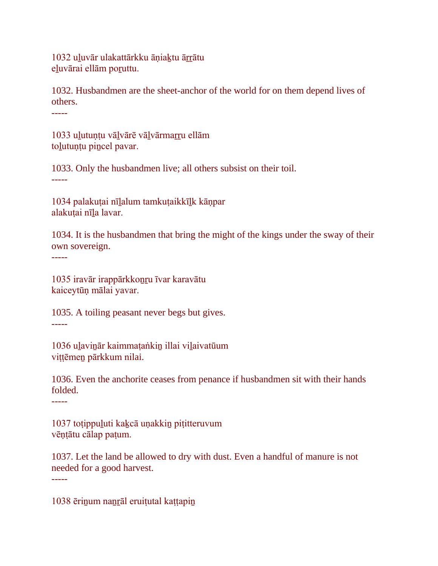1032 uḻuvār ulakattārkku āṇiaḵtu āṟṟātu eḻuvārai ellām poṟuttu.

1032. Husbandmen are the sheet-anchor of the world for on them depend lives of others.

-----

1033 ulutuntu vālvārē vālvārmarru ellām tolutunțu pincel pavar.

1033. Only the husbandmen live; all others subsist on their toil. -----

1034 palakuṭai nīḻalum tamkuṭaikkīḻk kāṇpar alakuṭai nīḻa lavar.

1034. It is the husbandmen that bring the might of the kings under the sway of their own sovereign.

-----

1035 iravār irappārkkoṉṟu īvar karavātu kaiceytūṇ mālai yavar.

1035. A toiling peasant never begs but gives. -----

1036 uḻaviṉār kaimmaṭaṅkiṉ illai viḻaivatūum viṭṭēmeṉ pārkkum nilai.

1036. Even the anchorite ceases from penance if husbandmen sit with their hands folded.

-----

-----

1037 toṭippuḻuti kaḵcā uṇakkiṉ piṭitteruvum vēṇṭātu cālap paṭum.

1037. Let the land be allowed to dry with dust. Even a handful of manure is not needed for a good harvest.

1038 ērinum nanrāl eruitutal kattapin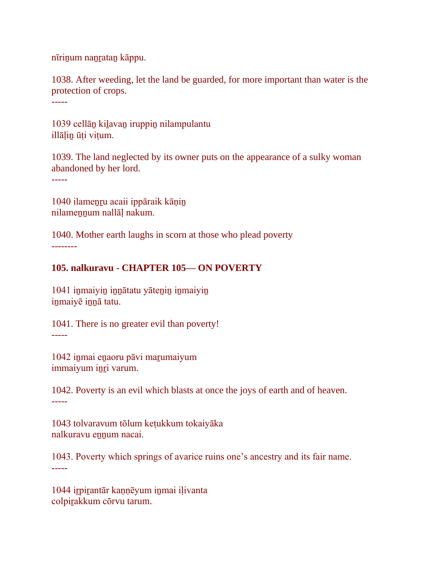nīriṉum naṉṟataṉ kāppu.

1038. After weeding, let the land be guarded, for more important than water is the protection of crops.

-----

1039 cellāṉ kiḻavaṉ iruppiṉ nilampulantu illālin ūti vitum.

1039. The land neglected by its owner puts on the appearance of a sulky woman abandoned by her lord.

-----

1040 ilameṉṟu acaii ippāraik kāṇiṉ nilamennum nallāļ nakum.

1040. Mother earth laughs in scorn at those who plead poverty --------

### **105. nalkuravu - CHAPTER 105— ON POVERTY**

1041 iṉmaiyiṉ iṉṉātatu yāteṉiṉ iṉmaiyiṉ inmaiyē innā tatu.

1041. There is no greater evil than poverty! -----

1042 iṉmai eṉaoru pāvi maṟumaiyum immaiyum inri varum.

1042. Poverty is an evil which blasts at once the joys of earth and of heaven. -----

1043 tolvaravum tōlum keṭukkum tokaiyāka nalkuravu ennum nacai.

1043. Poverty which springs of avarice ruins one's ancestry and its fair name. -----

1044 iṟpiṟantār kaṇṇēyum iṉmai iḷivanta colpirakkum cōrvu tarum.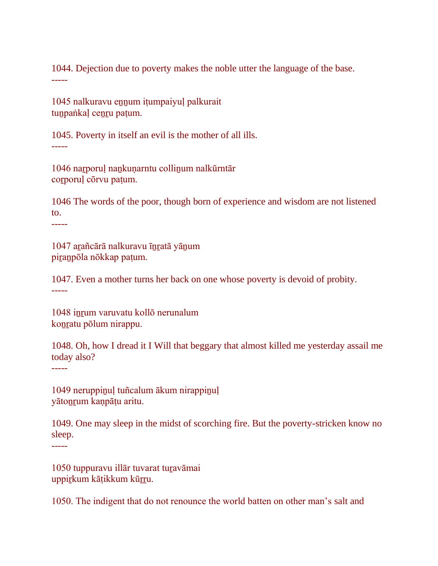1044. Dejection due to poverty makes the noble utter the language of the base. -----

1045 nalkuravu eṉṉum iṭumpaiyuḷ palkurait tunpaṅkal cenru paṭum.

1045. Poverty in itself an evil is the mother of all ills. -----

1046 naṟporuḷ naṉkuṇarntu colliṉum nalkūrntār coṟporuḷ cōrvu paṭum.

1046 The words of the poor, though born of experience and wisdom are not listened to.

-----

1047 aṟañcārā nalkuravu īṉṟatā yāṉum piranpōla nōkkap paṭum.

1047. Even a mother turns her back on one whose poverty is devoid of probity. -----

1048 inrum varuvatu kollō nerunalum koṉṟatu pōlum nirappu.

1048. Oh, how I dread it I Will that beggary that almost killed me yesterday assail me today also? -----

1049 neruppinul tuñcalum ākum nirappinul yātoṉṟum kaṇpāṭu aritu.

1049. One may sleep in the midst of scorching fire. But the poverty-stricken know no sleep. -----

1050 tuppuravu illār tuvarat tuṟavāmai uppirkum kāṭikkum kūrru.

1050. The indigent that do not renounce the world batten on other man's salt and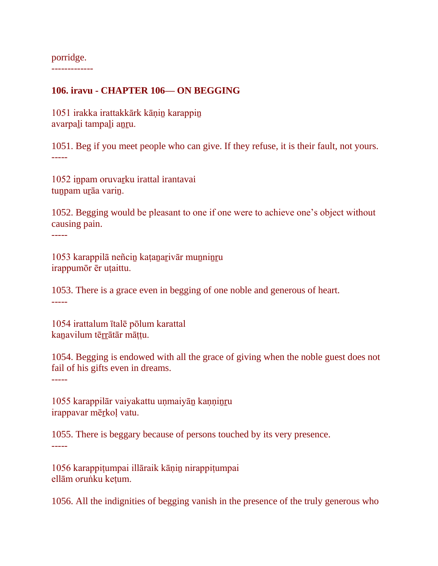porridge. -------------

### **106. iravu - CHAPTER 106— ON BEGGING**

1051 irakka irattakkārk kāṇiṉ karappiṉ avarpaḻi tampaḻi aṉṟu.

1051. Beg if you meet people who can give. If they refuse, it is their fault, not yours. -----

1052 iṉpam oruvaṟku irattal irantavai tuṉpam uṟāa variṉ.

1052. Begging would be pleasant to one if one were to achieve one's object without causing pain.

-----

1053 karappilā neñciṉ kaṭaṉaṟivār muṉniṉṟu irappumōr ēr uṭaittu.

1053. There is a grace even in begging of one noble and generous of heart. -----

1054 irattalum ītalē pōlum karattal kanavilum tērrātār māttu.

1054. Begging is endowed with all the grace of giving when the noble guest does not fail of his gifts even in dreams.

-----

1055 karappilār vaiyakattu unmaiyān kanninru irappavar mērkoļ vatu.

1055. There is beggary because of persons touched by its very presence. -----

1056 karappiṭumpai illāraik kāṇiṉ nirappiṭumpai ellām oruṅku keṭum.

1056. All the indignities of begging vanish in the presence of the truly generous who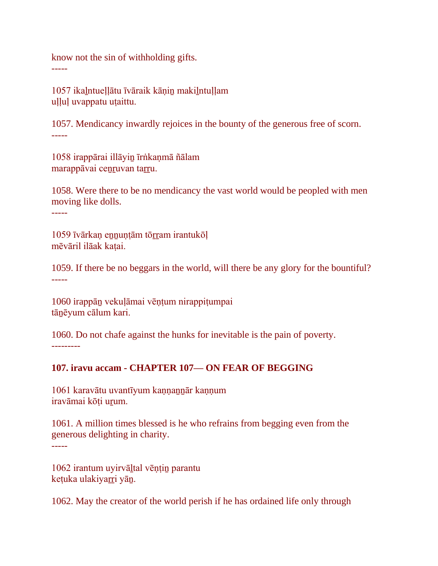know not the sin of withholding gifts.

1057 ikaḻntueḷḷātu īvāraik kāṇiṉ makiḻntuḷḷam uḷḷuḷ uvappatu uṭaittu.

1057. Mendicancy inwardly rejoices in the bounty of the generous free of scorn. -----

1058 irappārai illāyiṉ īrṅkaṇmā ñālam marappāvai ceṉṟuvan taṟṟu.

1058. Were there to be no mendicancy the vast world would be peopled with men moving like dolls.

-----

-----

1059 īvārkaṇ eṉṉuṇṭām tōṟṟam irantukōḷ mēvāril ilāak kaṭai.

1059. If there be no beggars in the world, will there be any glory for the bountiful? -----

1060 irappāṉ vekuḷāmai vēṇṭum nirappiṭumpai tāṉēyum cālum kari.

1060. Do not chafe against the hunks for inevitable is the pain of poverty. ---------

# **107. iravu accam - CHAPTER 107— ON FEAR OF BEGGING**

1061 karavātu uvantīyum kaṇṇaṉṉār kaṇṇum iravāmai kōṭi uṟum.

1061. A million times blessed is he who refrains from begging even from the generous delighting in charity. -----

1062 irantum uyirvāḻtal vēṇṭiṉ parantu keṭuka ulakiyaṟṟi yāṉ.

1062. May the creator of the world perish if he has ordained life only through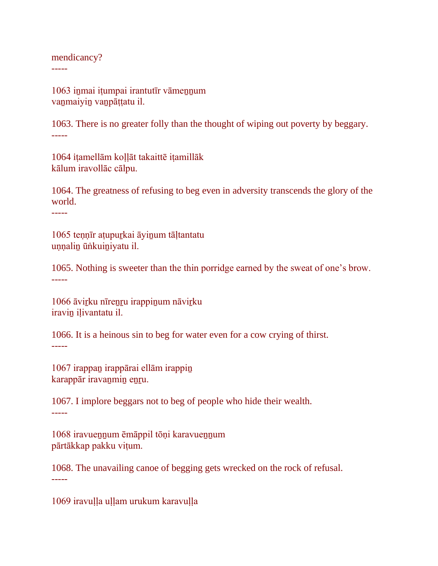mendicancy?

-----

1063 inmai itumpai irantutīr vāmennum vaṉmaiyiṉ vaṉpāṭṭatu il.

1063. There is no greater folly than the thought of wiping out poverty by beggary. -----

1064 iṭamellām koḷḷāt takaittē iṭamillāk kālum iravollāc cālpu.

1064. The greatness of refusing to beg even in adversity transcends the glory of the world.

-----

1065 teṇṇīr aṭupuṟkai āyiṉum tāḷtantatu uṇṇaliṉ ūṅkuiṉiyatu il.

1065. Nothing is sweeter than the thin porridge earned by the sweat of one's brow. -----

1066 āvirku nīrenru irappinum nāvirku iravin ilivantatu il.

1066. It is a heinous sin to beg for water even for a cow crying of thirst. -----

1067 irappaṉ irappārai ellām irappiṉ karappār iravaṉmiṉ eṉṟu.

1067. I implore beggars not to beg of people who hide their wealth. -----

1068 iravueṉṉum ēmāppil tōṇi karavueṉṉum pārtākkap pakku viṭum.

1068. The unavailing canoe of begging gets wrecked on the rock of refusal. -----

1069 iravuḷḷa uḷḷam urukum karavuḷḷa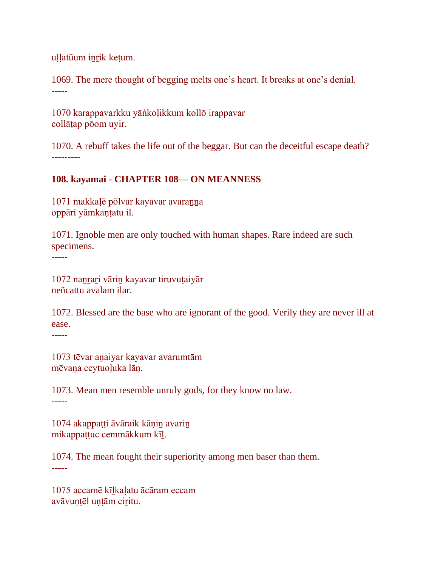uḷḷatūum iṉṟik keṭum.

1069. The mere thought of begging melts one's heart. It breaks at one's denial. -----

1070 karappavarkku yāṅkoḷikkum kollō irappavar collāṭap pōom uyir.

1070. A rebuff takes the life out of the beggar. But can the deceitful escape death? ---------

## **108. kayamai - CHAPTER 108— ON MEANNESS**

1071 makkaḷē pōlvar kayavar avaraṉṉa oppāri yāmkaṇṭatu il.

1071. Ignoble men are only touched with human shapes. Rare indeed are such specimens.

-----

1072 naṉṟaṟi vāriṉ kayavar tiruvuṭaiyār neñcattu avalam ilar.

1072. Blessed are the base who are ignorant of the good. Verily they are never ill at ease.

-----

1073 tēvar aṉaiyar kayavar avarumtām mēvaṉa ceytuoḻuka lāṉ.

1073. Mean men resemble unruly gods, for they know no law. -----

1074 akappaṭṭi āvāraik kāṇiṉ avariṉ mikappaṭṭuc cemmākkum kīḻ.

1074. The mean fought their superiority among men baser than them. -----

1075 accamē kīḻkaḷatu ācāram eccam avāvuntēl untām ciritu.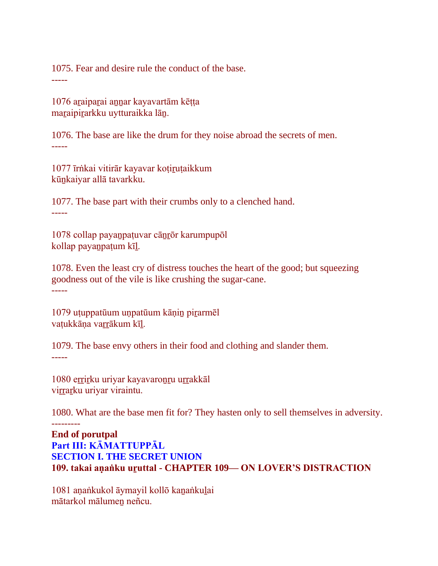1075. Fear and desire rule the conduct of the base. -----

1076 aṟaipaṟai aṉṉar kayavartām kēṭṭa maraipirarkku uytturaikka lān.

1076. The base are like the drum for they noise abroad the secrets of men. -----

1077 īrṅkai vitirār kayavar koṭiṟuṭaikkum kūṉkaiyar allā tavarkku.

1077. The base part with their crumbs only to a clenched hand. -----

1078 collap payaṉpaṭuvar cāṉṟōr karumpupōl kollap payaṉpaṭum kīḻ.

1078. Even the least cry of distress touches the heart of the good; but squeezing goodness out of the vile is like crushing the sugar-cane. -----

1079 uṭuppatūum uṇpatūum kāṇiṉ piṟarmēl vaṭukkāṇa varrākum kīl.

1079. The base envy others in their food and clothing and slander them. -----

1080 errirku uriyar kayavaronru urrakkāl virrarku uriyar viraintu.

---------

1080. What are the base men fit for? They hasten only to sell themselves in adversity.

**End of porutpal Part III: KĀMATTUPPĀL SECTION I. THE SECRET UNION 109. takai aṇaṅku uṟuttal - CHAPTER 109— ON LOVER'S DISTRACTION**

1081 aṇaṅkukol āymayil kollō kaṉaṅkuḻai mātarkol mālumeṉ neñcu.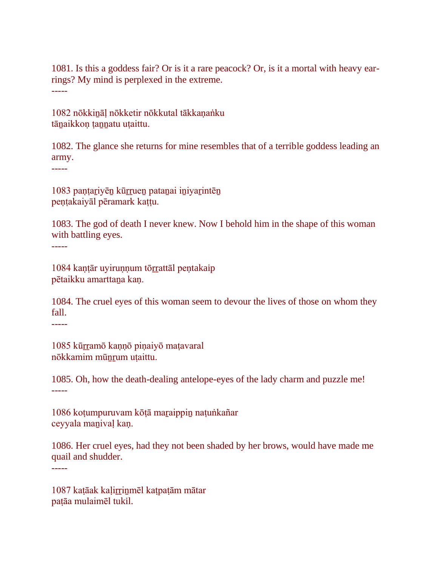1081. Is this a goddess fair? Or is it a rare peacock? Or, is it a mortal with heavy earrings? My mind is perplexed in the extreme. -----

1082 nōkkiṉāḷ nōkketir nōkkutal tākkaṇaṅku tānaikkon tannatu utaittu.

1082. The glance she returns for mine resembles that of a terrible goddess leading an army.

-----

-----

1083 paṇṭaṟiyēṉ kūṟṟueṉ pataṉai iṉiyaṟintēṉ peṇṭakaiyāl pēramark kaṭṭu.

1083. The god of death I never knew. Now I behold him in the shape of this woman with battling eyes.

1084 kaṇṭār uyiruṇṇum tōṟṟattāl peṇtakaip pētaikku amarttaṉa kaṇ.

1084. The cruel eyes of this woman seem to devour the lives of those on whom they fall.

-----

1085 kūrramō kannō pinaiyō matavaral nōkkamim mūṉṟum uṭaittu.

1085. Oh, how the death-dealing antelope-eyes of the lady charm and puzzle me! -----

1086 koṭumpuruvam kōṭā maṟaippiṉ naṭuṅkañar ceyyala maṉivaḷ kaṇ.

1086. Her cruel eyes, had they not been shaded by her brows, would have made me quail and shudder. -----

1087 kaṭāak kaḷiṟṟiṉmēl kaṭpaṭām mātar paṭāa mulaimēl tukil.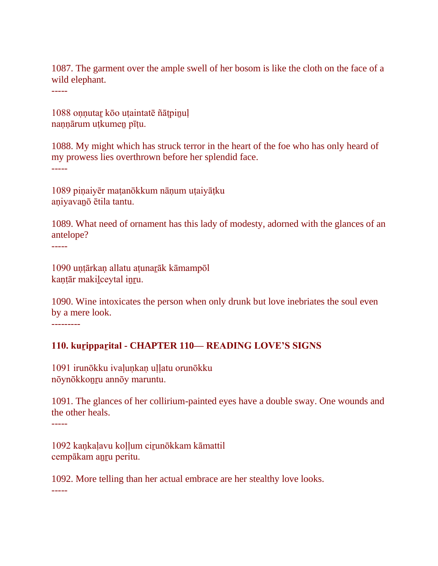1087. The garment over the ample swell of her bosom is like the cloth on the face of a wild elephant.

-----

1088 onnutar kōo uṭaintatē ñāṭpinuḷ nannārum utkumen pītu.

1088. My might which has struck terror in the heart of the foe who has only heard of my prowess lies overthrown before her splendid face. -----

1089 piṇaiyēr maṭanōkkum nāṇum uṭaiyāṭku aṇiyavaṉō ētila tantu.

1089. What need of ornament has this lady of modesty, adorned with the glances of an antelope?

1090 uṇṭārkaṇ allatu aṭunaṟāk kāmampōl kaṇṭār makiḻceytal iṉṟu.

1090. Wine intoxicates the person when only drunk but love inebriates the soul even by a mere look.

---------

-----

### **110. kuṟippaṟital - CHAPTER 110— READING LOVE'S SIGNS**

1091 irunōkku ivalunkan ullatu orunōkku nōynōkkoṉṟu annōy maruntu.

1091. The glances of her collirium-painted eyes have a double sway. One wounds and the other heals.

-----

1092 kankalavu kollum cirunōkkam kāmattil cempākam aṉṟu peritu.

1092. More telling than her actual embrace are her stealthy love looks. -----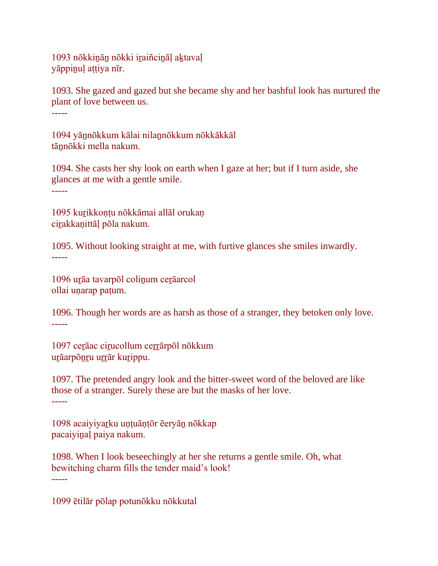1093 nōkkiṉāṉ nōkki iṟaiñciṉāḷ aḵtavaḷ yāppinuļ attiya nīr.

1093. She gazed and gazed but she became shy and her bashful look has nurtured the plant of love between us. -----

1094 yāṉnōkkum kālai nilaṉnōkkum nōkkākkāl tānnōkki mella nakum.

1094. She casts her shy look on earth when I gaze at her; but if I turn aside, she glances at me with a gentle smile. -----

1095 kurikkonțu nōkkāmai allāl orukan cirakkanittāļ pōla nakum.

1095. Without looking straight at me, with furtive glances she smiles inwardly. -----

1096 urāa tavarpōl colinum cerāarcol ollai uṇarap paṭum.

1096. Though her words are as harsh as those of a stranger, they betoken only love. -----

1097 cerāac cirucollum cerrārpōl nōkkum urāarpōnru urrār kurippu.

1097. The pretended angry look and the bitter-sweet word of the beloved are like those of a stranger. Surely these are but the masks of her love. -----

1098 acaiyiyaṟku uṇṭuāṇṭōr ēeryāṉ nōkkap pacaiyiṉaḷ paiya nakum.

1098. When I look beseechingly at her she returns a gentle smile. Oh, what bewitching charm fills the tender maid's look! -----

1099 ētilār pōlap potunōkku nōkkutal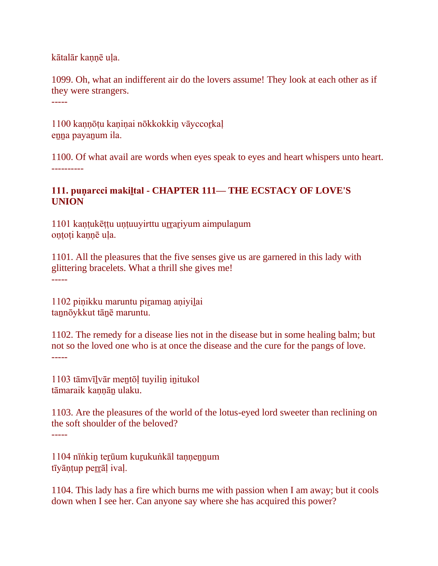kātalār kaṇṇē uḷa.

1099. Oh, what an indifferent air do the lovers assume! They look at each other as if they were strangers.

-----

1100 kannōtu kaninai nōkkokkin vāyccorkal enna payanum ila.

1100. Of what avail are words when eyes speak to eyes and heart whispers unto heart. ----------

## **111. puṇarcci makiḻtal - CHAPTER 111— THE ECSTACY OF LOVE'S UNION**

1101 kantukēttu untuuyirttu urrariyum aimpulanum oṇṭoṭi kaṇṇē uḷa.

1101. All the pleasures that the five senses give us are garnered in this lady with glittering bracelets. What a thrill she gives me! -----

1102 piṇikku maruntu piraman aṇiyilai tannōykkut tānē maruntu.

1102. The remedy for a disease lies not in the disease but in some healing balm; but not so the loved one who is at once the disease and the cure for the pangs of love. -----

1103 tāmvīḻvār meṉtōḷ tuyiliṉ iṉitukol tāmaraik kannān ulaku.

1103. Are the pleasures of the world of the lotus-eyed lord sweeter than reclining on the soft shoulder of the beloved? -----

1104 nīṅkin terūum kurukuṅkāl tannennum tīyāntup perrāļ ivaļ.

1104. This lady has a fire which burns me with passion when I am away; but it cools down when I see her. Can anyone say where she has acquired this power?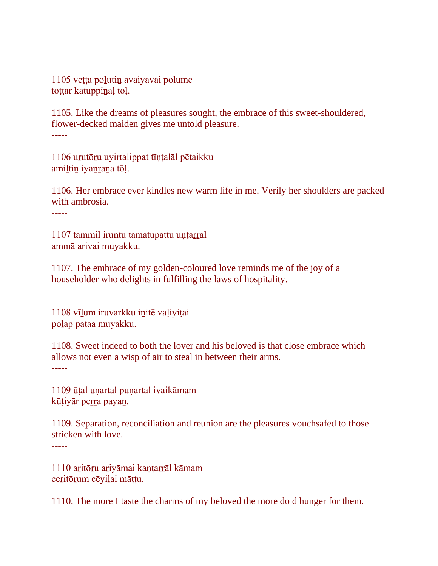1105 vēṭṭa poḻutiṉ avaiyavai pōlumē tōttār katuppināl tōl.

1105. Like the dreams of pleasures sought, the embrace of this sweet-shouldered, flower-decked maiden gives me untold pleasure. -----

1106 uṟutōṟu uyirtaḷippat tīṇṭalāl pētaikku amiltin iyanrana tōļ.

1106. Her embrace ever kindles new warm life in me. Verily her shoulders are packed with ambrosia.

-----

-----

1107 tammil iruntu tamatupāttu uṇṭaṟṟāl ammā arivai muyakku.

1107. The embrace of my golden-coloured love reminds me of the joy of a householder who delights in fulfilling the laws of hospitality. -----

1108 vīḻum iruvarkku iṉitē vaḷiyiṭai pōḻap paṭāa muyakku.

1108. Sweet indeed to both the lover and his beloved is that close embrace which allows not even a wisp of air to steal in between their arms. -----

1109 ūṭal uṇartal puṇartal ivaikāmam kūtiyār perra payan.

1109. Separation, reconciliation and reunion are the pleasures vouchsafed to those stricken with love.

-----

1110 aritōru ariyāmai kantarrāl kāmam ceritōrum cēyilai māțțu.

1110. The more I taste the charms of my beloved the more do d hunger for them.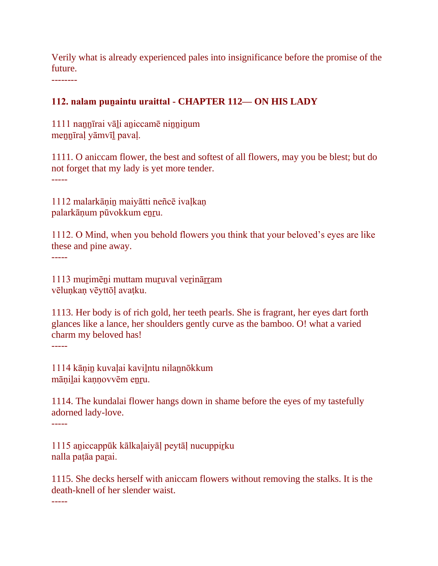Verily what is already experienced pales into insignificance before the promise of the future.

--------

#### **112. nalam puṉaintu uraittal - CHAPTER 112— ON HIS LADY**

1111 nannīrai vāli aniccamē ninninum meṉṉīraḷ yāmvīḻ pavaḷ.

1111. O aniccam flower, the best and softest of all flowers, may you be blest; but do not forget that my lady is yet more tender. -----

1112 malarkāṇiṉ maiyātti neñcē ivaḷkaṇ palarkāņum pūvokkum enru.

1112. O Mind, when you behold flowers you think that your beloved's eyes are like these and pine away.

-----

1113 murimēni muttam muruval verinārram vēluṇkaṇ vēyttōḷ avaṭku.

1113. Her body is of rich gold, her teeth pearls. She is fragrant, her eyes dart forth glances like a lance, her shoulders gently curve as the bamboo. O! what a varied charm my beloved has!

-----

1114 kāṇiṉ kuvaḷai kaviḻntu nilaṉnōkkum mānilai kannovvēm enru.

1114. The kundalai flower hangs down in shame before the eyes of my tastefully adorned lady-love.

-----

1115 aṉiccappūk kālkaḷaiyāḷ peytāḷ nucuppiṟku nalla patāa parai.

1115. She decks herself with aniccam flowers without removing the stalks. It is the death-knell of her slender waist.

-----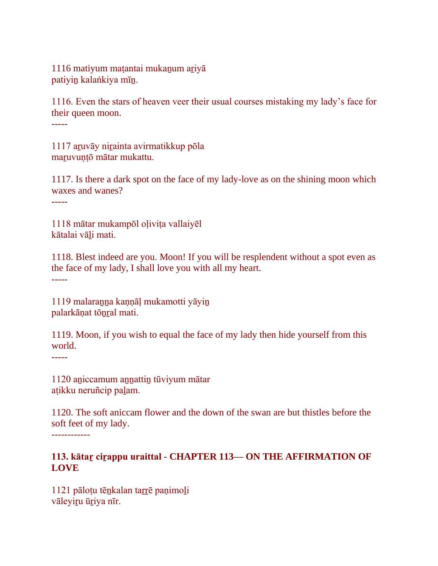1116 matiyum matantai mukanum ariyā patiyiṉ kalaṅkiya mīṉ.

1116. Even the stars of heaven veer their usual courses mistaking my lady's face for their queen moon.

-----

1117 aṟuvāy niṟainta avirmatikkup pōla maṟuvuṇṭō mātar mukattu.

1117. Is there a dark spot on the face of my lady-love as on the shining moon which waxes and wanes?

-----

1118 mātar mukampōl oḷiviṭa vallaiyēl kātalai vāḻi mati.

1118. Blest indeed are you. Moon! If you will be resplendent without a spot even as the face of my lady, I shall love you with all my heart. -----

1119 malaranna kannāļ mukamotti yāyin palarkāṇat tōṉṟal mati.

1119. Moon, if you wish to equal the face of my lady then hide yourself from this world.

-----

1120 aṉiccamum aṉṉattiṉ tūviyum mātar aṭikku neruñcip paḻam.

1120. The soft aniccam flower and the down of the swan are but thistles before the soft feet of my lady. ------------

## **113. kātaṟ ciṟappu uraittal - CHAPTER 113— ON THE AFFIRMATION OF LOVE**

1121 pāloṭu tēṉkalan taṟṟē paṇimoḻi vāleyiru ūriya nīr.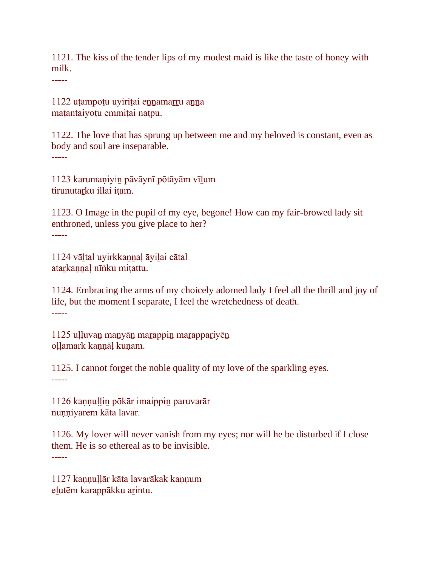1121. The kiss of the tender lips of my modest maid is like the taste of honey with milk.

-----

1122 uṭampoṭu uyiriṭai eṉṉamaṟṟu aṉṉa maṭantaiyoṭu emmiṭai naṭpu.

1122. The love that has sprung up between me and my beloved is constant, even as body and soul are inseparable.

-----

1123 karumaṇiyiṉ pāvāynī pōtāyām vīḻum tirunutarku illai itam.

1123. O Image in the pupil of my eye, begone! How can my fair-browed lady sit enthroned, unless you give place to her? -----

1124 vāḻtal uyirkkaṉṉaḷ āyiḻai cātal atarkannal nīṅku mitattu.

1124. Embracing the arms of my choicely adorned lady I feel all the thrill and joy of life, but the moment I separate, I feel the wretchedness of death. -----

1125 uḷḷuvaṉ maṉyāṉ maṟappiṉ maṟappaṟiyēṉ ollamark kannāl kunam.

1125. I cannot forget the noble quality of my love of the sparkling eyes. -----

1126 kaṇṇuḷḷiṉ pōkār imaippiṉ paruvarār nunniyarem kāta lavar.

1126. My lover will never vanish from my eyes; nor will he be disturbed if I close them. He is so ethereal as to be invisible. -----

1127 kannullār kāta lavarākak kannum

eļutēm karappākku arintu.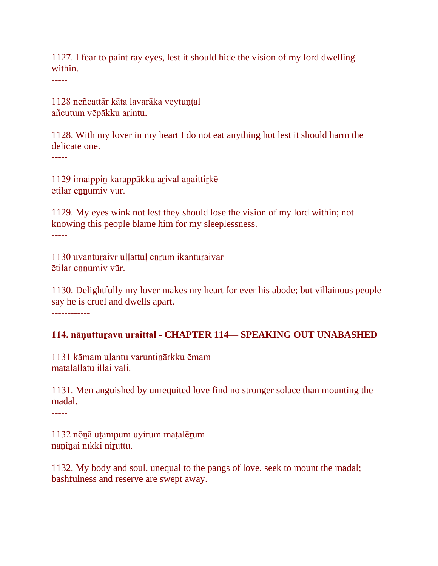1127. I fear to paint ray eyes, lest it should hide the vision of my lord dwelling within.

-----

1128 neñcattār kāta lavarāka veytuṇṭal añcutum vēpākku arintu.

1128. With my lover in my heart I do not eat anything hot lest it should harm the delicate one.

-----

1129 imaippiṉ karappākku aṟival aṉaittiṟkē ētilar ennumiv vūr.

1129. My eyes wink not lest they should lose the vision of my lord within; not knowing this people blame him for my sleeplessness. -----

1130 uvantuṟaivr uḷḷattuḷ eṉṟum ikantuṟaivar ētilar ennumiv vūr.

1130. Delightfully my lover makes my heart for ever his abode; but villainous people say he is cruel and dwells apart.

------------

## **114. nāṇuttuṟavu uraittal - CHAPTER 114— SPEAKING OUT UNABASHED**

1131 kāmam uḻantu varuntiṉārkku ēmam maṭalallatu illai vali.

1131. Men anguished by unrequited love find no stronger solace than mounting the madal.

-----

1132 nōṉā uṭampum uyirum maṭalēṟum nāņinai nīkki niruttu.

1132. My body and soul, unequal to the pangs of love, seek to mount the madal; bashfulness and reserve are swept away.

-----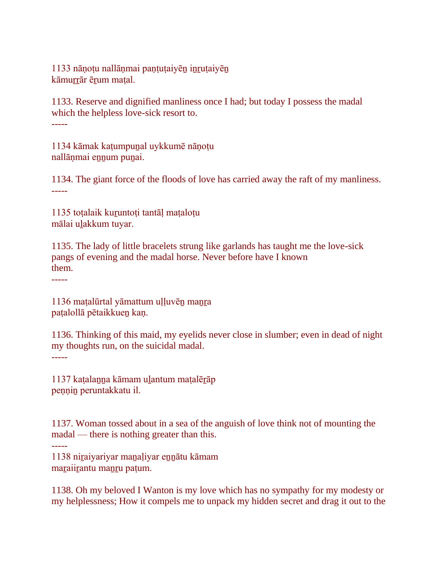1133 nānotu nallāņmai paṇṭuṭaiyēn inruṭaiyēn kāmurrār ērum matal.

1133. Reserve and dignified manliness once I had; but today I possess the madal which the helpless love-sick resort to. -----

1134 kāmak kaṭumpuṉal uykkumē nāṇoṭu nallānmai ennum punai.

1134. The giant force of the floods of love has carried away the raft of my manliness. -----

1135 toṭalaik kuṟuntoṭi tantāḷ maṭaloṭu mālai uḻakkum tuyar.

1135. The lady of little bracelets strung like garlands has taught me the love-sick pangs of evening and the madal horse. Never before have I known them.

-----

1136 maṭalūrtal yāmattum uḷḷuvēn manra paṭalollā pētaikkueṉ kaṇ.

1136. Thinking of this maid, my eyelids never close in slumber; even in dead of night my thoughts run, on the suicidal madal. -----

1137 kaṭalaṉṉa kāmam uḻantum maṭalēṟāp pennin peruntakkatu il.

1137. Woman tossed about in a sea of the anguish of love think not of mounting the madal — there is nothing greater than this.

-----

1138 niṟaiyariyar maṉaḷiyar eṉṉātu kāmam maraiirantu manru pațum.

1138. Oh my beloved I Wanton is my love which has no sympathy for my modesty or my helplessness; How it compels me to unpack my hidden secret and drag it out to the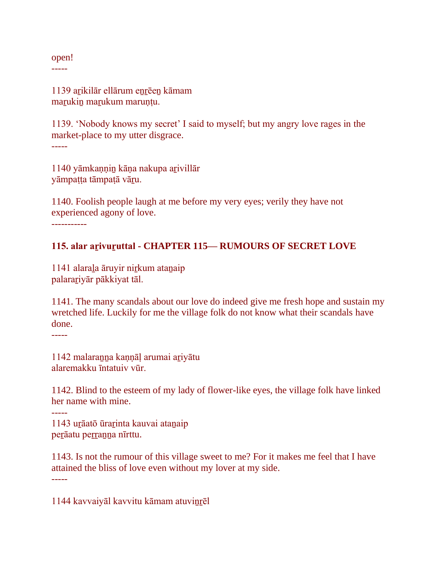open!

-----

1139 arikilār ellārum enrēen kāmam maṟukiṉ maṟukum maruṇṭu.

1139. 'Nobody knows my secret' I said to myself; but my angry love rages in the market-place to my utter disgrace. -----

1140 yāmkaṇṇiṉ kāṇa nakupa aṟivillār yāmpaṭṭa tāmpaṭā vāṟu.

1140. Foolish people laugh at me before my very eyes; verily they have not experienced agony of love.

-----------

### **115. alar aṟivuṟuttal - CHAPTER 115— RUMOURS OF SECRET LOVE**

1141 alarala āruyir nirkum atanaip palaraṟiyār pākkiyat tāl.

1141. The many scandals about our love do indeed give me fresh hope and sustain my wretched life. Luckily for me the village folk do not know what their scandals have done.

-----

1142 malaraṉṉa kaṇṇāḷ arumai aṟiyātu alaremakku īntatuiv vūr.

1142. Blind to the esteem of my lady of flower-like eyes, the village folk have linked her name with mine.

1143 uṟāatō ūraṟinta kauvai ataṉaip perāatu perranna nīrttu.

1143. Is not the rumour of this village sweet to me? For it makes me feel that I have attained the bliss of love even without my lover at my side. -----

1144 kavvaiyāl kavvitu kāmam atuviṉṟēl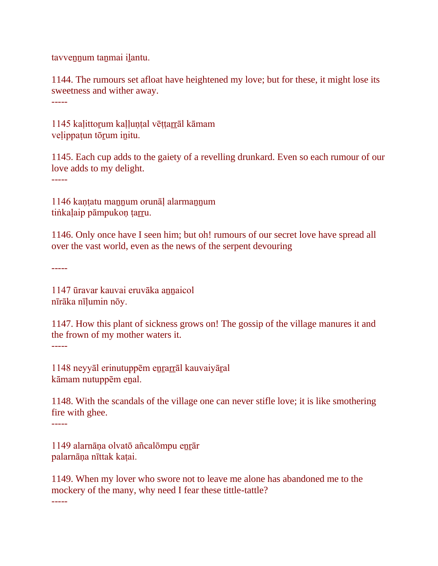tavvennum tanmai ilantu.

1144. The rumours set afloat have heightened my love; but for these, it might lose its sweetness and wither away.

-----

1145 kalittorum kalluntal vēttarrāl kāmam veḷippaṭun tōṟum iṉitu.

1145. Each cup adds to the gaiety of a revelling drunkard. Even so each rumour of our love adds to my delight.

-----

1146 kantatu mannum orunāl alarmannum tiṅkaḷaip pāmpukoṇ ṭarru.

1146. Only once have I seen him; but oh! rumours of our secret love have spread all over the vast world, even as the news of the serpent devouring

-----

1147 ūravar kauvai eruvāka aṉṉaicol nīrāka nīḷumin nōy.

1147. How this plant of sickness grows on! The gossip of the village manures it and the frown of my mother waters it.

-----

1148 neyyāl erinutuppēm eṉṟaṟṟāl kauvaiyāṟal kāmam nutuppēm eṉal.

1148. With the scandals of the village one can never stifle love; it is like smothering fire with ghee.

-----

1149 alarnāņa olvatō añcalōmpu enrār palarnāṇa nīttak kaṭai.

1149. When my lover who swore not to leave me alone has abandoned me to the mockery of the many, why need I fear these tittle-tattle?

-----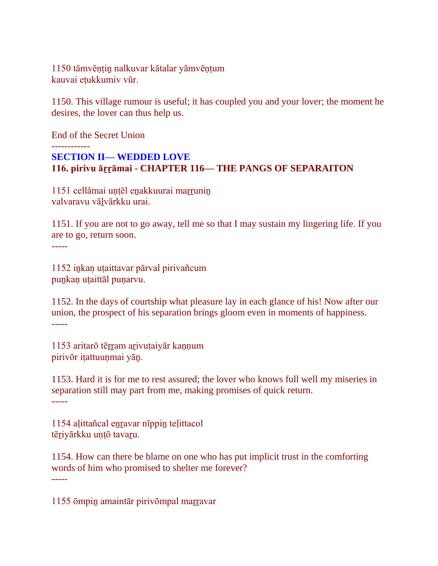1150 tāmvēṇṭiṉ nalkuvar kātalar yāmvēṇṭum kauvai eṭukkumiv vūr.

1150. This village rumour is useful; it has coupled you and your lover; the moment he desires, the lover can thus help us.

End of the Secret Union ------------ **SECTION II— WEDDED LOVE 116. pirivu āṟṟāmai - CHAPTER 116— THE PANGS OF SEPARAITON**

1151 cellāmai untēl enakkuurai marrunin valvaravu vāḻvārkku urai.

1151. If you are not to go away, tell me so that I may sustain my lingering life. If you are to go, return soon. -----

1152 iṉkaṇ uṭaittavar pārval pirivañcum punkan utaittāl punarvu.

1152. In the days of courtship what pleasure lay in each glance of his! Now after our union, the prospect of his separation brings gloom even in moments of happiness. -----

1153 aritarō tērram arivutaiyār kannum pirivōr iṭattuuṇmai yāṉ.

1153. Hard it is for me to rest assured; the lover who knows full well my miseries in separation still may part from me, making promises of quick return. -----

1154 aḷittañcal eṉṟavar nīppiṉ teḷittacol tēriyārkku untō tavaru.

1154. How can there be blame on one who has put implicit trust in the comforting words of him who promised to shelter me forever? -----

1155 ōmpiṉ amaintār pirivōmpal maṟṟavar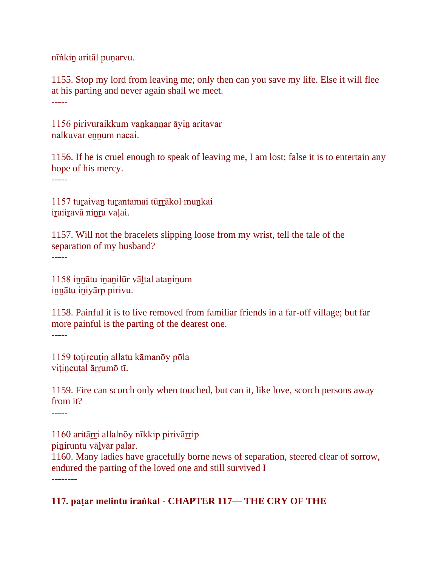nīṅkiṉ aritāl puṇarvu.

1155. Stop my lord from leaving me; only then can you save my life. Else it will flee at his parting and never again shall we meet. -----

1156 pirivuraikkum vaṉkaṇṇar āyiṉ aritavar nalkuvar ennum nacai.

1156. If he is cruel enough to speak of leaving me, I am lost; false it is to entertain any hope of his mercy.

-----

1157 turaivan turantamai tūrrākol munkai iraiiravā ninra vaļai.

1157. Will not the bracelets slipping loose from my wrist, tell the tale of the separation of my husband? -----

1158 innātu inanilūr vāltal ataninum iṉṉātu iṉiyārp pirivu.

1158. Painful it is to live removed from familiar friends in a far-off village; but far more painful is the parting of the dearest one. -----

1159 toṭiṟcuṭiṉ allatu kāmanōy pōla vitincutal ārrumō tī.

1159. Fire can scorch only when touched, but can it, like love, scorch persons away from it?

-----

1160 aritāṟṟi allalnōy nīkkip pirivāṟṟip piniruntu vālvār palar. 1160. Many ladies have gracefully borne news of separation, steered clear of sorrow, endured the parting of the loved one and still survived I --------

# **117. paṭar melintu iraṅkal - CHAPTER 117— THE CRY OF THE**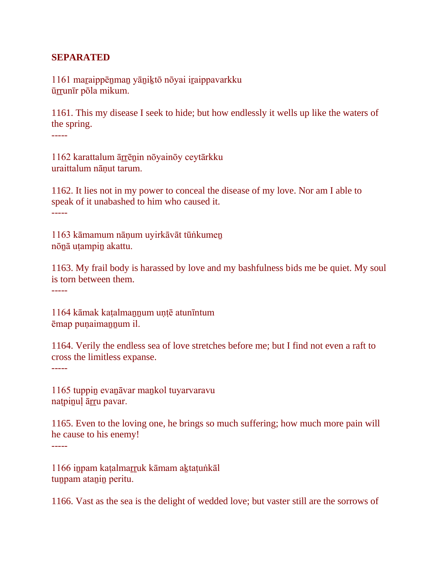#### **SEPARATED**

1161 maraippēnman yāniktō nōyai iraippavarkku ūṟṟunīr pōla mikum.

1161. This my disease I seek to hide; but how endlessly it wells up like the waters of the spring.

-----

1162 karattalum āṟṟēṉin nōyainōy ceytārkku uraittalum nāṇut tarum.

1162. It lies not in my power to conceal the disease of my love. Nor am I able to speak of it unabashed to him who caused it. -----

1163 kāmamum nāṇum uyirkāvāt tūṅkumeṉ nōṉā uṭampiṉ akattu.

1163. My frail body is harassed by love and my bashfulness bids me be quiet. My soul is torn between them.

-----

1164 kāmak kaṭalmaṉṉum uṇṭē atunīntum ēmap puṇaimaṉṉum il.

1164. Verily the endless sea of love stretches before me; but I find not even a raft to cross the limitless expanse. -----

1165 tuppiṉ evaṉāvar maṉkol tuyarvaravu natpinul ārru pavar.

1165. Even to the loving one, he brings so much suffering; how much more pain will he cause to his enemy!

-----

1166 iṉpam kaṭalmaṟṟuk kāmam aḵtaṭuṅkāl tunpam atanin peritu.

1166. Vast as the sea is the delight of wedded love; but vaster still are the sorrows of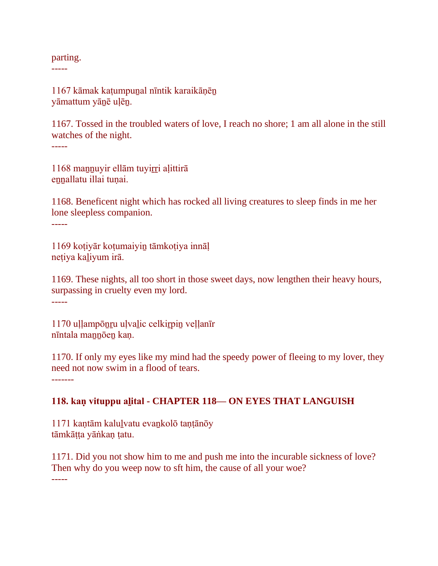#### parting.

-----

1167 kāmak kaṭumpuṉal nīntik karaikāṇēṉ yāmattum yāṉē uḷēṉ.

1167. Tossed in the troubled waters of love, I reach no shore; 1 am all alone in the still watches of the night. -----

1168 mannuyir ellām tuyirri aļittirā ennallatu illai tunai.

1168. Beneficent night which has rocked all living creatures to sleep finds in me her lone sleepless companion. -----

1169 koṭiyār koṭumaiyiṉ tāmkoṭiya innāḷ neṭiya kaḻiyum irā.

1169. These nights, all too short in those sweet days, now lengthen their heavy hours, surpassing in cruelty even my lord. -----

1170 uḷḷampōṉṟu uḷvaḻic celkiṟpiṉ veḷḷanīr nīntala mannōen kan.

1170. If only my eyes like my mind had the speedy power of fleeing to my lover, they need not now swim in a flood of tears.

-------

# **118. kaṇ vituppu aḻital - CHAPTER 118— ON EYES THAT LANGUISH**

1171 kaṇtām kaluḻvatu evaṉkolō taṇṭānōy tāmkāṭṭa yāṅkaṇ ṭatu.

1171. Did you not show him to me and push me into the incurable sickness of love? Then why do you weep now to sft him, the cause of all your woe? -----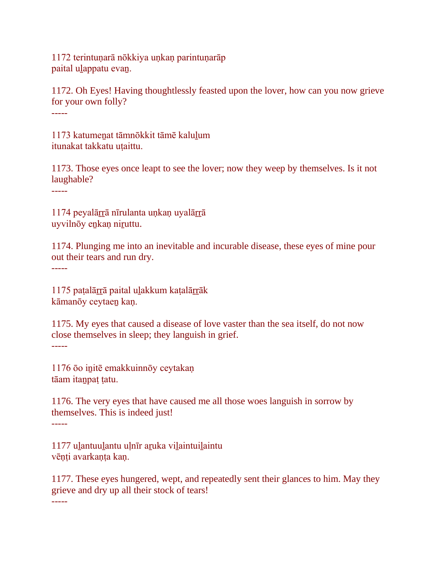1172 terintuṇarā nōkkiya uṇkaṇ parintuṇarāp paital ulappatu evan.

1172. Oh Eyes! Having thoughtlessly feasted upon the lover, how can you now grieve for your own folly? -----

1173 katumeṉat tāmnōkkit tāmē kaluḻum itunakat takkatu utaittu.

1173. Those eyes once leapt to see the lover; now they weep by themselves. Is it not laughable?

-----

1174 peyalārrā nīrulanta unkan uyalārrā uyvilnōy eṉkaṇ niṟuttu.

1174. Plunging me into an inevitable and incurable disease, these eyes of mine pour out their tears and run dry.

-----

1175 paṭalāṟṟā paital uḻakkum kaṭalāṟṟāk kāmanōy ceytaeṉ kaṇ.

1175. My eyes that caused a disease of love vaster than the sea itself, do not now close themselves in sleep; they languish in grief. -----

1176 ōo initē emakkuinnōy ceytakan tāam itaṉpaṭ ṭatu.

1176. The very eyes that have caused me all those woes languish in sorrow by themselves. This is indeed just! -----

1177 uḻantuuḻantu uḷnīr aṟuka viḻaintuiḻaintu vēnti avarkanta kan.

1177. These eyes hungered, wept, and repeatedly sent their glances to him. May they grieve and dry up all their stock of tears!

-----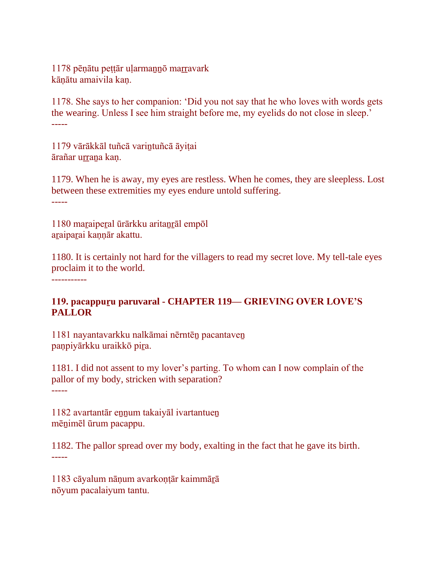1178 pēṇātu peṭṭār uḷarmaṉṉō maṟṟavark kāṇātu amaivila kaṇ.

1178. She says to her companion: 'Did you not say that he who loves with words gets the wearing. Unless I see him straight before me, my eyelids do not close in sleep.' -----

1179 vārākkāl tuñcā variṉtuñcā āyiṭai ārañar urrana kan.

1179. When he is away, my eyes are restless. When he comes, they are sleepless. Lost between these extremities my eyes endure untold suffering. -----

1180 maraiperal ūrārkku aritanrāl empōl aṟaipaṟai kaṇṇār akattu.

1180. It is certainly not hard for the villagers to read my secret love. My tell-tale eyes proclaim it to the world. -----------

## **119. pacappuṟu paruvaral - CHAPTER 119— GRIEVING OVER LOVE'S PALLOR**

1181 nayantavarkku nalkāmai nērntēṉ pacantaveṉ panpiyārkku uraikkō pira.

1181. I did not assent to my lover's parting. To whom can I now complain of the pallor of my body, stricken with separation? -----

1182 avartantār ennum takaiyāl ivartantuen mēṉimēl ūrum pacappu.

1182. The pallor spread over my body, exalting in the fact that he gave its birth. -----

1183 cāyalum nāṇum avarkoṇṭār kaimmāṟā nōyum pacalaiyum tantu.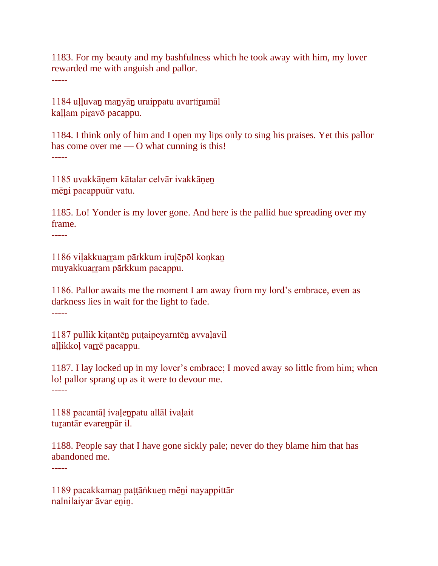1183. For my beauty and my bashfulness which he took away with him, my lover rewarded me with anguish and pallor.

-----

1184 uḷḷuvaṉ maṉyāṉ uraippatu avartiṟamāl kaļļam piravō pacappu.

1184. I think only of him and I open my lips only to sing his praises. Yet this pallor has come over me — O what cunning is this! -----

1185 uvakkāṇem kātalar celvār ivakkāṇeṉ mēṉi pacappuūr vatu.

1185. Lo! Yonder is my lover gone. And here is the pallid hue spreading over my frame.

-----

1186 viļakkuarram pārkkum iruļēpōl koņkan muyakkuarram pārkkum pacappu.

1186. Pallor awaits me the moment I am away from my lord's embrace, even as darkness lies in wait for the light to fade.

-----

1187 pullik kiṭantēṉ puṭaipeyarntēṉ avvaḷavil allikkol varrē pacappu.

1187. I lay locked up in my lover's embrace; I moved away so little from him; when lo! pallor sprang up as it were to devour me. -----

1188 pacantāḷ ivaḷeṉpatu allāl ivaḷait tuṟantār evareṉpār il.

1188. People say that I have gone sickly pale; never do they blame him that has abandoned me. -----

1189 pacakkamaṉ paṭṭāṅkueṉ mēṉi nayappittār nalnilaiyar āvar eṉiṉ.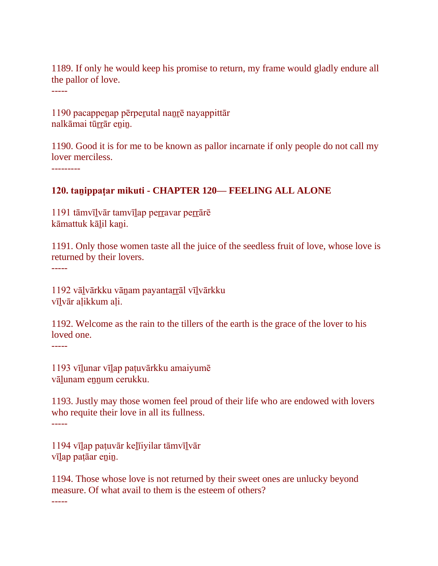1189. If only he would keep his promise to return, my frame would gladly endure all the pallor of love.

1190 pacappeṉap pērpeṟutal naṉṟē nayappittār nalkāmai tūrrār enin.

1190. Good it is for me to be known as pallor incarnate if only people do not call my lover merciless.

---------

-----

### **120. taṉippaṭar mikuti - CHAPTER 120— FEELING ALL ALONE**

1191 tāmvīlvār tamvīlap perravar perrārē kāmattuk kāḻil kaṉi.

1191. Only those women taste all the juice of the seedless fruit of love, whose love is returned by their lovers.

-----

1192 vāḻvārkku vāṉam payantaṟṟāl vīḻvārkku vīlvār alikkum ali.

1192. Welcome as the rain to the tillers of the earth is the grace of the lover to his loved one.

-----

1193 vīḻunar vīḻap paṭuvārkku amaiyumē vālunam ennum cerukku.

1193. Justly may those women feel proud of their life who are endowed with lovers who requite their love in all its fullness. -----

1194 vīḻap paṭuvār keḻīiyilar tāmvīḻvār vīlap patāar enin.

1194. Those whose love is not returned by their sweet ones are unlucky beyond measure. Of what avail to them is the esteem of others?

-----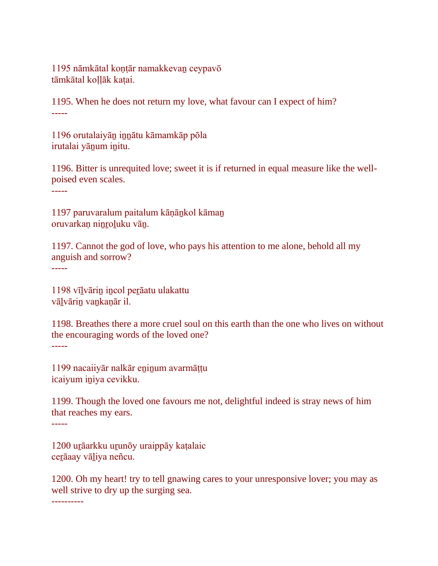1195 nāmkātal koṇṭār namakkevaṉ ceypavō tāmkātal kollāk katai.

1195. When he does not return my love, what favour can I expect of him? -----

1196 orutalaiyāṉ iṉṉātu kāmamkāp pōla irutalai yāṉum iṉitu.

1196. Bitter is unrequited love; sweet it is if returned in equal measure like the wellpoised even scales.

-----

1197 paruvaralum paitalum kāṇāṉkol kāmaṉ oruvarkan ninroluku vān.

1197. Cannot the god of love, who pays his attention to me alone, behold all my anguish and sorrow?

-----

1198 vīḻvāriṉ iṉcol peṟāatu ulakattu vāḻvāriṉ vaṉkaṇār il.

1198. Breathes there a more cruel soul on this earth than the one who lives on without the encouraging words of the loved one? -----

1199 nacaiiyār nalkār eninum avarmāttu icaiyum iṉiya cevikku.

1199. Though the loved one favours me not, delightful indeed is stray news of him that reaches my ears.

-----

1200 urāarkku urunōy uraippāy kaṭalaic cerāaay vāliya neñcu.

1200. Oh my heart! try to tell gnawing cares to your unresponsive lover; you may as well strive to dry up the surging sea.

----------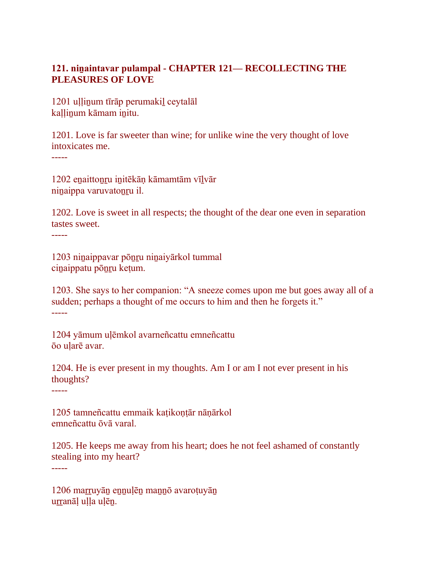## **121. niṉaintavar pulampal - CHAPTER 121— RECOLLECTING THE PLEASURES OF LOVE**

1201 uḷḷiṉum tīrāp perumakiḻ ceytalāl kaḷḷiṉum kāmam iṉitu.

1201. Love is far sweeter than wine; for unlike wine the very thought of love intoxicates me.

-----

1202 eṉaittoṉṟu iṉitēkāṇ kāmamtām vīḻvār niṉaippa varuvatoṉṟu il.

1202. Love is sweet in all respects; the thought of the dear one even in separation tastes sweet.

-----

1203 niṉaippavar pōṉṟu niṉaiyārkol tummal ciṉaippatu pōṉṟu keṭum.

1203. She says to her companion: "A sneeze comes upon me but goes away all of a sudden; perhaps a thought of me occurs to him and then he forgets it." -----

1204 yāmum uḷēmkol avarneñcattu emneñcattu ōo uḷarē avar.

1204. He is ever present in my thoughts. Am I or am I not ever present in his thoughts?

-----

-----

1205 tamneñcattu emmaik kaṭikoṇṭār nāṇārkol emneñcattu ōvā varal.

1205. He keeps me away from his heart; does he not feel ashamed of constantly stealing into my heart?

1206 marruyān ennuļēn manno avarotuyān urranāl ulla ulēn.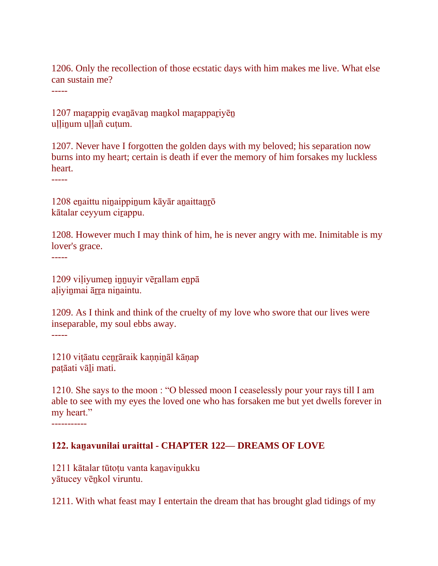1206. Only the recollection of those ecstatic days with him makes me live. What else can sustain me?

-----

1207 marappin evanāvan mankol marappariyēn ullinum ullañ cutum.

1207. Never have I forgotten the golden days with my beloved; his separation now burns into my heart; certain is death if ever the memory of him forsakes my luckless heart.

-----

1208 eṉaittu niṉaippiṉum kāyār aṉaittaṉṟō kātalar ceyyum cirappu.

1208. However much I may think of him, he is never angry with me. Inimitable is my lover's grace.

-----

1209 viliyumen innuyir vērallam enpā aḷiyiṉmai āṟṟa niṉaintu.

1209. As I think and think of the cruelty of my love who swore that our lives were inseparable, my soul ebbs away. -----

1210 viṭāatu ceṉṟāraik kaṇṇiṉāl kāṇap paṭāati vāḻi mati.

1210. She says to the moon : "O blessed moon I ceaselessly pour your rays till I am able to see with my eyes the loved one who has forsaken me but yet dwells forever in my heart."

-----------

# **122. kaṉavunilai uraittal - CHAPTER 122— DREAMS OF LOVE**

1211 kātalar tūtoṭu vanta kaṉaviṉukku yātucey vēṉkol viruntu.

1211. With what feast may I entertain the dream that has brought glad tidings of my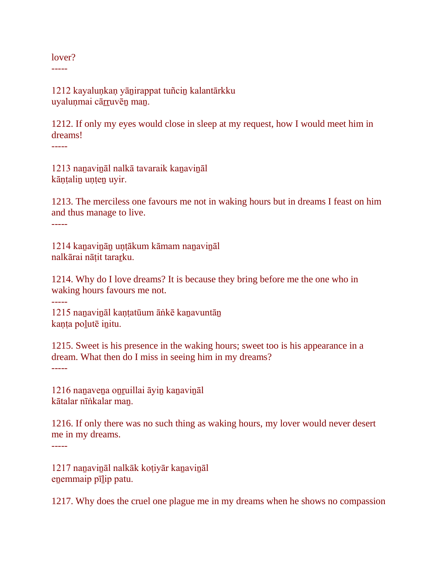lover?

-----

1212 kayaluṇkaṇ yāṉirappat tuñciṉ kalantārkku uyaluņmai cārruvēn man.

1212. If only my eyes would close in sleep at my request, how I would meet him in dreams!

-----

1213 naṉaviṉāl nalkā tavaraik kaṉaviṉāl kāṇṭaliṉ uṇṭeṉ uyir.

1213. The merciless one favours me not in waking hours but in dreams I feast on him and thus manage to live. -----

1214 kaṉaviṉāṉ uṇṭākum kāmam naṉaviṉāl nalkārai nāṭit taraṟku.

1214. Why do I love dreams? It is because they bring before me the one who in waking hours favours me not.

-----

1215 nanavināl kantatūum āṅkē kanavuntān kaṇṭa poḻutē iṉitu.

1215. Sweet is his presence in the waking hours; sweet too is his appearance in a dream. What then do I miss in seeing him in my dreams? -----

1216 naṉaveṉa oṉṟuillai āyiṉ kaṉaviṉāl kātalar nīṅkalar maṉ.

1216. If only there was no such thing as waking hours, my lover would never desert me in my dreams.

-----

1217 naṉaviṉāl nalkāk koṭiyār kaṉaviṉāl enemmaip pīlip patu.

1217. Why does the cruel one plague me in my dreams when he shows no compassion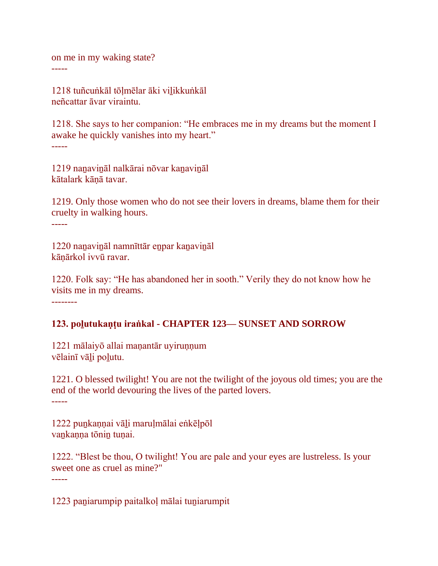on me in my waking state? -----

1218 tuñcuṅkāl tōḷmēlar āki viḻikkuṅkāl neñcattar āvar viraintu.

1218. She says to her companion: "He embraces me in my dreams but the moment I awake he quickly vanishes into my heart." -----

1219 naṉaviṉāl nalkārai nōvar kaṉaviṉāl kātalark kāṇā tavar.

1219. Only those women who do not see their lovers in dreams, blame them for their cruelty in walking hours. -----

1220 naṉaviṉāl namnīttār eṉpar kaṉaviṉāl kāṇārkol ivvū ravar.

1220. Folk say: "He has abandoned her in sooth." Verily they do not know how he visits me in my dreams.

--------

# **123. poḻutukaṇṭu iraṅkal - CHAPTER 123— SUNSET AND SORROW**

1221 mālaiyō allai manantār uyirunnum vēlainī vāḻi poḻutu.

1221. O blessed twilight! You are not the twilight of the joyous old times; you are the end of the world devouring the lives of the parted lovers. -----

1222 puṉkaṇṇai vāḻi maruḷmālai eṅkēḷpōl vaṉkaṇṇa tōniṉ tuṇai.

1222. "Blest be thou, O twilight! You are pale and your eyes are lustreless. Is your sweet one as cruel as mine?" -----

1223 paṉiarumpip paitalkoḷ mālai tuṉiarumpit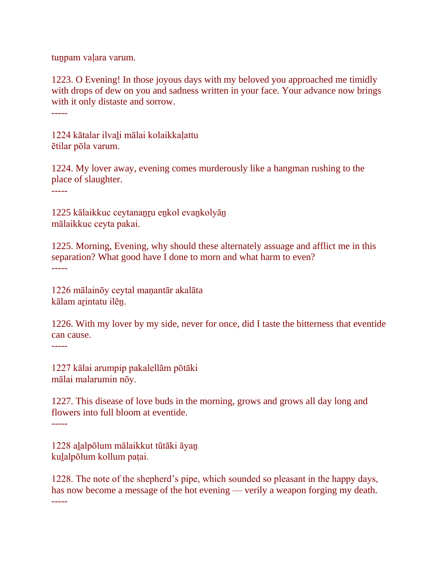tun pam valara varum.

1223. O Evening! In those joyous days with my beloved you approached me timidly with drops of dew on you and sadness written in your face. Your advance now brings with it only distaste and sorrow. -----

1224 kātalar ilvaḻi mālai kolaikkaḷattu ētilar pōla varum.

1224. My lover away, evening comes murderously like a hangman rushing to the place of slaughter.

-----

1225 kālaikkuc ceytananru enkol evankolyān mālaikkuc ceyta pakai.

1225. Morning, Evening, why should these alternately assuage and afflict me in this separation? What good have I done to morn and what harm to even? -----

1226 mālainōy ceytal maṇantār akalāta kālam arintatu ilēn.

1226. With my lover by my side, never for once, did I taste the bitterness that eventide can cause.

-----

1227 kālai arumpip pakalellām pōtāki mālai malarumin nōy.

1227. This disease of love buds in the morning, grows and grows all day long and flowers into full bloom at eventide. -----

1228 aḻalpōlum mālaikkut tūtāki āyaṉ kuḻalpōlum kollum paṭai.

1228. The note of the shepherd's pipe, which sounded so pleasant in the happy days, has now become a message of the hot evening — verily a weapon forging my death. -----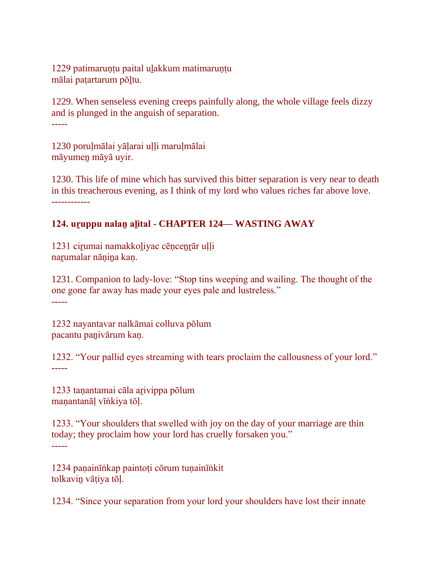1229 patimarunțu paital ulakkum matimarunțu mālai patartarum pōltu.

1229. When senseless evening creeps painfully along, the whole village feels dizzy and is plunged in the anguish of separation. -----

1230 porulmālai yālarai ulli marulmālai māyumeṉ māyā uyir.

1230. This life of mine which has survived this bitter separation is very near to death in this treacherous evening, as I think of my lord who values riches far above love. ------------

# **124. uṟuppu nalaṉ aḻital - CHAPTER 124— WASTING AWAY**

1231 ciṟumai namakkoḻiyac cēṇceṉṟār uḷḷi narumalar nāṇina kaṇ.

1231. Companion to lady-love: "Stop tins weeping and wailing. The thought of the one gone far away has made your eyes pale and lustreless." -----

1232 nayantavar nalkāmai colluva pōlum pacantu paṉivārum kaṇ.

1232. "Your pallid eyes streaming with tears proclaim the callousness of your lord." -----

1233 taṇantamai cāla aṟivippa pōlum maṇantanāḷ vīṅkiya tōḷ.

1233. "Your shoulders that swelled with joy on the day of your marriage are thin today; they proclaim how your lord has cruelly forsaken you." -----

1234 paṇainīṅkap paintoṭi cōrum tuṇainīṅkit tolkaviṉ vāṭiya tōḷ.

1234. "Since your separation from your lord your shoulders have lost their innate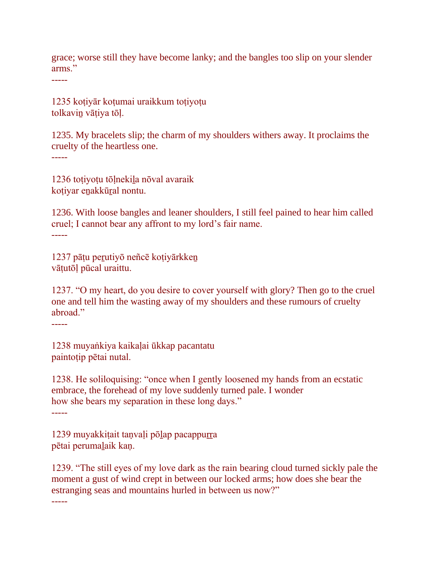grace; worse still they have become lanky; and the bangles too slip on your slender arms."

-----

1235 koṭiyār koṭumai uraikkum toṭiyoṭu tolkaviṉ vāṭiya tōḷ.

1235. My bracelets slip; the charm of my shoulders withers away. It proclaims the cruelty of the heartless one.

-----

1236 toṭiyoṭu tōḷnekiḻa nōval avaraik koṭiyar eṉakkūṟal nontu.

1236. With loose bangles and leaner shoulders, I still feel pained to hear him called cruel; I cannot bear any affront to my lord's fair name. -----

1237 pāṭu peṟutiyō neñcē koṭiyārkkeṉ vāṭutōḷ pūcal uraittu.

1237. "O my heart, do you desire to cover yourself with glory? Then go to the cruel one and tell him the wasting away of my shoulders and these rumours of cruelty abroad."

-----

1238 muyaṅkiya kaikaḷai ūkkap pacantatu paintoṭip pētai nutal.

1238. He soliloquising: "once when I gently loosened my hands from an ecstatic embrace, the forehead of my love suddenly turned pale. I wonder how she bears my separation in these long days." -----

1239 muyakkiṭait taṇvaḷi pōḷap pacappurra pētai perumaḻaik kaṇ.

1239. "The still eyes of my love dark as the rain bearing cloud turned sickly pale the moment a gust of wind crept in between our locked arms; how does she bear the estranging seas and mountains hurled in between us now?"

-----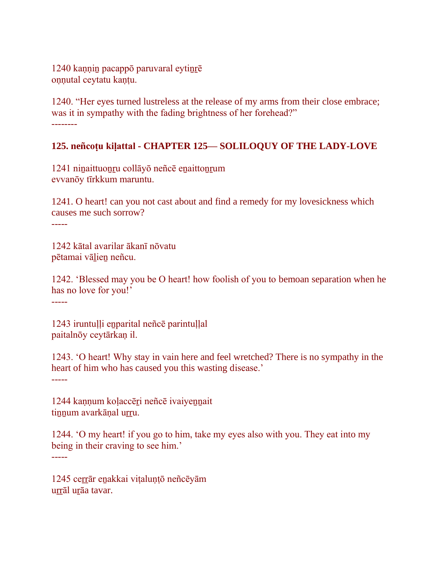1240 kannin pacappō paruvaral eytinrē onnutal ceytatu kantu.

1240. "Her eyes turned lustreless at the release of my arms from their close embrace; was it in sympathy with the fading brightness of her forehead?" --------

## **125. neñcoṭu kiḷattal - CHAPTER 125— SOLILOQUY OF THE LADY-LOVE**

1241 niṉaittuoṉṟu collāyō neñcē eṉaittoṉṟum evvanōy tīrkkum maruntu.

1241. O heart! can you not cast about and find a remedy for my lovesickness which causes me such sorrow? -----

1242 kātal avarilar ākanī nōvatu pētamai vāḻieṉ neñcu.

1242. 'Blessed may you be O heart! how foolish of you to bemoan separation when he has no love for you!'

-----

1243 iruntuḷḷi eṉparital neñcē parintuḷḷal paitalnōy ceytārkaṇ il.

1243. 'O heart! Why stay in vain here and feel wretched? There is no sympathy in the heart of him who has caused you this wasting disease.'

-----

1244 kannum kolaccēri neñcē ivaiyennait tinnum avarkānal urru.

1244. 'O my heart! if you go to him, take my eyes also with you. They eat into my being in their craving to see him.'

-----

1245 cerrār enakkai vițalunțō neñcēyām urrāl urāa tavar.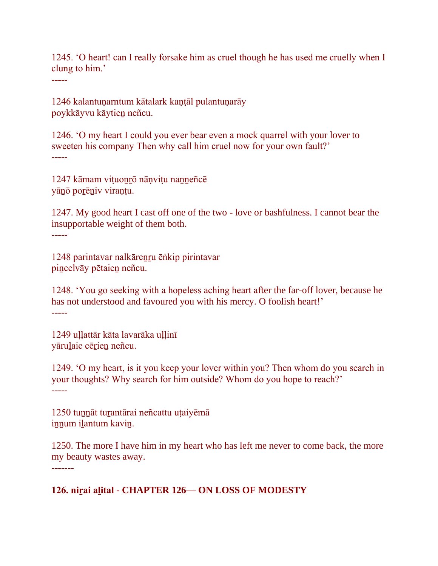1245. 'O heart! can I really forsake him as cruel though he has used me cruelly when I clung to him.'

-----

1246 kalantuṇarntum kātalark kaṇṭāl pulantuṇarāy poykkāyvu kāytieṉ neñcu.

1246. 'O my heart I could you ever bear even a mock quarrel with your lover to sweeten his company Then why call him cruel now for your own fault?' -----

1247 kāmam viṭuoṉṟō nāṇviṭu naṉṉeñcē yāṉō poṟēṉiv viraṇṭu.

1247. My good heart I cast off one of the two - love or bashfulness. I cannot bear the insupportable weight of them both.

-----

1248 parintavar nalkāreṉṟu ēṅkip pirintavar piṉcelvāy pētaieṉ neñcu.

1248. 'You go seeking with a hopeless aching heart after the far-off lover, because he has not understood and favoured you with his mercy. O foolish heart!' -----

1249 ullattār kāta lavarāka ullinī yārulaic cērien neñcu.

1249. 'O my heart, is it you keep your lover within you? Then whom do you search in your thoughts? Why search for him outside? Whom do you hope to reach?' -----

1250 tunnāt turantārai neñcattu utaiyēmā innum ilantum kavin.

1250. The more I have him in my heart who has left me never to come back, the more my beauty wastes away. -------

**126. niṟai aḻital - CHAPTER 126— ON LOSS OF MODESTY**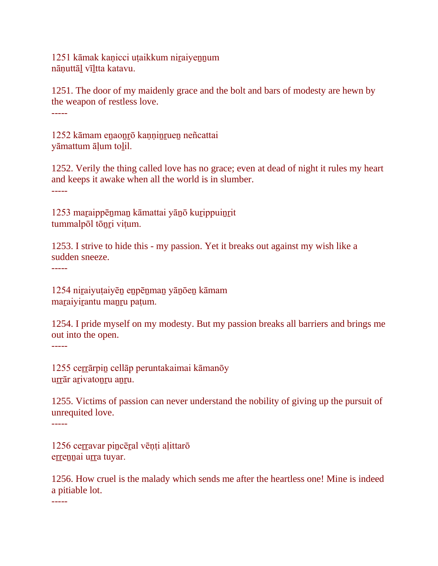1251 kāmak kaṇicci uṭaikkum niṟaiyeṉṉum nāṇuttāḻ vīḻtta katavu.

1251. The door of my maidenly grace and the bolt and bars of modesty are hewn by the weapon of restless love. -----

1252 kāmam enaonrō kanninruen neñcattai yāmattum āļum tolil.

1252. Verily the thing called love has no grace; even at dead of night it rules my heart and keeps it awake when all the world is in slumber. -----

1253 maraippēnman kāmattai yānō kurippuinrit tummalpōl tōṉṟi viṭum.

1253. I strive to hide this - my passion. Yet it breaks out against my wish like a sudden sneeze.

-----

1254 niṟaiyuṭaiyēṉ eṉpēṉmaṉ yāṉōeṉ kāmam maraiyirantu manru patum.

1254. I pride myself on my modesty. But my passion breaks all barriers and brings me out into the open.

-----

1255 cerrārpin cellāp peruntakaimai kāmanōy urrār arivatonru anru.

1255. Victims of passion can never understand the nobility of giving up the pursuit of unrequited love.

-----

1256 cerravar pincēral vēņți alittarō errennai urra tuyar.

1256. How cruel is the malady which sends me after the heartless one! Mine is indeed a pitiable lot.

-----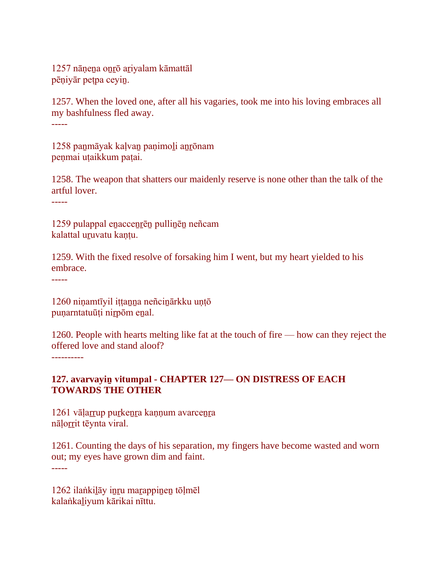1257 nāṇeṉa oṉṟō aṟiyalam kāmattāl pēṇiyār peṭpa ceyiṉ.

1257. When the loved one, after all his vagaries, took me into his loving embraces all my bashfulness fled away.

-----

1258 panmāyak kalvan panimoli anrōnam penmai utaikkum patai.

1258. The weapon that shatters our maidenly reserve is none other than the talk of the artful lover.

-----

1259 pulappal enaccenrēn pullinēn neñcam kalattal uruvatu kantu.

1259. With the fixed resolve of forsaking him I went, but my heart yielded to his embrace.

-----

1260 niṇamtīyil iṭṭanna neñcinārkku uṇṭō puṇarntatuūṭi niṟpōm eṉal.

1260. People with hearts melting like fat at the touch of fire — how can they reject the offered love and stand aloof?

----------

## **127. avarvayiṉ vitumpal - CHAPTER 127— ON DISTRESS OF EACH TOWARDS THE OTHER**

1261 vāļarrup purkenra kannum avarcenra nāļorrit tēynta viral.

1261. Counting the days of his separation, my fingers have become wasted and worn out; my eyes have grown dim and faint. -----

1262 ilaṅkiḻāy iṉṟu maṟappiṉeṉ tōḷmēl kalaṅkaḻiyum kārikai nīttu.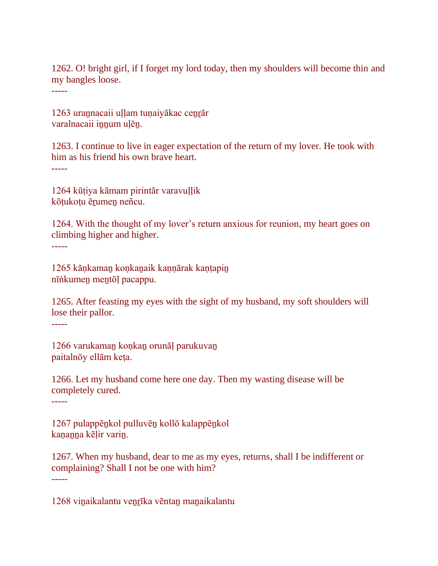1262. O! bright girl, if I forget my lord today, then my shoulders will become thin and my bangles loose.

-----

1263 urannacaii uḷḷam tuṇaiyākac cenrār varalnacaii innum ulēn.

1263. I continue to live in eager expectation of the return of my lover. He took with him as his friend his own brave heart. -----

1264 kūṭiya kāmam pirintār varavuḷḷik kōtukotu ērumen neñcu.

1264. With the thought of my lover's return anxious for reunion, my heart goes on climbing higher and higher. -----

1265 kāṇkaman koṇkanaik kaṇṇārak kaṇṭapin nīṅkumeṉ meṉtōḷ pacappu.

1265. After feasting my eyes with the sight of my husband, my soft shoulders will lose their pallor.

-----

1266 varukaman konkan orunāl parukuvan paitalnōy ellām keṭa.

1266. Let my husband come here one day. Then my wasting disease will be completely cured.

-----

1267 pulappēṉkol pulluvēṉ kollō kalappēṉkol kaṇaṉṉa kēḷir variṉ.

1267. When my husband, dear to me as my eyes, returns, shall I be indifferent or complaining? Shall I not be one with him? -----

1268 vinaikalantu venrīka vēntan manaikalantu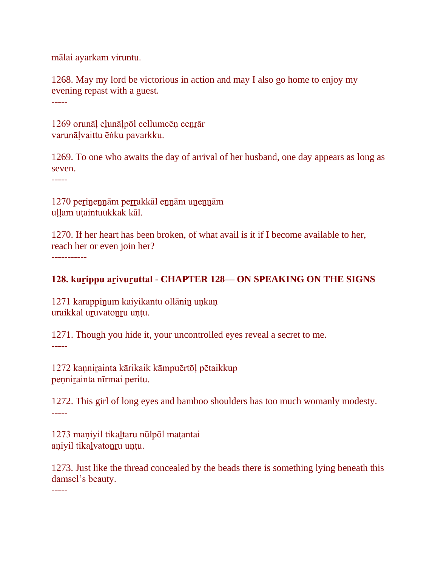mālai ayarkam viruntu.

1268. May my lord be victorious in action and may I also go home to enjoy my evening repast with a guest.

-----

1269 orunāl elunālpōl cellumcēn cenrār varunāḷvaittu ēṅku pavarkku.

1269. To one who awaits the day of arrival of her husband, one day appears as long as seven.

-----

1270 peṟiṉeṉṉām peṟṟakkāl eṉṉām uṉeṉṉām uḷḷam uṭaintuukkak kāl.

1270. If her heart has been broken, of what avail is it if I become available to her, reach her or even join her? -----------

## **128. kurippu arivuruttal - CHAPTER 128— ON SPEAKING ON THE SIGNS**

1271 karappinum kaiyikantu ollānin unkan uraikkal uruvatonru untu.

1271. Though you hide it, your uncontrolled eyes reveal a secret to me. -----

1272 kannirainta kārikaik kāmpuērtōļ pētaikkup pennirainta nīrmai peritu.

1272. This girl of long eyes and bamboo shoulders has too much womanly modesty. -----

1273 maṇiyil tikaḻtaru nūlpōl maṭantai aṇiyil tikaḻvatoṉṟu uṇṭu.

1273. Just like the thread concealed by the beads there is something lying beneath this damsel's beauty.

-----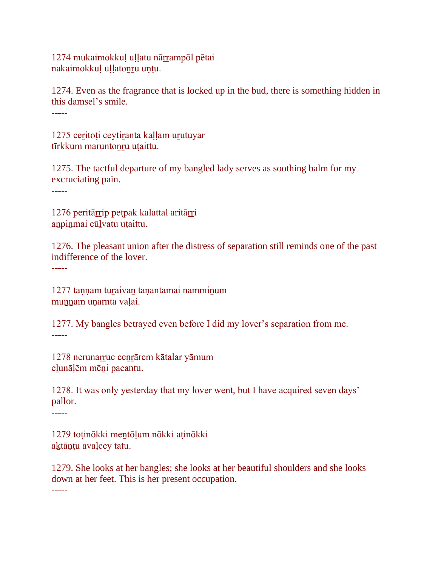1274 mukaimokkul ullatu nārrampōl pētai nakaimokkul ullatonru untu.

1274. Even as the fragrance that is locked up in the bud, there is something hidden in this damsel's smile.

-----

1275 ceritoti ceytiranta kallam urutuyar tīrkkum maruntonru utaittu.

1275. The tactful departure of my bangled lady serves as soothing balm for my excruciating pain.

-----

1276 peritārrip petpak kalattal aritārri anpinmai cūlvatu uțaittu.

1276. The pleasant union after the distress of separation still reminds one of the past indifference of the lover.

-----

1277 taṇṇam tuṟaivaṉ taṇantamai nammiṉum munnam unarnta valai.

1277. My bangles betrayed even before I did my lover's separation from me. -----

1278 nerunarruc cenrārem kātalar yāmum eḻunāḷēm mēṉi pacantu.

1278. It was only yesterday that my lover went, but I have acquired seven days' pallor.

-----

1279 toṭinōkki meṉtōḷum nōkki aṭinōkki aktānțu avalcey tatu.

1279. She looks at her bangles; she looks at her beautiful shoulders and she looks down at her feet. This is her present occupation. -----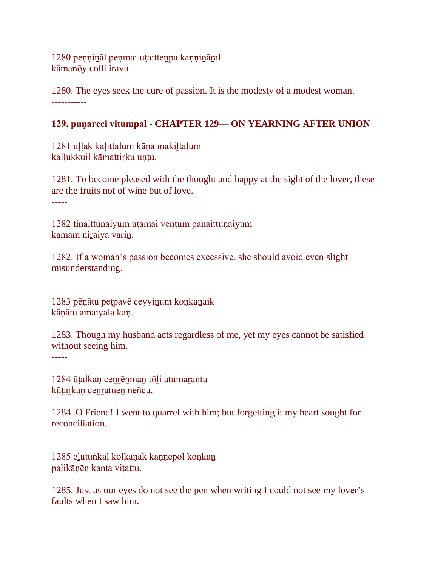1280 peṇṇiṉāl peṇmai uṭaitteṉpa kaṇṇiṉāṟal kāmanōy colli iravu.

1280. The eyes seek the cure of passion. It is the modesty of a modest woman. -----------

# **129. puṇarcci vitumpal - CHAPTER 129— ON YEARNING AFTER UNION**

1281 ullak kalittalum kāna makiltalum kallukkuil kāmattirku untu.

1281. To become pleased with the thought and happy at the sight of the lover, these are the fruits not of wine but of love. -----

1282 tinaittunaiyum ūṭāmai vēṇṭum panaittuṇaiyum kāmam niṟaiya variṉ.

1282. If a woman's passion becomes excessive, she should avoid even slight misunderstanding.

-----

1283 pēṇātu peṭpavē ceyyiṉum koṇkaṉaik kāṇātu amaiyala kaṇ.

1283. Though my husband acts regardless of me, yet my eyes cannot be satisfied without seeing him.

-----

1284 ūṭalkaṇ ceṉṟēṉmaṉ tōḻi atumaṟantu kūtarkan cenratuen neñcu.

1284. O Friend! I went to quarrel with him; but forgetting it my heart sought for reconciliation. -----

1285 eḻutuṅkāl kōlkāṇāk kaṇṇēpōl koṇkaṉ paḻikāṇēṉ kaṇṭa viṭattu.

1285. Just as our eyes do not see the pen when writing I could not see my lover's faults when I saw him.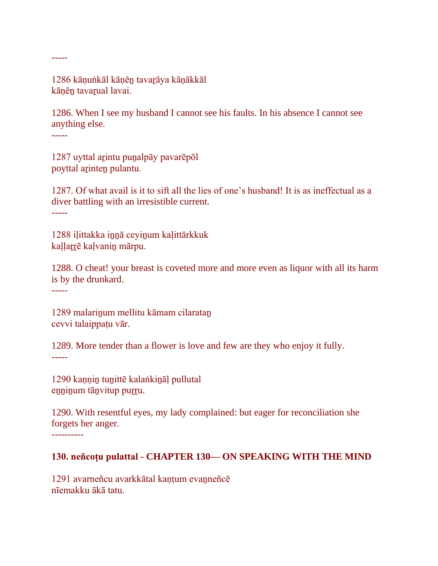1286 kāṇuṅkāl kāṇēṉ tavaṟāya kāṇākkāl kānēn tavarual lavai.

1286. When I see my husband I cannot see his faults. In his absence I cannot see anything else.

-----

-----

1287 uyttal arintu punalpāy pavarēpōl poyttal aṟinteṉ pulantu.

1287. Of what avail is it to sift all the lies of one's husband! It is as ineffectual as a diver battling with an irresistible current. -----

1288 iḷittakka iṉṉā ceyiṉum kaḷittārkkuk kaḷḷaṟṟē kaḷvaniṉ mārpu.

1288. O cheat! your breast is coveted more and more even as liquor with all its harm is by the drunkard.

-----

1289 malariṉum mellitu kāmam cilarataṉ cevvi talaippaṭu vār.

1289. More tender than a flower is love and few are they who enjoy it fully. -----

1290 kaṇṇiṉ tuṉittē kalaṅkiṉāḷ pullutal enninum tānvitup purru.

1290. With resentful eyes, my lady complained: but eager for reconciliation she forgets her anger. ----------

#### **130. neñcoṭu pulattal - CHAPTER 130— ON SPEAKING WITH THE MIND**

1291 avarneñcu avarkkātal kanțum evanneñcē nīemakku ākā tatu.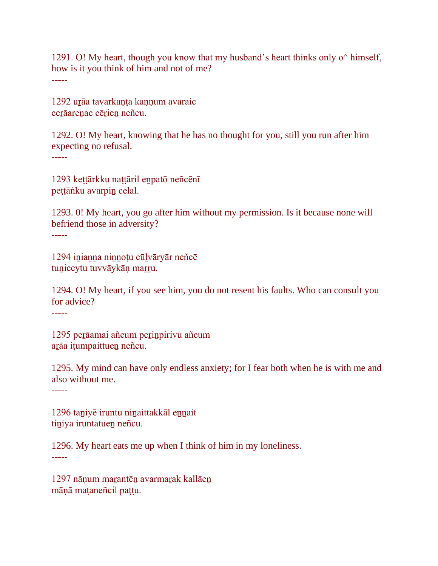1291. O! My heart, though you know that my husband's heart thinks only o<sup> $\land$ </sup> himself, how is it you think of him and not of me? -----

1292 uṟāa tavarkaṇṭa kaṇṇum avaraic cerāarenac cērien neñcu.

1292. O! My heart, knowing that he has no thought for you, still you run after him expecting no refusal.

-----

1293 keṭṭārkku naṭṭāril eṉpatō neñcēnī peṭṭāṅku avarpiṉ celal.

1293. 0! My heart, you go after him without my permission. Is it because none will befriend those in adversity?

-----

1294 inianna ninnoțu cūlvāryār neñcē tuniceytu tuvvāykāņ marru.

1294. O! My heart, if you see him, you do not resent his faults. Who can consult you for advice?

-----

1295 perāamai añcum perinpirivu añcum aṟāa iṭumpaittueṉ neñcu.

1295. My mind can have only endless anxiety; for I fear both when he is with me and also without me.

-----

1296 taniyē iruntu ninaittakkāl ennait tiniya iruntatuen neñcu.

1296. My heart eats me up when I think of him in my loneliness. -----

1297 nāṇum marantēn avarmarak kallāen māṇā maṭaneñcil paṭṭu.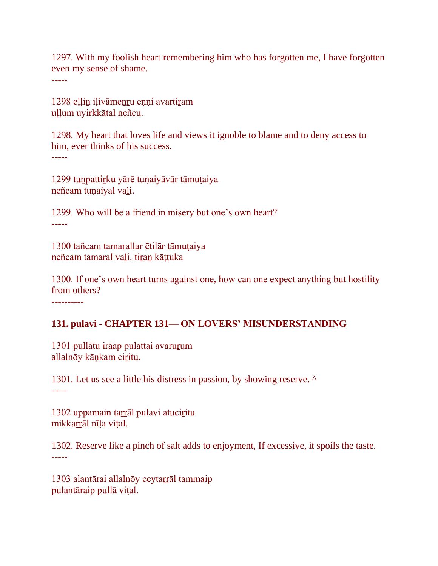1297. With my foolish heart remembering him who has forgotten me, I have forgotten even my sense of shame.

-----

1298 eḷḷiṉ iḷivāmeṉṟu eṇṇi avartiṟam uḷḷum uyirkkātal neñcu.

1298. My heart that loves life and views it ignoble to blame and to deny access to him, ever thinks of his success.

-----

1299 tuṉpattiṟku yārē tuṇaiyāvār tāmuṭaiya neñcam tuṇaiyal vaḻi.

1299. Who will be a friend in misery but one's own heart? -----

1300 tañcam tamarallar ētilār tāmuṭaiya neñcam tamaral vaḻi. tiṟaṉ kāṭṭuka

1300. If one's own heart turns against one, how can one expect anything but hostility from others?

----------

#### **131. pulavi - CHAPTER 131— ON LOVERS' MISUNDERSTANDING**

1301 pullātu irāap pulattai avaruṟum allalnōy kāṇkam ciṟitu.

1301. Let us see a little his distress in passion, by showing reserve. ^ -----

1302 uppamain tarrāl pulavi atuciritu mikkarrāl nīla vital.

1302. Reserve like a pinch of salt adds to enjoyment, If excessive, it spoils the taste. -----

1303 alantārai allalnōy ceytarrāl tammaip pulantāraip pullā viṭal.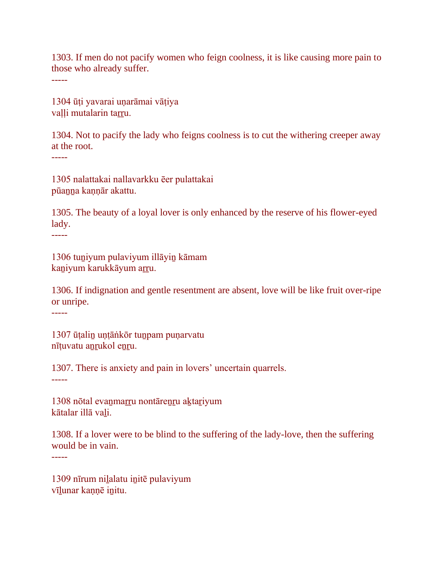1303. If men do not pacify women who feign coolness, it is like causing more pain to those who already suffer.

-----

1304 ūṭi yavarai uṇarāmai vāṭiya valli mutalarin tarru.

1304. Not to pacify the lady who feigns coolness is to cut the withering creeper away at the root.

-----

1305 nalattakai nallavarkku ēer pulattakai pūaṉṉa kaṇṇār akattu.

1305. The beauty of a loyal lover is only enhanced by the reserve of his flower-eyed lady.

-----

1306 tuṉiyum pulaviyum illāyiṉ kāmam kaniyum karukkāyum arru.

1306. If indignation and gentle resentment are absent, love will be like fruit over-ripe or unripe.

-----

1307 ūtalin untāṅkōr tunpam punarvatu nītuvatu anrukol enru.

1307. There is anxiety and pain in lovers' uncertain quarrels.

-----

1308 nōtal evanmarru nontārenru aktariyum kātalar illā vaḻi.

1308. If a lover were to be blind to the suffering of the lady-love, then the suffering would be in vain.

-----

1309 nīrum niḻalatu iṉitē pulaviyum vīḻunar kaṇṇē iṉitu.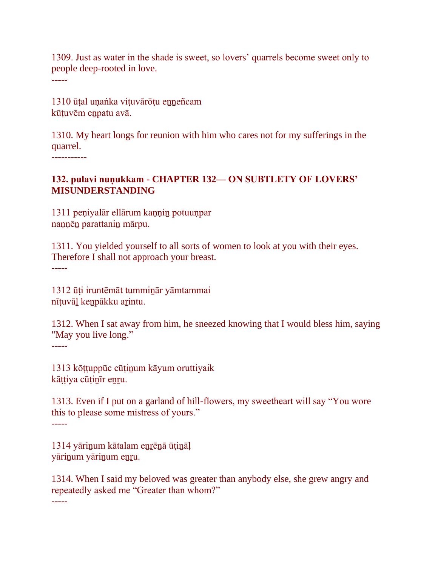1309. Just as water in the shade is sweet, so lovers' quarrels become sweet only to people deep-rooted in love.

-----

1310 ūṭal uṇaṅka viṭuvārōṭu eṉṉeñcam kūṭuvēm eṉpatu avā.

1310. My heart longs for reunion with him who cares not for my sufferings in the quarrel.

-----------

#### **132. pulavi nuṇukkam - CHAPTER 132— ON SUBTLETY OF LOVERS' MISUNDERSTANDING**

1311 peṇiyalār ellārum kaṇṇiṉ potuuṇpar naṇṇēṉ parattaniṉ mārpu.

1311. You yielded yourself to all sorts of women to look at you with their eyes. Therefore I shall not approach your breast.

-----

1312 ūṭi iruntēmāt tummiṉār yāmtammai nīṭuvāḻ keṉpākku aṟintu.

1312. When I sat away from him, he sneezed knowing that I would bless him, saying "May you live long."

-----

1313 kōṭṭuppūc cūṭiṉum kāyum oruttiyaik kāttiya cūtinīr enru.

1313. Even if I put on a garland of hill-flowers, my sweetheart will say "You wore this to please some mistress of yours." -----

1314 yārinum kātalam enrēnā ūțināļ yāriṉum yāriṉum eṉṟu.

1314. When I said my beloved was greater than anybody else, she grew angry and repeatedly asked me "Greater than whom?"

-----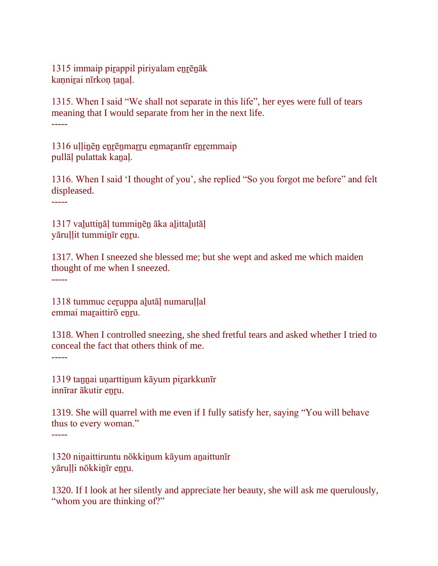1315 immaip pirappil piriyalam enrēnāk kannirai nīrkon tanal.

1315. When I said "We shall not separate in this life", her eyes were full of tears meaning that I would separate from her in the next life. -----

1316 ullinēn enrēnmarru enmarantīr enremmaip pullāḷ pulattak kaṉaḷ.

1316. When I said 'I thought of you', she replied "So you forgot me before" and felt displeased.

-----

1317 vaḻuttiṉāḷ tummiṉēṉ āka aḻittaḻutāḷ yāruḷḷit tummiṉīr eṉṟu.

1317. When I sneezed she blessed me; but she wept and asked me which maiden thought of me when I sneezed. -----

1318 tummuc ceṟuppa aḻutāḷ numaruḷḷal

emmai maraittirō enru.

1318. When I controlled sneezing, she shed fretful tears and asked whether I tried to conceal the fact that others think of me. -----

1319 taṉṉai uṇarttiṉum kāyum piṟarkkunīr innīrar ākutir enru.

1319. She will quarrel with me even if I fully satisfy her, saying "You will behave thus to every woman." -----

1320 niṉaittiruntu nōkkiṉum kāyum aṉaittunīr yāruļļi nōkkinīr enru.

1320. If I look at her silently and appreciate her beauty, she will ask me querulously, "whom you are thinking of?"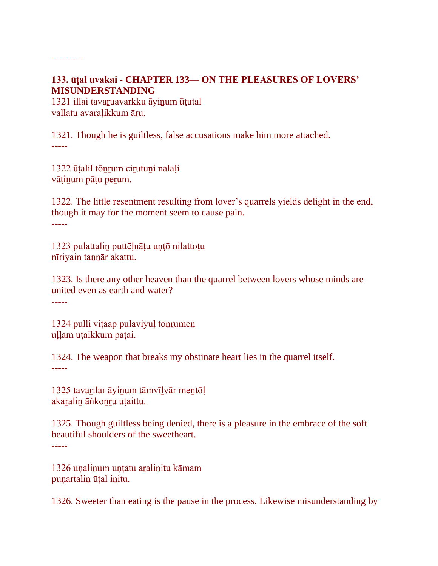### **133. ūṭal uvakai - CHAPTER 133— ON THE PLEASURES OF LOVERS' MISUNDERSTANDING**

1321 illai tavaṟuavarkku āyiṉum ūṭutal vallatu avaralikkum āru.

----------

1321. Though he is guiltless, false accusations make him more attached. -----

1322 ūṭalil tōṉṟum ciṟutuṉi nalaḷi vāṭiṉum pāṭu peṟum.

1322. The little resentment resulting from lover's quarrels yields delight in the end, though it may for the moment seem to cause pain. -----

1323 pulattaliṉ puttēḷnāṭu uṇṭō nilattoṭu nīriyain taṉṉār akattu.

1323. Is there any other heaven than the quarrel between lovers whose minds are united even as earth and water? -----

1324 pulli viṭāap pulaviyuḷ tōṉṟumeṉ ullam utaikkum patai.

1324. The weapon that breaks my obstinate heart lies in the quarrel itself. -----

1325 tavarilar āyinum tāmvīlvār mentōl akaralin āṅkonru utaittu.

1325. Though guiltless being denied, there is a pleasure in the embrace of the soft beautiful shoulders of the sweetheart. -----

1326 uṇaliṉum uṇṭatu aṟaliṉitu kāmam punartalin ūțal initu.

1326. Sweeter than eating is the pause in the process. Likewise misunderstanding by